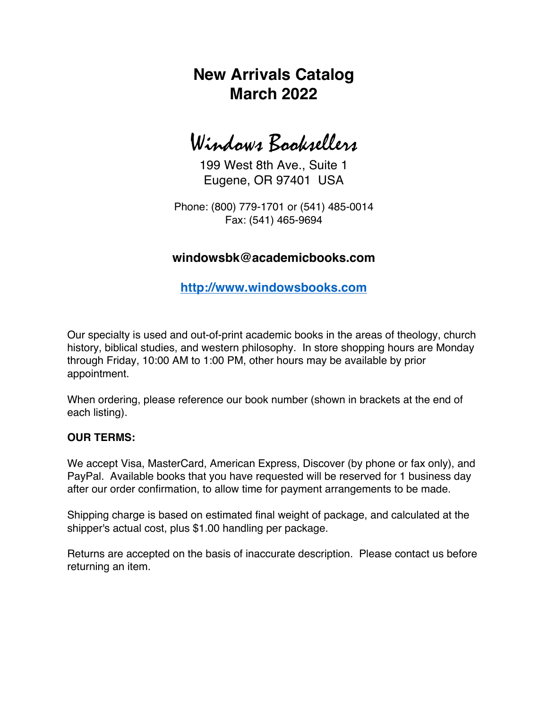## **New Arrivals Catalog March 2022**

# Windows Booksellers

199 West 8th Ave., Suite 1 Eugene, OR 97401 USA

Phone: (800) 779-1701 or (541) 485-0014 Fax: (541) 465-9694

### **windowsbk@academicbooks.com**

**http://www.windowsbooks.com**

Our specialty is used and out-of-print academic books in the areas of theology, church history, biblical studies, and western philosophy. In store shopping hours are Monday through Friday, 10:00 AM to 1:00 PM, other hours may be available by prior appointment.

When ordering, please reference our book number (shown in brackets at the end of each listing).

#### **OUR TERMS:**

We accept Visa, MasterCard, American Express, Discover (by phone or fax only), and PayPal. Available books that you have requested will be reserved for 1 business day after our order confirmation, to allow time for payment arrangements to be made.

Shipping charge is based on estimated final weight of package, and calculated at the shipper's actual cost, plus \$1.00 handling per package.

Returns are accepted on the basis of inaccurate description. Please contact us before returning an item.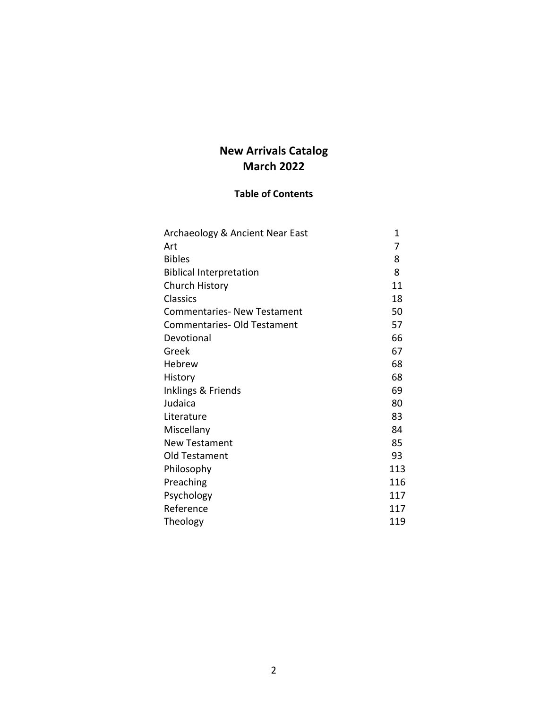## **New Arrivals Catalog March 2022**

### **Table of Contents**

| Archaeology & Ancient Near East    | 1   |
|------------------------------------|-----|
| Art                                | 7   |
| <b>Bibles</b>                      | 8   |
| <b>Biblical Interpretation</b>     | 8   |
| Church History                     | 11  |
| <b>Classics</b>                    | 18  |
| <b>Commentaries- New Testament</b> | 50  |
| <b>Commentaries- Old Testament</b> | 57  |
| Devotional                         | 66  |
| Greek                              | 67  |
| Hebrew                             | 68  |
| History                            | 68  |
| Inklings & Friends                 | 69  |
| Judaica                            | 80  |
| Literature                         | 83  |
| Miscellany                         | 84  |
| <b>New Testament</b>               | 85  |
| Old Testament                      | 93  |
| Philosophy                         | 113 |
| Preaching                          | 116 |
| Psychology                         | 117 |
| Reference                          | 117 |
| Theology                           | 119 |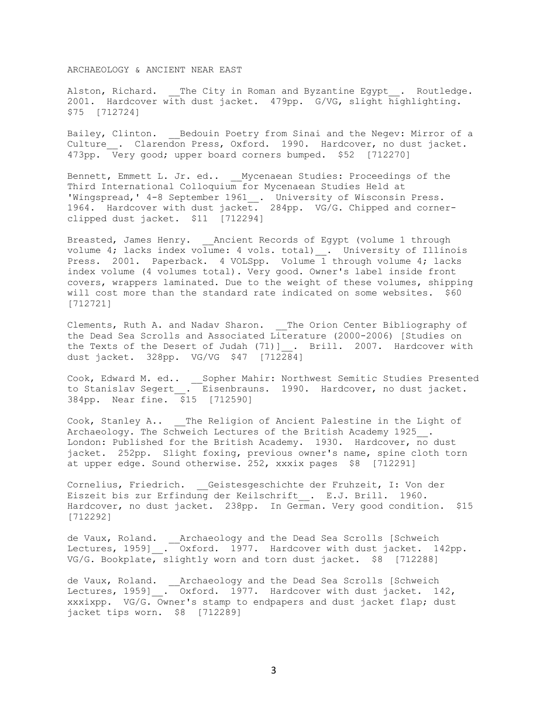ARCHAEOLOGY & ANCIENT NEAR EAST

Alston, Richard. \_\_The City in Roman and Byzantine Egypt . Routledge. 2001. Hardcover with dust jacket. 479pp. G/VG, slight highlighting. \$75 [712724]

Bailey, Clinton. \_\_ Bedouin Poetry from Sinai and the Negev: Mirror of a Culture . Clarendon Press, Oxford. 1990. Hardcover, no dust jacket. 473pp. Very good; upper board corners bumped. \$52 [712270]

Bennett, Emmett L. Jr. ed.. Mycenaean Studies: Proceedings of the Third International Colloquium for Mycenaean Studies Held at 'Wingspread, ' 4-8 September 1961\_\_. University of Wisconsin Press. 1964. Hardcover with dust jacket. 284pp. VG/G. Chipped and cornerclipped dust jacket. \$11 [712294]

Breasted, James Henry. Ancient Records of Egypt (volume 1 through volume 4; lacks index volume: 4 vols. total) \_\_. University of Illinois Press. 2001. Paperback. 4 VOLSpp. Volume 1 through volume 4; lacks index volume (4 volumes total). Very good. Owner's label inside front covers, wrappers laminated. Due to the weight of these volumes, shipping will cost more than the standard rate indicated on some websites. \$60 [712721]

Clements, Ruth A. and Nadav Sharon. The Orion Center Bibliography of the Dead Sea Scrolls and Associated Literature (2000-2006) [Studies on the Texts of the Desert of Judah (71)] . Brill. 2007. Hardcover with dust jacket. 328pp. VG/VG \$47 [712284]

Cook, Edward M. ed.. \_\_Sopher Mahir: Northwest Semitic Studies Presented to Stanislav Segert . Eisenbrauns. 1990. Hardcover, no dust jacket. 384pp. Near fine. \$15 [712590]

Cook, Stanley A.. \_\_ The Religion of Ancient Palestine in the Light of Archaeology. The Schweich Lectures of the British Academy 1925 . London: Published for the British Academy. 1930. Hardcover, no dust jacket. 252pp. Slight foxing, previous owner's name, spine cloth torn at upper edge. Sound otherwise. 252, xxxix pages \$8 [712291]

Cornelius, Friedrich. Geistesgeschichte der Fruhzeit, I: Von der Eiszeit bis zur Erfindung der Keilschrift . E.J. Brill. 1960. Hardcover, no dust jacket. 238pp. In German. Very good condition. \$15 [712292]

de Vaux, Roland. \_\_Archaeology and the Dead Sea Scrolls [Schweich Lectures, 1959] . Oxford. 1977. Hardcover with dust jacket. 142pp. VG/G. Bookplate, slightly worn and torn dust jacket. \$8 [712288]

de Vaux, Roland. \_\_Archaeology and the Dead Sea Scrolls [Schweich Lectures, 1959]\_\_. Oxford. 1977. Hardcover with dust jacket. 142, xxxixpp. VG/G. Owner's stamp to endpapers and dust jacket flap; dust jacket tips worn. \$8 [712289]

3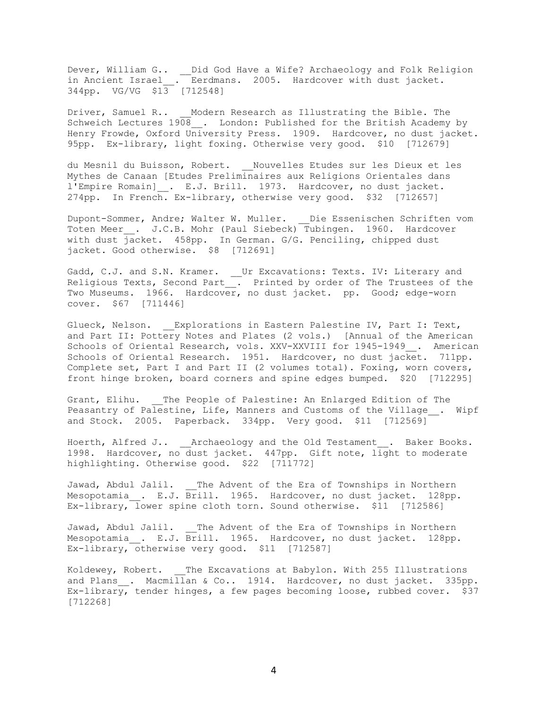Dever, William G.. \_\_Did God Have a Wife? Archaeology and Folk Religion in Ancient Israel\_\_. Eerdmans. 2005. Hardcover with dust jacket. 344pp. VG/VG \$13 [712548]

Driver, Samuel R.. Modern Research as Illustrating the Bible. The Schweich Lectures 1908 . London: Published for the British Academy by Henry Frowde, Oxford University Press. 1909. Hardcover, no dust jacket. 95pp. Ex-library, light foxing. Otherwise very good. \$10 [712679]

du Mesnil du Buisson, Robert. \_\_Nouvelles Etudes sur les Dieux et les Mythes de Canaan [Etudes Preliminaires aux Religions Orientales dans l'Empire Romain] . E.J. Brill. 1973. Hardcover, no dust jacket. 274pp. In French. Ex-library, otherwise very good. \$32 [712657]

Dupont-Sommer, Andre; Walter W. Muller. Die Essenischen Schriften vom Toten Meer . J.C.B. Mohr (Paul Siebeck) Tubingen. 1960. Hardcover with dust jacket. 458pp. In German. G/G. Penciling, chipped dust jacket. Good otherwise. \$8 [712691]

Gadd, C.J. and S.N. Kramer. \_\_Ur Excavations: Texts. IV: Literary and Religious Texts, Second Part\_\_. Printed by order of The Trustees of the Two Museums. 1966. Hardcover, no dust jacket. pp. Good; edge-worn cover. \$67 [711446]

Glueck, Nelson. Explorations in Eastern Palestine IV, Part I: Text, and Part II: Pottery Notes and Plates (2 vols.) [Annual of the American Schools of Oriental Research, vols. XXV-XXVIII for 1945-1949 . American Schools of Oriental Research. 1951. Hardcover, no dust jacket. 711pp. Complete set, Part I and Part II (2 volumes total). Foxing, worn covers, front hinge broken, board corners and spine edges bumped. \$20 [712295]

Grant, Elihu. The People of Palestine: An Enlarged Edition of The Peasantry of Palestine, Life, Manners and Customs of the Village . Wipf and Stock. 2005. Paperback. 334pp. Very good. \$11 [712569]

Hoerth, Alfred J.. \_\_Archaeology and the Old Testament\_\_. Baker Books. 1998. Hardcover, no dust jacket. 447pp. Gift note, light to moderate highlighting. Otherwise good. \$22 [711772]

Jawad, Abdul Jalil. \_\_ The Advent of the Era of Townships in Northern Mesopotamia . E.J. Brill. 1965. Hardcover, no dust jacket. 128pp. Ex-library, lower spine cloth torn. Sound otherwise. \$11 [712586]

Jawad, Abdul Jalil. \_\_ The Advent of the Era of Townships in Northern Mesopotamia . E.J. Brill. 1965. Hardcover, no dust jacket. 128pp. Ex-library, otherwise very good. \$11 [712587]

Koldewey, Robert. The Excavations at Babylon. With 255 Illustrations and Plans . Macmillan & Co.. 1914. Hardcover, no dust jacket. 335pp. Ex-library, tender hinges, a few pages becoming loose, rubbed cover. \$37 [712268]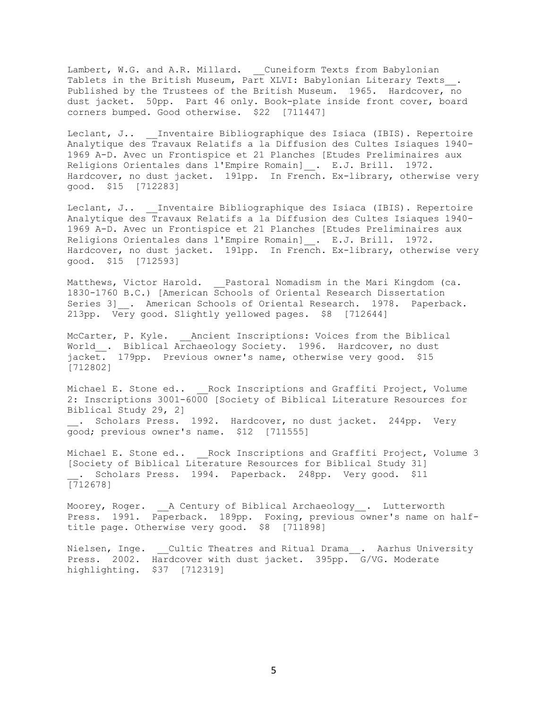Lambert, W.G. and A.R. Millard. \_\_Cuneiform Texts from Babylonian Tablets in the British Museum, Part XLVI: Babylonian Literary Texts\_. Published by the Trustees of the British Museum. 1965. Hardcover, no dust jacket. 50pp. Part 46 only. Book-plate inside front cover, board corners bumped. Good otherwise. \$22 [711447]

Leclant, J.. \_\_\_Inventaire Bibliographique des Isiaca (IBIS). Repertoire Analytique des Travaux Relatifs a la Diffusion des Cultes Isiaques 1940- 1969 A-D. Avec un Frontispice et 21 Planches [Etudes Preliminaires aux Religions Orientales dans l'Empire Romain]\_\_. E.J. Brill. 1972. Hardcover, no dust jacket. 191pp. In French. Ex-library, otherwise very good. \$15 [712283]

Leclant, J.. \_ Inventaire Bibliographique des Isiaca (IBIS). Repertoire Analytique des Travaux Relatifs a la Diffusion des Cultes Isiaques 1940- 1969 A-D. Avec un Frontispice et 21 Planches [Etudes Preliminaires aux Religions Orientales dans l'Empire Romain]\_\_. E.J. Brill. 1972. Hardcover, no dust jacket. 191pp. In French. Ex-library, otherwise very good. \$15 [712593]

Matthews, Victor Harold. \_\_Pastoral Nomadism in the Mari Kingdom (ca. 1830-1760 B.C.) [American Schools of Oriental Research Dissertation Series 3] . American Schools of Oriental Research. 1978. Paperback. 213pp. Very good. Slightly yellowed pages. \$8 [712644]

McCarter, P. Kyle. \_\_ Ancient Inscriptions: Voices from the Biblical World . Biblical Archaeology Society. 1996. Hardcover, no dust jacket. 179pp. Previous owner's name, otherwise very good. \$15 [712802]

Michael E. Stone ed.. \_\_Rock Inscriptions and Graffiti Project, Volume 2: Inscriptions 3001-6000 [Society of Biblical Literature Resources for Biblical Study 29, 2] . Scholars Press. 1992. Hardcover, no dust jacket. 244pp. Very good; previous owner's name. \$12 [711555]

Michael E. Stone ed.. \_\_Rock Inscriptions and Graffiti Project, Volume 3 [Society of Biblical Literature Resources for Biblical Study 31] \_\_. Scholars Press. 1994. Paperback. 248pp. Very good. \$11 [712678]

Moorey, Roger. A Century of Biblical Archaeology\_\_. Lutterworth Press. 1991. Paperback. 189pp. Foxing, previous owner's name on halftitle page. Otherwise very good. \$8 [711898]

Nielsen, Inge. Cultic Theatres and Ritual Drama . Aarhus University Press. 2002. Hardcover with dust jacket. 395pp. G/VG. Moderate highlighting. \$37 [712319]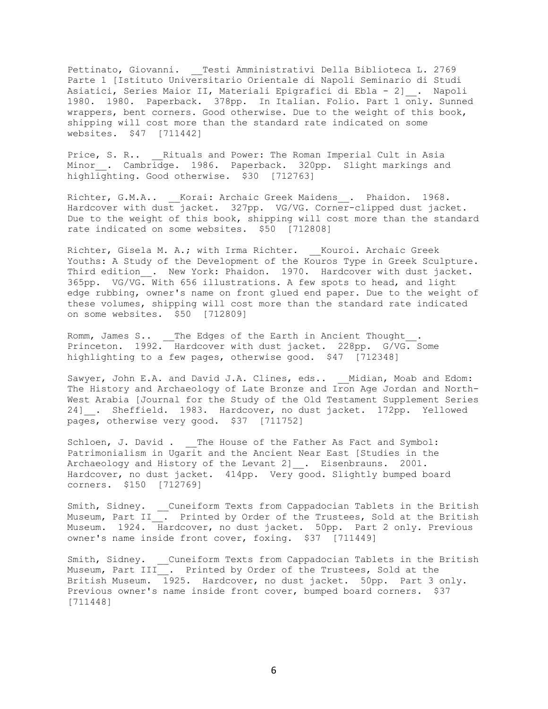Pettinato, Giovanni. \_\_Testi Amministrativi Della Biblioteca L. 2769 Parte 1 [Istituto Universitario Orientale di Napoli Seminario di Studi Asiatici, Series Maior II, Materiali Epigrafici di Ebla - 2] \_. Napoli 1980. 1980. Paperback. 378pp. In Italian. Folio. Part 1 only. Sunned wrappers, bent corners. Good otherwise. Due to the weight of this book, shipping will cost more than the standard rate indicated on some websites. \$47 [711442]

Price, S. R.. \_\_Rituals and Power: The Roman Imperial Cult in Asia Minor\_. Cambridge. 1986. Paperback. 320pp. Slight markings and highlighting. Good otherwise. \$30 [712763]

Richter, G.M.A.. Korai: Archaic Greek Maidens . Phaidon. 1968. Hardcover with dust jacket. 327pp. VG/VG. Corner-clipped dust jacket. Due to the weight of this book, shipping will cost more than the standard rate indicated on some websites. \$50 [712808]

Richter, Gisela M. A.; with Irma Richter. \_\_Kouroi. Archaic Greek Youths: A Study of the Development of the Kouros Type in Greek Sculpture. Third edition\_\_. New York: Phaidon. 1970. Hardcover with dust jacket. 365pp. VG/VG. With 656 illustrations. A few spots to head, and light edge rubbing, owner's name on front glued end paper. Due to the weight of these volumes, shipping will cost more than the standard rate indicated on some websites. \$50 [712809]

Romm, James S.. \_\_The Edges of the Earth in Ancient Thought\_\_. Princeton. 1992. Hardcover with dust jacket. 228pp. G/VG. Some highlighting to a few pages, otherwise good. \$47 [712348]

Sawyer, John E.A. and David J.A. Clines, eds.. \_ Midian, Moab and Edom: The History and Archaeology of Late Bronze and Iron Age Jordan and North-West Arabia [Journal for the Study of the Old Testament Supplement Series 24] . Sheffield. 1983. Hardcover, no dust jacket. 172pp. Yellowed pages, otherwise very good. \$37 [711752]

Schloen, J. David . \_\_ The House of the Father As Fact and Symbol: Patrimonialism in Ugarit and the Ancient Near East [Studies in the Archaeology and History of the Levant 2] . Eisenbrauns. 2001. Hardcover, no dust jacket. 414pp. Very good. Slightly bumped board corners. \$150 [712769]

Smith, Sidney. \_\_Cuneiform Texts from Cappadocian Tablets in the British Museum, Part II . Printed by Order of the Trustees, Sold at the British Museum. 1924. Hardcover, no dust jacket. 50pp. Part 2 only. Previous owner's name inside front cover, foxing. \$37 [711449]

Smith, Sidney. Cuneiform Texts from Cappadocian Tablets in the British Museum, Part III . Printed by Order of the Trustees, Sold at the British Museum. 1925. Hardcover, no dust jacket. 50pp. Part 3 only. Previous owner's name inside front cover, bumped board corners. \$37 [711448]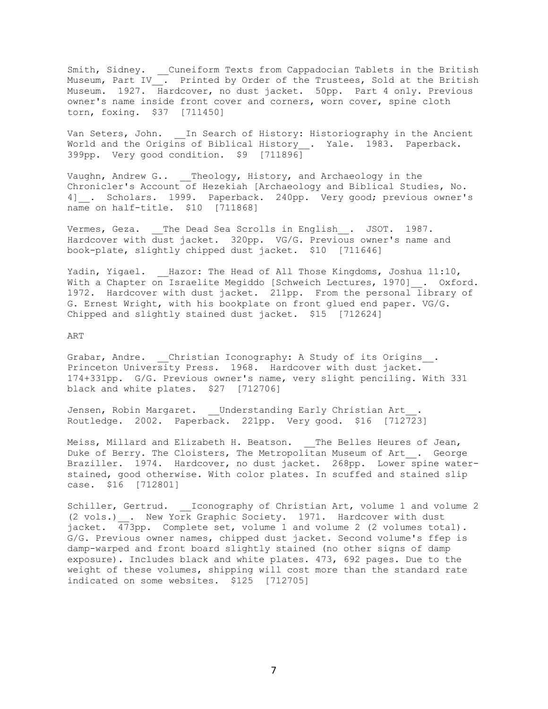Smith, Sidney. \_\_Cuneiform Texts from Cappadocian Tablets in the British Museum, Part IV\_\_. Printed by Order of the Trustees, Sold at the British Museum. 1927. Hardcover, no dust jacket. 50pp. Part 4 only. Previous owner's name inside front cover and corners, worn cover, spine cloth torn, foxing. \$37 [711450]

Van Seters, John. In Search of History: Historiography in the Ancient World and the Origins of Biblical History \_\_. Yale. 1983. Paperback. 399pp. Very good condition. \$9 [711896]

Vaughn, Andrew G.. \_\_Theology, History, and Archaeology in the Chronicler's Account of Hezekiah [Archaeology and Biblical Studies, No. 4] . Scholars. 1999. Paperback. 240pp. Very good; previous owner's name on half-title. \$10 [711868]

Vermes, Geza. \_\_The Dead Sea Scrolls in English\_ . JSOT. 1987. Hardcover with dust jacket. 320pp. VG/G. Previous owner's name and book-plate, slightly chipped dust jacket. \$10 [711646]

Yadin, Yigael. Hazor: The Head of All Those Kingdoms, Joshua 11:10, With a Chapter on Israelite Megiddo [Schweich Lectures, 1970] . Oxford. 1972. Hardcover with dust jacket. 211pp. From the personal library of G. Ernest Wright, with his bookplate on front glued end paper. VG/G. Chipped and slightly stained dust jacket. \$15 [712624]

ART

Grabar, Andre. Christian Iconography: A Study of its Origins . Princeton University Press. 1968. Hardcover with dust jacket. 174+331pp. G/G. Previous owner's name, very slight penciling. With 331 black and white plates. \$27 [712706]

Jensen, Robin Margaret. Understanding Early Christian Art Routledge. 2002. Paperback. 221pp. Very good. \$16 [712723]

Meiss, Millard and Elizabeth H. Beatson. The Belles Heures of Jean, Duke of Berry. The Cloisters, The Metropolitan Museum of Art . George Braziller. 1974. Hardcover, no dust jacket. 268pp. Lower spine waterstained, good otherwise. With color plates. In scuffed and stained slip case. \$16 [712801]

Schiller, Gertrud. Loonography of Christian Art, volume 1 and volume 2 (2 vols.) . New York Graphic Society. 1971. Hardcover with dust jacket. 473pp. Complete set, volume 1 and volume 2 (2 volumes total). G/G. Previous owner names, chipped dust jacket. Second volume's ffep is damp-warped and front board slightly stained (no other signs of damp exposure). Includes black and white plates. 473, 692 pages. Due to the weight of these volumes, shipping will cost more than the standard rate indicated on some websites. \$125 [712705]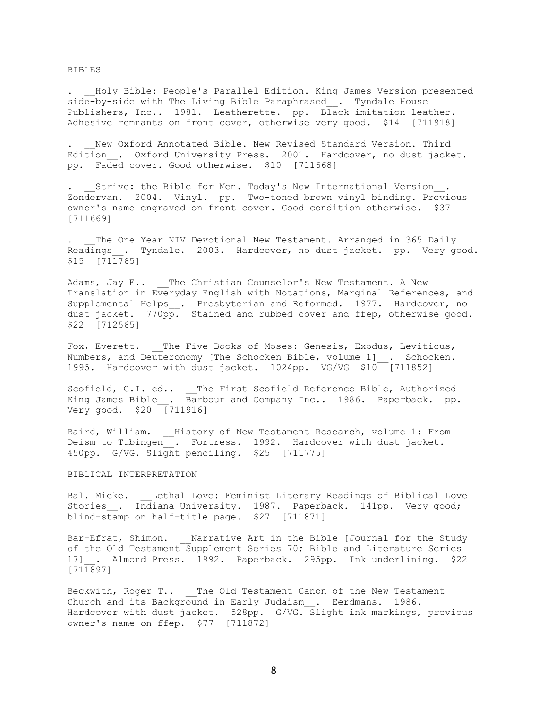BIBLES

Holy Bible: People's Parallel Edition. King James Version presented side-by-side with The Living Bible Paraphrased\_\_. Tyndale House Publishers, Inc.. 1981. Leatherette. pp. Black imitation leather. Adhesive remnants on front cover, otherwise very good. \$14 [711918]

New Oxford Annotated Bible. New Revised Standard Version. Third Edition . Oxford University Press. 2001. Hardcover, no dust jacket. pp. Faded cover. Good otherwise. \$10 [711668]

Strive: the Bible for Men. Today's New International Version . Zondervan. 2004. Vinyl. pp. Two-toned brown vinyl binding. Previous owner's name engraved on front cover. Good condition otherwise. \$37 [711669]

The One Year NIV Devotional New Testament. Arranged in 365 Daily Readings . Tyndale. 2003. Hardcover, no dust jacket. pp. Very good. \$15 [711765]

Adams, Jay E.. The Christian Counselor's New Testament. A New Translation in Everyday English with Notations, Marginal References, and Supplemental Helps\_\_. Presbyterian and Reformed. 1977. Hardcover, no dust jacket. 770pp. Stained and rubbed cover and ffep, otherwise good. \$22 [712565]

Fox, Everett. The Five Books of Moses: Genesis, Exodus, Leviticus, Numbers, and Deuteronomy [The Schocken Bible, volume 1] . Schocken. 1995. Hardcover with dust jacket. 1024pp. VG/VG \$10 [711852]

Scofield, C.I. ed.. \_\_ The First Scofield Reference Bible, Authorized King James Bible . Barbour and Company Inc.. 1986. Paperback. pp. Very good. \$20 [711916]

Baird, William. \_\_History of New Testament Research, volume 1: From Deism to Tubingen\_. Fortress. 1992. Hardcover with dust jacket. 450pp. G/VG. Slight penciling. \$25 [711775]

#### BIBLICAL INTERPRETATION

Bal, Mieke. \_\_Lethal Love: Feminist Literary Readings of Biblical Love Stories . Indiana University. 1987. Paperback. 141pp. Very good; blind-stamp on half-title page. \$27 [711871]

Bar-Efrat, Shimon. \_\_ Narrative Art in the Bible [Journal for the Study of the Old Testament Supplement Series 70; Bible and Literature Series 17] . Almond Press. 1992. Paperback. 295pp. Ink underlining. \$22 [711897]

Beckwith, Roger T.. The Old Testament Canon of the New Testament Church and its Background in Early Judaism . Eerdmans. 1986. Hardcover with dust jacket. 528pp. G/VG. Slight ink markings, previous owner's name on ffep. \$77 [711872]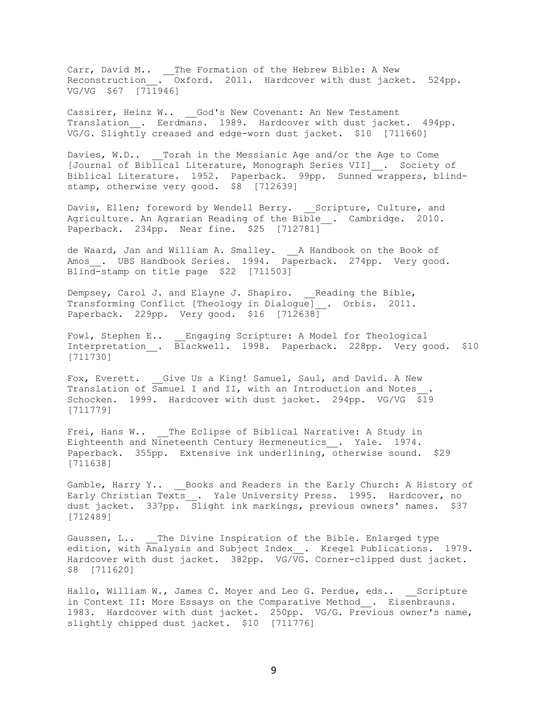Carr, David M.. \_\_The Formation of the Hebrew Bible: A New Reconstruction\_\_. Oxford. 2011. Hardcover with dust jacket. 524pp. VG/VG \$67 [711946]

Cassirer, Heinz W.. God's New Covenant: An New Testament Translation . Eerdmans. 1989. Hardcover with dust jacket. 494pp. VG/G. Slightly creased and edge-worn dust jacket. \$10 [711660]

Davies, W.D.. \_\_\_ Torah in the Messianic Age and/or the Age to Come [Journal of Biblical Literature, Monograph Series VII]\_\_. Society of Biblical Literature. 1952. Paperback. 99pp. Sunned wrappers, blindstamp, otherwise very good. \$8 [712639]

Davis, Ellen; foreword by Wendell Berry. \_\_Scripture, Culture, and Agriculture. An Agrarian Reading of the Bible\_\_. Cambridge. 2010. Paperback. 234pp. Near fine. \$25 [712781]

de Waard, Jan and William A. Smalley. \_\_A Handbook on the Book of Amos . UBS Handbook Series. 1994. Paperback. 274pp. Very good. Blind-stamp on title page \$22 [711503]

Dempsey, Carol J. and Elayne J. Shapiro. \_\_Reading the Bible, Transforming Conflict [Theology in Dialogue]\_\_. Orbis. 2011. Paperback. 229pp. Very good. \$16 [712638]

Fowl, Stephen E.. \_\_ Engaging Scripture: A Model for Theological Interpretation\_\_. Blackwell. 1998. Paperback. 228pp. Very good. \$10 [711730]

Fox, Everett. \_\_Give Us a King! Samuel, Saul, and David. A New Translation of Samuel I and II, with an Introduction and Notes\_\_. Schocken. 1999. Hardcover with dust jacket. 294pp. VG/VG \$19 [711779]

Frei, Hans W.. \_\_The Eclipse of Biblical Narrative: A Study in Eighteenth and Nineteenth Century Hermeneutics\_\_. Yale. 1974. Paperback. 355pp. Extensive ink underlining, otherwise sound. \$29 [711638]

Gamble, Harry Y.. Books and Readers in the Early Church: A History of Early Christian Texts\_\_. Yale University Press. 1995. Hardcover, no dust jacket. 337pp. Slight ink markings, previous owners' names. \$37 [712489]

Gaussen, L.. The Divine Inspiration of the Bible. Enlarged type edition, with Analysis and Subject Index . Kregel Publications. 1979. Hardcover with dust jacket. 382pp. VG/VG. Corner-clipped dust jacket. \$8 [711620]

Hallo, William W., James C. Moyer and Leo G. Perdue, eds.. Scripture in Context II: More Essays on the Comparative Method . Eisenbrauns. 1983. Hardcover with dust jacket. 250pp. VG/G. Previous owner's name, slightly chipped dust jacket. \$10 [711776]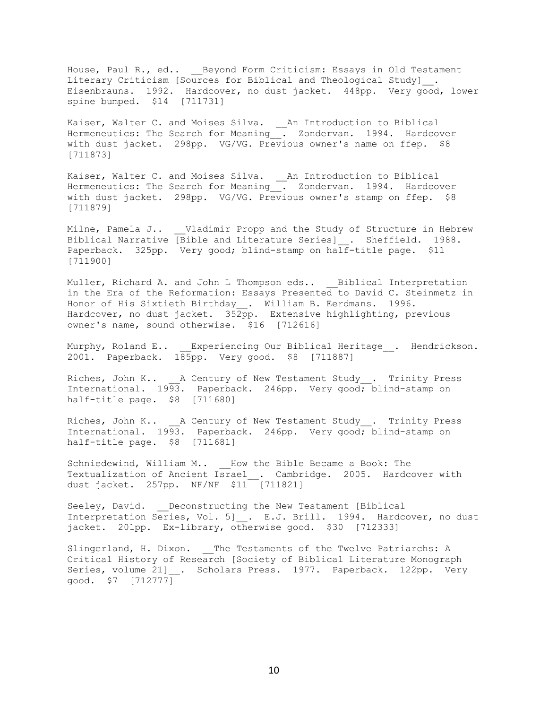House, Paul R., ed.. \_\_Beyond Form Criticism: Essays in Old Testament Literary Criticism [Sources for Biblical and Theological Study] . Eisenbrauns. 1992. Hardcover, no dust jacket. 448pp. Very good, lower spine bumped. \$14 [711731]

Kaiser, Walter C. and Moises Silva. \_\_An Introduction to Biblical Hermeneutics: The Search for Meaning . Zondervan. 1994. Hardcover with dust jacket. 298pp. VG/VG. Previous owner's name on ffep. \$8 [711873]

Kaiser, Walter C. and Moises Silva. \_\_An Introduction to Biblical Hermeneutics: The Search for Meaning . Zondervan. 1994. Hardcover with dust jacket. 298pp. VG/VG. Previous owner's stamp on ffep. \$8 [711879]

Milne, Pamela J.. \_\_Vladimir Propp and the Study of Structure in Hebrew Biblical Narrative [Bible and Literature Series] \_. Sheffield. 1988. Paperback. 325pp. Very good; blind-stamp on half-title page. \$11 [711900]

Muller, Richard A. and John L Thompson eds.. Biblical Interpretation in the Era of the Reformation: Essays Presented to David C. Steinmetz in Honor of His Sixtieth Birthday . William B. Eerdmans. 1996. Hardcover, no dust jacket. 352pp. Extensive highlighting, previous owner's name, sound otherwise. \$16 [712616]

Murphy, Roland E.. Experiencing Our Biblical Heritage . Hendrickson. 2001. Paperback. 185pp. Very good. \$8 [711887]

Riches, John K.. \_\_ A Century of New Testament Study\_\_. Trinity Press International. 1993. Paperback. 246pp. Very good; blind-stamp on half-title page. \$8 [711680]

Riches, John K.. \_\_A Century of New Testament Study\_\_. Trinity Press International. 1993. Paperback. 246pp. Very good; blind-stamp on half-title page. \$8 [711681]

Schniedewind, William M.. How the Bible Became a Book: The Textualization of Ancient Israel . Cambridge. 2005. Hardcover with dust jacket. 257pp. NF/NF \$11 [711821]

Seeley, David. Deconstructing the New Testament [Biblical Interpretation Series, Vol. 5] . E.J. Brill. 1994. Hardcover, no dust jacket. 201pp. Ex-library, otherwise good. \$30 [712333]

Slingerland, H. Dixon. \_\_ The Testaments of the Twelve Patriarchs: A Critical History of Research [Society of Biblical Literature Monograph Series, volume 21] . Scholars Press. 1977. Paperback. 122pp. Very good. \$7 [712777]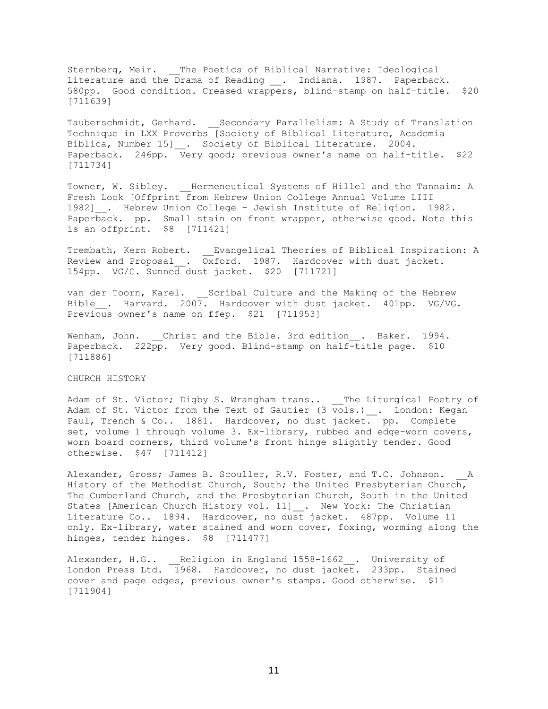Sternberg, Meir. \_\_The Poetics of Biblical Narrative: Ideological Literature and the Drama of Reading \_\_. Indiana. 1987. Paperback. 580pp. Good condition. Creased wrappers, blind-stamp on half-title. \$20 [711639]

Tauberschmidt, Gerhard. Secondary Parallelism: A Study of Translation Technique in LXX Proverbs [Society of Biblical Literature, Academia Biblica, Number 15] \_\_. Society of Biblical Literature. 2004. Paperback. 246pp. Very good; previous owner's name on half-title. \$22 [711734]

Towner, W. Sibley. Hermeneutical Systems of Hillel and the Tannaim: A Fresh Look [Offprint from Hebrew Union College Annual Volume LIII 1982]\_\_. Hebrew Union College - Jewish Institute of Religion. 1982. Paperback. pp. Small stain on front wrapper, otherwise good. Note this is an offprint. \$8 [711421]

Trembath, Kern Robert. \_\_Evangelical Theories of Biblical Inspiration: A Review and Proposal\_\_. Oxford. 1987. Hardcover with dust jacket. 154pp. VG/G. Sunned dust jacket. \$20 [711721]

van der Toorn, Karel. \_\_Scribal Culture and the Making of the Hebrew Bible . Harvard. 2007. Hardcover with dust jacket. 401pp. VG/VG. Previous owner's name on ffep. \$21 [711953]

Wenham, John. Christ and the Bible. 3rd edition . Baker. 1994. Paperback. 222pp. Very good. Blind-stamp on half-title page. \$10 [711886]

CHURCH HISTORY

Adam of St. Victor; Digby S. Wrangham trans.. \_\_The Liturgical Poetry of Adam of St. Victor from the Text of Gautier (3 vols.)\_\_. London: Kegan Paul, Trench & Co.. 1881. Hardcover, no dust jacket. pp. Complete set, volume 1 through volume 3. Ex-library, rubbed and edge-worn covers, worn board corners, third volume's front hinge slightly tender. Good otherwise. \$47 [711412]

Alexander, Gross; James B. Scouller, R.V. Foster, and T.C. Johnson. A History of the Methodist Church, South; the United Presbyterian Church, The Cumberland Church, and the Presbyterian Church, South in the United States [American Church History vol. 11] . New York: The Christian Literature Co.. 1894. Hardcover, no dust jacket. 487pp. Volume 11 only. Ex-library, water stained and worn cover, foxing, worming along the hinges, tender hinges. \$8 [711477]

Alexander, H.G.. \_\_Religion in England 1558-1662\_\_. University of London Press Ltd. 1968. Hardcover, no dust jacket. 233pp. Stained cover and page edges, previous owner's stamps. Good otherwise. \$11 [711904]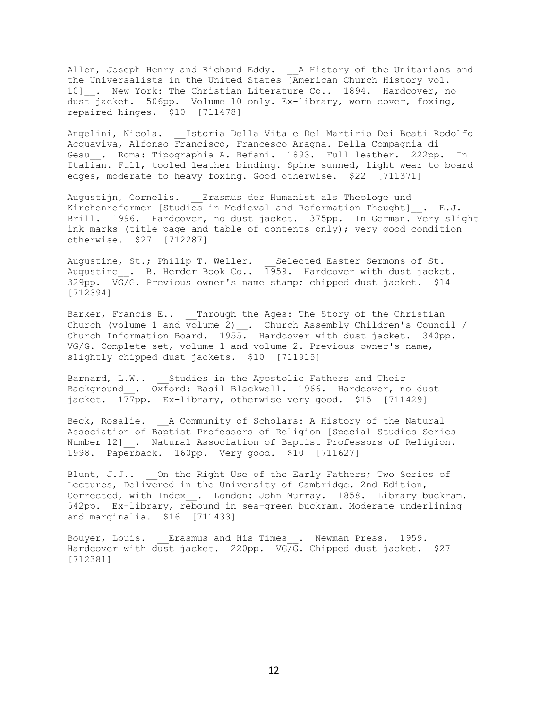Allen, Joseph Henry and Richard Eddy. \_\_A History of the Unitarians and the Universalists in the United States [American Church History vol. 10] . New York: The Christian Literature Co.. 1894. Hardcover, no dust jacket. 506pp. Volume 10 only. Ex-library, worn cover, foxing, repaired hinges. \$10 [711478]

Angelini, Nicola. \_\_Istoria Della Vita e Del Martirio Dei Beati Rodolfo Acquaviva, Alfonso Francisco, Francesco Aragna. Della Compagnia di Gesu . Roma: Tipographia A. Befani. 1893. Full leather. 222pp. In Italian. Full, tooled leather binding. Spine sunned, light wear to board edges, moderate to heavy foxing. Good otherwise. \$22 [711371]

Augustijn, Cornelis. \_\_Erasmus der Humanist als Theologe und Kirchenreformer [Studies in Medieval and Reformation Thought] . E.J. Brill. 1996. Hardcover, no dust jacket. 375pp. In German. Very slight ink marks (title page and table of contents only); very good condition otherwise. \$27 [712287]

Augustine, St.; Philip T. Weller. \_\_ Selected Easter Sermons of St. Augustine . B. Herder Book Co.. 1959. Hardcover with dust jacket. 329pp. VG/G. Previous owner's name stamp; chipped dust jacket. \$14 [712394]

Barker, Francis E.. \_\_Through the Ages: The Story of the Christian Church (volume 1 and volume 2)\_\_. Church Assembly Children's Council / Church Information Board. 1955. Hardcover with dust jacket. 340pp. VG/G. Complete set, volume 1 and volume 2. Previous owner's name, slightly chipped dust jackets. \$10 [711915]

Barnard, L.W.. Studies in the Apostolic Fathers and Their Background . Oxford: Basil Blackwell. 1966. Hardcover, no dust jacket. 177pp. Ex-library, otherwise very good. \$15 [711429]

Beck, Rosalie. <br>
<u>A Community of Scholars:</u> A History of the Natural Association of Baptist Professors of Religion [Special Studies Series Number 12] . Natural Association of Baptist Professors of Religion. 1998. Paperback. 160pp. Very good. \$10 [711627]

Blunt, J.J.. On the Right Use of the Early Fathers; Two Series of Lectures, Delivered in the University of Cambridge. 2nd Edition, Corrected, with Index . London: John Murray. 1858. Library buckram. 542pp. Ex-library, rebound in sea-green buckram. Moderate underlining and marginalia. \$16 [711433]

Bouyer, Louis. Erasmus and His Times. Newman Press. 1959. Hardcover with dust jacket. 220pp. VG/G. Chipped dust jacket. \$27 [712381]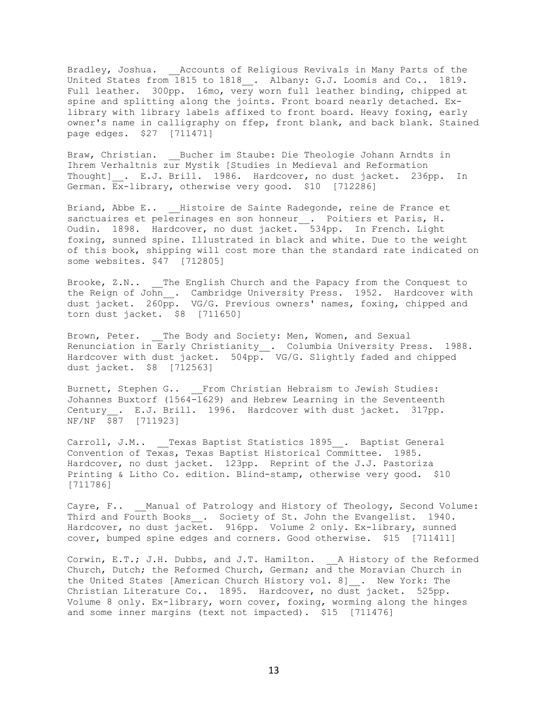Bradley, Joshua. \_\_Accounts of Religious Revivals in Many Parts of the United States from 1815 to 1818\_\_. Albany: G.J. Loomis and Co.. 1819. Full leather. 300pp. 16mo, very worn full leather binding, chipped at spine and splitting along the joints. Front board nearly detached. Exlibrary with library labels affixed to front board. Heavy foxing, early owner's name in calligraphy on ffep, front blank, and back blank. Stained page edges. \$27 [711471]

Braw, Christian. \_\_Bucher im Staube: Die Theologie Johann Arndts in Ihrem Verhaltnis zur Mystik [Studies in Medieval and Reformation Thought] . E.J. Brill. 1986. Hardcover, no dust jacket. 236pp. In German. Ex-library, otherwise very good. \$10 [712286]

Briand, Abbe E.. \_\_\_Histoire de Sainte Radegonde, reine de France et sanctuaires et pelerinages en son honneur\_\_. Poitiers et Paris, H. Oudin. 1898. Hardcover, no dust jacket. 534pp. In French. Light foxing, sunned spine. Illustrated in black and white. Due to the weight of this book, shipping will cost more than the standard rate indicated on some websites. \$47 [712805]

Brooke, Z.N.. The English Church and the Papacy from the Conquest to the Reign of John . Cambridge University Press. 1952. Hardcover with dust jacket. 260pp. VG/G. Previous owners' names, foxing, chipped and torn dust jacket. \$8 [711650]

Brown, Peter. The Body and Society: Men, Women, and Sexual Renunciation in Early Christianity\_\_. Columbia University Press. 1988. Hardcover with dust jacket. 504pp. VG/G. Slightly faded and chipped dust jacket. \$8 [712563]

Burnett, Stephen G.. From Christian Hebraism to Jewish Studies: Johannes Buxtorf (1564-1629) and Hebrew Learning in the Seventeenth Century . E.J. Brill. 1996. Hardcover with dust jacket. 317pp. NF/NF 587 [711923]

Carroll, J.M.. \_\_Texas Baptist Statistics 1895\_\_. Baptist General Convention of Texas, Texas Baptist Historical Committee. 1985. Hardcover, no dust jacket. 123pp. Reprint of the J.J. Pastoriza Printing & Litho Co. edition. Blind-stamp, otherwise very good. \$10 [711786]

Cayre, F.. Manual of Patrology and History of Theology, Second Volume: Third and Fourth Books . Society of St. John the Evangelist. 1940. Hardcover, no dust jacket. 916pp. Volume 2 only. Ex-library, sunned cover, bumped spine edges and corners. Good otherwise. \$15 [711411]

Corwin, E.T.; J.H. Dubbs, and J.T. Hamilton. A History of the Reformed Church, Dutch; the Reformed Church, German; and the Moravian Church in the United States [American Church History vol. 8]\_\_. New York: The Christian Literature Co.. 1895. Hardcover, no dust jacket. 525pp. Volume 8 only. Ex-library, worn cover, foxing, worming along the hinges and some inner margins (text not impacted). \$15 [711476]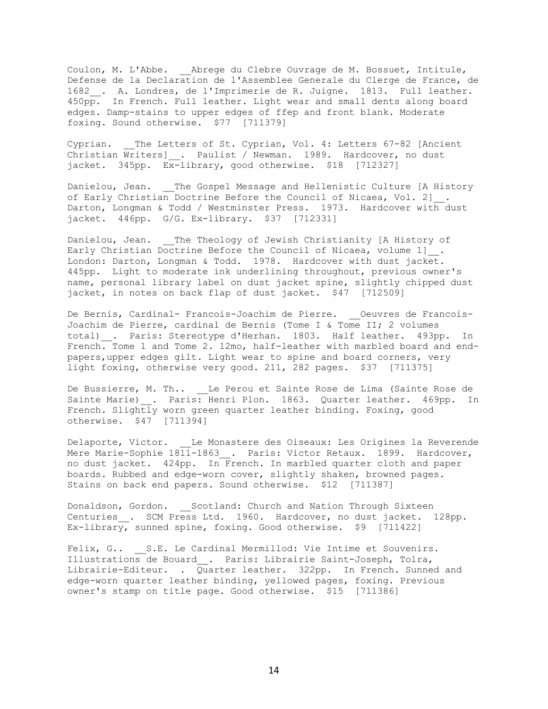Coulon, M. L'Abbe. \_\_Abrege du Clebre Ouvrage de M. Bossuet, Intitule, Defense de la Declaration de l'Assemblee Generale du Clerge de France, de 1682\_. A. Londres, de l'Imprimerie de R. Juigne. 1813. Full leather. 450pp. In French. Full leather. Light wear and small dents along board edges. Damp-stains to upper edges of ffep and front blank. Moderate foxing. Sound otherwise. \$77 [711379]

Cyprian. The Letters of St. Cyprian, Vol. 4: Letters 67-82 [Ancient Christian Writers] . Paulist / Newman. 1989. Hardcover, no dust jacket. 345pp. Ex-library, good otherwise. \$18 [712327]

Danielou, Jean. The Gospel Message and Hellenistic Culture [A History of Early Christian Doctrine Before the Council of Nicaea, Vol. 2] Darton, Longman & Todd / Westminster Press. 1973. Hardcover with dust jacket. 446pp. G/G. Ex-library. \$37 [712331]

Danielou, Jean. \_\_The Theology of Jewish Christianity [A History of Early Christian Doctrine Before the Council of Nicaea, volume 1]\_\_. London: Darton, Longman & Todd. 1978. Hardcover with dust jacket. 445pp. Light to moderate ink underlining throughout, previous owner's name, personal library label on dust jacket spine, slightly chipped dust jacket, in notes on back flap of dust jacket. \$47 [712509]

De Bernis, Cardinal- Francois-Joachim de Pierre. \_\_Oeuvres de Francois-Joachim de Pierre, cardinal de Bernis (Tome I & Tome II; 2 volumes total)\_\_. Paris: Stereotype d'Herhan. 1803. Half leather. 493pp. In French. Tome 1 and Tome 2. 12mo, half-leather with marbled board and endpapers,upper edges gilt. Light wear to spine and board corners, very light foxing, otherwise very good. 211, 282 pages. \$37 [711375]

De Bussierre, M. Th.. Le Perou et Sainte Rose de Lima (Sainte Rose de Sainte Marie) . Paris: Henri Plon. 1863. Quarter leather. 469pp. In French. Slightly worn green quarter leather binding. Foxing, good otherwise. \$47 [711394]

Delaporte, Victor. Le Monastere des Oiseaux: Les Origines la Reverende Mere Marie-Sophie 1811-1863 . Paris: Victor Retaux. 1899. Hardcover, no dust jacket. 424pp. In French. In marbled quarter cloth and paper boards. Rubbed and edge-worn cover, slightly shaken, browned pages. Stains on back end papers. Sound otherwise. \$12 [711387]

Donaldson, Gordon. Scotland: Church and Nation Through Sixteen Centuries . SCM Press Ltd. 1960. Hardcover, no dust jacket. 128pp. Ex-library, sunned spine, foxing. Good otherwise. \$9 [711422]

Felix, G.. S.E. Le Cardinal Mermillod: Vie Intime et Souvenirs. Illustrations de Bouard\_\_. Paris: Librairie Saint-Joseph, Tolra, Librairie-Editeur. . Quarter leather. 322pp. In French. Sunned and edge-worn quarter leather binding, yellowed pages, foxing. Previous owner's stamp on title page. Good otherwise. \$15 [711386]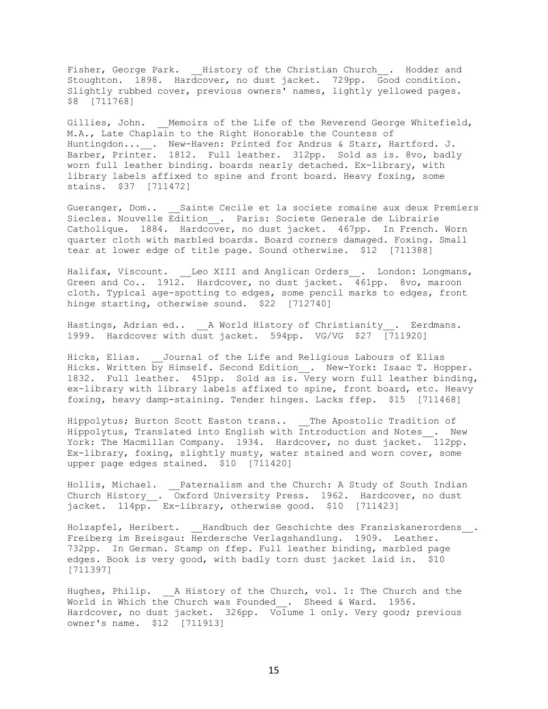Fisher, George Park. History of the Christian Church . Hodder and Stoughton. 1898. Hardcover, no dust jacket. 729pp. Good condition. Slightly rubbed cover, previous owners' names, lightly yellowed pages. \$8 [711768]

Gillies, John. Memoirs of the Life of the Reverend George Whitefield, M.A., Late Chaplain to the Right Honorable the Countess of Huntingdon...\_\_. New-Haven: Printed for Andrus & Starr, Hartford. J. Barber, Printer. 1812. Full leather. 312pp. Sold as is. 8vo, badly worn full leather binding. boards nearly detached. Ex-library, with library labels affixed to spine and front board. Heavy foxing, some stains. \$37 [711472]

Gueranger, Dom.. Sainte Cecile et la societe romaine aux deux Premiers Siecles. Nouvelle Edition\_\_. Paris: Societe Generale de Librairie Catholique. 1884. Hardcover, no dust jacket. 467pp. In French. Worn quarter cloth with marbled boards. Board corners damaged. Foxing. Small tear at lower edge of title page. Sound otherwise. \$12 [711388]

Halifax, Viscount. Leo XIII and Anglican Orders . London: Longmans, Green and Co.. 1912. Hardcover, no dust jacket. 461pp. 8vo, maroon cloth. Typical age-spotting to edges, some pencil marks to edges, front hinge starting, otherwise sound. \$22 [712740]

Hastings, Adrian ed.. \_\_\_ A World History of Christianity . Eerdmans. 1999. Hardcover with dust jacket. 594pp. VG/VG \$27 [711920]

Hicks, Elias. Journal of the Life and Religious Labours of Elias Hicks. Written by Himself. Second Edition . New-York: Isaac T. Hopper. 1832. Full leather. 451pp. Sold as is. Very worn full leather binding, ex-library with library labels affixed to spine, front board, etc. Heavy foxing, heavy damp-staining. Tender hinges. Lacks ffep. \$15 [711468]

Hippolytus; Burton Scott Easton trans.. The Apostolic Tradition of Hippolytus, Translated into English with Introduction and Notes\_\_. New York: The Macmillan Company. 1934. Hardcover, no dust jacket. 112pp. Ex-library, foxing, slightly musty, water stained and worn cover, some upper page edges stained. \$10 [711420]

Hollis, Michael. \_\_Paternalism and the Church: A Study of South Indian Church History\_\_. Oxford University Press. 1962. Hardcover, no dust jacket. 114pp. Ex-library, otherwise good. \$10 [711423]

Holzapfel, Heribert. Handbuch der Geschichte des Franziskanerordens. Freiberg im Breisgau: Herdersche Verlagshandlung. 1909. Leather. 732pp. In German. Stamp on ffep. Full leather binding, marbled page edges. Book is very good, with badly torn dust jacket laid in. \$10 [711397]

Hughes, Philip. A History of the Church, vol. 1: The Church and the World in Which the Church was Founded . Sheed & Ward. 1956. Hardcover, no dust jacket. 326pp. Volume 1 only. Very good; previous owner's name. \$12 [711913]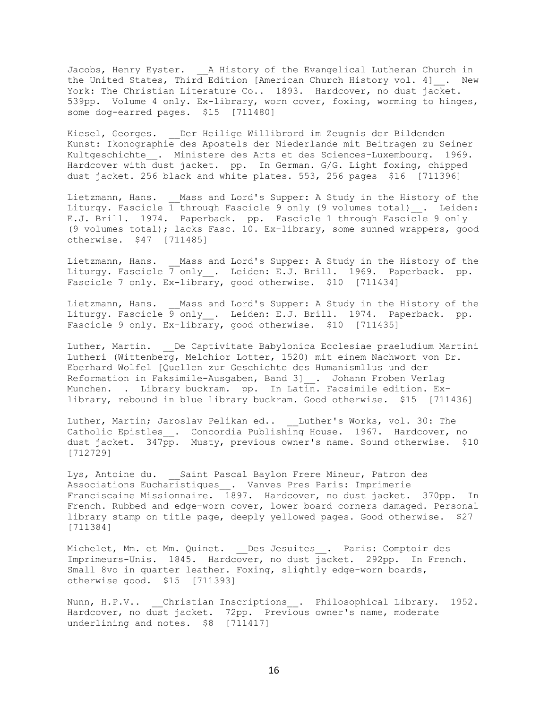Jacobs, Henry Eyster. A History of the Evangelical Lutheran Church in the United States, Third Edition [American Church History vol. 4] . New York: The Christian Literature Co.. 1893. Hardcover, no dust jacket. 539pp. Volume 4 only. Ex-library, worn cover, foxing, worming to hinges, some dog-earred pages. \$15 [711480]

Kiesel, Georges. Der Heilige Willibrord im Zeugnis der Bildenden Kunst: Ikonographie des Apostels der Niederlande mit Beitragen zu Seiner Kultgeschichte . Ministere des Arts et des Sciences-Luxembourg. 1969. Hardcover with dust jacket. pp. In German. G/G. Light foxing, chipped dust jacket. 256 black and white plates. 553, 256 pages \$16 [711396]

Lietzmann, Hans. Mass and Lord's Supper: A Study in the History of the Liturgy. Fascicle  $\overline{1}$  through Fascicle 9 only (9 volumes total) . Leiden: E.J. Brill. 1974. Paperback. pp. Fascicle 1 through Fascicle 9 only (9 volumes total); lacks Fasc. 10. Ex-library, some sunned wrappers, good otherwise. \$47 [711485]

Lietzmann, Hans. Mass and Lord's Supper: A Study in the History of the Liturgy. Fascicle  $\overline{7}$  only . Leiden: E.J. Brill. 1969. Paperback. pp. Fascicle 7 only. Ex-library, good otherwise. \$10 [711434]

Lietzmann, Hans. Mass and Lord's Supper: A Study in the History of the Liturgy. Fascicle 9 only . Leiden: E.J. Brill. 1974. Paperback. pp. Fascicle 9 only. Ex-library, good otherwise. \$10 [711435]

Luther, Martin. De Captivitate Babylonica Ecclesiae praeludium Martini Lutheri (Wittenberg, Melchior Lotter, 1520) mit einem Nachwort von Dr. Eberhard Wolfel [Quellen zur Geschichte des Humanismllus und der Reformation in Faksimile-Ausgaben, Band 3]\_\_. Johann Froben Verlag Munchen. . Library buckram. pp. In Latin. Facsimile edition. Exlibrary, rebound in blue library buckram. Good otherwise. \$15 [711436]

Luther, Martin; Jaroslav Pelikan ed.. Luther's Works, vol. 30: The Catholic Epistles . Concordia Publishing House. 1967. Hardcover, no dust jacket. 347pp. Musty, previous owner's name. Sound otherwise. \$10 [712729]

Lys, Antoine du. Saint Pascal Baylon Frere Mineur, Patron des Associations Eucharistiques . Vanves Pres Paris: Imprimerie Franciscaine Missionnaire. 1897. Hardcover, no dust jacket. 370pp. In French. Rubbed and edge-worn cover, lower board corners damaged. Personal library stamp on title page, deeply yellowed pages. Good otherwise. \$27 [711384]

Michelet, Mm. et Mm. Quinet. Des Jesuites . Paris: Comptoir des Imprimeurs-Unis. 1845. Hardcover, no dust jacket. 292pp. In French. Small 8vo in quarter leather. Foxing, slightly edge-worn boards, otherwise good. \$15 [711393]

Nunn, H.P.V.. Christian Inscriptions . Philosophical Library. 1952. Hardcover, no dust jacket. 72pp. Previous owner's name, moderate underlining and notes. \$8 [711417]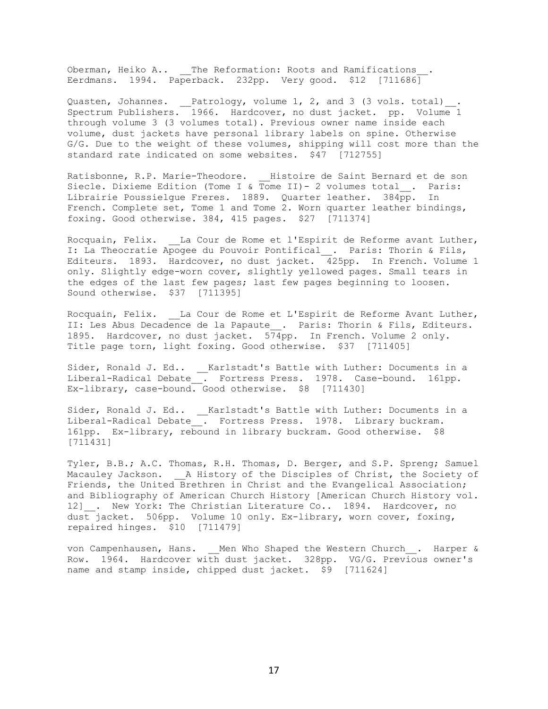Oberman, Heiko A.. The Reformation: Roots and Ramifications Eerdmans. 1994. Paperback. 232pp. Very good. \$12 [711686]

Quasten, Johannes.  $\quad$  Patrology, volume 1, 2, and 3 (3 vols. total) $\quad$ . Spectrum Publishers. 1966. Hardcover, no dust jacket. pp. Volume 1 through volume 3 (3 volumes total). Previous owner name inside each volume, dust jackets have personal library labels on spine. Otherwise G/G. Due to the weight of these volumes, shipping will cost more than the standard rate indicated on some websites. \$47 [712755]

Ratisbonne, R.P. Marie-Theodore. \_\_ Histoire de Saint Bernard et de son Siecle. Dixieme Edition (Tome I & Tome II) - 2 volumes total . Paris: Librairie Poussielgue Freres. 1889. Quarter leather. 384pp. In French. Complete set, Tome 1 and Tome 2. Worn quarter leather bindings, foxing. Good otherwise. 384, 415 pages. \$27 [711374]

Rocquain, Felix. \_\_La Cour de Rome et l'Espirit de Reforme avant Luther, I: La Theocratie Apogee du Pouvoir Pontifical\_\_. Paris: Thorin & Fils, Editeurs. 1893. Hardcover, no dust jacket. 425pp. In French. Volume 1 only. Slightly edge-worn cover, slightly yellowed pages. Small tears in the edges of the last few pages; last few pages beginning to loosen. Sound otherwise. \$37 [711395]

Rocquain, Felix. La Cour de Rome et L'Espirit de Reforme Avant Luther, II: Les Abus Decadence de la Papaute . Paris: Thorin & Fils, Editeurs. 1895. Hardcover, no dust jacket. 574pp. In French. Volume 2 only. Title page torn, light foxing. Good otherwise. \$37 [711405]

Sider, Ronald J. Ed.. \_\_Karlstadt's Battle with Luther: Documents in a Liberal-Radical Debate\_\_. Fortress Press. 1978. Case-bound. 161pp. Ex-library, case-bound. Good otherwise. \$8 [711430]

Sider, Ronald J. Ed.. \_\_Karlstadt's Battle with Luther: Documents in a Liberal-Radical Debate\_\_. Fortress Press. 1978. Library buckram. 161pp. Ex-library, rebound in library buckram. Good otherwise. \$8 [711431]

Tyler, B.B.; A.C. Thomas, R.H. Thomas, D. Berger, and S.P. Spreng; Samuel Macauley Jackson. <br>A History of the Disciples of Christ, the Society of Friends, the United Brethren in Christ and the Evangelical Association; and Bibliography of American Church History [American Church History vol. 12] . New York: The Christian Literature Co.. 1894. Hardcover, no dust jacket. 506pp. Volume 10 only. Ex-library, worn cover, foxing, repaired hinges. \$10 [711479]

von Campenhausen, Hans. Men Who Shaped the Western Church . Harper & Row. 1964. Hardcover with dust jacket. 328pp. VG/G. Previous owner's name and stamp inside, chipped dust jacket. \$9 [711624]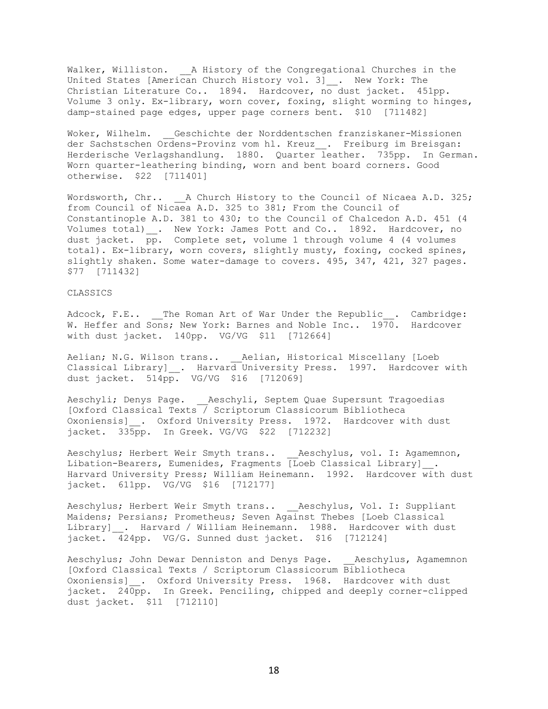Walker, Williston. \_\_ A History of the Congregational Churches in the United States [American Church History vol. 3] \_\_. New York: The Christian Literature Co.. 1894. Hardcover, no dust jacket. 451pp. Volume 3 only. Ex-library, worn cover, foxing, slight worming to hinges, damp-stained page edges, upper page corners bent. \$10 [711482]

Woker, Wilhelm. Geschichte der Norddentschen franziskaner-Missionen der Sachstschen Ordens-Provinz vom hl. Kreuz . Freiburg im Breisgan: Herderische Verlagshandlung. 1880. Quarter leather. 735pp. In German. Worn quarter-leathering binding, worn and bent board corners. Good otherwise. \$22 [711401]

Wordsworth, Chr.. A Church History to the Council of Nicaea A.D. 325; from Council of Nicaea A.D. 325 to 381; From the Council of Constantinople A.D. 381 to 430; to the Council of Chalcedon A.D. 451 (4 Volumes total)\_\_. New York: James Pott and Co.. 1892. Hardcover, no dust jacket. pp. Complete set, volume 1 through volume 4 (4 volumes total). Ex-library, worn covers, slightly musty, foxing, cocked spines, slightly shaken. Some water-damage to covers. 495, 347, 421, 327 pages. \$77 [711432]

#### CLASSICS

Adcock, F.E.. The Roman Art of War Under the Republic . Cambridge: W. Heffer and Sons; New York: Barnes and Noble Inc.. 1970. Hardcover with dust jacket. 140pp. VG/VG \$11 [712664]

Aelian; N.G. Wilson trans.. \_\_\_ Aelian, Historical Miscellany [Loeb Classical Library] \_. Harvard University Press. 1997. Hardcover with dust jacket. 514pp. VG/VG \$16 [712069]

Aeschyli; Denys Page. Aeschyli, Septem Quae Supersunt Tragoedias [Oxford Classical Texts / Scriptorum Classicorum Bibliotheca Oxoniensis] . Oxford University Press. 1972. Hardcover with dust jacket. 335pp. In Greek. VG/VG \$22 [712232]

Aeschylus; Herbert Weir Smyth trans.. \_\_Aeschylus, vol. I: Agamemnon, Libation-Bearers, Eumenides, Fragments [Loeb Classical Library] . Harvard University Press; William Heinemann. 1992. Hardcover with dust jacket. 611pp. VG/VG \$16 [712177]

Aeschylus; Herbert Weir Smyth trans.. \_\_Aeschylus, Vol. I: Suppliant Maidens; Persians; Prometheus; Seven Against Thebes [Loeb Classical Library] . Harvard / William Heinemann. 1988. Hardcover with dust jacket. 424pp. VG/G. Sunned dust jacket. \$16 [712124]

Aeschylus; John Dewar Denniston and Denys Page. Aeschylus, Agamemnon [Oxford Classical Texts / Scriptorum Classicorum Bibliotheca Oxoniensis] . Oxford University Press. 1968. Hardcover with dust jacket. 240pp. In Greek. Penciling, chipped and deeply corner-clipped dust jacket. \$11 [712110]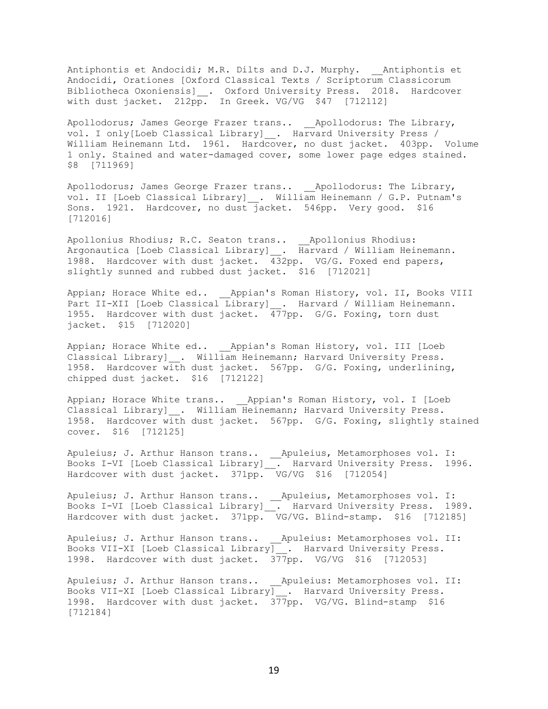Antiphontis et Andocidi; M.R. Dilts and D.J. Murphy. \_\_Antiphontis et Andocidi, Orationes [Oxford Classical Texts / Scriptorum Classicorum Bibliotheca Oxoniensis]\_\_. Oxford University Press. 2018. Hardcover with dust jacket. 212pp. In Greek. VG/VG \$47 [712112]

Apollodorus; James George Frazer trans.. \_\_Apollodorus: The Library, vol. I only[Loeb Classical Library] . Harvard University Press / William Heinemann Ltd. 1961. Hardcover, no dust jacket. 403pp. Volume 1 only. Stained and water-damaged cover, some lower page edges stained. \$8 [711969]

Apollodorus; James George Frazer trans.. \_\_Apollodorus: The Library, vol. II [Loeb Classical Library] . William Heinemann / G.P. Putnam's Sons. 1921. Hardcover, no dust jacket. 546pp. Very good. \$16 [712016]

Apollonius Rhodius; R.C. Seaton trans.. \_\_Apollonius Rhodius: Argonautica [Loeb Classical Library]\_\_. Harvard / William Heinemann. 1988. Hardcover with dust jacket. 432pp. VG/G. Foxed end papers, slightly sunned and rubbed dust jacket. \$16 [712021]

Appian; Horace White ed.. \_\_ Appian's Roman History, vol. II, Books VIII Part II-XII [Loeb Classical Library] . Harvard / William Heinemann. 1955. Hardcover with dust jacket. 477pp. G/G. Foxing, torn dust jacket. \$15 [712020]

Appian; Horace White ed.. \_\_Appian's Roman History, vol. III [Loeb Classical Library] . William Heinemann; Harvard University Press. 1958. Hardcover with dust jacket. 567pp. G/G. Foxing, underlining, chipped dust jacket. \$16 [712122]

Appian; Horace White trans.. \_\_Appian's Roman History, vol. I [Loeb Classical Library]\_\_. William Heinemann; Harvard University Press. 1958. Hardcover with dust jacket. 567pp. G/G. Foxing, slightly stained cover. \$16 [712125]

Apuleius; J. Arthur Hanson trans.. \_\_Apuleius, Metamorphoses vol. I: Books I-VI [Loeb Classical Library]\_\_. Harvard University Press. 1996. Hardcover with dust jacket. 371pp. VG/VG \$16 [712054]

Apuleius; J. Arthur Hanson trans.. \_\_Apuleius, Metamorphoses vol. I: Books I-VI [Loeb Classical Library]\_\_. Harvard University Press. 1989. Hardcover with dust jacket. 371pp. VG/VG. Blind-stamp. \$16 [712185]

Apuleius; J. Arthur Hanson trans.. \_\_Apuleius: Metamorphoses vol. II: Books VII-XI [Loeb Classical Library]\_\_. Harvard University Press. 1998. Hardcover with dust jacket. 377pp. VG/VG \$16 [712053]

Apuleius; J. Arthur Hanson trans.. \_\_Apuleius: Metamorphoses vol. II: Books VII-XI [Loeb Classical Library]\_\_. Harvard University Press. 1998. Hardcover with dust jacket. 377pp. VG/VG. Blind-stamp \$16 [712184]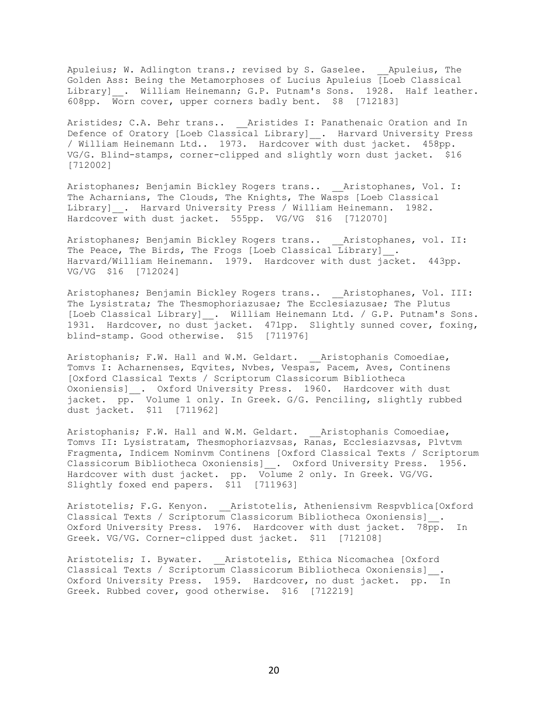Apuleius; W. Adlington trans.; revised by S. Gaselee. \_\_Apuleius, The Golden Ass: Being the Metamorphoses of Lucius Apuleius [Loeb Classical Library] . William Heinemann; G.P. Putnam's Sons. 1928. Half leather. 608pp. Worn cover, upper corners badly bent. \$8 [712183]

Aristides; C.A. Behr trans.. <br>Aristides: C.A. Behr trans.. <br>Aristides I: Panathenaic Oration and In Defence of Oratory [Loeb Classical Library]\_\_. Harvard University Press / William Heinemann Ltd.. 1973. Hardcover with dust jacket. 458pp. VG/G. Blind-stamps, corner-clipped and slightly worn dust jacket. \$16 [712002]

Aristophanes; Benjamin Bickley Rogers trans.. \_\_\_ Aristophanes, Vol. I: The Acharnians, The Clouds, The Knights, The Wasps [Loeb Classical Library] . Harvard University Press / William Heinemann. 1982. Hardcover with dust jacket. 555pp. VG/VG \$16 [712070]

Aristophanes; Benjamin Bickley Rogers trans.. \_\_\_ Aristophanes, vol. II: The Peace, The Birds, The Frogs [Loeb Classical Library] . Harvard/William Heinemann. 1979. Hardcover with dust jacket. 443pp. VG/VG \$16 [712024]

Aristophanes; Benjamin Bickley Rogers trans.. \_\_Aristophanes, Vol. III: The Lysistrata; The Thesmophoriazusae; The Ecclesiazusae; The Plutus [Loeb Classical Library] . William Heinemann Ltd. / G.P. Putnam's Sons. 1931. Hardcover, no dust jacket. 471pp. Slightly sunned cover, foxing, blind-stamp. Good otherwise. \$15 [711976]

Aristophanis; F.W. Hall and W.M. Geldart. Aristophanis Comoediae, Tomvs I: Acharnenses, Eqvites, Nvbes, Vespas, Pacem, Aves, Continens [Oxford Classical Texts / Scriptorum Classicorum Bibliotheca Oxoniensis] . Oxford University Press. 1960. Hardcover with dust jacket. pp. Volume 1 only. In Greek. G/G. Penciling, slightly rubbed dust jacket. \$11 [711962]

Aristophanis; F.W. Hall and W.M. Geldart. Aristophanis Comoediae, Tomvs II: Lysistratam, Thesmophoriazvsas, Ranas, Ecclesiazvsas, Plvtvm Fragmenta, Indicem Nominvm Continens [Oxford Classical Texts / Scriptorum Classicorum Bibliotheca Oxoniensis] . Oxford University Press. 1956. Hardcover with dust jacket. pp. Volume 2 only. In Greek. VG/VG. Slightly foxed end papers. \$11 [711963]

Aristotelis; F.G. Kenyon. \_\_Aristotelis, Atheniensivm Respvblica[Oxford Classical Texts / Scriptorum Classicorum Bibliotheca Oxoniensis]\_\_. Oxford University Press. 1976. Hardcover with dust jacket. 78pp. In Greek. VG/VG. Corner-clipped dust jacket. \$11 [712108]

Aristotelis; I. Bywater. \_\_\_ Aristotelis, Ethica Nicomachea [Oxford Classical Texts / Scriptorum Classicorum Bibliotheca Oxoniensis]\_\_. Oxford University Press. 1959. Hardcover, no dust jacket. pp. In Greek. Rubbed cover, good otherwise. \$16 [712219]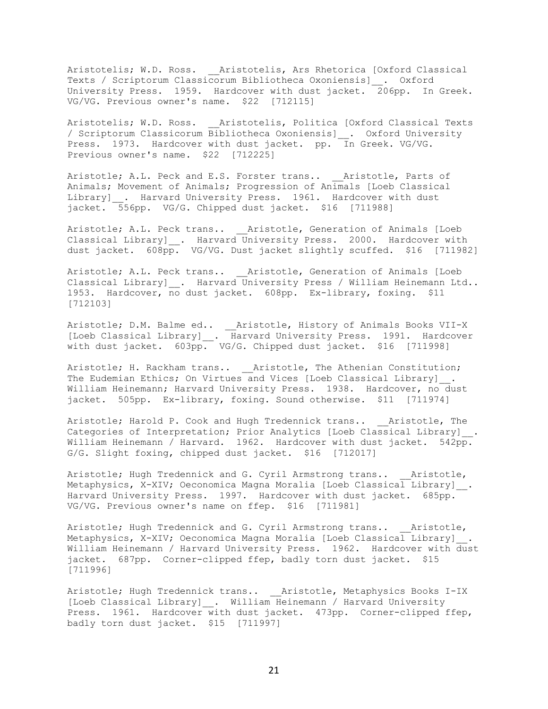Aristotelis; W.D. Ross. \_\_Aristotelis, Ars Rhetorica [Oxford Classical Texts / Scriptorum Classicorum Bibliotheca Oxoniensis]\_\_. Oxford University Press. 1959. Hardcover with dust jacket. 206pp. In Greek. VG/VG. Previous owner's name. \$22 [712115]

Aristotelis; W.D. Ross. Aristotelis, Politica [Oxford Classical Texts / Scriptorum Classicorum Bibliotheca Oxoniensis]\_\_. Oxford University Press. 1973. Hardcover with dust jacket. pp. In Greek. VG/VG. Previous owner's name. \$22 [712225]

Aristotle; A.L. Peck and E.S. Forster trans.. \_\_Aristotle, Parts of Animals; Movement of Animals; Progression of Animals [Loeb Classical Library] . Harvard University Press. 1961. Hardcover with dust jacket. 556pp. VG/G. Chipped dust jacket. \$16 [711988]

Aristotle; A.L. Peck trans.. \_\_\_ Aristotle, Generation of Animals [Loeb Classical Library] \_\_. Harvard University Press. 2000. Hardcover with dust jacket. 608pp. VG/VG. Dust jacket slightly scuffed. \$16 [711982]

Aristotle; A.L. Peck trans.. \_\_Aristotle, Generation of Animals [Loeb Classical Library] . Harvard University Press / William Heinemann Ltd.. 1953. Hardcover, no dust jacket. 608pp. Ex-library, foxing. \$11 [712103]

Aristotle; D.M. Balme ed.. \_\_Aristotle, History of Animals Books VII-X [Loeb Classical Library]\_\_. Harvard University Press. 1991. Hardcover with dust jacket. 603pp. VG/G. Chipped dust jacket. \$16 [711998]

Aristotle; H. Rackham trans.. \_\_Aristotle, The Athenian Constitution; The Eudemian Ethics; On Virtues and Vices [Loeb Classical Library] . William Heinemann; Harvard University Press. 1938. Hardcover, no dust jacket. 505pp. Ex-library, foxing. Sound otherwise. \$11 [711974]

Aristotle; Harold P. Cook and Hugh Tredennick trans.. Aristotle, The Categories of Interpretation; Prior Analytics [Loeb Classical Library] . William Heinemann / Harvard. 1962. Hardcover with dust jacket. 542pp. G/G. Slight foxing, chipped dust jacket. \$16 [712017]

Aristotle; Hugh Tredennick and G. Cyril Armstrong trans.. Aristotle, Metaphysics, X-XIV; Oeconomica Magna Moralia [Loeb Classical Library] . Harvard University Press. 1997. Hardcover with dust jacket. 685pp. VG/VG. Previous owner's name on ffep. \$16 [711981]

Aristotle; Hugh Tredennick and G. Cyril Armstrong trans.. Aristotle, Metaphysics, X-XIV; Oeconomica Magna Moralia [Loeb Classical Library] . William Heinemann / Harvard University Press. 1962. Hardcover with dust jacket. 687pp. Corner-clipped ffep, badly torn dust jacket. \$15 [711996]

Aristotle; Hugh Tredennick trans.. \_\_Aristotle, Metaphysics Books I-IX [Loeb Classical Library]\_\_. William Heinemann / Harvard University Press. 1961. Hardcover with dust jacket. 473pp. Corner-clipped ffep, badly torn dust jacket. \$15 [711997]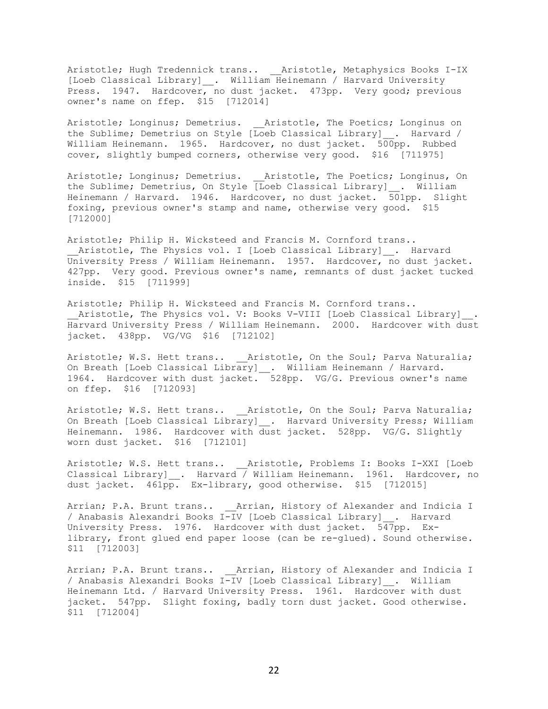Aristotle; Hugh Tredennick trans.. \_\_Aristotle, Metaphysics Books I-IX [Loeb Classical Library]\_\_. William Heinemann / Harvard University Press. 1947. Hardcover, no dust jacket. 473pp. Very good; previous owner's name on ffep. \$15 [712014]

Aristotle; Longinus; Demetrius. Aristotle, The Poetics; Longinus on the Sublime; Demetrius on Style [Loeb Classical Library] . Harvard / William Heinemann. 1965. Hardcover, no dust jacket. 500pp. Rubbed cover, slightly bumped corners, otherwise very good. \$16 [711975]

Aristotle; Longinus; Demetrius. \_\_\_ Aristotle, The Poetics; Longinus, On the Sublime; Demetrius, On Style [Loeb Classical Library] . William Heinemann / Harvard. 1946. Hardcover, no dust jacket. 501pp. Slight foxing, previous owner's stamp and name, otherwise very good. \$15 [712000]

Aristotle; Philip H. Wicksteed and Francis M. Cornford trans.. Aristotle, The Physics vol. I [Loeb Classical Library] . Harvard University Press / William Heinemann. 1957. Hardcover, no dust jacket. 427pp. Very good. Previous owner's name, remnants of dust jacket tucked inside. \$15 [711999]

Aristotle; Philip H. Wicksteed and Francis M. Cornford trans.. Aristotle, The Physics vol. V: Books V-VIII [Loeb Classical Library] . Harvard University Press / William Heinemann. 2000. Hardcover with dust jacket. 438pp. VG/VG \$16 [712102]

Aristotle; W.S. Hett trans.. Aristotle, On the Soul; Parva Naturalia; On Breath [Loeb Classical Library]\_\_. William Heinemann / Harvard. 1964. Hardcover with dust jacket. 528pp. VG/G. Previous owner's name on ffep. \$16 [712093]

Aristotle; W.S. Hett trans.. \_\_Aristotle, On the Soul; Parva Naturalia; On Breath [Loeb Classical Library] . Harvard University Press; William Heinemann. 1986. Hardcover with dust jacket. 528pp. VG/G. Slightly worn dust jacket. \$16 [712101]

Aristotle; W.S. Hett trans.. \_\_Aristotle, Problems I: Books I-XXI [Loeb Classical Library] . Harvard / William Heinemann. 1961. Hardcover, no dust jacket. 461pp. Ex-library, good otherwise. \$15 [712015]

Arrian; P.A. Brunt trans.. \_\_\_ Arrian, History of Alexander and Indicia I / Anabasis Alexandri Books I-IV [Loeb Classical Library]\_\_. Harvard University Press. 1976. Hardcover with dust jacket. 547pp. Exlibrary, front glued end paper loose (can be re-glued). Sound otherwise. \$11 [712003]

Arrian; P.A. Brunt trans.. \_\_Arrian, History of Alexander and Indicia I / Anabasis Alexandri Books I-IV [Loeb Classical Library]\_\_. William Heinemann Ltd. / Harvard University Press. 1961. Hardcover with dust jacket. 547pp. Slight foxing, badly torn dust jacket. Good otherwise. \$11 [712004]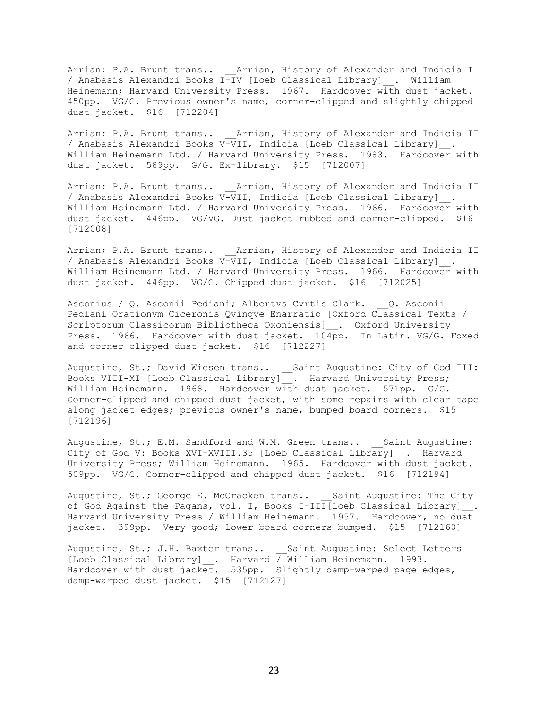Arrian; P.A. Brunt trans.. \_\_Arrian, History of Alexander and Indicia I / Anabasis Alexandri Books I-IV [Loeb Classical Library]\_\_. William Heinemann; Harvard University Press. 1967. Hardcover with dust jacket. 450pp. VG/G. Previous owner's name, corner-clipped and slightly chipped dust jacket. \$16 [712204]

Arrian; P.A. Brunt trans.. \_\_\_ Arrian, History of Alexander and Indicia II / Anabasis Alexandri Books V-VII, Indicia [Loeb Classical Library]\_\_. William Heinemann Ltd. / Harvard University Press. 1983. Hardcover with dust jacket. 589pp. G/G. Ex-library. \$15 [712007]

Arrian; P.A. Brunt trans.. \_\_\_ Arrian, History of Alexander and Indicia II / Anabasis Alexandri Books V-VII, Indicia [Loeb Classical Library]\_\_. William Heinemann Ltd. / Harvard University Press. 1966. Hardcover with dust jacket. 446pp. VG/VG. Dust jacket rubbed and corner-clipped. \$16 [712008]

Arrian; P.A. Brunt trans.. \_\_Arrian, History of Alexander and Indicia II / Anabasis Alexandri Books V-VII, Indicia [Loeb Classical Library] . William Heinemann Ltd. / Harvard University Press. 1966. Hardcover with dust jacket. 446pp. VG/G. Chipped dust jacket. \$16 [712025]

Asconius / Q. Asconii Pediani; Albertvs Cvrtis Clark. \_\_ Q. Asconii Pediani Orationvm Ciceronis Qvinqve Enarratio [Oxford Classical Texts / Scriptorum Classicorum Bibliotheca Oxoniensis]\_\_. Oxford University Press. 1966. Hardcover with dust jacket. 104pp. In Latin. VG/G. Foxed and corner-clipped dust jacket. \$16 [712227]

Augustine, St.; David Wiesen trans.. \_\_Saint Augustine: City of God III: Books VIII-XI [Loeb Classical Library]\_\_. Harvard University Press; William Heinemann. 1968. Hardcover with dust jacket. 571pp. G/G. Corner-clipped and chipped dust jacket, with some repairs with clear tape along jacket edges; previous owner's name, bumped board corners. \$15 [712196]

Augustine, St.; E.M. Sandford and W.M. Green trans.. Saint Augustine: City of God V: Books XVI-XVIII.35 [Loeb Classical Library] . Harvard University Press; William Heinemann. 1965. Hardcover with dust jacket. 509pp. VG/G. Corner-clipped and chipped dust jacket. \$16 [712194]

Augustine, St.; George E. McCracken trans.. Saint Augustine: The City of God Against the Pagans, vol. I, Books I-III[Loeb Classical Library] . Harvard University Press / William Heinemann. 1957. Hardcover, no dust jacket. 399pp. Very good; lower board corners bumped. \$15 [712160]

Augustine, St.; J.H. Baxter trans.. Saint Augustine: Select Letters [Loeb Classical Library] . Harvard  $\overline{\smash{/}}$  William Heinemann. 1993. Hardcover with dust jacket. 535pp. Slightly damp-warped page edges, damp-warped dust jacket. \$15 [712127]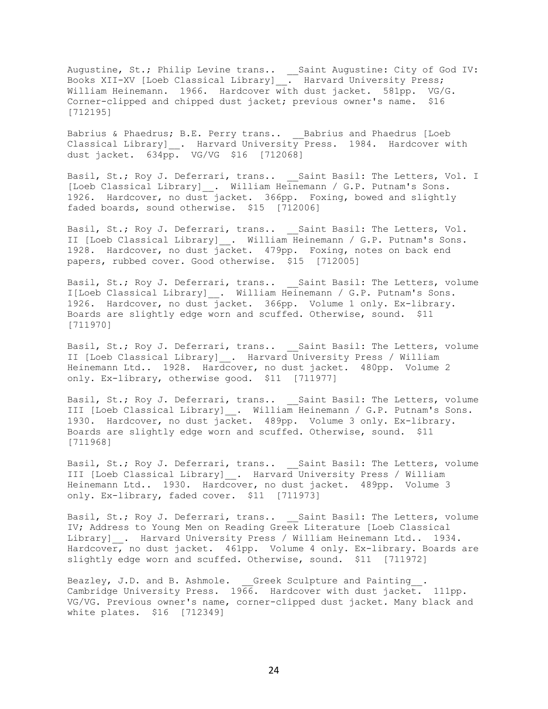Augustine, St.; Philip Levine trans.. \_\_Saint Augustine: City of God IV: Books XII-XV [Loeb Classical Library]\_\_. Harvard University Press; William Heinemann. 1966. Hardcover with dust jacket. 581pp. VG/G. Corner-clipped and chipped dust jacket; previous owner's name. \$16 [712195]

Babrius & Phaedrus; B.E. Perry trans.. \_\_\_ Babrius and Phaedrus [Loeb Classical Library]\_\_. Harvard University Press. 1984. Hardcover with dust jacket.  $634\overline{p}$ . VG/VG \$16 [712068]

Basil, St.; Roy J. Deferrari, trans.. \_\_ Saint Basil: The Letters, Vol. I [Loeb Classical Library] . William Heinemann / G.P. Putnam's Sons. 1926. Hardcover, no dust jacket. 366pp. Foxing, bowed and slightly faded boards, sound otherwise. \$15 [712006]

Basil, St.; Roy J. Deferrari, trans.. \_\_Saint Basil: The Letters, Vol. II [Loeb Classical Library]\_\_. William Heinemann / G.P. Putnam's Sons. 1928. Hardcover, no dust jacket. 479pp. Foxing, notes on back end papers, rubbed cover. Good otherwise. \$15 [712005]

Basil, St.; Roy J. Deferrari, trans.. Saint Basil: The Letters, volume I[Loeb Classical Library]\_\_. William Heinemann / G.P. Putnam's Sons. 1926. Hardcover, no dust jacket. 366pp. Volume 1 only. Ex-library. Boards are slightly edge worn and scuffed. Otherwise, sound. \$11 [711970]

Basil, St.; Roy J. Deferrari, trans.. Saint Basil: The Letters, volume II [Loeb Classical Library]\_\_. Harvard University Press / William Heinemann Ltd.. 1928. Hardcover, no dust jacket. 480pp. Volume 2 only. Ex-library, otherwise good. \$11 [711977]

Basil, St.; Roy J. Deferrari, trans.. \_\_ Saint Basil: The Letters, volume III [Loeb Classical Library]\_\_. William Heinemann / G.P. Putnam's Sons. 1930. Hardcover, no dust jacket. 489pp. Volume 3 only. Ex-library. Boards are slightly edge worn and scuffed. Otherwise, sound. \$11 [711968]

Basil, St.; Roy J. Deferrari, trans.. Saint Basil: The Letters, volume III [Loeb Classical Library] . Harvard University Press / William Heinemann Ltd.. 1930. Hardcover, no dust jacket. 489pp. Volume 3 only. Ex-library, faded cover. \$11 [711973]

Basil, St.; Roy J. Deferrari, trans.. Saint Basil: The Letters, volume IV; Address to Young Men on Reading Greek Literature [Loeb Classical Library] . Harvard University Press / William Heinemann Ltd.. 1934. Hardcover, no dust jacket. 461pp. Volume 4 only. Ex-library. Boards are slightly edge worn and scuffed. Otherwise, sound. \$11 [711972]

Beazley, J.D. and B. Ashmole. Greek Sculpture and Painting\_\_. Cambridge University Press. 1966. Hardcover with dust jacket. 111pp. VG/VG. Previous owner's name, corner-clipped dust jacket. Many black and white plates. \$16 [712349]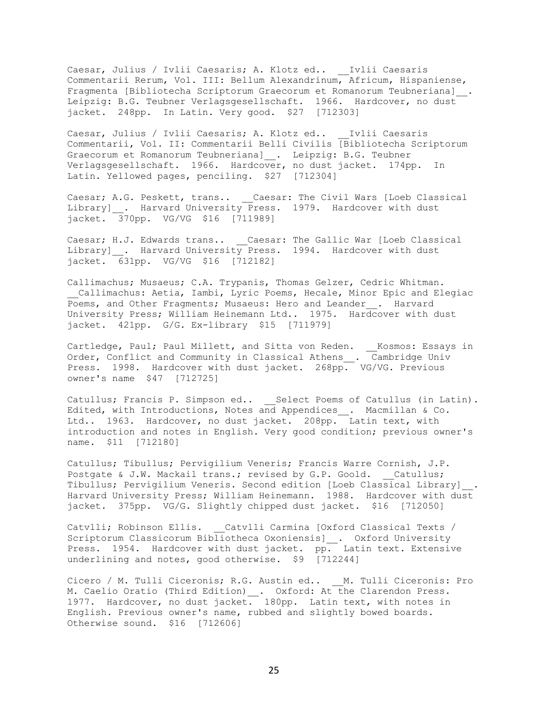Caesar, Julius / Ivlii Caesaris; A. Klotz ed.. \_\_Ivlii Caesaris Commentarii Rerum, Vol. III: Bellum Alexandrinum, Africum, Hispaniense, Fragmenta [Bibliotecha Scriptorum Graecorum et Romanorum Teubneriana]\_. Leipzig: B.G. Teubner Verlagsgesellschaft. 1966. Hardcover, no dust jacket. 248pp. In Latin. Very good. \$27 [712303]

Caesar, Julius / Ivlii Caesaris; A. Klotz ed.. \_\_Ivlii Caesaris Commentarii, Vol. II: Commentarii Belli Civilis [Bibliotecha Scriptorum Graecorum et Romanorum Teubneriana]\_. Leipzig: B.G. Teubner Verlagsgesellschaft. 1966. Hardcover, no dust jacket. 174pp. In Latin. Yellowed pages, penciling. \$27 [712304]

Caesar; A.G. Peskett, trans.. \_\_Caesar: The Civil Wars [Loeb Classical Library]\_\_. Harvard University Press. 1979. Hardcover with dust jacket. 370pp. VG/VG \$16 [711989]

Caesar; H.J. Edwards trans.. \_\_Caesar: The Gallic War [Loeb Classical Library]\_\_. Harvard University Press. 1994. Hardcover with dust jacket. 631pp. VG/VG \$16 [712182]

Callimachus; Musaeus; C.A. Trypanis, Thomas Gelzer, Cedric Whitman. Callimachus: Aetia, Iambi, Lyric Poems, Hecale, Minor Epic and Elegiac Poems, and Other Fragments; Musaeus: Hero and Leander . Harvard University Press; William Heinemann Ltd.. 1975. Hardcover with dust jacket. 421pp. G/G. Ex-library \$15 [711979]

Cartledge, Paul; Paul Millett, and Sitta von Reden. \_\_Kosmos: Essays in Order, Conflict and Community in Classical Athens\_\_. Cambridge Univ Press. 1998. Hardcover with dust jacket. 268pp. VG/VG. Previous owner's name \$47 [712725]

Catullus; Francis P. Simpson ed.. \_\_Select Poems of Catullus (in Latin). Edited, with Introductions, Notes and Appendices\_\_. Macmillan & Co. Ltd.. 1963. Hardcover, no dust jacket. 208pp. Latin text, with introduction and notes in English. Very good condition; previous owner's name. \$11 [712180]

Catullus; Tibullus; Pervigilium Veneris; Francis Warre Cornish, J.P. Postgate & J.W. Mackail trans.; revised by G.P. Goold. Catullus; Tibullus; Pervigilium Veneris. Second edition [Loeb Classical Library]\_\_. Harvard University Press; William Heinemann. 1988. Hardcover with dust jacket. 375pp. VG/G. Slightly chipped dust jacket. \$16 [712050]

Catvlli; Robinson Ellis. Catvlli Carmina [Oxford Classical Texts / Scriptorum Classicorum Bibliotheca Oxoniensis] . Oxford University Press. 1954. Hardcover with dust jacket. pp. Latin text. Extensive underlining and notes, good otherwise. \$9 [712244]

Cicero / M. Tulli Ciceronis; R.G. Austin ed.. \_\_ M. Tulli Ciceronis: Pro M. Caelio Oratio (Third Edition) . Oxford: At the Clarendon Press. 1977. Hardcover, no dust jacket. 180pp. Latin text, with notes in English. Previous owner's name, rubbed and slightly bowed boards. Otherwise sound. \$16 [712606]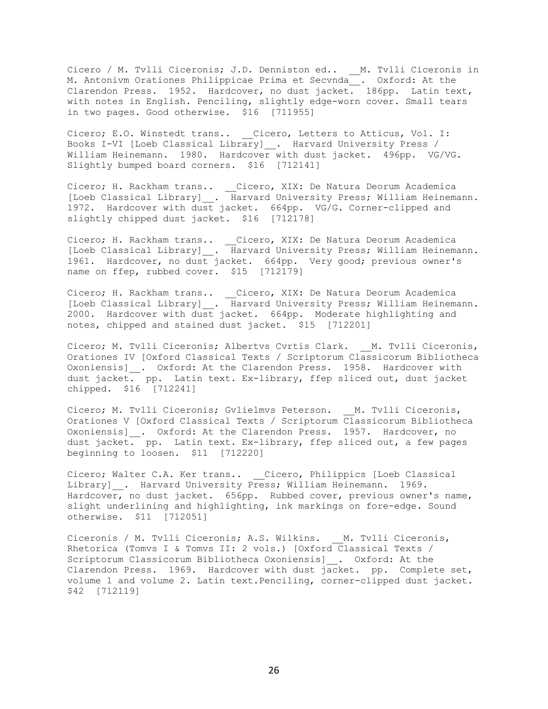Cicero / M. Tvlli Ciceronis; J.D. Denniston ed.. \_\_M. Tvlli Ciceronis in M. Antonivm Orationes Philippicae Prima et Secvnda\_\_. Oxford: At the Clarendon Press. 1952. Hardcover, no dust jacket. 186pp. Latin text, with notes in English. Penciling, slightly edge-worn cover. Small tears in two pages. Good otherwise. \$16 [711955]

Cicero; E.O. Winstedt trans.. \_\_Cicero, Letters to Atticus, Vol. I: Books I-VI [Loeb Classical Library]\_\_. Harvard University Press / William Heinemann. 1980. Hardcover with dust jacket. 496pp. VG/VG. Slightly bumped board corners. \$16 [712141]

Cicero; H. Rackham trans.. \_\_Cicero, XIX: De Natura Deorum Academica [Loeb Classical Library]\_\_. Harvard University Press; William Heinemann. 1972. Hardcover with dust jacket. 664pp. VG/G. Corner-clipped and slightly chipped dust jacket. \$16 [712178]

Cicero; H. Rackham trans.. \_\_Cicero, XIX: De Natura Deorum Academica [Loeb Classical Library]\_\_. Harvard University Press; William Heinemann. 1961. Hardcover, no dust jacket. 664pp. Very good; previous owner's name on ffep, rubbed cover. \$15 [712179]

Cicero; H. Rackham trans.. \_\_Cicero, XIX: De Natura Deorum Academica [Loeb Classical Library]\_\_. Harvard University Press; William Heinemann. 2000. Hardcover with dust jacket. 664pp. Moderate highlighting and notes, chipped and stained dust jacket. \$15 [712201]

Cicero; M. Tvlli Ciceronis; Albertvs Cvrtis Clark. \_\_ M. Tvlli Ciceronis, Orationes IV [Oxford Classical Texts / Scriptorum Classicorum Bibliotheca Oxoniensis]\_\_. Oxford: At the Clarendon Press. 1958. Hardcover with dust jacket. pp. Latin text. Ex-library, ffep sliced out, dust jacket chipped. \$16 [712241]

Cicero; M. Tvlli Ciceronis; Gvlielmvs Peterson. \_\_M. Tvlli Ciceronis, Orationes V [Oxford Classical Texts / Scriptorum Classicorum Bibliotheca Oxoniensis] \_\_. Oxford: At the Clarendon Press. 1957. Hardcover, no dust jacket. pp. Latin text. Ex-library, ffep sliced out, a few pages beginning to loosen. \$11 [712220]

Cicero; Walter C.A. Ker trans.. \_\_Cicero, Philippics [Loeb Classical Library] . Harvard University Press; William Heinemann. 1969. Hardcover, no dust jacket. 656pp. Rubbed cover, previous owner's name, slight underlining and highlighting, ink markings on fore-edge. Sound otherwise. \$11 [712051]

Ciceronis / M. Tvlli Ciceronis; A.S. Wilkins. M. Tvlli Ciceronis, Rhetorica (Tomvs I & Tomvs II: 2 vols.) [Oxford Classical Texts / Scriptorum Classicorum Bibliotheca Oxoniensis]\_\_. Oxford: At the Clarendon Press. 1969. Hardcover with dust jacket. pp. Complete set, volume 1 and volume 2. Latin text.Penciling, corner-clipped dust jacket. \$42 [712119]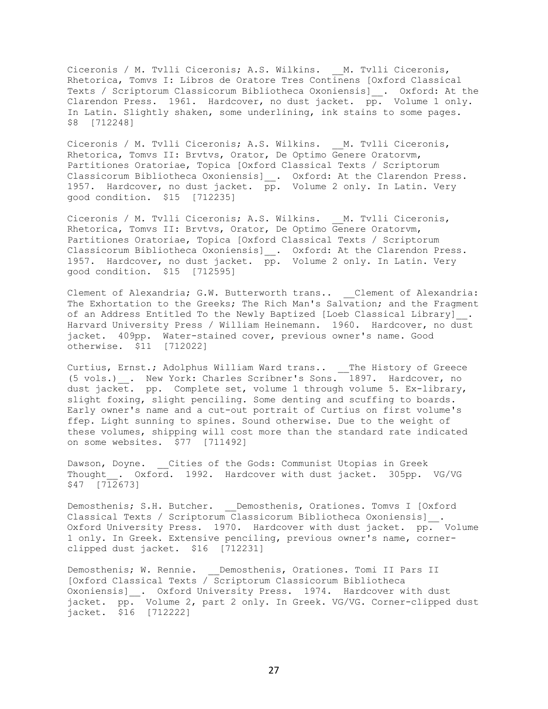Ciceronis / M. Tvlli Ciceronis; A.S. Wilkins. M. Tvlli Ciceronis, Rhetorica, Tomvs I: Libros de Oratore Tres Continens [Oxford Classical Texts / Scriptorum Classicorum Bibliotheca Oxoniensis]\_\_. Oxford: At the Clarendon Press. 1961. Hardcover, no dust jacket. pp. Volume 1 only. In Latin. Slightly shaken, some underlining, ink stains to some pages. \$8 [712248]

Ciceronis / M. Tvlli Ciceronis; A.S. Wilkins. M. Tvlli Ciceronis, Rhetorica, Tomvs II: Brvtvs, Orator, De Optimo Genere Oratorvm, Partitiones Oratoriae, Topica [Oxford Classical Texts / Scriptorum Classicorum Bibliotheca Oxoniensis]\_\_. Oxford: At the Clarendon Press. 1957. Hardcover, no dust jacket. pp. Volume 2 only. In Latin. Very good condition. \$15 [712235]

Ciceronis / M. Tvlli Ciceronis; A.S. Wilkins. M. Tvlli Ciceronis, Rhetorica, Tomvs II: Brvtvs, Orator, De Optimo Genere Oratorvm, Partitiones Oratoriae, Topica [Oxford Classical Texts / Scriptorum Classicorum Bibliotheca Oxoniensis] \_. Oxford: At the Clarendon Press. 1957. Hardcover, no dust jacket. pp. Volume 2 only. In Latin. Very good condition. \$15 [712595]

Clement of Alexandria; G.W. Butterworth trans.. \_\_Clement of Alexandria: The Exhortation to the Greeks; The Rich Man's Salvation; and the Fragment of an Address Entitled To the Newly Baptized [Loeb Classical Library] . Harvard University Press / William Heinemann. 1960. Hardcover, no dust jacket. 409pp. Water-stained cover, previous owner's name. Good otherwise. \$11 [712022]

Curtius, Ernst.; Adolphus William Ward trans.. \_\_The History of Greece (5 vols.)\_\_. New York: Charles Scribner's Sons. 1897. Hardcover, no dust jacket. pp. Complete set, volume 1 through volume 5. Ex-library, slight foxing, slight penciling. Some denting and scuffing to boards. Early owner's name and a cut-out portrait of Curtius on first volume's ffep. Light sunning to spines. Sound otherwise. Due to the weight of these volumes, shipping will cost more than the standard rate indicated on some websites. \$77 [711492]

Dawson, Doyne. Cities of the Gods: Communist Utopias in Greek Thought . Oxford. 1992. Hardcover with dust jacket. 305pp. VG/VG \$47 [712673]

Demosthenis; S.H. Butcher. \_\_Demosthenis, Orationes. Tomvs I [Oxford Classical Texts / Scriptorum Classicorum Bibliotheca Oxoniensis]\_\_. Oxford University Press. 1970. Hardcover with dust jacket. pp. Volume 1 only. In Greek. Extensive penciling, previous owner's name, cornerclipped dust jacket. \$16 [712231]

Demosthenis; W. Rennie. Demosthenis, Orationes. Tomi II Pars II [Oxford Classical Texts / Scriptorum Classicorum Bibliotheca Oxoniensis]\_\_. Oxford University Press. 1974. Hardcover with dust jacket. pp. Volume 2, part 2 only. In Greek. VG/VG. Corner-clipped dust jacket. \$16 [712222]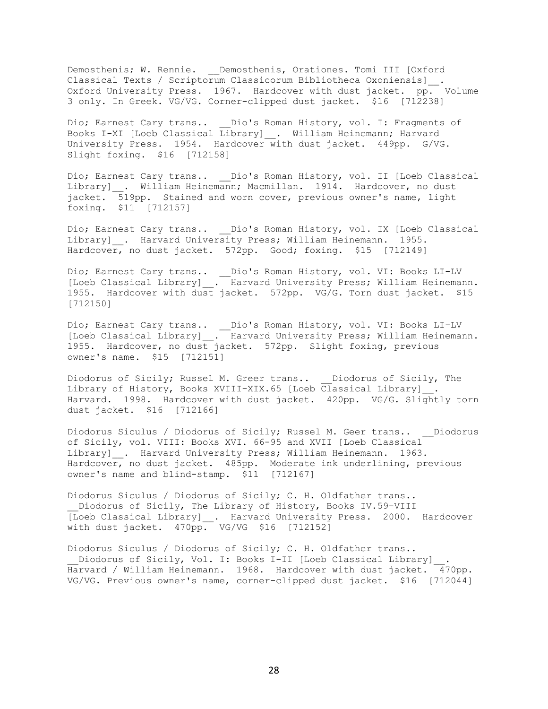Demosthenis; W. Rennie. \_\_Demosthenis, Orationes. Tomi III [Oxford Classical Texts / Scriptorum Classicorum Bibliotheca Oxoniensis]\_\_. Oxford University Press. 1967. Hardcover with dust jacket. pp. Volume 3 only. In Greek. VG/VG. Corner-clipped dust jacket. \$16 [712238]

Dio; Earnest Cary trans.. Dio's Roman History, vol. I: Fragments of Books I-XI [Loeb Classical Library] . William Heinemann; Harvard University Press. 1954. Hardcover with dust jacket. 449pp. G/VG. Slight foxing. \$16 [712158]

Dio; Earnest Cary trans.. Dio's Roman History, vol. II [Loeb Classical Library] . William Heinemann; Macmillan. 1914. Hardcover, no dust jacket. 519pp. Stained and worn cover, previous owner's name, light foxing. \$11 [712157]

Dio; Earnest Cary trans.. \_\_Dio's Roman History, vol. IX [Loeb Classical Library]\_\_. Harvard University Press; William Heinemann. 1955. Hardcover, no dust jacket. 572pp. Good; foxing. \$15 [712149]

Dio; Earnest Cary trans.. \_\_Dio's Roman History, vol. VI: Books LI-LV [Loeb Classical Library]\_\_. Harvard University Press; William Heinemann. 1955. Hardcover with dust jacket. 572pp. VG/G. Torn dust jacket. \$15 [712150]

Dio; Earnest Cary trans.. \_\_Dio's Roman History, vol. VI: Books LI-LV [Loeb Classical Library]\_\_. Harvard University Press; William Heinemann. 1955. Hardcover, no dust jacket. 572pp. Slight foxing, previous owner's name. \$15 [712151]

Diodorus of Sicily; Russel M. Greer trans.. Diodorus of Sicily, The Library of History, Books XVIII-XIX.65 [Loeb Classical Library] . Harvard. 1998. Hardcover with dust jacket. 420pp. VG/G. Slightly torn dust jacket. \$16 [712166]

Diodorus Siculus / Diodorus of Sicily; Russel M. Geer trans.. \_\_Diodorus of Sicily, vol. VIII: Books XVI. 66-95 and XVII [Loeb Classical Library] \_\_. Harvard University Press; William Heinemann. 1963. Hardcover, no dust jacket. 485pp. Moderate ink underlining, previous owner's name and blind-stamp. \$11 [712167]

Diodorus Siculus / Diodorus of Sicily; C. H. Oldfather trans.. Diodorus of Sicily, The Library of History, Books IV.59-VIII [Loeb Classical Library] . Harvard University Press. 2000. Hardcover with dust jacket. 470pp. VG/VG \$16 [712152]

Diodorus Siculus / Diodorus of Sicily; C. H. Oldfather trans.. Diodorus of Sicily, Vol. I: Books I-II [Loeb Classical Library] . Harvard / William Heinemann. 1968. Hardcover with dust jacket. 470pp. VG/VG. Previous owner's name, corner-clipped dust jacket. \$16 [712044]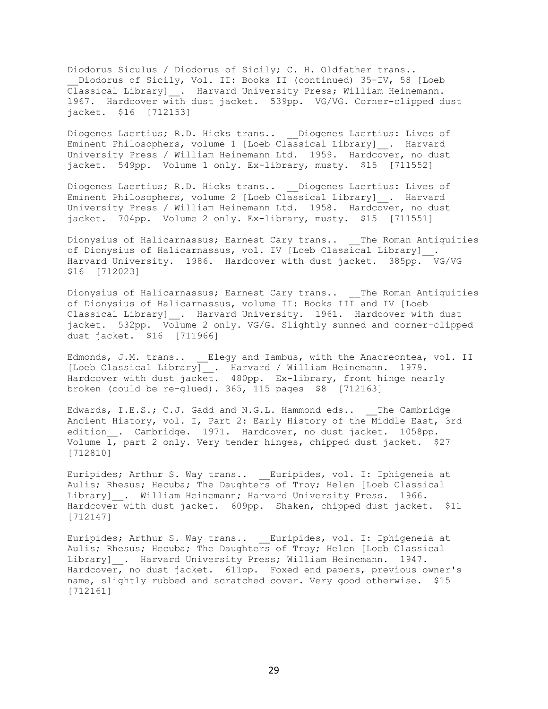Diodorus Siculus / Diodorus of Sicily; C. H. Oldfather trans.. Diodorus of Sicily, Vol. II: Books II (continued) 35-IV, 58 [Loeb Classical Library]\_\_. Harvard University Press; William Heinemann. 1967. Hardcover with dust jacket. 539pp. VG/VG. Corner-clipped dust jacket. \$16 [712153]

Diogenes Laertius; R.D. Hicks trans.. Diogenes Laertius: Lives of Eminent Philosophers, volume 1 [Loeb Classical Library]\_\_. Harvard University Press / William Heinemann Ltd. 1959. Hardcover, no dust jacket. 549pp. Volume 1 only. Ex-library, musty. \$15 [711552]

Diogenes Laertius; R.D. Hicks trans.. Diogenes Laertius: Lives of Eminent Philosophers, volume 2 [Loeb Classical Library]\_\_. Harvard University Press / William Heinemann Ltd. 1958. Hardcover, no dust jacket. 704pp. Volume 2 only. Ex-library, musty. \$15 [711551]

Dionysius of Halicarnassus; Earnest Cary trans.. \_\_The Roman Antiquities of Dionysius of Halicarnassus, vol. IV [Loeb Classical Library] . Harvard University. 1986. Hardcover with dust jacket. 385pp. VG/VG \$16 [712023]

Dionysius of Halicarnassus; Earnest Cary trans.. \_\_The Roman Antiquities of Dionysius of Halicarnassus, volume II: Books III and IV [Loeb Classical Library] \_. Harvard University. 1961. Hardcover with dust jacket. 532pp. Volume 2 only. VG/G. Slightly sunned and corner-clipped dust jacket. \$16 [711966]

Edmonds, J.M. trans.. Elegy and Iambus, with the Anacreontea, vol. II [Loeb Classical Library]\_\_. Harvard / William Heinemann. 1979. Hardcover with dust jacket. 480pp. Ex-library, front hinge nearly broken (could be re-glued). 365, 115 pages \$8 [712163]

Edwards, I.E.S.; C.J. Gadd and N.G.L. Hammond eds.. The Cambridge Ancient History, vol. I, Part 2: Early History of the Middle East, 3rd edition. Cambridge. 1971. Hardcover, no dust jacket. 1058pp. Volume 1, part 2 only. Very tender hinges, chipped dust jacket. \$27 [712810]

Euripides; Arthur S. Way trans.. Euripides, vol. I: Iphigeneia at Aulis; Rhesus; Hecuba; The Daughters of Troy; Helen [Loeb Classical Library] . William Heinemann; Harvard University Press. 1966. Hardcover with dust jacket. 609pp. Shaken, chipped dust jacket. \$11 [712147]

Euripides; Arthur S. Way trans.. Euripides, vol. I: Iphigeneia at Aulis; Rhesus; Hecuba; The Daughters of Troy; Helen [Loeb Classical Library] . Harvard University Press; William Heinemann. 1947. Hardcover, no dust jacket. 611pp. Foxed end papers, previous owner's name, slightly rubbed and scratched cover. Very good otherwise. \$15 [712161]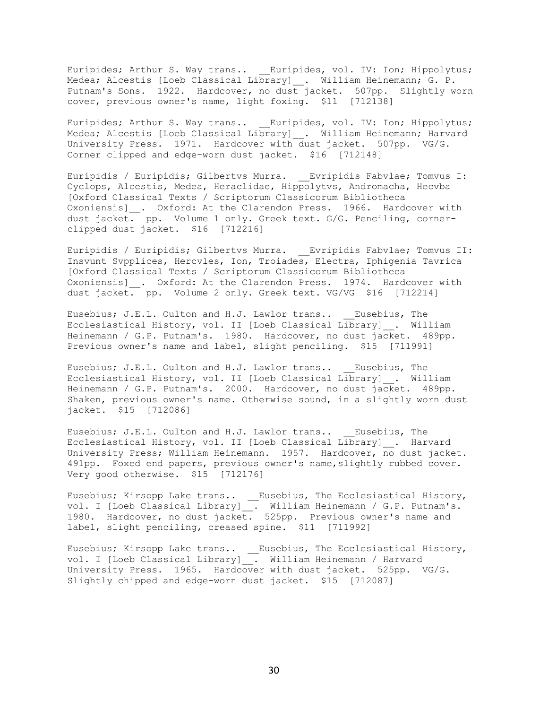Euripides; Arthur S. Way trans.. Euripides, vol. IV: Ion; Hippolytus; Medea; Alcestis [Loeb Classical Library]\_\_. William Heinemann; G. P. Putnam's Sons. 1922. Hardcover, no dust jacket. 507pp. Slightly worn cover, previous owner's name, light foxing. \$11 [712138]

Euripides; Arthur S. Way trans.. \_\_Euripides, vol. IV: Ion; Hippolytus; Medea; Alcestis [Loeb Classical Library] . William Heinemann; Harvard University Press. 1971. Hardcover with dust jacket. 507pp. VG/G. Corner clipped and edge-worn dust jacket. \$16 [712148]

Euripidis / Euripidis; Gilbertvs Murra. \_\_Evripidis Fabvlae; Tomvus I: Cyclops, Alcestis, Medea, Heraclidae, Hippolytvs, Andromacha, Hecvba [Oxford Classical Texts / Scriptorum Classicorum Bibliotheca Oxoniensis]\_\_. Oxford: At the Clarendon Press. 1966. Hardcover with dust jacket. pp. Volume 1 only. Greek text. G/G. Penciling, cornerclipped dust jacket. \$16 [712216]

Euripidis / Euripidis; Gilbertvs Murra. \_\_Evripidis Fabvlae; Tomvus II: Insvunt Svpplices, Hercvles, Ion, Troiades, Electra, Iphigenia Tavrica [Oxford Classical Texts / Scriptorum Classicorum Bibliotheca Oxoniensis] . Oxford: At the Clarendon Press. 1974. Hardcover with dust jacket. pp. Volume 2 only. Greek text. VG/VG \$16 [712214]

Eusebius; J.E.L. Oulton and H.J. Lawlor trans.. Eusebius, The Ecclesiastical History, vol. II [Loeb Classical Library]\_\_. William Heinemann / G.P. Putnam's. 1980. Hardcover, no dust jacket. 489pp. Previous owner's name and label, slight penciling. \$15 [711991]

Eusebius; J.E.L. Oulton and H.J. Lawlor trans.. Eusebius, The Ecclesiastical History, vol. II [Loeb Classical Library]\_\_. William Heinemann / G.P. Putnam's. 2000. Hardcover, no dust jacket. 489pp. Shaken, previous owner's name. Otherwise sound, in a slightly worn dust jacket. \$15 [712086]

Eusebius; J.E.L. Oulton and H.J. Lawlor trans.. Eusebius, The Ecclesiastical History, vol. II [Loeb Classical Library]\_\_. Harvard University Press; William Heinemann. 1957. Hardcover, no dust jacket. 491pp. Foxed end papers, previous owner's name, slightly rubbed cover. Very good otherwise. \$15 [712176]

Eusebius; Kirsopp Lake trans.. \_\_Eusebius, The Ecclesiastical History, vol. I [Loeb Classical Library]\_\_. William Heinemann / G.P. Putnam's. 1980. Hardcover, no dust jacket. 525pp. Previous owner's name and label, slight penciling, creased spine. \$11 [711992]

Eusebius; Kirsopp Lake trans.. \_\_Eusebius, The Ecclesiastical History, vol. I [Loeb Classical Library]\_\_. William Heinemann / Harvard University Press. 1965. Hardcover with dust jacket. 525pp. VG/G. Slightly chipped and edge-worn dust jacket. \$15 [712087]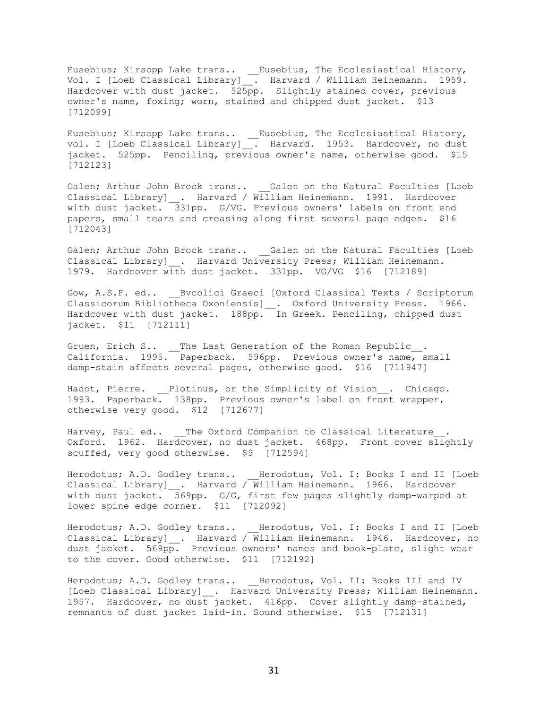Eusebius; Kirsopp Lake trans.. \_\_Eusebius, The Ecclesiastical History, Vol. I [Loeb Classical Library]\_\_. Harvard / William Heinemann. 1959. Hardcover with dust jacket. 525pp. Slightly stained cover, previous owner's name, foxing; worn, stained and chipped dust jacket. \$13 [712099]

Eusebius; Kirsopp Lake trans.. \_\_Eusebius, The Ecclesiastical History, vol. I [Loeb Classical Library]. Harvard. 1953. Hardcover, no dust jacket. 525pp. Penciling, previous owner's name, otherwise good. \$15 [712123]

Galen; Arthur John Brock trans.. Galen on the Natural Faculties [Loeb Classical Library] \_\_. Harvard / William Heinemann. 1991. Hardcover with dust jacket. 331pp. G/VG. Previous owners' labels on front end papers, small tears and creasing along first several page edges. \$16 [712043]

Galen; Arthur John Brock trans.. \_\_Galen on the Natural Faculties [Loeb Classical Library] . Harvard University Press; William Heinemann. 1979. Hardcover with dust jacket. 331pp. VG/VG \$16 [712189]

Gow, A.S.F. ed.. Bvcolici Graeci [Oxford Classical Texts / Scriptorum Classicorum Bibliotheca Oxoniensis]\_\_. Oxford University Press. 1966. Hardcover with dust jacket. 188pp. In Greek. Penciling, chipped dust jacket. \$11 [712111]

Gruen, Erich S..  $\_\_$  The Last Generation of the Roman Republic $\_\_$ . California. 1995. Paperback. 596pp. Previous owner's name, small damp-stain affects several pages, otherwise good. \$16 [711947]

Hadot, Pierre. Plotinus, or the Simplicity of Vision . Chicago. 1993. Paperback. 138pp. Previous owner's label on front wrapper, otherwise very good. \$12 [712677]

Harvey, Paul ed.. The Oxford Companion to Classical Literature. Oxford. 1962. Hardcover, no dust jacket. 468pp. Front cover slightly scuffed, very good otherwise. \$9 [712594]

Herodotus; A.D. Godley trans.. \_\_Herodotus, Vol. I: Books I and II [Loeb Classical Library]  $\ldots$  Harvard / William Heinemann. 1966. Hardcover with dust jacket. 569pp. G/G, first few pages slightly damp-warped at lower spine edge corner. \$11 [712092]

Herodotus; A.D. Godley trans.. \_\_Herodotus, Vol. I: Books I and II [Loeb Classical Library] . Harvard / William Heinemann. 1946. Hardcover, no dust jacket. 569pp. Previous owners' names and book-plate, slight wear to the cover. Good otherwise. \$11 [712192]

Herodotus; A.D. Godley trans.. \_\_Herodotus, Vol. II: Books III and IV [Loeb Classical Library] . Harvard University Press; William Heinemann. 1957. Hardcover, no dust jacket. 416pp. Cover slightly damp-stained, remnants of dust jacket laid-in. Sound otherwise. \$15 [712131]

31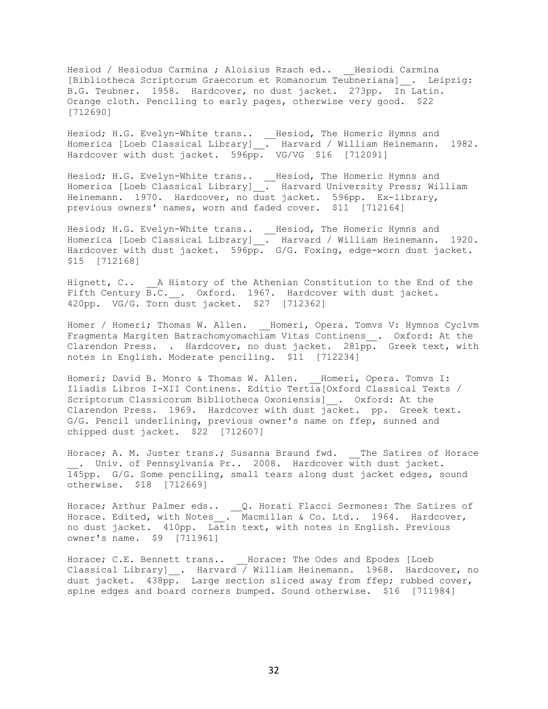Hesiod / Hesiodus Carmina ; Aloisius Rzach ed.. \_\_ Hesiodi Carmina [Bibliotheca Scriptorum Graecorum et Romanorum Teubneriana]\_\_. Leipzig: B.G. Teubner. 1958. Hardcover, no dust jacket. 273pp. In Latin. Orange cloth. Penciling to early pages, otherwise very good. \$22 [712690]

Hesiod; H.G. Evelyn-White trans.. \_\_Hesiod, The Homeric Hymns and Homerica [Loeb Classical Library]\_\_. Harvard / William Heinemann. 1982. Hardcover with dust jacket. 596pp. VG/VG \$16 [712091]

Hesiod; H.G. Evelyn-White trans.. \_\_Hesiod, The Homeric Hymns and Homerica [Loeb Classical Library]\_\_. Harvard University Press; William Heinemann. 1970. Hardcover, no dust jacket. 596pp. Ex-library, previous owners' names, worn and faded cover. \$11 [712164]

Hesiod; H.G. Evelyn-White trans.. \_\_Hesiod, The Homeric Hymns and Homerica [Loeb Classical Library]\_\_. Harvard / William Heinemann. 1920. Hardcover with dust jacket. 596pp. G/G. Foxing, edge-worn dust jacket. \$15 [712168]

Hignett, C.. A History of the Athenian Constitution to the End of the Fifth Century B.C. \_. Oxford. 1967. Hardcover with dust jacket. 420pp. VG/G. Torn dust jacket. \$27 [712362]

Homer / Homeri; Thomas W. Allen. Homeri, Opera. Tomvs V: Hymnos Cyclvm Fragmenta Margiten Batrachomyomachiam Vitas Continens\_\_. Oxford: At the Clarendon Press. . Hardcover, no dust jacket. 281pp. Greek text, with notes in English. Moderate penciling. \$11 [712234]

Homeri; David B. Monro & Thomas W. Allen. \_\_ Homeri, Opera. Tomvs I: Iliadis Libros I-XII Continens. Editio Tertia[Oxford Classical Texts / Scriptorum Classicorum Bibliotheca Oxoniensis]\_\_. Oxford: At the Clarendon Press. 1969. Hardcover with dust jacket. pp. Greek text. G/G. Pencil underlining, previous owner's name on ffep, sunned and chipped dust jacket. \$22 [712607]

Horace; A. M. Juster trans.; Susanna Braund fwd. The Satires of Horace . Univ. of Pennsylvania Pr.. 2008. Hardcover with dust jacket. 145pp. G/G. Some penciling, small tears along dust jacket edges, sound otherwise. \$18 [712669]

Horace; Arthur Palmer eds.. \_\_ Q. Horati Flacci Sermones: The Satires of Horace. Edited, with Notes . Macmillan & Co. Ltd.. 1964. Hardcover, no dust jacket. 410pp. Latin text, with notes in English. Previous owner's name. \$9 [711961]

Horace; C.E. Bennett trans.. Horace: The Odes and Epodes [Loeb Classical Library] . Harvard / William Heinemann. 1968. Hardcover, no dust jacket.  $438\overline{p}$ . Large section sliced away from ffep; rubbed cover, spine edges and board corners bumped. Sound otherwise. \$16 [711984]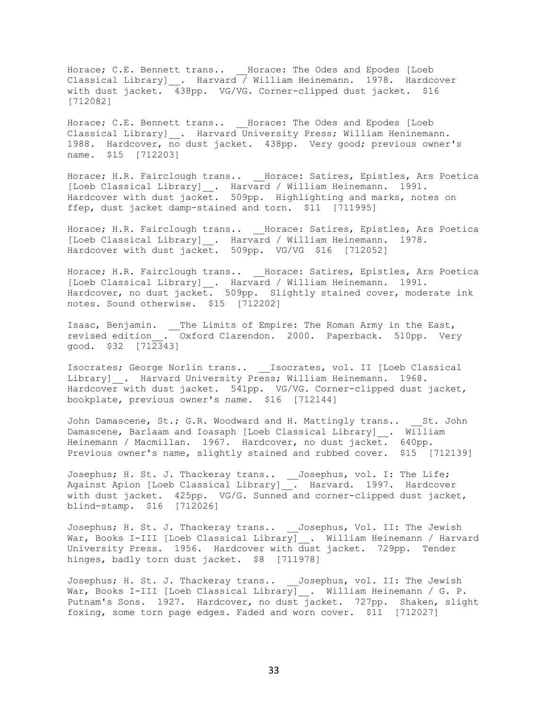Horace; C.E. Bennett trans.. Horace: The Odes and Epodes [Loeb Classical Library]\_\_. Harvard / William Heinemann. 1978. Hardcover with dust jacket. 438pp. VG/VG. Corner-clipped dust jacket. \$16 [712082]

Horace; C.E. Bennett trans.. Horace: The Odes and Epodes [Loeb Classical Library] . Harvard University Press; William Heninemann. 1988. Hardcover, no dust jacket. 438pp. Very good; previous owner's name. \$15 [712203]

Horace; H.R. Fairclough trans.. \_\_Horace: Satires, Epistles, Ars Poetica [Loeb Classical Library]\_\_. Harvard / William Heinemann. 1991. Hardcover with dust jacket. 509pp. Highlighting and marks, notes on ffep, dust jacket damp-stained and torn. \$11 [711995]

Horace; H.R. Fairclough trans.. \_\_Horace: Satires, Epistles, Ars Poetica [Loeb Classical Library]\_\_. Harvard / William Heinemann. 1978. Hardcover with dust jacket. 509pp. VG/VG \$16 [712052]

Horace; H.R. Fairclough trans.. \_\_Horace: Satires, Epistles, Ars Poetica [Loeb Classical Library]\_\_. Harvard / William Heinemann. 1991. Hardcover, no dust jacket. 509pp. Slightly stained cover, moderate ink notes. Sound otherwise. \$15 [712202]

Isaac, Benjamin. \_\_The Limits of Empire: The Roman Army in the East, revised edition\_\_. Oxford Clarendon. 2000. Paperback. 510pp. Very good. \$32 [712343]

Isocrates; George Norlin trans.. \_\_Isocrates, vol. II [Loeb Classical Library] . Harvard University Press; William Heinemann. 1968. Hardcover with dust jacket. 541pp. VG/VG. Corner-clipped dust jacket, bookplate, previous owner's name. \$16 [712144]

John Damascene, St.; G.R. Woodward and H. Mattingly trans.. St. John Damascene, Barlaam and Ioasaph [Loeb Classical Library]\_\_. William Heinemann / Macmillan. 1967. Hardcover, no dust jacket. 640pp. Previous owner's name, slightly stained and rubbed cover. \$15 [712139]

Josephus; H. St. J. Thackeray trans.. \_\_Josephus, vol. I: The Life; Against Apion [Loeb Classical Library] . Harvard. 1997. Hardcover with dust jacket. 425pp. VG/G. Sunned and corner-clipped dust jacket, blind-stamp. \$16 [712026]

Josephus; H. St. J. Thackeray trans.. \_\_Josephus, Vol. II: The Jewish War, Books I-III [Loeb Classical Library] . William Heinemann / Harvard University Press. 1956. Hardcover with dust jacket. 729pp. Tender hinges, badly torn dust jacket. \$8 [711978]

Josephus; H. St. J. Thackeray trans.. \_\_Josephus, vol. II: The Jewish War, Books I-III [Loeb Classical Library] . William Heinemann / G. P. Putnam's Sons. 1927. Hardcover, no dust jacket. 727pp. Shaken, slight foxing, some torn page edges. Faded and worn cover. \$11 [712027]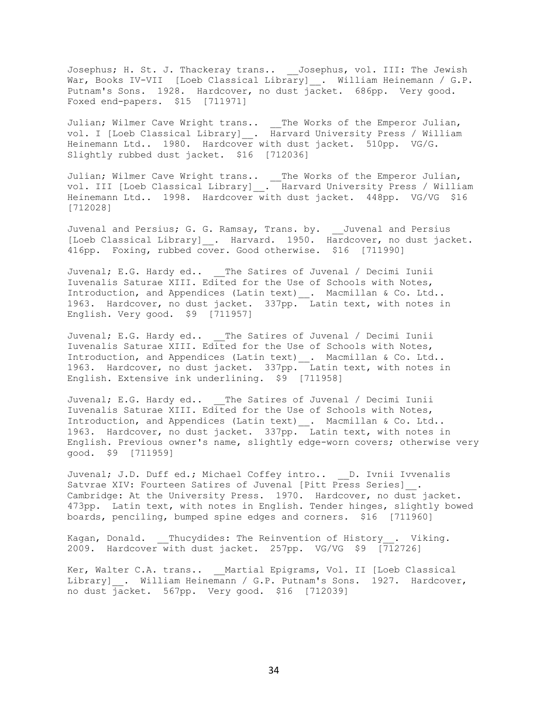Josephus; H. St. J. Thackeray trans.. \_\_Josephus, vol. III: The Jewish War, Books IV-VII [Loeb Classical Library]\_\_. William Heinemann / G.P. Putnam's Sons. 1928. Hardcover, no dust jacket. 686pp. Very good. Foxed end-papers. \$15 [711971]

Julian; Wilmer Cave Wright trans.. \_\_The Works of the Emperor Julian, vol. I [Loeb Classical Library]\_\_. Harvard University Press / William Heinemann Ltd.. 1980. Hardcover with dust jacket. 510pp. VG/G. Slightly rubbed dust jacket. \$16 [712036]

Julian; Wilmer Cave Wright trans.. \_\_The Works of the Emperor Julian, vol. III [Loeb Classical Library]\_\_. Harvard University Press / William Heinemann Ltd.. 1998. Hardcover with dust jacket. 448pp. VG/VG \$16 [712028]

Juvenal and Persius; G. G. Ramsay, Trans. by. \_\_Juvenal and Persius [Loeb Classical Library]\_\_. Harvard. 1950. Hardcover, no dust jacket. 416pp. Foxing, rubbed cover. Good otherwise. \$16 [711990]

Juvenal; E.G. Hardy ed.. \_\_The Satires of Juvenal / Decimi Iunii Iuvenalis Saturae XIII. Edited for the Use of Schools with Notes, Introduction, and Appendices (Latin text)\_\_. Macmillan & Co. Ltd.. 1963. Hardcover, no dust jacket. 337pp. Latin text, with notes in English. Very good. \$9 [711957]

Juvenal; E.G. Hardy ed.. The Satires of Juvenal / Decimi Iunii Iuvenalis Saturae XIII. Edited for the Use of Schools with Notes, Introduction, and Appendices (Latin text)\_\_. Macmillan & Co. Ltd.. 1963. Hardcover, no dust jacket. 337pp. Latin text, with notes in English. Extensive ink underlining. \$9 [711958]

Juvenal; E.G. Hardy ed.. \_\_The Satires of Juvenal / Decimi Iunii Iuvenalis Saturae XIII. Edited for the Use of Schools with Notes, Introduction, and Appendices (Latin text) \_\_. Macmillan & Co. Ltd.. 1963. Hardcover, no dust jacket. 337pp. Latin text, with notes in English. Previous owner's name, slightly edge-worn covers; otherwise very good. \$9 [711959]

Juvenal; J.D. Duff ed.; Michael Coffey intro.. D. Ivnii Ivvenalis Satvrae XIV: Fourteen Satires of Juvenal [Pitt Press Series] . Cambridge: At the University Press. 1970. Hardcover, no dust jacket. 473pp. Latin text, with notes in English. Tender hinges, slightly bowed boards, penciling, bumped spine edges and corners. \$16 [711960]

Kagan, Donald. Thucydides: The Reinvention of History . Viking. 2009. Hardcover with dust jacket. 257pp. VG/VG \$9 [712726]

Ker, Walter C.A. trans.. Martial Epigrams, Vol. II [Loeb Classical Library] . William Heinemann / G.P. Putnam's Sons. 1927. Hardcover, no dust jacket. 567pp. Very good. \$16 [712039]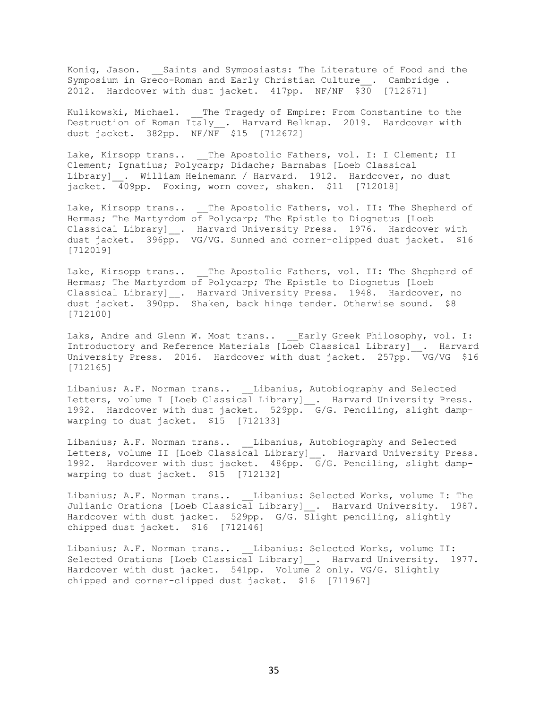Konig, Jason. \_\_Saints and Symposiasts: The Literature of Food and the Symposium in Greco-Roman and Early Christian Culture . Cambridge . 2012. Hardcover with dust jacket. 417pp. NF/NF \$30 [712671]

Kulikowski, Michael. The Tragedy of Empire: From Constantine to the Destruction of Roman Italy\_\_. Harvard Belknap. 2019. Hardcover with dust jacket. 382pp. NF/NF \$15 [712672]

Lake, Kirsopp trans.. \_\_The Apostolic Fathers, vol. I: I Clement; II Clement; Ignatius; Polycarp; Didache; Barnabas [Loeb Classical Library] . William Heinemann / Harvard. 1912. Hardcover, no dust jacket. 409pp. Foxing, worn cover, shaken. \$11 [712018]

Lake, Kirsopp trans.. The Apostolic Fathers, vol. II: The Shepherd of Hermas; The Martyrdom of Polycarp; The Epistle to Diognetus [Loeb Classical Library]\_\_. Harvard University Press. 1976. Hardcover with dust jacket. 396pp. VG/VG. Sunned and corner-clipped dust jacket. \$16 [712019]

Lake, Kirsopp trans.. The Apostolic Fathers, vol. II: The Shepherd of Hermas; The Martyrdom of Polycarp; The Epistle to Diognetus [Loeb Classical Library] . Harvard University Press. 1948. Hardcover, no dust jacket. 390pp. Shaken, back hinge tender. Otherwise sound. \$8 [712100]

Laks, Andre and Glenn W. Most trans.. \_\_Early Greek Philosophy, vol. I: Introductory and Reference Materials [Loeb Classical Library]\_\_. Harvard University Press. 2016. Hardcover with dust jacket. 257pp. VG/VG \$16 [712165]

Libanius; A.F. Norman trans.. Libanius, Autobiography and Selected Letters, volume I [Loeb Classical Library] . Harvard University Press. 1992. Hardcover with dust jacket. 529pp. G/G. Penciling, slight dampwarping to dust jacket. \$15 [712133]

Libanius; A.F. Norman trans.. \_\_Libanius, Autobiography and Selected Letters, volume II [Loeb Classical Library] \_. Harvard University Press. 1992. Hardcover with dust jacket. 486pp. G/G. Penciling, slight dampwarping to dust jacket. \$15 [712132]

Libanius; A.F. Norman trans.. \_\_Libanius: Selected Works, volume I: The Julianic Orations [Loeb Classical Library] \_\_. Harvard University. 1987. Hardcover with dust jacket. 529pp. G/G. Slight penciling, slightly chipped dust jacket. \$16 [712146]

Libanius; A.F. Norman trans.. Libanius: Selected Works, volume II: Selected Orations [Loeb Classical Library] . Harvard University. 1977. Hardcover with dust jacket. 541pp. Volume 2 only. VG/G. Slightly chipped and corner-clipped dust jacket. \$16 [711967]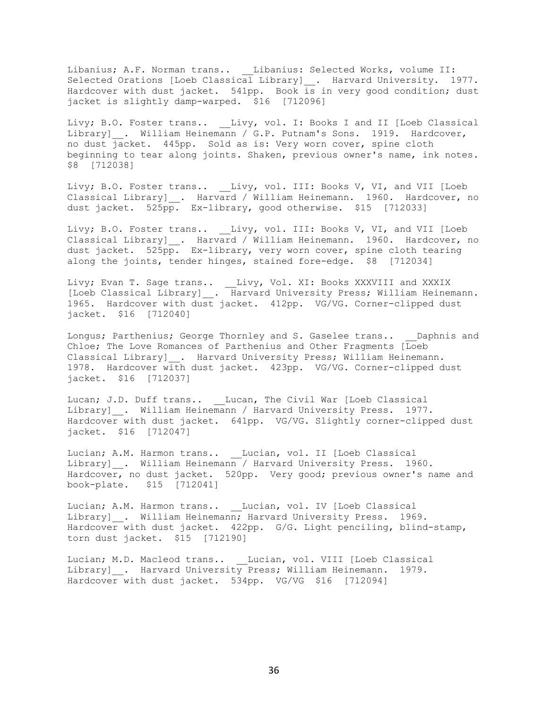Libanius; A.F. Norman trans.. \_\_Libanius: Selected Works, volume II: Selected Orations [Loeb Classical Library]\_\_. Harvard University. 1977. Hardcover with dust jacket. 541pp. Book is in very good condition; dust jacket is slightly damp-warped. \$16 [712096]

Livy; B.O. Foster trans.. \_\_Livy, vol. I: Books I and II [Loeb Classical Library] . William Heinemann / G.P. Putnam's Sons. 1919. Hardcover, no dust jacket. 445pp. Sold as is: Very worn cover, spine cloth beginning to tear along joints. Shaken, previous owner's name, ink notes. \$8 [712038]

Livy; B.O. Foster trans.. Livy, vol. III: Books V, VI, and VII [Loeb Classical Library] . Harvard / William Heinemann. 1960. Hardcover, no dust jacket. 525pp. Ex-library, good otherwise. \$15 [712033]

Livy; B.O. Foster trans.. \_\_Livy, vol. III: Books V, VI, and VII [Loeb Classical Library] \_. Harvard / William Heinemann. 1960. Hardcover, no dust jacket. 525pp. Ex-library, very worn cover, spine cloth tearing along the joints, tender hinges, stained fore-edge. \$8 [712034]

Livy; Evan T. Sage trans.. \_\_Livy, Vol. XI: Books XXXVIII and XXXIX [Loeb Classical Library]\_\_. Harvard University Press; William Heinemann. 1965. Hardcover with dust jacket. 412pp. VG/VG. Corner-clipped dust jacket. \$16 [712040]

Longus; Parthenius; George Thornley and S. Gaselee trans.. Daphnis and Chloe; The Love Romances of Parthenius and Other Fragments [Loeb Classical Library] . Harvard University Press; William Heinemann. 1978. Hardcover with dust jacket. 423pp. VG/VG. Corner-clipped dust jacket. \$16 [712037]

Lucan; J.D. Duff trans.. Lucan, The Civil War [Loeb Classical Library] . William Heinemann / Harvard University Press. 1977. Hardcover with dust jacket. 641pp. VG/VG. Slightly corner-clipped dust jacket. \$16 [712047]

Lucian; A.M. Harmon trans.. \_\_Lucian, vol. II [Loeb Classical Library] . William Heinemann / Harvard University Press. 1960. Hardcover, no dust jacket. 520pp. Very good; previous owner's name and book-plate. \$15 [712041]

Lucian; A.M. Harmon trans.. Lucian, vol. IV [Loeb Classical Library] . William Heinemann; Harvard University Press. 1969. Hardcover with dust jacket. 422pp. G/G. Light penciling, blind-stamp, torn dust jacket. \$15 [712190]

Lucian; M.D. Macleod trans.. Lucian, vol. VIII [Loeb Classical Library] . Harvard University Press; William Heinemann. 1979. Hardcover with dust jacket. 534pp. VG/VG \$16 [712094]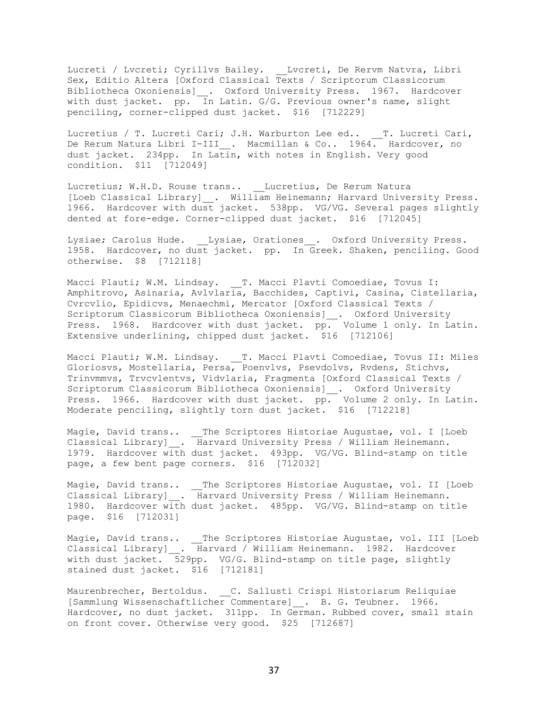Lucreti / Lvcreti; Cyrillvs Bailey. \_\_Lvcreti, De Rervm Natvra, Libri Sex, Editio Altera [Oxford Classical Texts / Scriptorum Classicorum Bibliotheca Oxoniensis]\_\_. Oxford University Press. 1967. Hardcover with dust jacket. pp. In Latin. G/G. Previous owner's name, slight penciling, corner-clipped dust jacket. \$16 [712229]

Lucretius / T. Lucreti Cari; J.H. Warburton Lee ed.. T. Lucreti Cari, De Rerum Natura Libri I-III<sub>\_\_</sub>. Macmillan & Co.. 1964. Hardcover, no dust jacket. 234pp. In Latin, with notes in English. Very good condition. \$11 [712049]

Lucretius; W.H.D. Rouse trans.. Lucretius, De Rerum Natura [Loeb Classical Library] . William Heinemann; Harvard University Press. 1966. Hardcover with dust jacket. 538pp. VG/VG. Several pages slightly dented at fore-edge. Corner-clipped dust jacket. \$16 [712045]

Lysiae; Carolus Hude. \_\_Lysiae, Orationes\_\_. Oxford University Press. 1958. Hardcover, no dust jacket. pp. In Greek. Shaken, penciling. Good otherwise. \$8 [712118]

Macci Plauti; W.M. Lindsay. T. Macci Plavti Comoediae, Tovus I: Amphitrovo, Asinaria, Avlvlaria, Bacchides, Captivi, Casina, Cistellaria, Cvrcvlio, Epidicvs, Menaechmi, Mercator [Oxford Classical Texts / Scriptorum Classicorum Bibliotheca Oxoniensis]\_\_. Oxford University Press. 1968. Hardcover with dust jacket. pp. Volume 1 only. In Latin. Extensive underlining, chipped dust jacket. \$16 [712106]

Macci Plauti; W.M. Lindsay. \_\_T. Macci Plavti Comoediae, Tovus II: Miles Gloriosvs, Mostellaria, Persa, Poenvlvs, Psevdolvs, Rvdens, Stichvs, Trinvmmvs, Trvcvlentvs, Vidvlaria, Fragmenta [Oxford Classical Texts / Scriptorum Classicorum Bibliotheca Oxoniensis]\_\_. Oxford University Press. 1966. Hardcover with dust jacket. pp. Volume 2 only. In Latin. Moderate penciling, slightly torn dust jacket. \$16 [712218]

Magie, David trans.. \_\_The Scriptores Historiae Augustae, vol. I [Loeb Classical Library]\_\_. Harvard University Press / William Heinemann. 1979. Hardcover with dust jacket. 493pp. VG/VG. Blind-stamp on title page, a few bent page corners. \$16 [712032]

Magie, David trans.. \_\_The Scriptores Historiae Augustae, vol. II [Loeb Classical Library]\_\_. Harvard University Press / William Heinemann. 1980. Hardcover with dust jacket. 485pp. VG/VG. Blind-stamp on title page. \$16 [712031]

Magie, David trans.. \_\_The Scriptores Historiae Augustae, vol. III [Loeb Classical Library]\_\_. Harvard / William Heinemann. 1982. Hardcover with dust jacket. 529pp. VG/G. Blind-stamp on title page, slightly stained dust jacket. \$16 [712181]

Maurenbrecher, Bertoldus. C. Sallusti Crispi Historiarum Reliquiae [Sammlung Wissenschaftlicher Commentare] . B. G. Teubner. 1966. Hardcover, no dust jacket. 311pp. In German. Rubbed cover, small stain on front cover. Otherwise very good. \$25 [712687]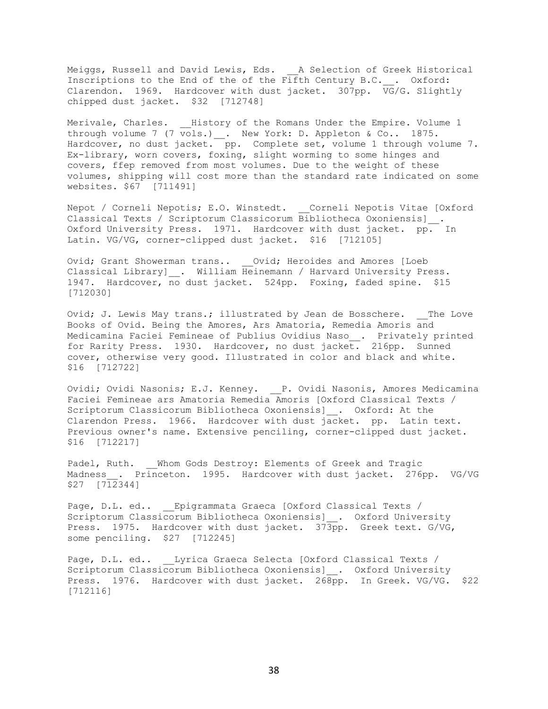Meiggs, Russell and David Lewis, Eds. A Selection of Greek Historical Inscriptions to the End of the of the Fifth Century B.C. . Oxford: Clarendon. 1969. Hardcover with dust jacket. 307pp. VG/G. Slightly chipped dust jacket. \$32 [712748]

Merivale, Charles. History of the Romans Under the Empire. Volume 1 through volume 7 (7 vols.) . New York: D. Appleton & Co.. 1875. Hardcover, no dust jacket. pp. Complete set, volume 1 through volume 7. Ex-library, worn covers, foxing, slight worming to some hinges and covers, ffep removed from most volumes. Due to the weight of these volumes, shipping will cost more than the standard rate indicated on some websites. \$67 [711491]

Nepot / Corneli Nepotis; E.O. Winstedt. Corneli Nepotis Vitae [Oxford Classical Texts / Scriptorum Classicorum Bibliotheca Oxoniensis]\_\_. Oxford University Press. 1971. Hardcover with dust jacket. pp. In Latin. VG/VG, corner-clipped dust jacket. \$16 [712105]

Ovid; Grant Showerman trans.. \_\_Ovid; Heroides and Amores [Loeb Classical Library] \_. William Heinemann / Harvard University Press. 1947. Hardcover, no dust jacket. 524pp. Foxing, faded spine. \$15 [712030]

Ovid; J. Lewis May trans.; illustrated by Jean de Bosschere. The Love Books of Ovid. Being the Amores, Ars Amatoria, Remedia Amoris and Medicamina Faciei Femineae of Publius Ovidius Naso\_\_. Privately printed for Rarity Press. 1930. Hardcover, no dust jacket. 216pp. Sunned cover, otherwise very good. Illustrated in color and black and white. \$16 [712722]

Ovidi; Ovidi Nasonis; E.J. Kenney. P. Ovidi Nasonis, Amores Medicamina Faciei Femineae ars Amatoria Remedia Amoris [Oxford Classical Texts / Scriptorum Classicorum Bibliotheca Oxoniensis]\_\_. Oxford: At the Clarendon Press. 1966. Hardcover with dust jacket. pp. Latin text. Previous owner's name. Extensive penciling, corner-clipped dust jacket. \$16 [712217]

Padel, Ruth. Whom Gods Destroy: Elements of Greek and Tragic Madness . Princeton. 1995. Hardcover with dust jacket. 276pp. VG/VG \$27 [712344]

Page, D.L. ed.. Epigrammata Graeca [Oxford Classical Texts / Scriptorum Classicorum Bibliotheca Oxoniensis]\_\_. Oxford University Press. 1975. Hardcover with dust jacket. 373pp. Greek text. G/VG, some penciling. \$27 [712245]

Page, D.L. ed.. Lyrica Graeca Selecta [Oxford Classical Texts / Scriptorum Classicorum Bibliotheca Oxoniensis]\_\_. Oxford University Press. 1976. Hardcover with dust jacket. 268pp. In Greek. VG/VG. \$22 [712116]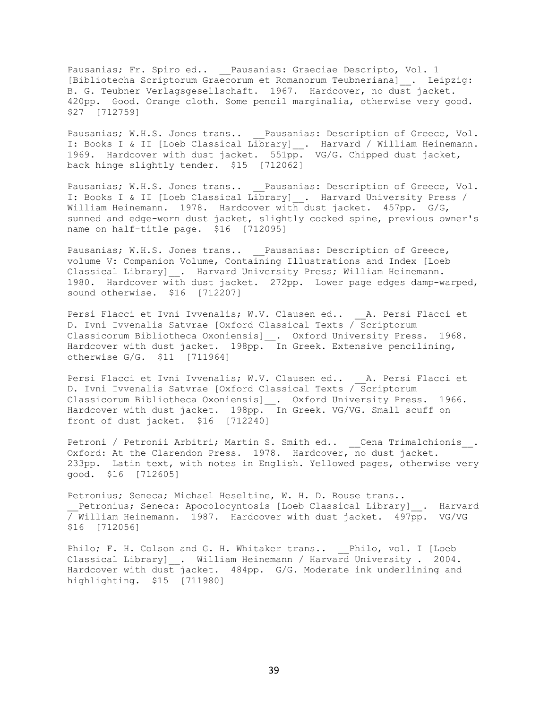Pausanias; Fr. Spiro ed.. \_\_Pausanias: Graeciae Descripto, Vol. 1 [Bibliotecha Scriptorum Graecorum et Romanorum Teubneriana]\_\_. Leipzig: B. G. Teubner Verlagsgesellschaft. 1967. Hardcover, no dust jacket. 420pp. Good. Orange cloth. Some pencil marginalia, otherwise very good. \$27 [712759]

Pausanias; W.H.S. Jones trans.. \_\_Pausanias: Description of Greece, Vol. I: Books I & II [Loeb Classical Library]\_\_. Harvard / William Heinemann. 1969. Hardcover with dust jacket. 551pp. VG/G. Chipped dust jacket, back hinge slightly tender. \$15 [712062]

Pausanias; W.H.S. Jones trans.. \_\_Pausanias: Description of Greece, Vol. I: Books I & II [Loeb Classical Library] . Harvard University Press / William Heinemann. 1978. Hardcover with dust jacket. 457pp. G/G, sunned and edge-worn dust jacket, slightly cocked spine, previous owner's name on half-title page. \$16 [712095]

Pausanias; W.H.S. Jones trans.. \_\_ Pausanias: Description of Greece, volume V: Companion Volume, Containing Illustrations and Index [Loeb Classical Library] . Harvard University Press; William Heinemann. 1980. Hardcover with dust jacket. 272pp. Lower page edges damp-warped, sound otherwise. \$16 [712207]

Persi Flacci et Ivni Ivvenalis; W.V. Clausen ed.. A. Persi Flacci et D. Ivni Ivvenalis Satvrae [Oxford Classical Texts / Scriptorum Classicorum Bibliotheca Oxoniensis]\_. Oxford University Press. 1968. Hardcover with dust jacket. 198pp. In Greek. Extensive pencilining, otherwise G/G. \$11 [711964]

Persi Flacci et Ivni Ivvenalis; W.V. Clausen ed.. A. Persi Flacci et D. Ivni Ivvenalis Satvrae [Oxford Classical Texts / Scriptorum Classicorum Bibliotheca Oxoniensis] . Oxford University Press. 1966. Hardcover with dust jacket. 198pp. In Greek. VG/VG. Small scuff on front of dust jacket. \$16 [712240]

Petroni / Petronii Arbitri; Martin S. Smith ed.. \_ Cena Trimalchionis\_. Oxford: At the Clarendon Press. 1978. Hardcover, no dust jacket. 233pp. Latin text, with notes in English. Yellowed pages, otherwise very good. \$16 [712605]

Petronius; Seneca; Michael Heseltine, W. H. D. Rouse trans.. Petronius; Seneca: Apocolocyntosis [Loeb Classical Library] . Harvard / William Heinemann. 1987. Hardcover with dust jacket. 497pp. VG/VG \$16 [712056]

Philo; F. H. Colson and G. H. Whitaker trans.. \_\_ Philo, vol. I [Loeb Classical Library] . William Heinemann / Harvard University . 2004. Hardcover with dust jacket. 484pp. G/G. Moderate ink underlining and highlighting. \$15 [711980]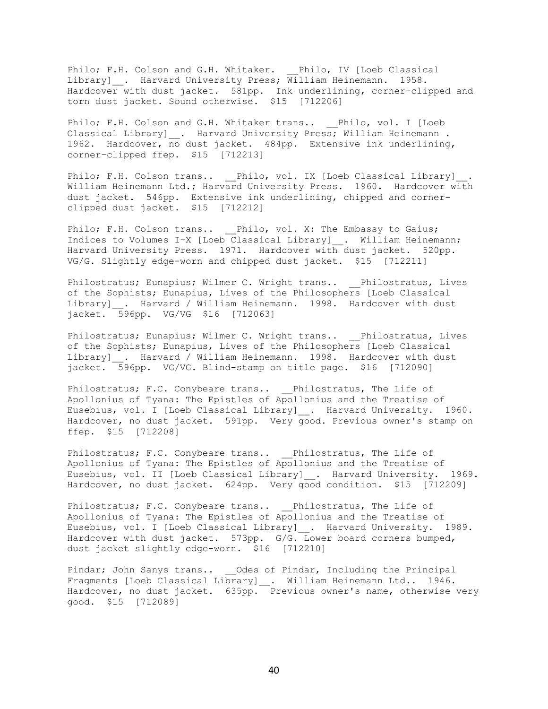Philo; F.H. Colson and G.H. Whitaker. Philo, IV [Loeb Classical Library] Rarvard University Press; William Heinemann. 1958. Hardcover with dust jacket. 581pp. Ink underlining, corner-clipped and torn dust jacket. Sound otherwise. \$15 [712206]

Philo; F.H. Colson and G.H. Whitaker trans.. Philo, vol. I [Loeb Classical Library] . Harvard University Press; William Heinemann . 1962. Hardcover, no dust jacket. 484pp. Extensive ink underlining, corner-clipped ffep. \$15 [712213]

Philo; F.H. Colson trans.. \_\_Philo, vol. IX [Loeb Classical Library]\_\_. William Heinemann Ltd.; Harvard University Press. 1960. Hardcover with dust jacket. 546pp. Extensive ink underlining, chipped and cornerclipped dust jacket. \$15 [712212]

Philo; F.H. Colson trans.. Philo, vol. X: The Embassy to Gaius; Indices to Volumes I-X [Loeb Classical Library] \_\_. William Heinemann; Harvard University Press. 1971. Hardcover with dust jacket. 520pp. VG/G. Slightly edge-worn and chipped dust jacket. \$15 [712211]

Philostratus; Eunapius; Wilmer C. Wright trans.. Philostratus, Lives of the Sophists; Eunapius, Lives of the Philosophers [Loeb Classical Library] \_\_. Harvard / William Heinemann. 1998. Hardcover with dust jacket. 596pp. VG/VG \$16 [712063]

Philostratus; Eunapius; Wilmer C. Wright trans.. \_\_Philostratus, Lives of the Sophists; Eunapius, Lives of the Philosophers [Loeb Classical Library] . Harvard / William Heinemann. 1998. Hardcover with dust jacket. 596pp. VG/VG. Blind-stamp on title page. \$16 [712090]

Philostratus; F.C. Conybeare trans.. Philostratus, The Life of Apollonius of Tyana: The Epistles of Apollonius and the Treatise of Eusebius, vol. I [Loeb Classical Library] . Harvard University. 1960. Hardcover, no dust jacket. 591pp. Very good. Previous owner's stamp on ffep. \$15 [712208]

Philostratus; F.C. Conybeare trans.. \_\_ Philostratus, The Life of Apollonius of Tyana: The Epistles of Apollonius and the Treatise of Eusebius, vol. II [Loeb Classical Library] . Harvard University. 1969. Hardcover, no dust jacket. 624pp. Very good condition. \$15 [712209]

Philostratus; F.C. Conybeare trans.. \_\_\_ Philostratus, The Life of Apollonius of Tyana: The Epistles of Apollonius and the Treatise of Eusebius, vol. I [Loeb Classical Library] . Harvard University. 1989. Hardcover with dust jacket. 573pp. G/G. Lower board corners bumped, dust jacket slightly edge-worn. \$16 [712210]

Pindar; John Sanys trans.. \_\_Odes of Pindar, Including the Principal Fragments [Loeb Classical Library]\_\_. William Heinemann Ltd.. 1946. Hardcover, no dust jacket. 635pp. Previous owner's name, otherwise very good. \$15 [712089]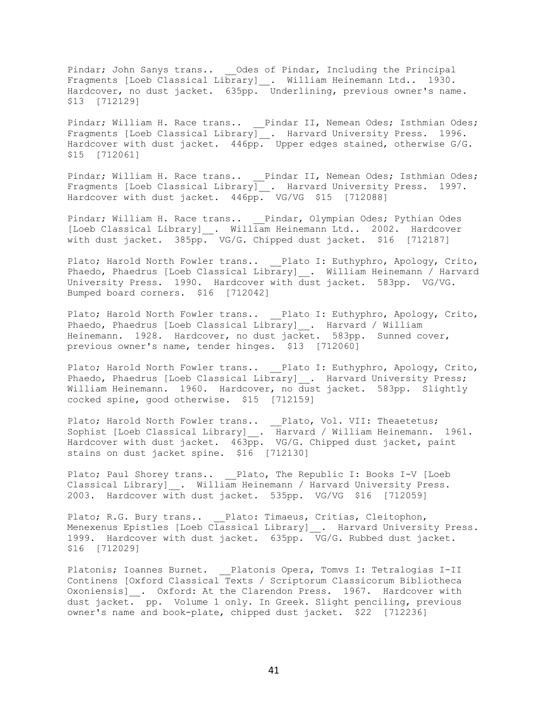Pindar; John Sanys trans.. \_\_Odes of Pindar, Including the Principal Fragments [Loeb Classical Library]\_\_. William Heinemann Ltd.. 1930. Hardcover, no dust jacket. 635pp. Underlining, previous owner's name. \$13 [712129]

Pindar; William H. Race trans.. \_\_ Pindar II, Nemean Odes; Isthmian Odes; Fragments [Loeb Classical Library] . Harvard University Press. 1996. Hardcover with dust jacket. 446pp. Upper edges stained, otherwise G/G. \$15 [712061]

Pindar; William H. Race trans.. \_\_Pindar II, Nemean Odes; Isthmian Odes; Fragments [Loeb Classical Library] . Harvard University Press. 1997. Hardcover with dust jacket. 446pp. VG/VG \$15 [712088]

Pindar; William H. Race trans.. \_\_Pindar, Olympian Odes; Pythian Odes [Loeb Classical Library]\_\_. William Heinemann Ltd.. 2002. Hardcover with dust jacket. 385pp. VG/G. Chipped dust jacket. \$16 [712187]

Plato; Harold North Fowler trans.. Plato I: Euthyphro, Apology, Crito, Phaedo, Phaedrus [Loeb Classical Library] \_\_. William Heinemann / Harvard University Press. 1990. Hardcover with dust jacket. 583pp. VG/VG. Bumped board corners. \$16 [712042]

Plato; Harold North Fowler trans.. Plato I: Euthyphro, Apology, Crito, Phaedo, Phaedrus [Loeb Classical Library] . Harvard / William Heinemann. 1928. Hardcover, no dust jacket. 583pp. Sunned cover, previous owner's name, tender hinges. \$13 [712060]

Plato; Harold North Fowler trans.. Plato I: Euthyphro, Apology, Crito, Phaedo, Phaedrus [Loeb Classical Library]\_\_. Harvard University Press; William Heinemann. 1960. Hardcover, no dust jacket. 583pp. Slightly cocked spine, good otherwise. \$15 [712159]

Plato; Harold North Fowler trans.. \_\_Plato, Vol. VII: Theaetetus; Sophist [Loeb Classical Library]\_\_. Harvard / William Heinemann. 1961. Hardcover with dust jacket. 463pp. VG/G. Chipped dust jacket, paint stains on dust jacket spine. \$16 [712130]

Plato; Paul Shorey trans.. \_\_Plato, The Republic I: Books I-V [Loeb Classical Library] \_\_. William Heinemann / Harvard University Press. 2003. Hardcover with dust jacket. 535pp. VG/VG \$16 [712059]

Plato; R.G. Bury trans.. Plato: Timaeus, Critias, Cleitophon, Menexenus Epistles [Loeb Classical Library] . Harvard University Press. 1999. Hardcover with dust jacket. 635pp. VG/G. Rubbed dust jacket. \$16 [712029]

Platonis; Ioannes Burnet. Platonis Opera, Tomvs I: Tetralogias I-II Continens [Oxford Classical Texts / Scriptorum Classicorum Bibliotheca Oxoniensis] . Oxford: At the Clarendon Press. 1967. Hardcover with dust jacket. pp. Volume 1 only. In Greek. Slight penciling, previous owner's name and book-plate, chipped dust jacket. \$22 [712236]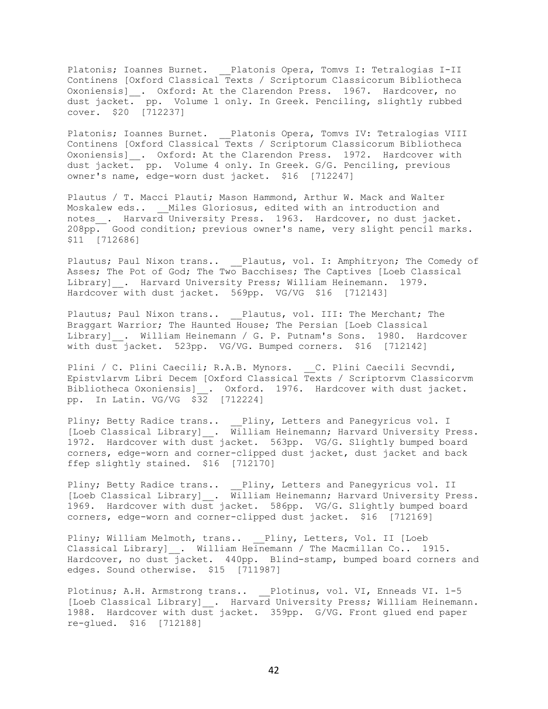Platonis; Ioannes Burnet. \_\_Platonis Opera, Tomvs I: Tetralogias I-II Continens [Oxford Classical Texts / Scriptorum Classicorum Bibliotheca Oxoniensis]\_\_. Oxford: At the Clarendon Press. 1967. Hardcover, no dust jacket. pp. Volume 1 only. In Greek. Penciling, slightly rubbed cover. \$20 [712237]

Platonis; Ioannes Burnet. \_\_Platonis Opera, Tomvs IV: Tetralogias VIII Continens [Oxford Classical Texts / Scriptorum Classicorum Bibliotheca Oxoniensis]\_. Oxford: At the Clarendon Press. 1972. Hardcover with dust jacket. pp. Volume 4 only. In Greek. G/G. Penciling, previous owner's name, edge-worn dust jacket. \$16 [712247]

Plautus / T. Macci Plauti; Mason Hammond, Arthur W. Mack and Walter Moskalew eds.. Miles Gloriosus, edited with an introduction and notes . Harvard University Press. 1963. Hardcover, no dust jacket. 208pp. Good condition; previous owner's name, very slight pencil marks. \$11 [712686]

Plautus; Paul Nixon trans.. Plautus, vol. I: Amphitryon; The Comedy of Asses; The Pot of God; The Two Bacchises; The Captives [Loeb Classical Library] . Harvard University Press; William Heinemann. 1979. Hardcover with dust jacket. 569pp. VG/VG \$16 [712143]

Plautus; Paul Nixon trans.. \_\_Plautus, vol. III: The Merchant; The Braggart Warrior; The Haunted House; The Persian [Loeb Classical Library] . William Heinemann / G. P. Putnam's Sons. 1980. Hardcover with dust jacket. 523pp. VG/VG. Bumped corners. \$16 [712142]

Plini / C. Plini Caecili; R.A.B. Mynors. \_\_C. Plini Caecili Secvndi, Epistvlarvm Libri Decem [Oxford Classical Texts / Scriptorvm Classicorvm Bibliotheca Oxoniensis] . Oxford. 1976. Hardcover with dust jacket. pp. In Latin. VG/VG \$32 [712224]

Pliny; Betty Radice trans.. \_\_Pliny, Letters and Panegyricus vol. I [Loeb Classical Library]\_\_. William Heinemann; Harvard University Press. 1972. Hardcover with dust jacket. 563pp. VG/G. Slightly bumped board corners, edge-worn and corner-clipped dust jacket, dust jacket and back ffep slightly stained. \$16 [712170]

Pliny; Betty Radice trans.. Pliny, Letters and Panegyricus vol. II [Loeb Classical Library]\_\_. William Heinemann; Harvard University Press. 1969. Hardcover with dust jacket. 586pp. VG/G. Slightly bumped board corners, edge-worn and corner-clipped dust jacket. \$16 [712169]

Pliny; William Melmoth, trans.. \_\_Pliny, Letters, Vol. II [Loeb Classical Library] . William Heinemann / The Macmillan Co.. 1915. Hardcover, no dust jacket. 440pp. Blind-stamp, bumped board corners and edges. Sound otherwise. \$15 [711987]

Plotinus; A.H. Armstrong trans.. \_\_Plotinus, vol. VI, Enneads VI. 1-5 [Loeb Classical Library] . Harvard University Press; William Heinemann. 1988. Hardcover with dust jacket. 359pp. G/VG. Front glued end paper re-glued. \$16 [712188]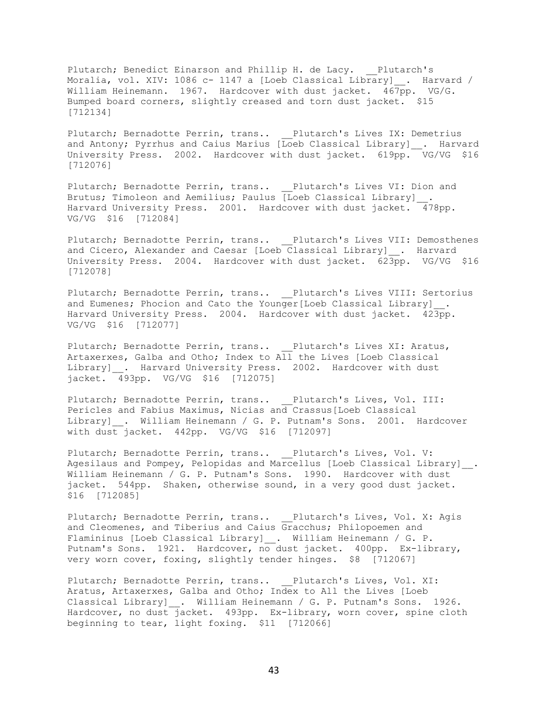Plutarch; Benedict Einarson and Phillip H. de Lacy. Plutarch's Moralia, vol. XIV: 1086 c- 1147 a [Loeb Classical Library] . Harvard / William Heinemann. 1967. Hardcover with dust jacket. 467pp. VG/G. Bumped board corners, slightly creased and torn dust jacket. \$15 [712134]

Plutarch; Bernadotte Perrin, trans.. Plutarch's Lives IX: Demetrius and Antony; Pyrrhus and Caius Marius [Loeb Classical Library] . Harvard University Press. 2002. Hardcover with dust jacket. 619pp. VG/VG \$16 [712076]

Plutarch; Bernadotte Perrin, trans.. Plutarch's Lives VI: Dion and Brutus; Timoleon and Aemilius; Paulus [Loeb Classical Library] Harvard University Press. 2001. Hardcover with dust jacket. 478pp. VG/VG \$16 [712084]

Plutarch; Bernadotte Perrin, trans.. \_\_Plutarch's Lives VII: Demosthenes and Cicero, Alexander and Caesar [Loeb Classical Library] \_. Harvard University Press. 2004. Hardcover with dust jacket. 623pp. VG/VG \$16 [712078]

Plutarch; Bernadotte Perrin, trans.. \_\_Plutarch's Lives VIII: Sertorius and Eumenes; Phocion and Cato the Younger[Loeb Classical Library] Harvard University Press. 2004. Hardcover with dust jacket. 423pp. VG/VG \$16 [712077]

Plutarch; Bernadotte Perrin, trans.. Plutarch's Lives XI: Aratus, Artaxerxes, Galba and Otho; Index to All the Lives [Loeb Classical Library] . Harvard University Press. 2002. Hardcover with dust jacket. 493pp. VG/VG \$16 [712075]

Plutarch; Bernadotte Perrin, trans.. Plutarch's Lives, Vol. III: Pericles and Fabius Maximus, Nicias and Crassus[Loeb Classical Library] . William Heinemann / G. P. Putnam's Sons. 2001. Hardcover with dust jacket. 442pp. VG/VG \$16 [712097]

Plutarch; Bernadotte Perrin, trans.. Plutarch's Lives, Vol. V: Agesilaus and Pompey, Pelopidas and Marcellus [Loeb Classical Library] . William Heinemann / G. P. Putnam's Sons. 1990. Hardcover with dust jacket. 544pp. Shaken, otherwise sound, in a very good dust jacket. \$16 [712085]

Plutarch; Bernadotte Perrin, trans.. Plutarch's Lives, Vol. X: Agis and Cleomenes, and Tiberius and Caius Gracchus; Philopoemen and Flamininus [Loeb Classical Library] . William Heinemann / G. P. Putnam's Sons. 1921. Hardcover, no dust jacket. 400pp. Ex-library, very worn cover, foxing, slightly tender hinges. \$8 [712067]

Plutarch; Bernadotte Perrin, trans.. Plutarch's Lives, Vol. XI: Aratus, Artaxerxes, Galba and Otho; Index to All the Lives [Loeb Classical Library] . William Heinemann / G. P. Putnam's Sons. 1926. Hardcover, no dust jacket. 493pp. Ex-library, worn cover, spine cloth beginning to tear, light foxing. \$11 [712066]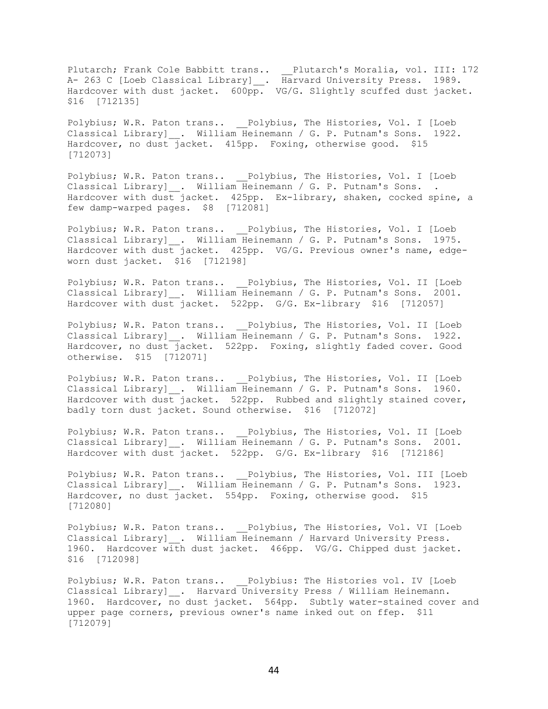Plutarch; Frank Cole Babbitt trans.. \_\_Plutarch's Moralia, vol. III: 172 A- 263 C [Loeb Classical Library]\_\_. Harvard University Press. 1989. Hardcover with dust jacket. 600pp. VG/G. Slightly scuffed dust jacket. \$16 [712135]

Polybius; W.R. Paton trans.. Polybius, The Histories, Vol. I [Loeb Classical Library] . William Heinemann / G. P. Putnam's Sons. 1922. Hardcover, no dust jacket. 415pp. Foxing, otherwise good. \$15 [712073]

Polybius; W.R. Paton trans.. Polybius, The Histories, Vol. I [Loeb Classical Library] . William Heinemann / G. P. Putnam's Sons. . Hardcover with dust jacket. 425pp. Ex-library, shaken, cocked spine, a few damp-warped pages. \$8 [712081]

Polybius; W.R. Paton trans.. \_\_Polybius, The Histories, Vol. I [Loeb Classical Library]\_\_. William Heinemann / G. P. Putnam's Sons. 1975. Hardcover with dust jacket. 425pp. VG/G. Previous owner's name, edgeworn dust jacket. \$16 [712198]

Polybius; W.R. Paton trans.. \_\_\_ Polybius, The Histories, Vol. II [Loeb Classical Library] \_. William Heinemann / G. P. Putnam's Sons. 2001. Hardcover with dust jacket. 522pp. G/G. Ex-library \$16 [712057]

Polybius; W.R. Paton trans.. \_\_Polybius, The Histories, Vol. II [Loeb Classical Library]\_\_. William Heinemann / G. P. Putnam's Sons. 1922. Hardcover, no dust jacket. 522pp. Foxing, slightly faded cover. Good otherwise. \$15 [712071]

Polybius; W.R. Paton trans.. \_\_Polybius, The Histories, Vol. II [Loeb Classical Library] . William Heinemann / G. P. Putnam's Sons. 1960. Hardcover with dust jacket. 522pp. Rubbed and slightly stained cover, badly torn dust jacket. Sound otherwise. \$16 [712072]

Polybius; W.R. Paton trans.. \_\_\_ Polybius, The Histories, Vol. II [Loeb Classical Library] . William Heinemann / G. P. Putnam's Sons. 2001. Hardcover with dust jacket. 522pp. G/G. Ex-library \$16 [712186]

Polybius; W.R. Paton trans.. Polybius, The Histories, Vol. III [Loeb Classical Library]\_\_. William Heinemann / G. P. Putnam's Sons. 1923. Hardcover, no dust jacket. 554pp. Foxing, otherwise good. \$15 [712080]

Polybius; W.R. Paton trans.. \_\_\_ Polybius, The Histories, Vol. VI [Loeb Classical Library]\_\_. William Heinemann / Harvard University Press. 1960. Hardcover with dust jacket. 466pp. VG/G. Chipped dust jacket. \$16 [712098]

Polybius; W.R. Paton trans.. \_\_Polybius: The Histories vol. IV [Loeb Classical Library] . Harvard University Press / William Heinemann. 1960. Hardcover, no dust jacket. 564pp. Subtly water-stained cover and upper page corners, previous owner's name inked out on ffep. \$11 [712079]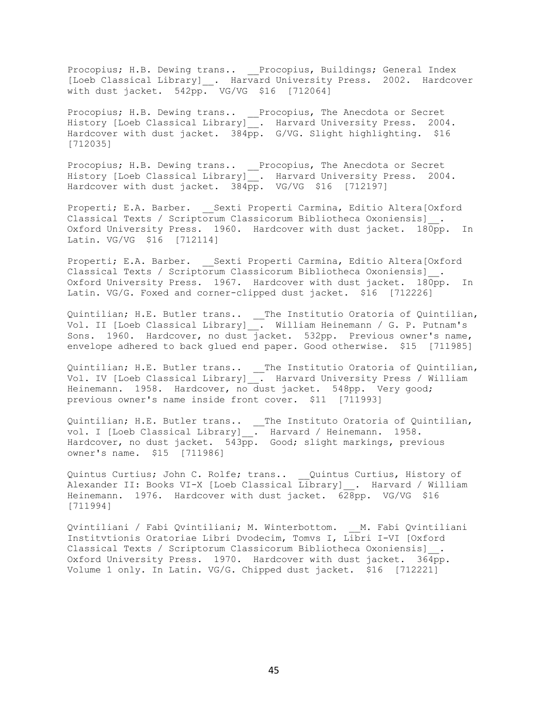Procopius; H.B. Dewing trans.. \_\_Procopius, Buildings; General Index [Loeb Classical Library]\_\_. Harvard University Press. 2002. Hardcover with dust jacket. 542pp. VG/VG \$16 [712064]

Procopius; H.B. Dewing trans.. \_\_Procopius, The Anecdota or Secret History [Loeb Classical Library]\_\_. Harvard University Press. 2004. Hardcover with dust jacket. 384pp. G/VG. Slight highlighting. \$16 [712035]

Procopius; H.B. Dewing trans.. \_\_Procopius, The Anecdota or Secret History [Loeb Classical Library]\_\_. Harvard University Press. 2004. Hardcover with dust jacket. 384pp. VG/VG \$16 [712197]

Properti; E.A. Barber. Sexti Properti Carmina, Editio Altera[Oxford Classical Texts / Scriptorum Classicorum Bibliotheca Oxoniensis] . Oxford University Press. 1960. Hardcover with dust jacket. 180pp. In Latin. VG/VG \$16 [712114]

Properti; E.A. Barber. \_\_Sexti Properti Carmina, Editio Altera[Oxford Classical Texts / Scriptorum Classicorum Bibliotheca Oxoniensis]\_\_. Oxford University Press. 1967. Hardcover with dust jacket. 180pp. In Latin. VG/G. Foxed and corner-clipped dust jacket. \$16 [712226]

Quintilian; H.E. Butler trans.. \_\_The Institutio Oratoria of Quintilian, Vol. II [Loeb Classical Library]\_\_. William Heinemann / G. P. Putnam's Sons. 1960. Hardcover, no dust jacket. 532pp. Previous owner's name, envelope adhered to back glued end paper. Good otherwise. \$15 [711985]

Quintilian; H.E. Butler trans.. \_\_The Institutio Oratoria of Quintilian, Vol. IV [Loeb Classical Library]\_\_. Harvard University Press / William Heinemann. 1958. Hardcover, no dust jacket. 548pp. Very good; previous owner's name inside front cover. \$11 [711993]

Quintilian; H.E. Butler trans.. \_\_The Instituto Oratoria of Quintilian, vol. I [Loeb Classical Library]\_\_. Harvard / Heinemann. 1958. Hardcover, no dust jacket. 543pp. Good; slight markings, previous owner's name. \$15 [711986]

Quintus Curtius; John C. Rolfe; trans.. \_\_Quintus Curtius, History of Alexander II: Books VI-X [Loeb Classical Library]\_\_. Harvard / William Heinemann. 1976. Hardcover with dust jacket. 628pp. VG/VG \$16 [711994]

Qvintiliani / Fabi Qvintiliani; M. Winterbottom. \_\_M. Fabi Qvintiliani Institvtionis Oratoriae Libri Dvodecim, Tomvs I, Libri I-VI [Oxford Classical Texts / Scriptorum Classicorum Bibliotheca Oxoniensis]\_\_. Oxford University Press. 1970. Hardcover with dust jacket. 364pp. Volume 1 only. In Latin. VG/G. Chipped dust jacket. \$16 [712221]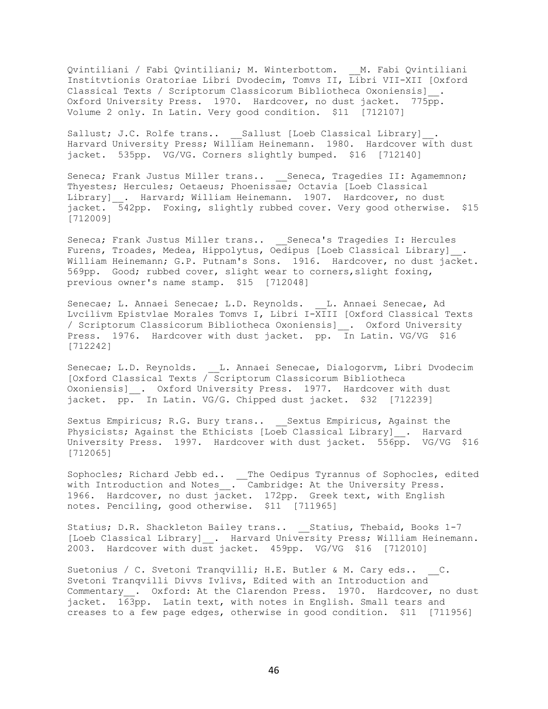Qvintiliani / Fabi Qvintiliani; M. Winterbottom. \_\_M. Fabi Qvintiliani Institvtionis Oratoriae Libri Dvodecim, Tomvs II, Libri VII-XII [Oxford Classical Texts / Scriptorum Classicorum Bibliotheca Oxoniensis]\_\_. Oxford University Press. 1970. Hardcover, no dust jacket. 775pp. Volume 2 only. In Latin. Very good condition. \$11 [712107]

Sallust; J.C. Rolfe trans.. \_\_\_ Sallust [Loeb Classical Library] . Harvard University Press; William Heinemann. 1980. Hardcover with dust jacket. 535pp. VG/VG. Corners slightly bumped. \$16 [712140]

Seneca; Frank Justus Miller trans.. Seneca, Tragedies II: Agamemnon; Thyestes; Hercules; Oetaeus; Phoenissae; Octavia [Loeb Classical Library] . Harvard; William Heinemann. 1907. Hardcover, no dust jacket. 542pp. Foxing, slightly rubbed cover. Very good otherwise. \$15 [712009]

Seneca; Frank Justus Miller trans.. \_\_Seneca's Tragedies I: Hercules Furens, Troades, Medea, Hippolytus, Oedipus [Loeb Classical Library]\_\_. William Heinemann; G.P. Putnam's Sons. 1916. Hardcover, no dust jacket. 569pp. Good; rubbed cover, slight wear to corners,slight foxing, previous owner's name stamp. \$15 [712048]

Senecae; L. Annaei Senecae; L.D. Reynolds. L. Annaei Senecae, Ad Lvcilivm Epistvlae Morales Tomvs I, Libri I-XIII [Oxford Classical Texts / Scriptorum Classicorum Bibliotheca Oxoniensis]\_\_. Oxford University Press. 1976. Hardcover with dust jacket. pp. In Latin. VG/VG \$16 [712242]

Senecae; L.D. Reynolds. \_\_L. Annaei Senecae, Dialogorvm, Libri Dvodecim [Oxford Classical Texts / Scriptorum Classicorum Bibliotheca Oxoniensis] . Oxford University Press. 1977. Hardcover with dust jacket. pp. In Latin. VG/G. Chipped dust jacket. \$32 [712239]

Sextus Empiricus; R.G. Bury trans.. Sextus Empiricus, Against the Physicists; Against the Ethicists [Loeb Classical Library] . Harvard University Press. 1997. Hardcover with dust jacket. 556pp. VG/VG \$16 [712065]

Sophocles; Richard Jebb ed.. \_\_The Oedipus Tyrannus of Sophocles, edited with Introduction and Notes\_\_. Cambridge: At the University Press. 1966. Hardcover, no dust jacket. 172pp. Greek text, with English notes. Penciling, good otherwise. \$11 [711965]

Statius; D.R. Shackleton Bailey trans.. Statius, Thebaid, Books 1-7 [Loeb Classical Library] . Harvard University Press; William Heinemann. 2003. Hardcover with dust jacket. 459pp. VG/VG \$16 [712010]

Suetonius / C. Svetoni Tranqvilli; H.E. Butler & M. Cary eds.. C. Svetoni Tranqvilli Divvs Ivlivs, Edited with an Introduction and Commentary . Oxford: At the Clarendon Press. 1970. Hardcover, no dust jacket. 163pp. Latin text, with notes in English. Small tears and creases to a few page edges, otherwise in good condition. \$11 [711956]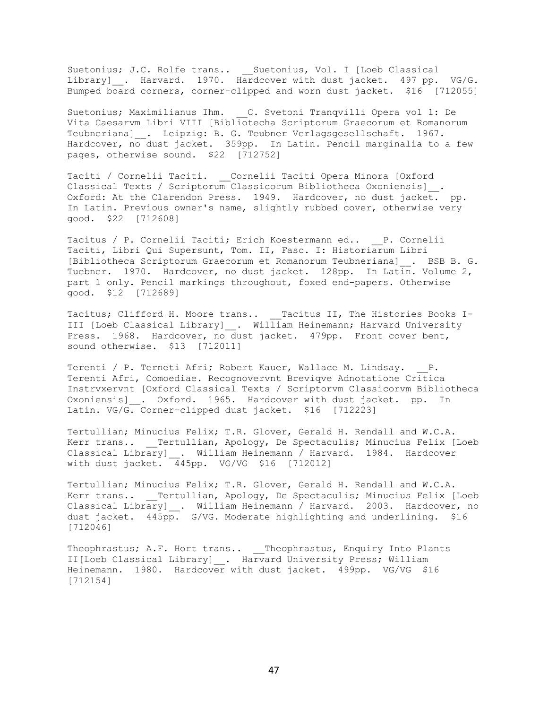Suetonius; J.C. Rolfe trans.. \_\_ Suetonius, Vol. I [Loeb Classical Library]\_\_. Harvard. 1970. Hardcover with dust jacket. 497 pp. VG/G. Bumped board corners, corner-clipped and worn dust jacket. \$16 [712055]

Suetonius; Maximilianus Ihm. C. Svetoni Tranqvilli Opera vol 1: De Vita Caesarvm Libri VIII [Bibliotecha Scriptorum Graecorum et Romanorum Teubneriana] . Leipzig: B. G. Teubner Verlagsgesellschaft. 1967. Hardcover, no dust jacket. 359pp. In Latin. Pencil marginalia to a few pages, otherwise sound. \$22 [712752]

Taciti / Cornelii Taciti. \_\_Cornelii Taciti Opera Minora [Oxford Classical Texts / Scriptorum Classicorum Bibliotheca Oxoniensis]\_\_. Oxford: At the Clarendon Press. 1949. Hardcover, no dust jacket. pp. In Latin. Previous owner's name, slightly rubbed cover, otherwise very good. \$22 [712608]

Tacitus / P. Cornelii Taciti; Erich Koestermann ed.. \_\_P. Cornelii Taciti, Libri Qui Supersunt, Tom. II, Fasc. I: Historiarum Libri [Bibliotheca Scriptorum Graecorum et Romanorum Teubneriana]\_\_. BSB B. G. Tuebner. 1970. Hardcover, no dust jacket. 128pp. In Latin. Volume 2, part 1 only. Pencil markings throughout, foxed end-papers. Otherwise good. \$12 [712689]

Tacitus; Clifford H. Moore trans.. \_\_Tacitus II, The Histories Books I-III [Loeb Classical Library] . William Heinemann; Harvard University Press. 1968. Hardcover, no dust jacket. 479pp. Front cover bent, sound otherwise. \$13 [712011]

Terenti / P. Terneti Afri; Robert Kauer, Wallace M. Lindsay. P. Terenti Afri, Comoediae. Recognovervnt Breviqve Adnotatione Critica Instrvxervnt [Oxford Classical Texts / Scriptorvm Classicorvm Bibliotheca Oxoniensis] . Oxford. 1965. Hardcover with dust jacket. pp. In Latin. VG/G. Corner-clipped dust jacket. \$16 [712223]

Tertullian; Minucius Felix; T.R. Glover, Gerald H. Rendall and W.C.A. Kerr trans.. \_\_Tertullian, Apology, De Spectaculis; Minucius Felix [Loeb Classical Library] . William Heinemann / Harvard. 1984. Hardcover with dust jacket. 445pp. VG/VG \$16 [712012]

Tertullian; Minucius Felix; T.R. Glover, Gerald H. Rendall and W.C.A. Kerr trans.. \_\_ Tertullian, Apology, De Spectaculis; Minucius Felix [Loeb Classical Library] . William Heinemann / Harvard. 2003. Hardcover, no dust jacket. 445pp. G/VG. Moderate highlighting and underlining. \$16 [712046]

Theophrastus; A.F. Hort trans.. Theophrastus, Enquiry Into Plants II[Loeb Classical Library]\_\_. Harvard University Press; William Heinemann. 1980. Hardcover with dust jacket. 499pp. VG/VG \$16 [712154]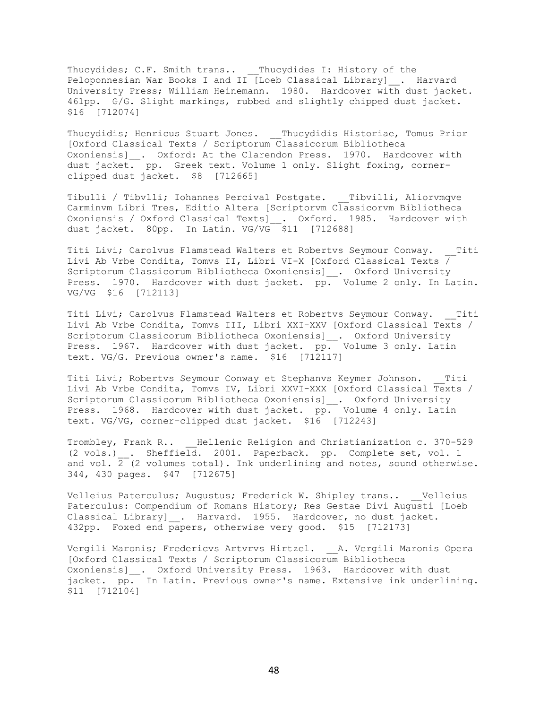Thucydides; C.F. Smith trans.. \_\_Thucydides I: History of the Peloponnesian War Books I and II [Loeb Classical Library]\_\_. Harvard University Press; William Heinemann. 1980. Hardcover with dust jacket. 461pp. G/G. Slight markings, rubbed and slightly chipped dust jacket. \$16 [712074]

Thucydidis; Henricus Stuart Jones. Thucydidis Historiae, Tomus Prior [Oxford Classical Texts / Scriptorum Classicorum Bibliotheca Oxoniensis] \_\_. Oxford: At the Clarendon Press. 1970. Hardcover with dust jacket. pp. Greek text. Volume 1 only. Slight foxing, cornerclipped dust jacket. \$8 [712665]

Tibulli / Tibvlli; Iohannes Percival Postgate. \_\_Tibvilli, Aliorvmqve Carminvm Libri Tres, Editio Altera [Scriptorvm Classicorvm Bibliotheca Oxoniensis / Oxford Classical Texts]\_\_. Oxford. 1985. Hardcover with dust jacket. 80pp. In Latin. VG/VG \$11 [712688]

Titi Livi; Carolvus Flamstead Walters et Robertvs Seymour Conway. Titi Livi Ab Vrbe Condita, Tomvs II, Libri VI-X [Oxford Classical Texts  $\overline{ }$ Scriptorum Classicorum Bibliotheca Oxoniensis]\_\_. Oxford University Press. 1970. Hardcover with dust jacket. pp. Volume 2 only. In Latin. VG/VG \$16 [712113]

Titi Livi; Carolvus Flamstead Walters et Robertvs Seymour Conway. Titi Livi Ab Vrbe Condita, Tomvs III, Libri XXI-XXV [Oxford Classical Texts / Scriptorum Classicorum Bibliotheca Oxoniensis]\_\_. Oxford University Press. 1967. Hardcover with dust jacket. pp. Volume 3 only. Latin text. VG/G. Previous owner's name. \$16 [712117]

Titi Livi; Robertvs Seymour Conway et Stephanvs Keymer Johnson. \_\_Titi Livi Ab Vrbe Condita, Tomvs IV, Libri XXVI-XXX [Oxford Classical Texts / Scriptorum Classicorum Bibliotheca Oxoniensis]\_\_. Oxford University Press. 1968. Hardcover with dust jacket. pp. Volume 4 only. Latin text. VG/VG, corner-clipped dust jacket. \$16 [712243]

Trombley, Frank R.. Hellenic Religion and Christianization c. 370-529 (2 vols.) . Sheffield. 2001. Paperback. pp. Complete set, vol. 1 and vol.  $\overline{2}$  (2 volumes total). Ink underlining and notes, sound otherwise. 344, 430 pages. \$47 [712675]

Velleius Paterculus; Augustus; Frederick W. Shipley trans.. \_\_Velleius Paterculus: Compendium of Romans History; Res Gestae Divi Augusti [Loeb Classical Library] . Harvard. 1955. Hardcover, no dust jacket. 432pp. Foxed end papers, otherwise very good. \$15 [712173]

Vergili Maronis; Fredericvs Artvrvs Hirtzel. \_\_A. Vergili Maronis Opera [Oxford Classical Texts / Scriptorum Classicorum Bibliotheca Oxoniensis] . Oxford University Press. 1963. Hardcover with dust jacket. pp. In Latin. Previous owner's name. Extensive ink underlining. \$11 [712104]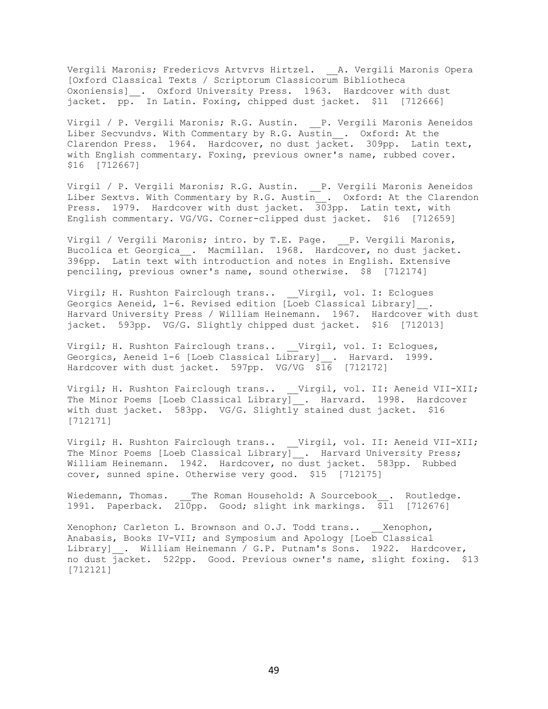Vergili Maronis; Fredericvs Artvrvs Hirtzel. \_\_A. Vergili Maronis Opera [Oxford Classical Texts / Scriptorum Classicorum Bibliotheca Oxoniensis]\_\_. Oxford University Press. 1963. Hardcover with dust jacket. pp. In Latin. Foxing, chipped dust jacket. \$11 [712666]

Virgil / P. Vergili Maronis; R.G. Austin. P. Vergili Maronis Aeneidos Liber Secvundvs. With Commentary by R.G. Austin . Oxford: At the Clarendon Press. 1964. Hardcover, no dust jacket. 309pp. Latin text, with English commentary. Foxing, previous owner's name, rubbed cover. \$16 [712667]

Virgil / P. Vergili Maronis; R.G. Austin. \_\_P. Vergili Maronis Aeneidos Liber Sextvs. With Commentary by R.G. Austin . Oxford: At the Clarendon Press. 1979. Hardcover with dust jacket. 303pp. Latin text, with English commentary. VG/VG. Corner-clipped dust jacket. \$16 [712659]

Virgil / Vergili Maronis; intro. by T.E. Page. \_\_ P. Vergili Maronis, Bucolica et Georgica\_\_. Macmillan. 1968. Hardcover, no dust jacket. 396pp. Latin text with introduction and notes in English. Extensive penciling, previous owner's name, sound otherwise. \$8 [712174]

Virgil; H. Rushton Fairclough trans.. \_\_Virgil, vol. I: Eclogues Georgics Aeneid, 1-6. Revised edition [Loeb Classical Library] . Harvard University Press / William Heinemann. 1967. Hardcover with dust jacket. 593pp. VG/G. Slightly chipped dust jacket. \$16 [712013]

Virgil; H. Rushton Fairclough trans.. Virgil, vol. I: Eclogues, Georgics, Aeneid 1-6 [Loeb Classical Library] . Harvard. 1999. Hardcover with dust jacket. 597pp. VG/VG \$16 [712172]

Virgil; H. Rushton Fairclough trans.. Virgil, vol. II: Aeneid VII-XII; The Minor Poems [Loeb Classical Library] . Harvard. 1998. Hardcover with dust jacket. 583pp. VG/G. Slightly stained dust jacket. \$16 [712171]

Virgil; H. Rushton Fairclough trans.. \_\_Virgil, vol. II: Aeneid VII-XII; The Minor Poems [Loeb Classical Library]\_\_. Harvard University Press; William Heinemann. 1942. Hardcover, no dust jacket. 583pp. Rubbed cover, sunned spine. Otherwise very good. \$15 [712175]

Wiedemann, Thomas. \_\_The Roman Household: A Sourcebook . Routledge. 1991. Paperback.  $2\overline{10}$ pp. Good; slight ink markings.  $\overline{$}11$  [712676]

Xenophon; Carleton L. Brownson and O.J. Todd trans.. Xenophon, Anabasis, Books IV-VII; and Symposium and Apology [Loeb Classical Library] . William Heinemann / G.P. Putnam's Sons. 1922. Hardcover, no dust jacket. 522pp. Good. Previous owner's name, slight foxing. \$13 [712121]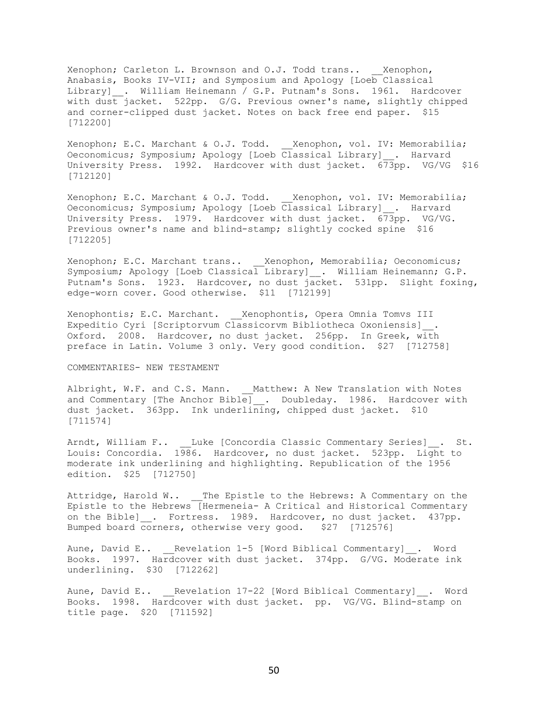Xenophon; Carleton L. Brownson and O.J. Todd trans.. Xenophon, Anabasis, Books IV-VII; and Symposium and Apology [Loeb Classical Library] . William Heinemann / G.P. Putnam's Sons. 1961. Hardcover with dust jacket. 522pp. G/G. Previous owner's name, slightly chipped and corner-clipped dust jacket. Notes on back free end paper. \$15 [712200]

Xenophon; E.C. Marchant & O.J. Todd. Xenophon, vol. IV: Memorabilia; Oeconomicus; Symposium; Apology [Loeb Classical Library] . Harvard University Press. 1992. Hardcover with dust jacket. 673pp. VG/VG \$16 [712120]

Xenophon; E.C. Marchant & O.J. Todd. Xenophon, vol. IV: Memorabilia; Oeconomicus; Symposium; Apology [Loeb Classical Library]\_\_. Harvard University Press. 1979. Hardcover with dust jacket. 673pp. VG/VG. Previous owner's name and blind-stamp; slightly cocked spine \$16 [712205]

Xenophon; E.C. Marchant trans.. \_\_Xenophon, Memorabilia; Oeconomicus; Symposium; Apology [Loeb Classical Library]\_\_. William Heinemann; G.P. Putnam's Sons. 1923. Hardcover, no dust jacket. 531pp. Slight foxing, edge-worn cover. Good otherwise. \$11 [712199]

Xenophontis; E.C. Marchant. \_\_Xenophontis, Opera Omnia Tomvs III Expeditio Cyri [Scriptorvum Classicorvm Bibliotheca Oxoniensis]\_\_. Oxford. 2008. Hardcover, no dust jacket. 256pp. In Greek, with preface in Latin. Volume 3 only. Very good condition. \$27 [712758]

### COMMENTARIES- NEW TESTAMENT

Albright, W.F. and C.S. Mann. Matthew: A New Translation with Notes and Commentary [The Anchor Bible] . Doubleday. 1986. Hardcover with dust jacket.  $363$ pp. Ink underlining, chipped dust jacket. \$10 [711574]

Arndt, William F.. \_\_Luke [Concordia Classic Commentary Series] . St. Louis: Concordia. 1986. Hardcover, no dust jacket. 523pp. Light to moderate ink underlining and highlighting. Republication of the 1956 edition. \$25 [712750]

Attridge, Harold W.. \_\_The Epistle to the Hebrews: A Commentary on the Epistle to the Hebrews [Hermeneia- A Critical and Historical Commentary on the Bible] . Fortress. 1989. Hardcover, no dust jacket. 437pp. Bumped board corners, otherwise very good. \$27 [712576]

Aune, David E.. Revelation 1-5 [Word Biblical Commentary] . Word Books. 1997. Hardcover with dust jacket. 374pp. G/VG. Moderate ink underlining. \$30 [712262]

Aune, David E.. Revelation 17-22 [Word Biblical Commentary] . Word Books. 1998. Hardcover with dust jacket. pp. VG/VG. Blind-stamp on title page. \$20 [711592]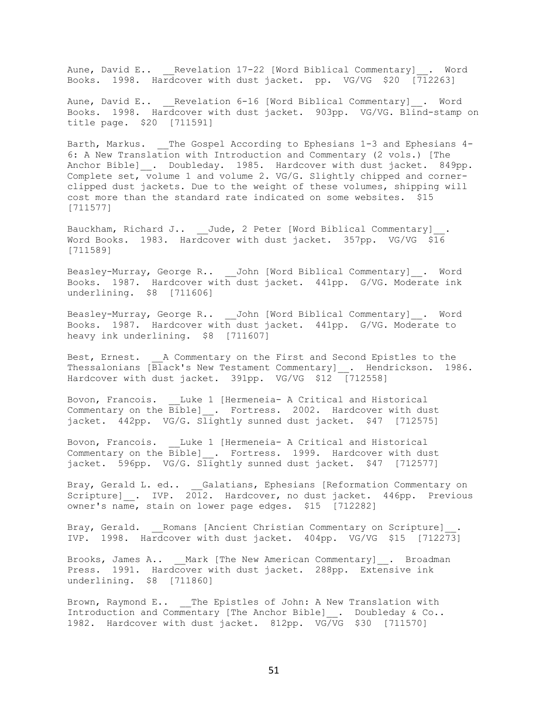Aune, David E.. Revelation 17-22 [Word Biblical Commentary] . Word Books. 1998. Hardcover with dust jacket. pp. VG/VG \$20 [712263]

Aune, David E.. Revelation 6-16 [Word Biblical Commentary] . Word Books. 1998. Hardcover with dust jacket. 903pp. VG/VG. Blind-stamp on title page. \$20 [711591]

Barth, Markus. The Gospel According to Ephesians 1-3 and Ephesians 4-6: A New Translation with Introduction and Commentary (2 vols.) [The Anchor Bible]\_\_. Doubleday. 1985. Hardcover with dust jacket. 849pp. Complete set, volume 1 and volume 2. VG/G. Slightly chipped and cornerclipped dust jackets. Due to the weight of these volumes, shipping will cost more than the standard rate indicated on some websites. \$15 [711577]

Bauckham, Richard J.. \_\_\_Jude, 2 Peter [Word Biblical Commentary]\_\_\_\_\_\_\_\_\_\_\_\_\_\_\_ Word Books. 1983. Hardcover with dust jacket. 357pp. VG/VG \$16 [711589]

Beasley-Murray, George R.. John [Word Biblical Commentary] . Word Books. 1987. Hardcover with dust jacket. 441pp. G/VG. Moderate ink underlining. \$8 [711606]

Beasley-Murray, George R.. \_\_John [Word Biblical Commentary]\_\_. Word Books. 1987. Hardcover with dust jacket. 441pp. G/VG. Moderate to heavy ink underlining. \$8 [711607]

Best, Ernest. \_\_\_A Commentary on the First and Second Epistles to the Thessalonians [Black's New Testament Commentary] . Hendrickson. 1986. Hardcover with dust jacket. 391pp. VG/VG \$12 [712558]

Bovon, Francois. \_\_Luke 1 [Hermeneia- A Critical and Historical Commentary on the Bible] . Fortress. 2002. Hardcover with dust jacket. 442pp. VG/G. Slightly sunned dust jacket. \$47 [712575]

Bovon, Francois. Luke 1 [Hermeneia- A Critical and Historical Commentary on the Bible] . Fortress. 1999. Hardcover with dust jacket. 596pp. VG/G. Slightly sunned dust jacket. \$47 [712577]

Bray, Gerald L. ed.. Galatians, Ephesians [Reformation Commentary on Scripture] . IVP. 2012. Hardcover, no dust jacket. 446pp. Previous owner's name, stain on lower page edges. \$15 [712282]

Bray, Gerald. \_\_Romans [Ancient Christian Commentary on Scripture]\_\_. IVP. 1998. Hardcover with dust jacket. 404pp. VG/VG \$15 [712273]

Brooks, James A.. Mark [The New American Commentary] . Broadman Press. 1991. Hardcover with dust jacket. 288pp. Extensive ink underlining. \$8 [711860]

Brown, Raymond E.. The Epistles of John: A New Translation with Introduction and Commentary [The Anchor Bible] . Doubleday & Co.. 1982. Hardcover with dust jacket. 812pp. VG/VG \$30 [711570]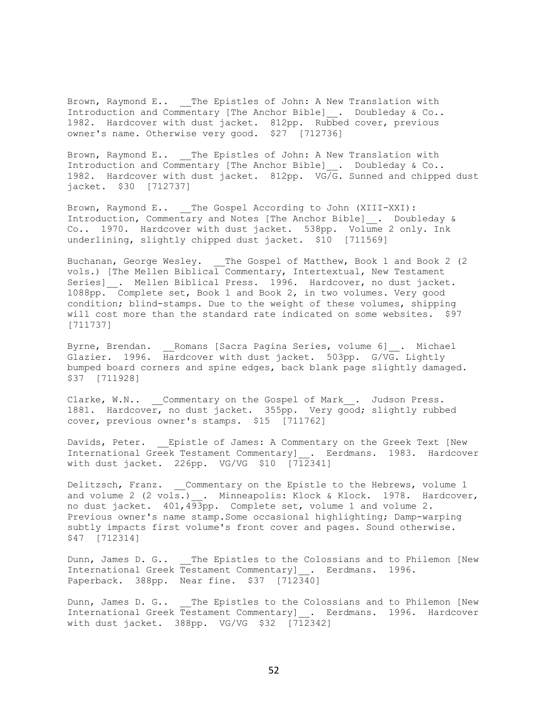Brown, Raymond E.. The Epistles of John: A New Translation with Introduction and Commentary [The Anchor Bible] . Doubleday & Co.. 1982. Hardcover with dust jacket. 812pp. Rubbed cover, previous owner's name. Otherwise very good. \$27 [712736]

Brown, Raymond E.. \_\_The Epistles of John: A New Translation with Introduction and Commentary [The Anchor Bible]\_\_. Doubleday & Co.. 1982. Hardcover with dust jacket. 812pp. VG/G. Sunned and chipped dust jacket. \$30 [712737]

Brown, Raymond E.. \_\_ The Gospel According to John (XIII-XXI): Introduction, Commentary and Notes [The Anchor Bible]\_\_. Doubleday & Co.. 1970. Hardcover with dust jacket. 538pp. Volume 2 only. Ink underlining, slightly chipped dust jacket. \$10 [711569]

Buchanan, George Wesley. The Gospel of Matthew, Book 1 and Book 2 (2) vols.) [The Mellen Biblical Commentary, Intertextual, New Testament Series] . Mellen Biblical Press. 1996. Hardcover, no dust jacket. 1088pp. Complete set, Book 1 and Book 2, in two volumes. Very good condition; blind-stamps. Due to the weight of these volumes, shipping will cost more than the standard rate indicated on some websites. \$97 [711737]

Byrne, Brendan. \_\_Romans [Sacra Pagina Series, volume 6]\_\_. Michael Glazier. 1996. Hardcover with dust jacket. 503pp. G/VG. Lightly bumped board corners and spine edges, back blank page slightly damaged. \$37 [711928]

Clarke, W.N.. Commentary on the Gospel of Mark . Judson Press. 1881. Hardcover, no dust jacket. 355pp. Very good; slightly rubbed cover, previous owner's stamps. \$15 [711762]

Davids, Peter. \_\_ Epistle of James: A Commentary on the Greek Text [New International Greek Testament Commentary] . Eerdmans. 1983. Hardcover with dust jacket. 226pp. VG/VG \$10 [712341]

Delitzsch, Franz. Commentary on the Epistle to the Hebrews, volume 1 and volume 2 (2 vols.) . Minneapolis: Klock & Klock. 1978. Hardcover, no dust jacket. 401,493pp. Complete set, volume 1 and volume 2. Previous owner's name stamp.Some occasional highlighting; Damp-warping subtly impacts first volume's front cover and pages. Sound otherwise. \$47 [712314]

Dunn, James D. G.. \_\_The Epistles to the Colossians and to Philemon [New International Greek Testament Commentary] . Eerdmans. 1996. Paperback. 388pp. Near fine. \$37 [712340]

Dunn, James D. G.. \_\_The Epistles to the Colossians and to Philemon [New International Greek Testament Commentary] . Eerdmans. 1996. Hardcover with dust jacket. 388pp. VG/VG \$32 [712342]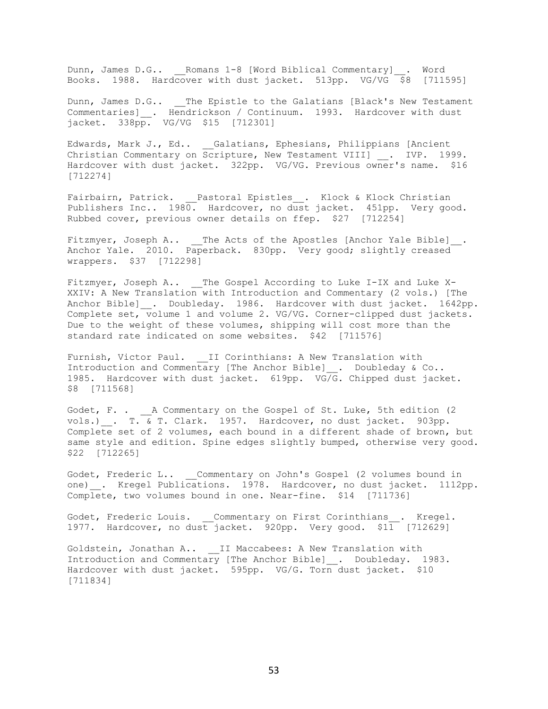Dunn, James D.G.. Romans 1-8 [Word Biblical Commentary] . Word Books. 1988. Hardcover with dust jacket. 513pp. VG/VG \$8 [711595]

Dunn, James D.G.. The Epistle to the Galatians [Black's New Testament Commentaries] . Hendrickson / Continuum. 1993. Hardcover with dust jacket. 338pp. VG/VG \$15 [712301]

Edwards, Mark J., Ed.. \_ Galatians, Ephesians, Philippians [Ancient Christian Commentary on Scripture, New Testament VIII] . IVP. 1999. Hardcover with dust jacket. 322pp. VG/VG. Previous owner's name. \$16 [712274]

Fairbairn, Patrick. \_\_Pastoral Epistles\_\_. Klock & Klock Christian Publishers Inc.. 1980. Hardcover, no dust jacket. 451pp. Very good. Rubbed cover, previous owner details on ffep. \$27 [712254]

Fitzmyer, Joseph A.. \_\_The Acts of the Apostles [Anchor Yale Bible]\_\_. Anchor Yale. 2010. Paperback. 830pp. Very good; slightly creased wrappers. \$37 [712298]

Fitzmyer, Joseph A.. \_\_ The Gospel According to Luke I-IX and Luke X-XXIV: A New Translation with Introduction and Commentary (2 vols.) [The Anchor Bible]\_. Doubleday. 1986. Hardcover with dust jacket. 1642pp. Complete set, volume 1 and volume 2. VG/VG. Corner-clipped dust jackets. Due to the weight of these volumes, shipping will cost more than the standard rate indicated on some websites. \$42 [711576]

Furnish, Victor Paul. II Corinthians: A New Translation with Introduction and Commentary [The Anchor Bible]\_\_. Doubleday & Co.. 1985. Hardcover with dust jacket. 619pp. VG/G. Chipped dust jacket. \$8 [711568]

Godet, F. . \_\_ A Commentary on the Gospel of St. Luke, 5th edition (2 vols.)\_\_. T. & T. Clark. 1957. Hardcover, no dust jacket. 903pp. Complete set of 2 volumes, each bound in a different shade of brown, but same style and edition. Spine edges slightly bumped, otherwise very good. \$22 [712265]

Godet, Frederic L.. Commentary on John's Gospel (2 volumes bound in one) . Kregel Publications. 1978. Hardcover, no dust jacket. 1112pp. Complete, two volumes bound in one. Near-fine. \$14 [711736]

Godet, Frederic Louis. Commentary on First Corinthians . Kregel. 1977. Hardcover, no dust jacket. 920pp. Very good. \$11 [712629]

Goldstein, Jonathan A.. \_\_II Maccabees: A New Translation with Introduction and Commentary [The Anchor Bible] . Doubleday. 1983. Hardcover with dust jacket. 595pp. VG/G. Torn dust jacket. \$10 [711834]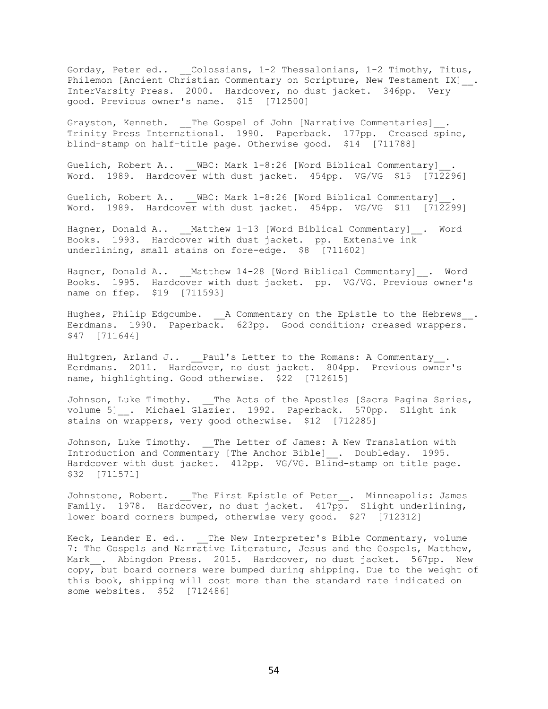Gorday, Peter ed.. \_\_Colossians, 1-2 Thessalonians, 1-2 Timothy, Titus, Philemon [Ancient Christian Commentary on Scripture, New Testament IX] \_\_. InterVarsity Press. 2000. Hardcover, no dust jacket. 346pp. Very good. Previous owner's name. \$15 [712500]

Grayston, Kenneth. \_\_The Gospel of John [Narrative Commentaries]\_. Trinity Press International. 1990. Paperback. 177pp. Creased spine, blind-stamp on half-title page. Otherwise good. \$14 [711788]

Guelich, Robert A.. \_\_WBC: Mark 1-8:26 [Word Biblical Commentary] Word. 1989. Hardcover with dust jacket. 454pp. VG/VG \$15 [712296]

Guelich, Robert A.. WBC: Mark 1-8:26 [Word Biblical Commentary] Word. 1989. Hardcover with dust jacket. 454pp. VG/VG \$11 [712299]

Hagner, Donald A.. \_\_Matthew 1-13 [Word Biblical Commentary]\_\_. Word Books. 1993. Hardcover with dust jacket. pp. Extensive ink underlining, small stains on fore-edge. \$8 [711602]

Hagner, Donald A.. Matthew 14-28 [Word Biblical Commentary] . Word Books. 1995. Hardcover with dust jacket. pp. VG/VG. Previous owner's name on ffep. \$19 [711593]

Hughes, Philip Edgcumbe. <br> \_ A Commentary on the Epistle to the Hebrews\_\_. Eerdmans. 1990. Paperback. 623pp. Good condition; creased wrappers. \$47 [711644]

Hultgren, Arland J.. Paul's Letter to the Romans: A Commentary . Eerdmans. 2011. Hardcover, no dust jacket. 804pp. Previous owner's name, highlighting. Good otherwise. \$22 [712615]

Johnson, Luke Timothy. The Acts of the Apostles [Sacra Pagina Series, volume 5]\_\_. Michael Glazier. 1992. Paperback. 570pp. Slight ink stains on wrappers, very good otherwise. \$12 [712285]

Johnson, Luke Timothy. The Letter of James: A New Translation with Introduction and Commentary [The Anchor Bible]\_\_. Doubleday. 1995. Hardcover with dust jacket. 412pp. VG/VG. Blind-stamp on title page. \$32 [711571]

Johnstone, Robert. \_\_The First Epistle of Peter\_\_. Minneapolis: James Family. 1978. Hardcover, no dust jacket. 417pp. Slight underlining, lower board corners bumped, otherwise very good. \$27 [712312]

Keck, Leander E. ed.. The New Interpreter's Bible Commentary, volume 7: The Gospels and Narrative Literature, Jesus and the Gospels, Matthew, Mark . Abingdon Press. 2015. Hardcover, no dust jacket. 567pp. New copy, but board corners were bumped during shipping. Due to the weight of this book, shipping will cost more than the standard rate indicated on some websites. \$52 [712486]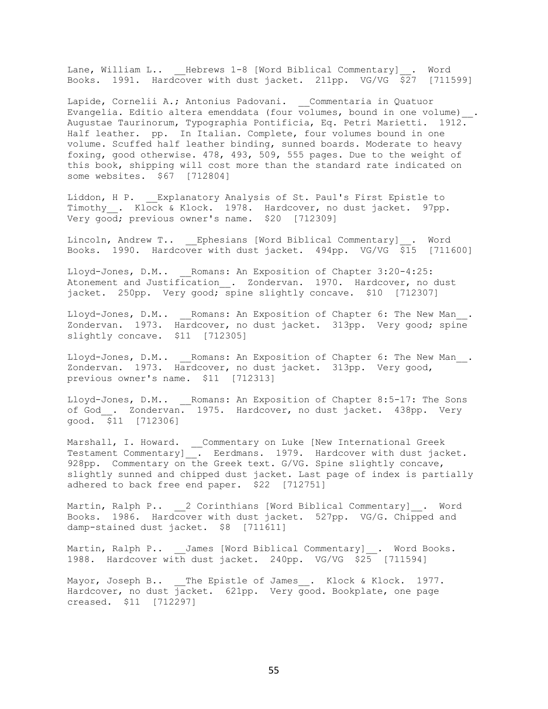Lane, William L.. Hebrews 1-8 [Word Biblical Commentary] . Word Books. 1991. Hardcover with dust jacket. 211pp. VG/VG \$27 [711599]

Lapide, Cornelii A.; Antonius Padovani. \_\_Commentaria in Quatuor Evangelia. Editio altera emenddata (four volumes, bound in one volume) \_\_. Augustae Taurinorum, Typographia Pontificia, Eq. Petri Marietti. 1912. Half leather. pp. In Italian. Complete, four volumes bound in one volume. Scuffed half leather binding, sunned boards. Moderate to heavy foxing, good otherwise. 478, 493, 509, 555 pages. Due to the weight of this book, shipping will cost more than the standard rate indicated on some websites. \$67 [712804]

Liddon, H P. Explanatory Analysis of St. Paul's First Epistle to Timothy . Klock & Klock. 1978. Hardcover, no dust jacket. 97pp. Very good; previous owner's name. \$20 [712309]

Lincoln, Andrew T.. \_\_Ephesians [Word Biblical Commentary]\_\_. Word Books. 1990. Hardcover with dust jacket. 494pp. VG/VG \$15 [711600]

Lloyd-Jones, D.M.. Romans: An Exposition of Chapter 3:20-4:25: Atonement and Justification . Zondervan. 1970. Hardcover, no dust jacket. 250pp. Very good; spine slightly concave. \$10 [712307]

Lloyd-Jones, D.M.. Romans: An Exposition of Chapter 6: The New Man. Zondervan. 1973. Hardcover, no dust jacket. 313pp. Very good; spine slightly concave. \$11 [712305]

Lloyd-Jones, D.M.. Romans: An Exposition of Chapter 6: The New Man. Zondervan. 1973. Hardcover, no dust jacket. 313pp. Very good, previous owner's name. \$11 [712313]

Lloyd-Jones, D.M.. \_\_Romans: An Exposition of Chapter 8:5-17: The Sons of God . Zondervan. 1975. Hardcover, no dust jacket. 438pp. Very  $\frac{1}{900d}$ .  $\frac{1}{911}$  [712306]

Marshall, I. Howard. \_\_Commentary on Luke [New International Greek Testament Commentary]\_\_. Eerdmans. 1979. Hardcover with dust jacket. 928pp. Commentary on the Greek text. G/VG. Spine slightly concave, slightly sunned and chipped dust jacket. Last page of index is partially adhered to back free end paper. \$22 [712751]

Martin, Ralph P.. 2 Corinthians [Word Biblical Commentary] . Word Books. 1986. Hardcover with dust jacket. 527pp. VG/G. Chipped and damp-stained dust jacket. \$8 [711611]

Martin, Ralph P.. James [Word Biblical Commentary] . Word Books. 1988. Hardcover with dust jacket. 240pp. VG/VG \$25 [711594]

Mayor, Joseph B.. \_\_The Epistle of James\_\_. Klock & Klock. 1977. Hardcover, no dust jacket. 621pp. Very good. Bookplate, one page creased. \$11 [712297]

55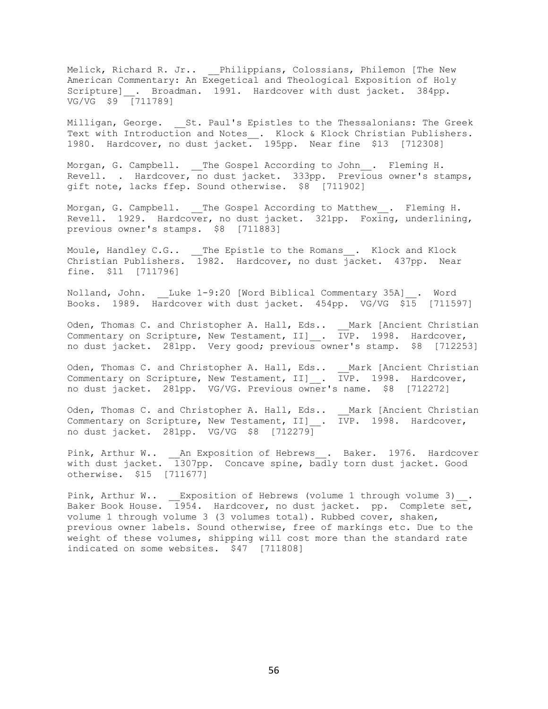Melick, Richard R. Jr.. \_\_Philippians, Colossians, Philemon [The New American Commentary: An Exegetical and Theological Exposition of Holy Scripture] \_. Broadman. 1991. Hardcover with dust jacket. 384pp. VG/VG \$9 [711789]

Milligan, George. St. Paul's Epistles to the Thessalonians: The Greek Text with Introduction and Notes . Klock & Klock Christian Publishers. 1980. Hardcover, no dust jacket. 195pp. Near fine \$13 [712308]

Morgan, G. Campbell. \_\_The Gospel According to John\_\_. Fleming H. Revell. . Hardcover, no dust jacket. 333pp. Previous owner's stamps, gift note, lacks ffep. Sound otherwise. \$8 [711902]

Morgan, G. Campbell. The Gospel According to Matthew . Fleming H. Revell. 1929. Hardcover, no dust jacket. 321pp. Foxing, underlining, previous owner's stamps. \$8 [711883]

Moule, Handley C.G.. \_\_The Epistle to the Romans\_\_. Klock and Klock Christian Publishers. 1982. Hardcover, no dust jacket. 437pp. Near fine. \$11 [711796]

Nolland, John. \_\_Luke 1-9:20 [Word Biblical Commentary 35A]\_\_. Word Books. 1989. Hardcover with dust jacket. 454pp. VG/VG \$15 [711597]

Oden, Thomas C. and Christopher A. Hall, Eds.. \_\_Mark [Ancient Christian Commentary on Scripture, New Testament, II]\_\_. IVP. 1998. Hardcover, no dust jacket. 281pp. Very good; previous owner's stamp. \$8 [712253]

Oden, Thomas C. and Christopher A. Hall, Eds.. \_\_Mark [Ancient Christian Commentary on Scripture, New Testament, II] \_. IVP. 1998. Hardcover, no dust jacket. 281pp. VG/VG. Previous owner's name. \$8 [712272]

Oden, Thomas C. and Christopher A. Hall, Eds.. \_\_Mark [Ancient Christian Commentary on Scripture, New Testament, II]\_\_. IVP. 1998. Hardcover, no dust jacket. 281pp. VG/VG \$8 [712279]

Pink, Arthur W.. \_\_An Exposition of Hebrews\_\_. Baker. 1976. Hardcover with dust jacket. 1307pp. Concave spine, badly torn dust jacket. Good otherwise. \$15 [711677]

Pink, Arthur W.. \_\_Exposition of Hebrews (volume 1 through volume 3)\_\_. Baker Book House. 1954. Hardcover, no dust jacket. pp. Complete set, volume 1 through volume 3 (3 volumes total). Rubbed cover, shaken, previous owner labels. Sound otherwise, free of markings etc. Due to the weight of these volumes, shipping will cost more than the standard rate indicated on some websites. \$47 [711808]

56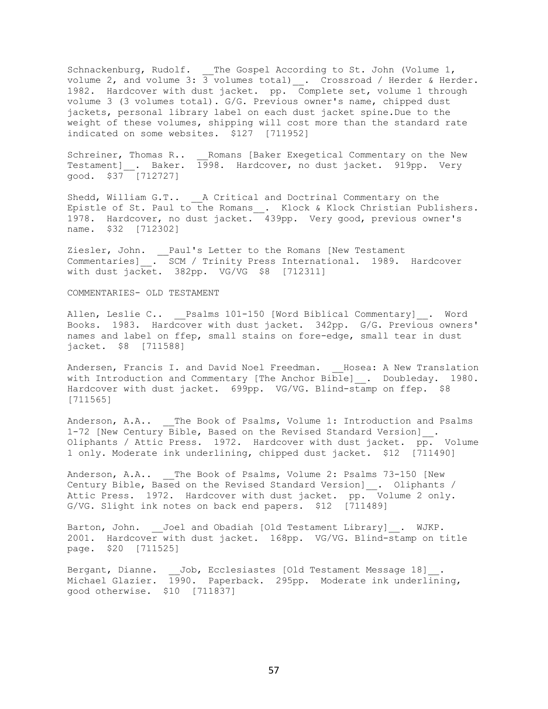Schnackenburg, Rudolf. \_\_The Gospel According to St. John (Volume 1, volume 2, and volume 3: 3 volumes total)\_\_. Crossroad / Herder & Herder. 1982. Hardcover with dust jacket. pp. Complete set, volume 1 through volume 3 (3 volumes total). G/G. Previous owner's name, chipped dust jackets, personal library label on each dust jacket spine.Due to the weight of these volumes, shipping will cost more than the standard rate indicated on some websites. \$127 [711952]

Schreiner, Thomas R.. \_\_Romans [Baker Exegetical Commentary on the New Testament]\_\_. Baker. 1998. Hardcover, no dust jacket. 919pp. Very good. \$37 [712727]

Shedd, William G.T.. <br> <br> A Critical and Doctrinal Commentary on the Epistle of St. Paul to the Romans . Klock & Klock Christian Publishers. 1978. Hardcover, no dust jacket. 439pp. Very good, previous owner's name. \$32 [712302]

Ziesler, John. \_\_Paul's Letter to the Romans [New Testament Commentaries] . SCM / Trinity Press International. 1989. Hardcover with dust jacket. 382pp. VG/VG \$8 [712311]

#### COMMENTARIES- OLD TESTAMENT

Allen, Leslie C.. Psalms 101-150 [Word Biblical Commentary] . Word Books. 1983. Hardcover with dust jacket. 342pp. G/G. Previous owners' names and label on ffep, small stains on fore-edge, small tear in dust jacket. \$8 [711588]

Andersen, Francis I. and David Noel Freedman. Hosea: A New Translation with Introduction and Commentary [The Anchor Bible] \_\_. Doubleday. 1980. Hardcover with dust jacket. 699pp. VG/VG. Blind-stamp on ffep. \$8 [711565]

Anderson, A.A.. \_\_ The Book of Psalms, Volume 1: Introduction and Psalms 1-72 [New Century Bible, Based on the Revised Standard Version] . Oliphants / Attic Press. 1972. Hardcover with dust jacket. pp. Volume 1 only. Moderate ink underlining, chipped dust jacket. \$12 [711490]

Anderson, A.A.. The Book of Psalms, Volume 2: Psalms 73-150 [New Century Bible, Based on the Revised Standard Version]\_\_. Oliphants / Attic Press. 1972. Hardcover with dust jacket. pp. Volume 2 only. G/VG. Slight ink notes on back end papers. \$12 [711489]

Barton, John. Joel and Obadiah [Old Testament Library] . WJKP. 2001. Hardcover with dust jacket. 168pp. VG/VG. Blind-stamp on title page. \$20 [711525]

Bergant, Dianne. Job, Ecclesiastes [Old Testament Message 18]. Michael Glazier. 1990. Paperback. 295pp. Moderate ink underlining, good otherwise. \$10 [711837]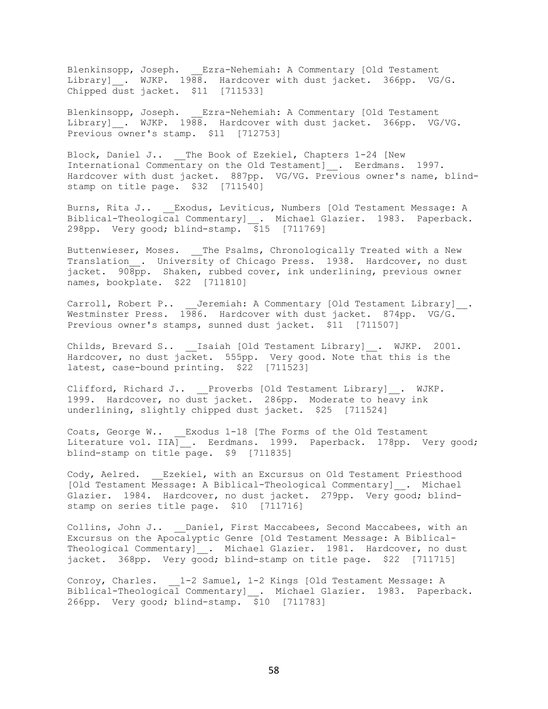Blenkinsopp, Joseph. \_\_Ezra-Nehemiah: A Commentary [Old Testament Library] \_. WJKP. 1988. Hardcover with dust jacket. 366pp. VG/G. Chipped dust jacket. \$11 [711533]

Blenkinsopp, Joseph. \_\_Ezra-Nehemiah: A Commentary [Old Testament Library] . WJKP. 1988. Hardcover with dust jacket. 366pp. VG/VG. Previous owner's stamp. \$11 [712753]

Block, Daniel J.. \_\_The Book of Ezekiel, Chapters 1-24 [New International Commentary on the Old Testament]\_\_. Eerdmans. 1997. Hardcover with dust jacket. 887pp. VG/VG. Previous owner's name, blindstamp on title page. \$32 [711540]

Burns, Rita J.. \_\_ Exodus, Leviticus, Numbers [Old Testament Message: A Biblical-Theological Commentary]\_\_. Michael Glazier. 1983. Paperback. 298pp. Very good; blind-stamp. \$15 [711769]

Buttenwieser, Moses. \_\_The Psalms, Chronologically Treated with a New Translation . University of Chicago Press. 1938. Hardcover, no dust jacket. 908pp. Shaken, rubbed cover, ink underlining, previous owner names, bookplate. \$22 [711810]

Carroll, Robert P.. \_\_ Jeremiah: A Commentary [Old Testament Library]\_\_. Westminster Press. 1986. Hardcover with dust jacket. 874pp. VG/G. Previous owner's stamps, sunned dust jacket. \$11 [711507]

Childs, Brevard S.. \_\_Isaiah [Old Testament Library]\_\_. WJKP. 2001. Hardcover, no dust jacket. 555pp. Very good. Note that this is the latest, case-bound printing. \$22 [711523]

Clifford, Richard J.. Proverbs [Old Testament Library] . WJKP. 1999. Hardcover, no dust jacket. 286pp. Moderate to heavy ink underlining, slightly chipped dust jacket. \$25 [711524]

Coats, George W.. Exodus 1-18 [The Forms of the Old Testament Literature vol. IIA] \_. Eerdmans. 1999. Paperback. 178pp. Very good; blind-stamp on title page. \$9 [711835]

Cody, Aelred. Ezekiel, with an Excursus on Old Testament Priesthood [Old Testament Message: A Biblical-Theological Commentary] . Michael Glazier. 1984. Hardcover, no dust jacket. 279pp. Very good; blindstamp on series title page. \$10 [711716]

Collins, John J.. Daniel, First Maccabees, Second Maccabees, with an Excursus on the Apocalyptic Genre [Old Testament Message: A Biblical-Theological Commentary] . Michael Glazier. 1981. Hardcover, no dust jacket. 368pp. Very good; blind-stamp on title page. \$22 [711715]

Conroy, Charles. 1-2 Samuel, 1-2 Kings [Old Testament Message: A Biblical-Theological Commentary]\_\_. Michael Glazier. 1983. Paperback. 266pp. Very good; blind-stamp. \$10 [711783]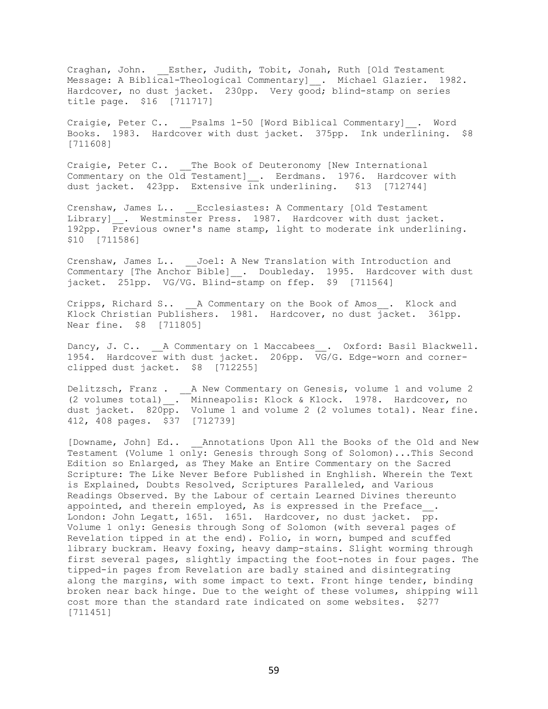Craghan, John. \_\_Esther, Judith, Tobit, Jonah, Ruth [Old Testament Message: A Biblical-Theological Commentary]\_\_. Michael Glazier. 1982. Hardcover, no dust jacket. 230pp. Very good; blind-stamp on series title page. \$16 [711717]

Craigie, Peter C.. Psalms 1-50 [Word Biblical Commentary] . Word Books. 1983. Hardcover with dust jacket. 375pp. Ink underlining. \$8 [711608]

Craigie, Peter C.. \_\_The Book of Deuteronomy [New International Commentary on the Old Testament] . Eerdmans. 1976. Hardcover with dust jacket. 423pp. Extensive ink underlining. \$13 [712744]

Crenshaw, James L.. Ecclesiastes: A Commentary [Old Testament Library] . Westminster Press. 1987. Hardcover with dust jacket. 192pp. Previous owner's name stamp, light to moderate ink underlining. \$10 [711586]

Crenshaw, James L.. Joel: A New Translation with Introduction and Commentary [The Anchor Bible]\_. Doubleday. 1995. Hardcover with dust jacket. 251pp. VG/VG. Blind-stamp on ffep. \$9 [711564]

Cripps, Richard S.. A Commentary on the Book of Amos . Klock and Klock Christian Publishers. 1981. Hardcover, no dust jacket. 361pp. Near fine. \$8 [711805]

Dancy, J. C.. A Commentary on 1 Maccabees . Oxford: Basil Blackwell. 1954. Hardcover with dust jacket. 206pp. VG/G. Edge-worn and cornerclipped dust jacket. \$8 [712255]

Delitzsch, Franz . A New Commentary on Genesis, volume 1 and volume 2 (2 volumes total)\_\_. Minneapolis: Klock & Klock. 1978. Hardcover, no dust jacket.  $820\overline{pp}$ . Volume 1 and volume 2 (2 volumes total). Near fine. 412, 408 pages. \$37 [712739]

[Downame, John] Ed.. Annotations Upon All the Books of the Old and New Testament (Volume 1 only: Genesis through Song of Solomon)...This Second Edition so Enlarged, as They Make an Entire Commentary on the Sacred Scripture: The Like Never Before Published in Enghlish. Wherein the Text is Explained, Doubts Resolved, Scriptures Paralleled, and Various Readings Observed. By the Labour of certain Learned Divines thereunto appointed, and therein employed, As is expressed in the Preface. London: John Legatt, 1651. 1651. Hardcover, no dust jacket. pp. Volume 1 only: Genesis through Song of Solomon (with several pages of Revelation tipped in at the end). Folio, in worn, bumped and scuffed library buckram. Heavy foxing, heavy damp-stains. Slight worming through first several pages, slightly impacting the foot-notes in four pages. The tipped-in pages from Revelation are badly stained and disintegrating along the margins, with some impact to text. Front hinge tender, binding broken near back hinge. Due to the weight of these volumes, shipping will cost more than the standard rate indicated on some websites. \$277 [711451]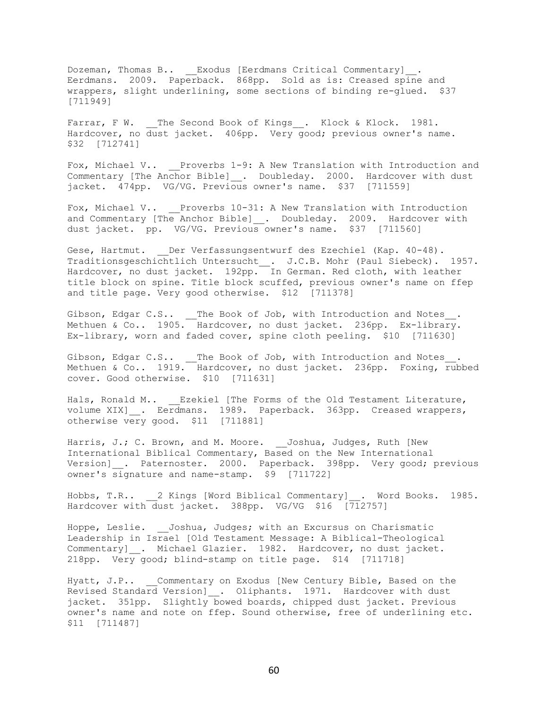Dozeman, Thomas B.. \_\_Exodus [Eerdmans Critical Commentary]\_\_. Eerdmans. 2009. Paperback. 868pp. Sold as is: Creased spine and wrappers, slight underlining, some sections of binding re-glued. \$37 [711949]

Farrar, F W. \_\_The Second Book of Kings . Klock & Klock. 1981. Hardcover, no dust jacket. 406pp. Very good; previous owner's name. \$32 [712741]

Fox, Michael V.. \_\_Proverbs 1-9: A New Translation with Introduction and Commentary [The Anchor Bible] \_\_. Doubleday. 2000. Hardcover with dust jacket. 474pp. VG/VG. Previous owner's name. \$37 [711559]

Fox, Michael V.. Proverbs 10-31: A New Translation with Introduction and Commentary [The Anchor Bible]\_\_. Doubleday. 2009. Hardcover with dust jacket. pp. VG/VG. Previous owner's name. \$37 [711560]

Gese, Hartmut. Der Verfassungsentwurf des Ezechiel (Kap. 40-48). Traditionsgeschichtlich Untersucht . J.C.B. Mohr (Paul Siebeck). 1957. Hardcover, no dust jacket. 192pp. In German. Red cloth, with leather title block on spine. Title block scuffed, previous owner's name on ffep and title page. Very good otherwise. \$12 [711378]

Gibson, Edgar C.S.. The Book of Job, with Introduction and Notes. Methuen & Co.. 1905. Hardcover, no dust jacket. 236pp. Ex-library. Ex-library, worn and faded cover, spine cloth peeling. \$10 [711630]

Gibson, Edgar C.S..  $\quad \_$  The Book of Job, with Introduction and Notes $\_$ . Methuen & Co.. 1919. Hardcover, no dust jacket. 236pp. Foxing, rubbed cover. Good otherwise. \$10 [711631]

Hals, Ronald M.. Ezekiel [The Forms of the Old Testament Literature, volume XIX] . Eerdmans. 1989. Paperback. 363pp. Creased wrappers, otherwise very good. \$11 [711881]

Harris, J.; C. Brown, and M. Moore. \_\_ Joshua, Judges, Ruth [New International Biblical Commentary, Based on the New International Version] \_\_. Paternoster. 2000. Paperback. 398pp. Very good; previous owner's signature and name-stamp. \$9 [711722]

Hobbs, T.R.. \_\_2 Kings [Word Biblical Commentary]\_\_. Word Books. 1985. Hardcover with dust jacket. 388pp. VG/VG \$16 [712757]

Hoppe, Leslie. Joshua, Judges; with an Excursus on Charismatic Leadership in Israel [Old Testament Message: A Biblical-Theological Commentary] . Michael Glazier. 1982. Hardcover, no dust jacket. 218pp. Very good; blind-stamp on title page. \$14 [711718]

Hyatt, J.P.. Commentary on Exodus [New Century Bible, Based on the Revised Standard Version] . Oliphants. 1971. Hardcover with dust jacket. 351pp. Slightly bowed boards, chipped dust jacket. Previous owner's name and note on ffep. Sound otherwise, free of underlining etc. \$11 [711487]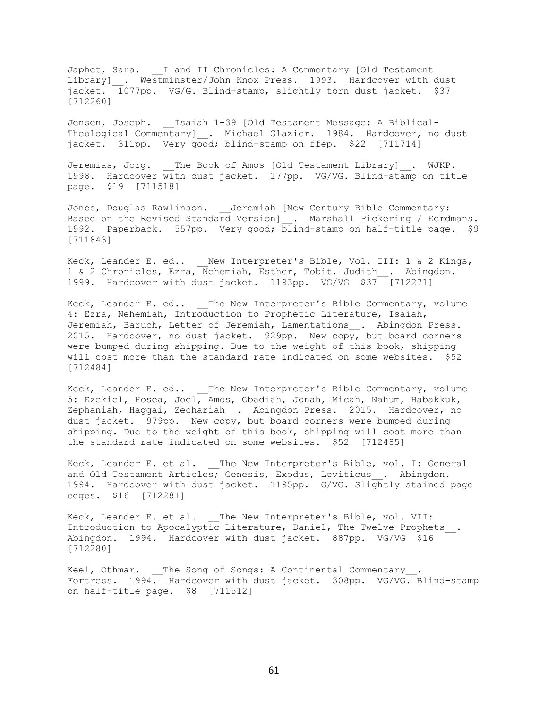Japhet, Sara. \_\_I and II Chronicles: A Commentary [Old Testament Library] \_. Westminster/John Knox Press. 1993. Hardcover with dust jacket. 1077pp. VG/G. Blind-stamp, slightly torn dust jacket. \$37 [712260]

Jensen, Joseph. Laiah 1-39 [Old Testament Message: A Biblical-Theological Commentary] . Michael Glazier. 1984. Hardcover, no dust jacket. 311pp. Very good; blind-stamp on ffep. \$22 [711714]

Jeremias, Jorg. \_\_The Book of Amos [Old Testament Library]\_. WJKP. 1998. Hardcover with dust jacket. 177pp. VG/VG. Blind-stamp on title page. \$19 [711518]

Jones, Douglas Rawlinson. Jeremiah [New Century Bible Commentary: Based on the Revised Standard Version] . Marshall Pickering / Eerdmans. 1992. Paperback. 557pp. Very good; blind-stamp on half-title page. \$9 [711843]

Keck, Leander E. ed.. New Interpreter's Bible, Vol. III: 1 & 2 Kings, 1 & 2 Chronicles, Ezra, Nehemiah, Esther, Tobit, Judith . Abingdon. 1999. Hardcover with dust jacket. 1193pp. VG/VG \$37 [712271]

Keck, Leander E. ed.. The New Interpreter's Bible Commentary, volume 4: Ezra, Nehemiah, Introduction to Prophetic Literature, Isaiah, Jeremiah, Baruch, Letter of Jeremiah, Lamentations . Abingdon Press. 2015. Hardcover, no dust jacket. 929pp. New copy, but board corners were bumped during shipping. Due to the weight of this book, shipping will cost more than the standard rate indicated on some websites. \$52 [712484]

Keck, Leander E. ed.. The New Interpreter's Bible Commentary, volume 5: Ezekiel, Hosea, Joel, Amos, Obadiah, Jonah, Micah, Nahum, Habakkuk, Zephaniah, Haggai, Zechariah\_\_. Abingdon Press. 2015. Hardcover, no dust jacket. 979pp. New copy, but board corners were bumped during shipping. Due to the weight of this book, shipping will cost more than the standard rate indicated on some websites. \$52 [712485]

Keck, Leander E. et al. The New Interpreter's Bible, vol. I: General and Old Testament Articles; Genesis, Exodus, Leviticus . Abingdon. 1994. Hardcover with dust jacket. 1195pp. G/VG. Slightly stained page edges. \$16 [712281]

Keck, Leander E. et al. The New Interpreter's Bible, vol. VII: Introduction to Apocalyptic Literature, Daniel, The Twelve Prophets\_\_. Abingdon. 1994. Hardcover with dust jacket. 887pp. VG/VG \$16 [712280]

Keel, Othmar. \_\_The Song of Songs: A Continental Commentary . Fortress. 1994. Hardcover with dust jacket. 308pp. VG/VG. Blind-stamp on half-title page. \$8 [711512]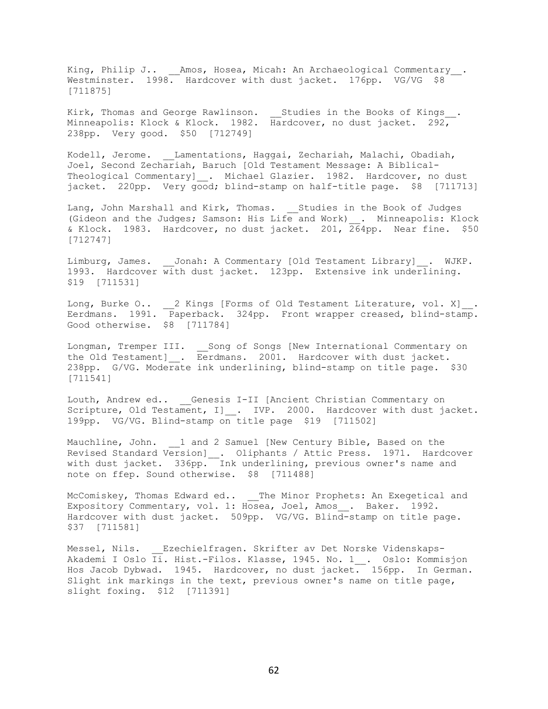King, Philip J.. \_\_Amos, Hosea, Micah: An Archaeological Commentary\_\_. Westminster. 1998. Hardcover with dust jacket. 176pp. VG/VG \$8 [711875]

Kirk, Thomas and George Rawlinson.  $\_$  Studies in the Books of Kings $\_$ . Minneapolis: Klock & Klock. 1982. Hardcover, no dust jacket. 292, 238pp. Very good. \$50 [712749]

Kodell, Jerome. \_\_Lamentations, Haggai, Zechariah, Malachi, Obadiah, Joel, Second Zechariah, Baruch [Old Testament Message: A Biblical-Theological Commentary] . Michael Glazier. 1982. Hardcover, no dust jacket. 220pp. Very good; blind-stamp on half-title page. \$8 [711713]

Lang, John Marshall and Kirk, Thomas. Studies in the Book of Judges (Gideon and the Judges; Samson: His Life and Work) . Minneapolis: Klock & Klock. 1983. Hardcover, no dust jacket. 201, 264pp. Near fine. \$50 [712747]

Limburg, James. Jonah: A Commentary [Old Testament Library] . WJKP. 1993. Hardcover with dust jacket. 123pp. Extensive ink underlining. \$19 [711531]

Long, Burke O.. 2 Kings [Forms of Old Testament Literature, vol. X] . Eerdmans. 1991. Paperback. 324pp. Front wrapper creased, blind-stamp. Good otherwise. \$8 [711784]

Longman, Tremper III. Song of Songs [New International Commentary on the Old Testament] \_. Eerdmans. 2001. Hardcover with dust jacket. 238pp. G/VG. Moderate ink underlining, blind-stamp on title page. \$30 [711541]

Louth, Andrew ed.. Genesis I-II [Ancient Christian Commentary on Scripture, Old Testament, I] . IVP. 2000. Hardcover with dust jacket. 199pp. VG/VG. Blind-stamp on title page \$19 [711502]

Mauchline, John. \_\_1 and 2 Samuel [New Century Bible, Based on the Revised Standard Version] . Oliphants / Attic Press. 1971. Hardcover with dust jacket. 336pp. Ink underlining, previous owner's name and note on ffep. Sound otherwise. \$8 [711488]

McComiskey, Thomas Edward ed.. \_\_The Minor Prophets: An Exegetical and Expository Commentary, vol. 1: Hosea, Joel, Amos\_\_. Baker. 1992. Hardcover with dust jacket. 509pp. VG/VG. Blind-stamp on title page. \$37 [711581]

Messel, Nils. Ezechielfragen. Skrifter av Det Norske Videnskaps-Akademi I Oslo Ii. Hist.-Filos. Klasse, 1945. No. 1 . Oslo: Kommisjon Hos Jacob Dybwad. 1945. Hardcover, no dust jacket. 156pp. In German. Slight ink markings in the text, previous owner's name on title page, slight foxing. \$12 [711391]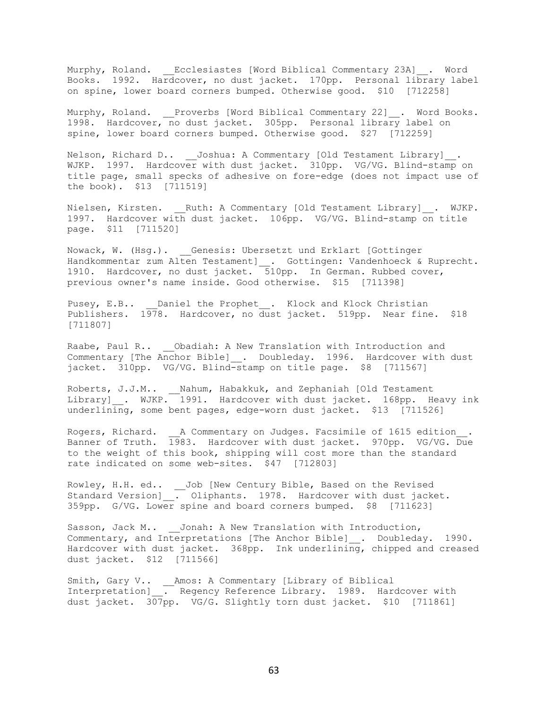Murphy, Roland. \_\_Ecclesiastes [Word Biblical Commentary 23A]\_\_. Word Books. 1992. Hardcover, no dust jacket. 170pp. Personal library label on spine, lower board corners bumped. Otherwise good. \$10 [712258]

Murphy, Roland. Proverbs [Word Biblical Commentary 22] . Word Books. 1998. Hardcover, no dust jacket. 305pp. Personal library label on spine, lower board corners bumped. Otherwise good. \$27 [712259]

Nelson, Richard D.. \_\_Joshua: A Commentary [Old Testament Library]\_\_. WJKP. 1997. Hardcover with dust jacket. 310pp. VG/VG. Blind-stamp on title page, small specks of adhesive on fore-edge (does not impact use of the book). \$13 [711519]

Nielsen, Kirsten. \_\_Ruth: A Commentary [Old Testament Library]\_\_. WJKP. 1997. Hardcover with dust jacket. 106pp. VG/VG. Blind-stamp on title page. \$11 [711520]

Nowack, W. (Hsg.). Genesis: Ubersetzt und Erklart [Gottinger Handkommentar zum Alten Testament] . Gottingen: Vandenhoeck & Ruprecht. 1910. Hardcover, no dust jacket. 510pp. In German. Rubbed cover, previous owner's name inside. Good otherwise. \$15 [711398]

Pusey, E.B.. Daniel the Prophet . Klock and Klock Christian Publishers. 1978. Hardcover, no dust jacket. 519pp. Near fine. \$18 [711807]

Raabe, Paul R.. Obadiah: A New Translation with Introduction and Commentary [The Anchor Bible] . Doubleday. 1996. Hardcover with dust jacket. 310pp. VG/VG. Blind-stamp on title page. \$8 [711567]

Roberts, J.J.M.. \_\_Nahum, Habakkuk, and Zephaniah [Old Testament Library] . WJKP. 1991. Hardcover with dust jacket. 168pp. Heavy ink underlining, some bent pages, edge-worn dust jacket. \$13 [711526]

Rogers, Richard. \_\_A Commentary on Judges. Facsimile of 1615 edition . Banner of Truth. 1983. Hardcover with dust jacket. 970pp. VG/VG. Due to the weight of this book, shipping will cost more than the standard rate indicated on some web-sites. \$47 [712803]

Rowley, H.H. ed.. \_\_Job [New Century Bible, Based on the Revised Standard Version]\_\_. Oliphants. 1978. Hardcover with dust jacket. 359pp. G/VG. Lower spine and board corners bumped. \$8 [711623]

Sasson, Jack M.. Jonah: A New Translation with Introduction, Commentary, and Interpretations [The Anchor Bible] . Doubleday. 1990. Hardcover with dust jacket. 368pp. Ink underlining, chipped and creased dust jacket. \$12 [711566]

Smith, Gary V.. \_\_Amos: A Commentary [Library of Biblical Interpretation] . Regency Reference Library. 1989. Hardcover with dust jacket. 307pp. VG/G. Slightly torn dust jacket. \$10 [711861]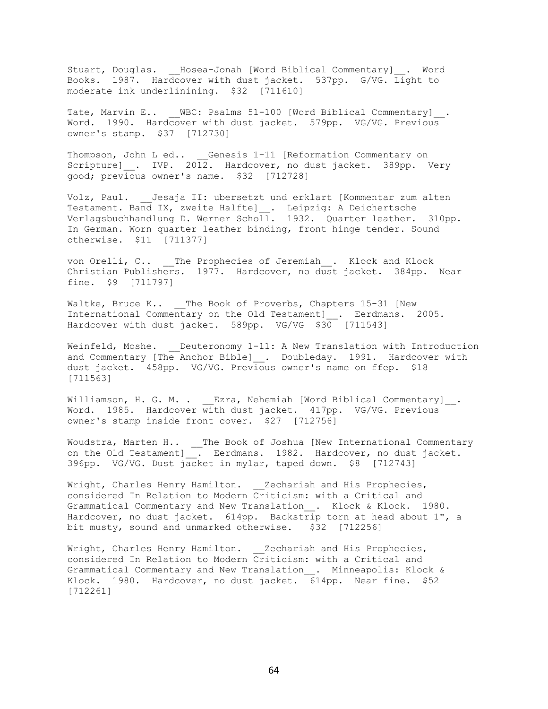Stuart, Douglas. Hosea-Jonah [Word Biblical Commentary] . Word Books. 1987. Hardcover with dust jacket. 537pp. G/VG. Light to moderate ink underlinining. \$32 [711610]

Tate, Marvin E.. WBC: Psalms 51-100 [Word Biblical Commentary] . Word. 1990. Hardcover with dust jacket. 579pp. VG/VG. Previous owner's stamp. \$37 [712730]

Thompson, John L ed.. Genesis 1-11 [Reformation Commentary on Scripture]  $\ldots$  IVP. 2012. Hardcover, no dust jacket. 389pp. Very good; previous owner's name. \$32 [712728]

Volz, Paul. Jesaja II: ubersetzt und erklart [Kommentar zum alten Testament. Band IX, zweite Halfte] . Leipzig: A Deichertsche Verlagsbuchhandlung D. Werner Scholl. 1932. Quarter leather. 310pp. In German. Worn quarter leather binding, front hinge tender. Sound otherwise. \$11 [711377]

von Orelli, C.. \_\_The Prophecies of Jeremiah . Klock and Klock Christian Publishers. 1977. Hardcover, no dust jacket. 384pp. Near fine. \$9 [711797]

Waltke, Bruce K.. The Book of Proverbs, Chapters 15-31 [New International Commentary on the Old Testament]\_\_. Eerdmans. 2005. Hardcover with dust jacket. 589pp. VG/VG \$30 [711543]

Weinfeld, Moshe. Deuteronomy 1-11: A New Translation with Introduction and Commentary [The Anchor Bible] . Doubleday. 1991. Hardcover with dust jacket. 458pp. VG/VG. Previous owner's name on ffep. \$18 [711563]

Williamson, H. G. M. . Ezra, Nehemiah [Word Biblical Commentary] . Word. 1985. Hardcover with dust jacket. 417pp. VG/VG. Previous owner's stamp inside front cover. \$27 [712756]

Woudstra, Marten H.. \_\_The Book of Joshua [New International Commentary on the Old Testament]\_\_. Eerdmans. 1982. Hardcover, no dust jacket. 396pp. VG/VG. Dust jacket in mylar, taped down. \$8 [712743]

Wright, Charles Henry Hamilton. Zechariah and His Prophecies, considered In Relation to Modern Criticism: with a Critical and Grammatical Commentary and New Translation\_\_. Klock & Klock. 1980. Hardcover, no dust jacket. 614pp. Backstrip torn at head about 1", a bit musty, sound and unmarked otherwise. \$32 [712256]

Wright, Charles Henry Hamilton. Zechariah and His Prophecies, considered In Relation to Modern Criticism: with a Critical and Grammatical Commentary and New Translation\_\_. Minneapolis: Klock & Klock. 1980. Hardcover, no dust jacket. 614pp. Near fine. \$52 [712261]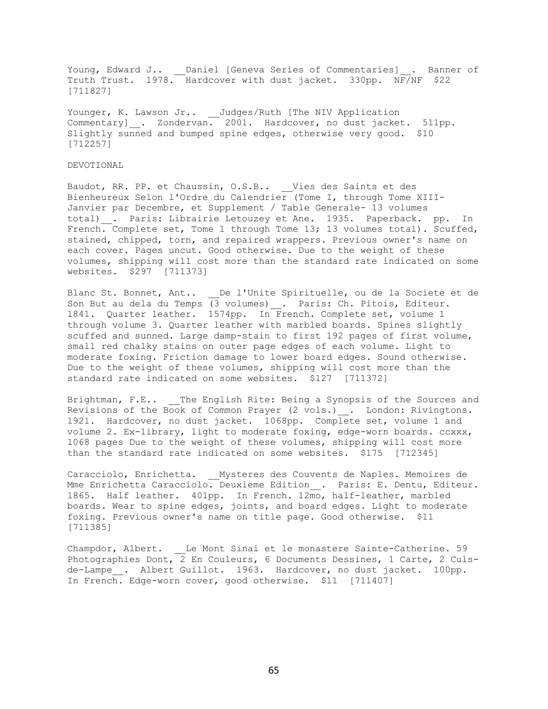Young, Edward J.. \_\_Daniel [Geneva Series of Commentaries]\_\_. Banner of Truth Trust. 1978. Hardcover with dust jacket. 330pp. NF/NF \$22 [711827]

Younger, K. Lawson Jr.. \_\_ Judges/Ruth [The NIV Application Commentary] . Zondervan. 2001. Hardcover, no dust jacket. 511pp. Slightly sunned and bumped spine edges, otherwise very good. \$10 [712257]

## DEVOTIONAL

Baudot, RR. PP. et Chaussin, O.S.B.. Vies des Saints et des Bienheureux Selon l'Ordre du Calendrier (Tome I, through Tome XIII-Janvier par Decembre, et Supplement / Table Generale- 13 volumes total) . Paris: Librairie Letouzey et Ane. 1935. Paperback. pp. In French. Complete set, Tome 1 through Tome 13; 13 volumes total). Scuffed, stained, chipped, torn, and repaired wrappers. Previous owner's name on each cover. Pages uncut. Good otherwise. Due to the weight of these volumes, shipping will cost more than the standard rate indicated on some websites. \$297 [711373]

Blanc St. Bonnet, Ant.. \_\_De l'Unite Spirituelle, ou de la Societe et de Son But au dela du Temps (3 volumes) . Paris: Ch. Pitois, Editeur. 1841. Quarter leather. 1574pp. In French. Complete set, volume 1 through volume 3. Quarter leather with marbled boards. Spines slightly scuffed and sunned. Large damp-stain to first 192 pages of first volume, small red chalky stains on outer page edges of each volume. Light to moderate foxing. Friction damage to lower board edges. Sound otherwise. Due to the weight of these volumes, shipping will cost more than the standard rate indicated on some websites. \$127 [711372]

Brightman, F.E.. The English Rite: Being a Synopsis of the Sources and Revisions of the Book of Common Prayer (2 vols.) . London: Rivingtons. 1921. Hardcover, no dust jacket. 1068pp. Complete set, volume 1 and volume 2. Ex-library, light to moderate foxing, edge-worn boards. ccxxx, 1068 pages Due to the weight of these volumes, shipping will cost more than the standard rate indicated on some websites. \$175 [712345]

Caracciolo, Enrichetta. Mysteres des Couvents de Naples. Memoires de Mme Enrichetta Caracciolo. Deuxieme Edition . Paris: E. Dentu, Editeur. 1865. Half leather. 401pp. In French. 12mo, half-leather, marbled boards. Wear to spine edges, joints, and board edges. Light to moderate foxing. Previous owner's name on title page. Good otherwise. \$11 [711385]

Champdor, Albert. Le Mont Sinai et le monastere Sainte-Catherine. 59 Photographies Dont, 2 En Couleurs, 6 Documents Dessines, 1 Carte, 2 Culsde-Lampe . Albert Guillot. 1963. Hardcover, no dust jacket. 100pp. In French. Edge-worn cover, good otherwise. \$11 [711407]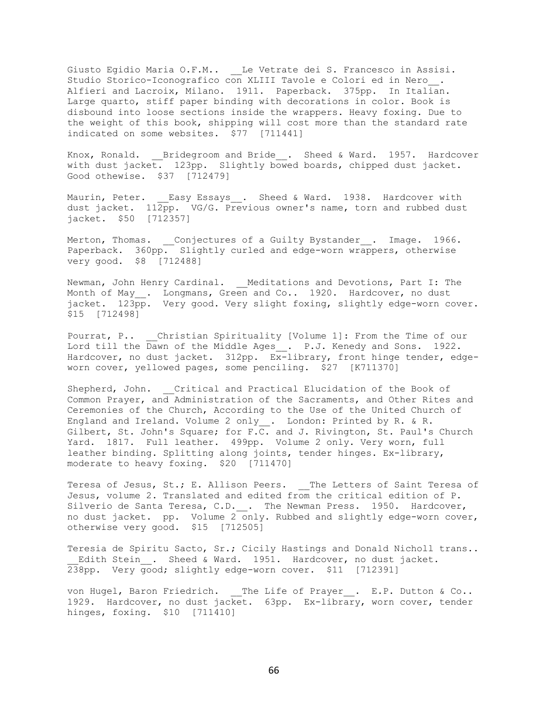Giusto Egidio Maria O.F.M.. \_\_Le Vetrate dei S. Francesco in Assisi. Studio Storico-Iconografico con XLIII Tavole e Colori ed in Nero. Alfieri and Lacroix, Milano. 1911. Paperback. 375pp. In Italian. Large quarto, stiff paper binding with decorations in color. Book is disbound into loose sections inside the wrappers. Heavy foxing. Due to the weight of this book, shipping will cost more than the standard rate indicated on some websites. \$77 [711441]

Knox, Ronald. \_\_Bridegroom and Bride\_\_. Sheed & Ward. 1957. Hardcover with dust jacket. 123pp. Slightly bowed boards, chipped dust jacket. Good othewise. \$37 [712479]

Maurin, Peter. Easy Essays . Sheed & Ward. 1938. Hardcover with dust jacket.  $112\overline{p}p$ . VG/G. Previous owner's name, torn and rubbed dust jacket. \$50 [712357]

Merton, Thomas. \_\_Conjectures of a Guilty Bystander\_\_. Image. 1966. Paperback. 360pp. Slightly curled and edge-worn wrappers, otherwise very good. \$8 [712488]

Newman, John Henry Cardinal. Meditations and Devotions, Part I: The Month of May\_. Longmans, Green and Co.. 1920. Hardcover, no dust jacket. 123pp. Very good. Very slight foxing, slightly edge-worn cover. \$15 [712498]

Pourrat, P.. Christian Spirituality [Volume 1]: From the Time of our Lord till the Dawn of the Middle Ages\_. P.J. Kenedy and Sons. 1922. Hardcover, no dust jacket. 312pp. Ex-library, front hinge tender, edgeworn cover, yellowed pages, some penciling. \$27 [K711370]

Shepherd, John. Critical and Practical Elucidation of the Book of Common Prayer, and Administration of the Sacraments, and Other Rites and Ceremonies of the Church, According to the Use of the United Church of England and Ireland. Volume 2 only\_\_. London: Printed by R. & R. Gilbert, St. John's Square; for F.C. and J. Rivington, St. Paul's Church Yard. 1817. Full leather. 499pp. Volume 2 only. Very worn, full leather binding. Splitting along joints, tender hinges. Ex-library, moderate to heavy foxing. \$20 [711470]

Teresa of Jesus, St.; E. Allison Peers. The Letters of Saint Teresa of Jesus, volume 2. Translated and edited from the critical edition of P. Silverio de Santa Teresa, C.D. \_\_. The Newman Press. 1950. Hardcover, no dust jacket. pp. Volume 2 only. Rubbed and slightly edge-worn cover, otherwise very good. \$15 [712505]

Teresia de Spiritu Sacto, Sr.; Cicily Hastings and Donald Nicholl trans.. Edith Stein . Sheed & Ward. 1951. Hardcover, no dust jacket. 238pp. Very good; slightly edge-worn cover. \$11 [712391]

von Hugel, Baron Friedrich. The Life of Prayer . E.P. Dutton & Co.. 1929. Hardcover, no dust jacket. 63pp. Ex-library, worn cover, tender hinges, foxing. \$10 [711410]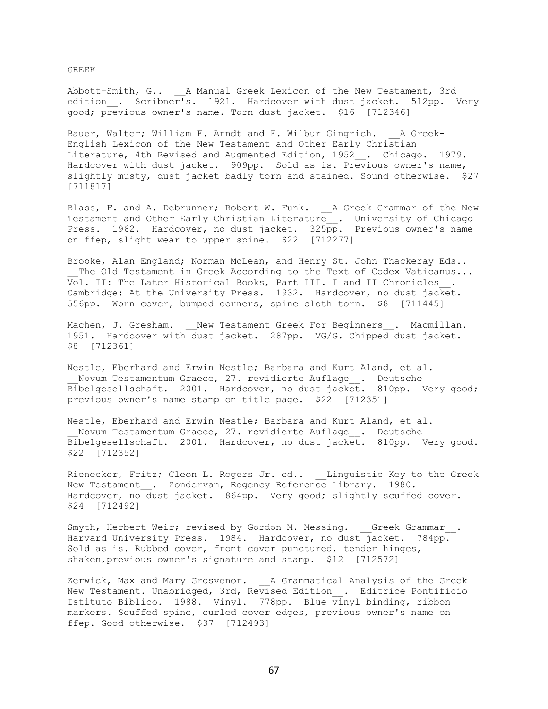GREEK

Abbott-Smith, G.. \_\_A Manual Greek Lexicon of the New Testament, 3rd edition . Scribner's. 1921. Hardcover with dust jacket. 512pp. Very good; previous owner's name. Torn dust jacket. \$16 [712346]

Bauer, Walter; William F. Arndt and F. Wilbur Gingrich. A Greek-English Lexicon of the New Testament and Other Early Christian Literature, 4th Revised and Augmented Edition, 1952\_\_. Chicago. 1979. Hardcover with dust jacket. 909pp. Sold as is. Previous owner's name, slightly musty, dust jacket badly torn and stained. Sound otherwise. \$27 [711817]

Blass, F. and A. Debrunner; Robert W. Funk. \_\_ A Greek Grammar of the New Testament and Other Early Christian Literature\_\_. University of Chicago Press. 1962. Hardcover, no dust jacket. 325pp. Previous owner's name on ffep, slight wear to upper spine. \$22 [712277]

Brooke, Alan England; Norman McLean, and Henry St. John Thackeray Eds.. The Old Testament in Greek According to the Text of Codex Vaticanus... Vol. II: The Later Historical Books, Part III. I and II Chronicles . Cambridge: At the University Press. 1932. Hardcover, no dust jacket. 556pp. Worn cover, bumped corners, spine cloth torn. \$8 [711445]

Machen, J. Gresham. Wew Testament Greek For Beginners . Macmillan. 1951. Hardcover with dust jacket. 287pp. VG/G. Chipped dust jacket. \$8 [712361]

Nestle, Eberhard and Erwin Nestle; Barbara and Kurt Aland, et al. Novum Testamentum Graece, 27. revidierte Auflage\_\_. Deutsche Bibelgesellschaft. 2001. Hardcover, no dust jacket. 810pp. Very good; previous owner's name stamp on title page. \$22 [712351]

Nestle, Eberhard and Erwin Nestle; Barbara and Kurt Aland, et al. Novum Testamentum Graece, 27. revidierte Auflage . Deutsche Bibelgesellschaft. 2001. Hardcover, no dust jacket. 810pp. Very good. \$22 [712352]

Rienecker, Fritz; Cleon L. Rogers Jr. ed.. Linguistic Key to the Greek New Testament . Zondervan, Regency Reference Library. 1980. Hardcover, no dust jacket. 864pp. Very good; slightly scuffed cover. \$24 [712492]

Smyth, Herbert Weir; revised by Gordon M. Messing. Greek Grammar . Harvard University Press. 1984. Hardcover, no dust jacket. 784pp. Sold as is. Rubbed cover, front cover punctured, tender hinges, shaken, previous owner's signature and stamp. \$12 [712572]

Zerwick, Max and Mary Grosvenor. \_\_A Grammatical Analysis of the Greek New Testament. Unabridged, 3rd, Revised Edition\_\_. Editrice Pontificio Istituto Biblico. 1988. Vinyl. 778pp. Blue vinyl binding, ribbon markers. Scuffed spine, curled cover edges, previous owner's name on ffep. Good otherwise. \$37 [712493]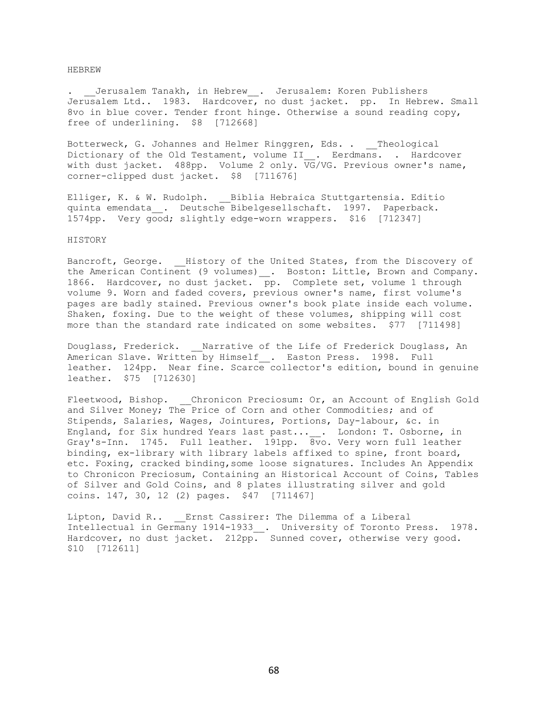#### HEBREW

. \_\_Jerusalem Tanakh, in Hebrew\_\_. Jerusalem: Koren Publishers Jerusalem Ltd.. 1983. Hardcover, no dust jacket. pp. In Hebrew. Small 8vo in blue cover. Tender front hinge. Otherwise a sound reading copy, free of underlining. \$8 [712668]

Botterweck, G. Johannes and Helmer Ringgren, Eds. . Theological Dictionary of the Old Testament, volume II\_. Eerdmans. . Hardcover with dust jacket. 488pp. Volume 2 only. VG/VG. Previous owner's name, corner-clipped dust jacket. \$8 [711676]

Elliger, K. & W. Rudolph. \_\_ Biblia Hebraica Stuttgartensia. Editio quinta emendata\_\_. Deutsche Bibelgesellschaft. 1997. Paperback. 1574pp. Very good; slightly edge-worn wrappers. \$16 [712347]

#### HISTORY

Bancroft, George. History of the United States, from the Discovery of the American Continent (9 volumes) . Boston: Little, Brown and Company. 1866. Hardcover, no dust jacket.  $\overline{p}$ p. Complete set, volume 1 through volume 9. Worn and faded covers, previous owner's name, first volume's pages are badly stained. Previous owner's book plate inside each volume. Shaken, foxing. Due to the weight of these volumes, shipping will cost more than the standard rate indicated on some websites. \$77 [711498]

Douglass, Frederick. Marrative of the Life of Frederick Douglass, An American Slave. Written by Himself . Easton Press. 1998. Full leather. 124pp. Near fine. Scarce collector's edition, bound in genuine leather. \$75 [712630]

Fleetwood, Bishop. Chronicon Preciosum: Or, an Account of English Gold and Silver Money; The Price of Corn and other Commodities; and of Stipends, Salaries, Wages, Jointures, Portions, Day-labour, &c. in England, for Six hundred Years last past...\_\_. London: T. Osborne, in Gray's-Inn. 1745. Full leather. 191pp. 8vo. Very worn full leather binding, ex-library with library labels affixed to spine, front board, etc. Foxing, cracked binding,some loose signatures. Includes An Appendix to Chronicon Preciosum, Containing an Historical Account of Coins, Tables of Silver and Gold Coins, and 8 plates illustrating silver and gold coins. 147, 30, 12 (2) pages. \$47 [711467]

Lipton, David R.. Ernst Cassirer: The Dilemma of a Liberal Intellectual in Germany 1914-1933 . University of Toronto Press. 1978. Hardcover, no dust jacket. 212pp. Sunned cover, otherwise very good. \$10 [712611]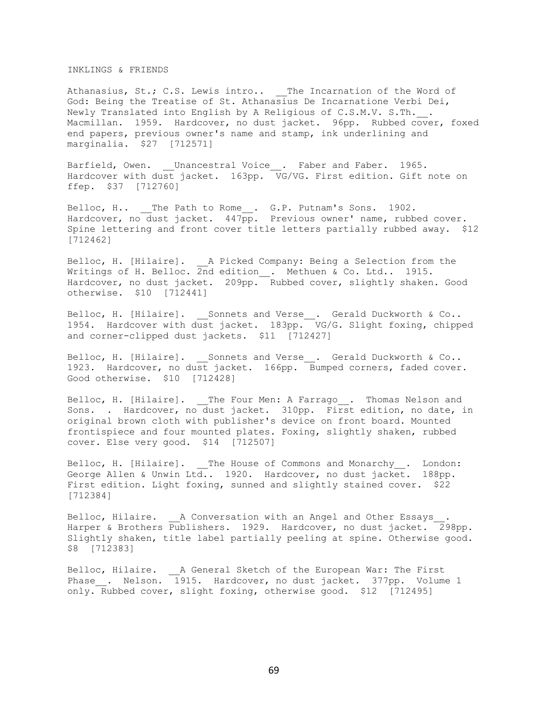# INKLINGS & FRIENDS

Athanasius, St.; C.S. Lewis intro.. The Incarnation of the Word of God: Being the Treatise of St. Athanasius De Incarnatione Verbi Dei, Newly Translated into English by A Religious of C.S.M.V. S.Th.\_\_. Macmillan. 1959. Hardcover, no dust jacket. 96pp. Rubbed cover, foxed end papers, previous owner's name and stamp, ink underlining and marginalia. \$27 [712571]

Barfield, Owen. \_\_Unancestral Voice\_\_. Faber and Faber. 1965. Hardcover with dust jacket. 163pp. VG/VG. First edition. Gift note on ffep. \$37 [712760]

Belloc, H.. \_\_The Path to Rome . G.P. Putnam's Sons. 1902. Hardcover, no dust jacket. 447pp. Previous owner' name, rubbed cover. Spine lettering and front cover title letters partially rubbed away. \$12 [712462]

Belloc, H. [Hilaire]. A Picked Company: Being a Selection from the Writings of H. Belloc. 2nd edition\_\_. Methuen & Co. Ltd.. 1915. Hardcover, no dust jacket. 209pp. Rubbed cover, slightly shaken. Good otherwise. \$10 [712441]

Belloc, H. [Hilaire]. Sonnets and Verse . Gerald Duckworth & Co.. 1954. Hardcover with dust jacket. 183pp. VG/G. Slight foxing, chipped and corner-clipped dust jackets. \$11 [712427]

Belloc, H. [Hilaire]. Sonnets and Verse . Gerald Duckworth & Co.. 1923. Hardcover, no dust jacket. 166pp. Bumped corners, faded cover. Good otherwise. \$10 [712428]

Belloc, H. [Hilaire]. The Four Men: A Farrago . Thomas Nelson and Sons. . Hardcover, no dust jacket. 310pp. First edition, no date, in original brown cloth with publisher's device on front board. Mounted frontispiece and four mounted plates. Foxing, slightly shaken, rubbed cover. Else very good. \$14 [712507]

Belloc, H. [Hilaire]. The House of Commons and Monarchy . London: George Allen & Unwin Ltd.. 1920. Hardcover, no dust jacket. 188pp. First edition. Light foxing, sunned and slightly stained cover. \$22 [712384]

Belloc, Hilaire. A Conversation with an Angel and Other Essays . Harper & Brothers Publishers. 1929. Hardcover, no dust jacket. 298pp. Slightly shaken, title label partially peeling at spine. Otherwise good. \$8 [712383]

Belloc, Hilaire. \_\_A General Sketch of the European War: The First Phase\_. Nelson. 1915. Hardcover, no dust jacket. 377pp. Volume 1 only. Rubbed cover, slight foxing, otherwise good. \$12 [712495]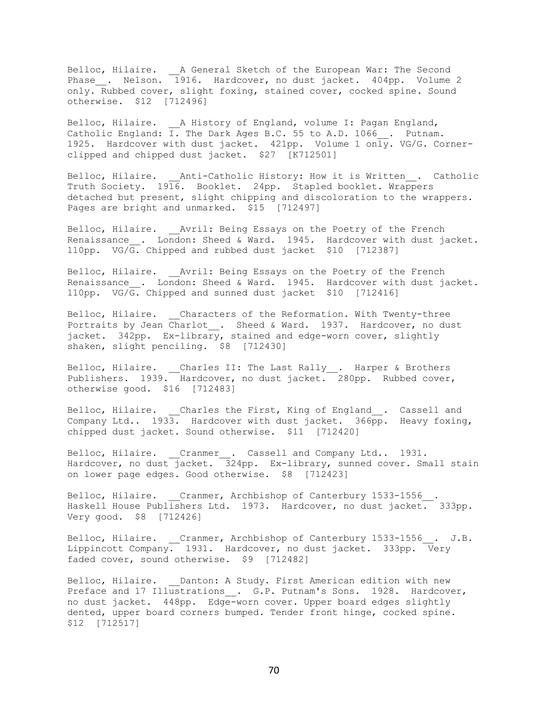Belloc, Hilaire. \_\_A General Sketch of the European War: The Second Phase\_\_. Nelson. 1916. Hardcover, no dust jacket. 404pp. Volume 2 only. Rubbed cover, slight foxing, stained cover, cocked spine. Sound otherwise. \$12 [712496]

Belloc, Hilaire. A History of England, volume I: Pagan England, Catholic England: I. The Dark Ages B.C. 55 to A.D. 1066 . Putnam. 1925. Hardcover with dust jacket. 421pp. Volume 1 only. VG/G. Cornerclipped and chipped dust jacket. \$27 [K712501]

Belloc, Hilaire. Anti-Catholic History: How it is Written . Catholic Truth Society. 1916. Booklet. 24pp. Stapled booklet. Wrappers detached but present, slight chipping and discoloration to the wrappers. Pages are bright and unmarked. \$15 [712497]

Belloc, Hilaire. \_\_Avril: Being Essays on the Poetry of the French Renaissance\_. London: Sheed & Ward. 1945. Hardcover with dust jacket. 110pp. VG/G. Chipped and rubbed dust jacket \$10 [712387]

Belloc, Hilaire. Avril: Being Essays on the Poetry of the French Renaissance . London: Sheed & Ward. 1945. Hardcover with dust jacket. 110pp. VG/G. Chipped and sunned dust jacket \$10 [712416]

Belloc, Hilaire. Characters of the Reformation. With Twenty-three Portraits by Jean Charlot . Sheed & Ward. 1937. Hardcover, no dust jacket. 342pp. Ex-library, stained and edge-worn cover, slightly shaken, slight penciling. \$8 [712430]

Belloc, Hilaire. \_\_Charles II: The Last Rally\_\_. Harper & Brothers Publishers. 1939. Hardcover, no dust jacket. 280pp. Rubbed cover, otherwise good. \$16 [712483]

Belloc, Hilaire. Charles the First, King of England . Cassell and Company Ltd..  $1933.$  Hardcover with dust jacket.  $366\overline{pp}$ . Heavy foxing, chipped dust jacket. Sound otherwise. \$11 [712420]

Belloc, Hilaire. \_\_Cranmer\_\_. Cassell and Company Ltd.. 1931. Hardcover, no dust jacket. 324pp. Ex-library, sunned cover. Small stain on lower page edges. Good otherwise. \$8 [712423]

Belloc, Hilaire. \_\_Cranmer, Archbishop of Canterbury 1533-1556\_\_. Haskell House Publishers Ltd. 1973. Hardcover, no dust jacket. 333pp. Very good. \$8 [712426]

Belloc, Hilaire. \_\_Cranmer, Archbishop of Canterbury 1533-1556\_\_. J.B. Lippincott Company. 1931. Hardcover, no dust jacket. 333pp. Very faded cover, sound otherwise. \$9 [712482]

Belloc, Hilaire. Danton: A Study. First American edition with new Preface and 17 Illustrations \_\_. G.P. Putnam's Sons. 1928. Hardcover, no dust jacket. 448pp. Edge-worn cover. Upper board edges slightly dented, upper board corners bumped. Tender front hinge, cocked spine. \$12 [712517]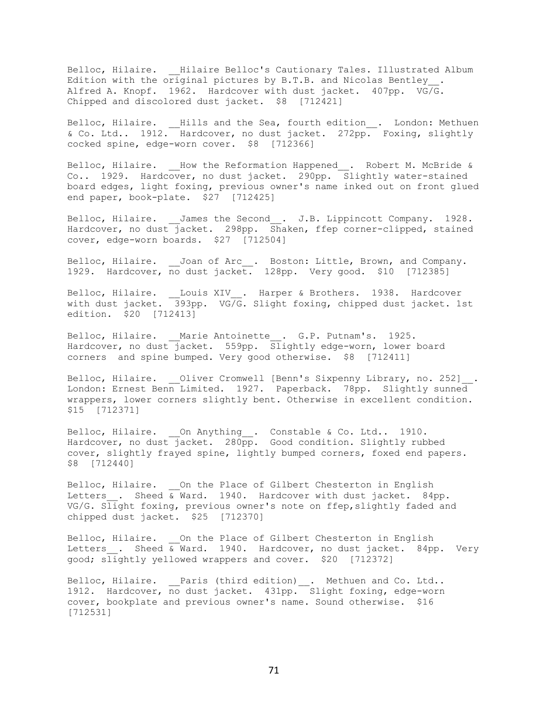Belloc, Hilaire. \_\_Hilaire Belloc's Cautionary Tales. Illustrated Album Edition with the original pictures by B.T.B. and Nicolas Bentley . Alfred A. Knopf. 1962. Hardcover with dust jacket. 407pp. VG/G. Chipped and discolored dust jacket. \$8 [712421]

Belloc, Hilaire. \_\_Hills and the Sea, fourth edition\_\_. London: Methuen & Co. Ltd.. 1912. Hardcover, no dust jacket. 272pp. Foxing, slightly cocked spine, edge-worn cover. \$8 [712366]

Belloc, Hilaire. \_\_How the Reformation Happened\_\_. Robert M. McBride & Co.. 1929. Hardcover, no dust jacket. 290pp. Slightly water-stained board edges, light foxing, previous owner's name inked out on front glued end paper, book-plate. \$27 [712425]

Belloc, Hilaire. James the Second . J.B. Lippincott Company. 1928. Hardcover, no dust jacket. 298pp. Shaken, ffep corner-clipped, stained cover, edge-worn boards. \$27 [712504]

Belloc, Hilaire. Joan of Arc . Boston: Little, Brown, and Company. 1929. Hardcover, no dust jacket. 128pp. Very good. \$10 [712385]

Belloc, Hilaire. \_\_Louis XIV\_\_. Harper & Brothers. 1938. Hardcover with dust jacket. 393pp. VG/G. Slight foxing, chipped dust jacket. 1st edition. \$20 [712413]

Belloc, Hilaire. Marie Antoinette . G.P. Putnam's. 1925. Hardcover, no dust jacket. 559pp. Slightly edge-worn, lower board corners and spine bumped. Very good otherwise. \$8 [712411]

Belloc, Hilaire. \_\_Oliver Cromwell [Benn's Sixpenny Library, no. 252] London: Ernest Benn Limited. 1927. Paperback. 78pp. Slightly sunned wrappers, lower corners slightly bent. Otherwise in excellent condition. \$15 [712371]

Belloc, Hilaire. On Anything\_\_. Constable & Co. Ltd.. 1910. Hardcover, no dust jacket. 280pp. Good condition. Slightly rubbed cover, slightly frayed spine, lightly bumped corners, foxed end papers. \$8 [712440]

Belloc, Hilaire. On the Place of Gilbert Chesterton in English Letters . Sheed  $\overline{\&}$  Ward. 1940. Hardcover with dust jacket. 84pp. VG/G. Slight foxing, previous owner's note on ffep,slightly faded and chipped dust jacket. \$25 [712370]

Belloc, Hilaire. On the Place of Gilbert Chesterton in English Letters . Sheed  $\overline{\&}$  Ward. 1940. Hardcover, no dust jacket. 84pp. Very good; slightly yellowed wrappers and cover. \$20 [712372]

Belloc, Hilaire. \_\_Paris (third edition)\_\_. Methuen and Co. Ltd.. 1912. Hardcover, no dust jacket. 431pp. Slight foxing, edge-worn cover, bookplate and previous owner's name. Sound otherwise. \$16 [712531]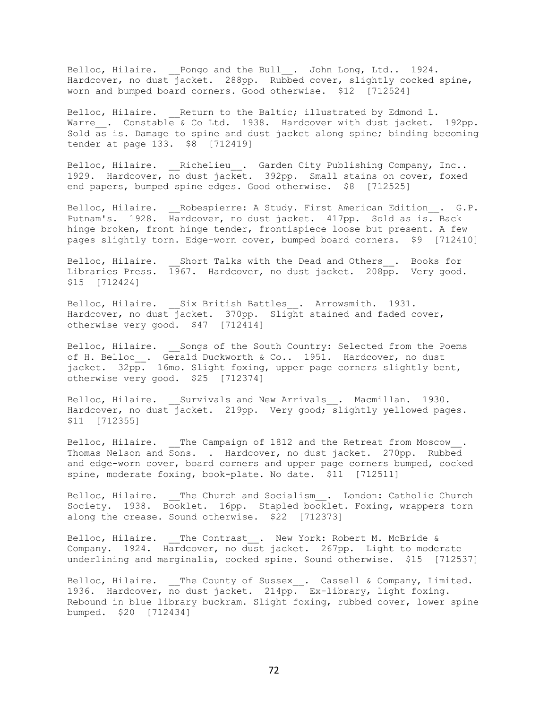Belloc, Hilaire. \_\_Pongo and the Bull\_\_. John Long, Ltd.. 1924. Hardcover, no dust jacket. 288pp. Rubbed cover, slightly cocked spine, worn and bumped board corners. Good otherwise. \$12 [712524]

Belloc, Hilaire. Return to the Baltic; illustrated by Edmond L. Warre . Constable & Co Ltd. 1938. Hardcover with dust jacket. 192pp. Sold as is. Damage to spine and dust jacket along spine; binding becoming tender at page 133. \$8 [712419]

Belloc, Hilaire. \_\_Richelieu\_\_. Garden City Publishing Company, Inc.. 1929. Hardcover, no dust jacket. 392pp. Small stains on cover, foxed end papers, bumped spine edges. Good otherwise. \$8 [712525]

Belloc, Hilaire. Robespierre: A Study. First American Edition . G.P. Putnam's. 1928. Hardcover, no dust jacket. 417pp. Sold as is. Back hinge broken, front hinge tender, frontispiece loose but present. A few pages slightly torn. Edge-worn cover, bumped board corners. \$9 [712410]

Belloc, Hilaire. Short Talks with the Dead and Others . Books for Libraries Press. 1967. Hardcover, no dust jacket. 208pp. Very good. \$15 [712424]

Belloc, Hilaire. Six British Battles . Arrowsmith. 1931. Hardcover, no dust jacket. 370pp. Slight stained and faded cover, otherwise very good. \$47 [712414]

Belloc, Hilaire. Songs of the South Country: Selected from the Poems of H. Belloc\_\_. Gerald Duckworth & Co.. 1951. Hardcover, no dust jacket. 32pp. 16mo. Slight foxing, upper page corners slightly bent, otherwise very good. \$25 [712374]

Belloc, Hilaire. Survivals and New Arrivals . Macmillan. 1930. Hardcover, no dust  $\overline{j}$ acket. 219pp. Very good; slightly yellowed pages. \$11 [712355]

Belloc, Hilaire. \_\_The Campaign of 1812 and the Retreat from Moscow\_\_. Thomas Nelson and Sons. . Hardcover, no dust jacket. 270pp. Rubbed and edge-worn cover, board corners and upper page corners bumped, cocked spine, moderate foxing, book-plate. No date. \$11 [712511]

Belloc, Hilaire. \_\_The Church and Socialism\_\_. London: Catholic Church Society. 1938. Booklet. 16pp. Stapled booklet. Foxing, wrappers torn along the crease. Sound otherwise. \$22 [712373]

Belloc, Hilaire. The Contrast. New York: Robert M. McBride & Company. 1924. Hardcover, no dust jacket. 267pp. Light to moderate underlining and marginalia, cocked spine. Sound otherwise. \$15 [712537]

Belloc, Hilaire. \_\_The County of Sussex\_\_. Cassell & Company, Limited. 1936. Hardcover, no dust jacket. 214pp. Ex-library, light foxing. Rebound in blue library buckram. Slight foxing, rubbed cover, lower spine bumped. \$20 [712434]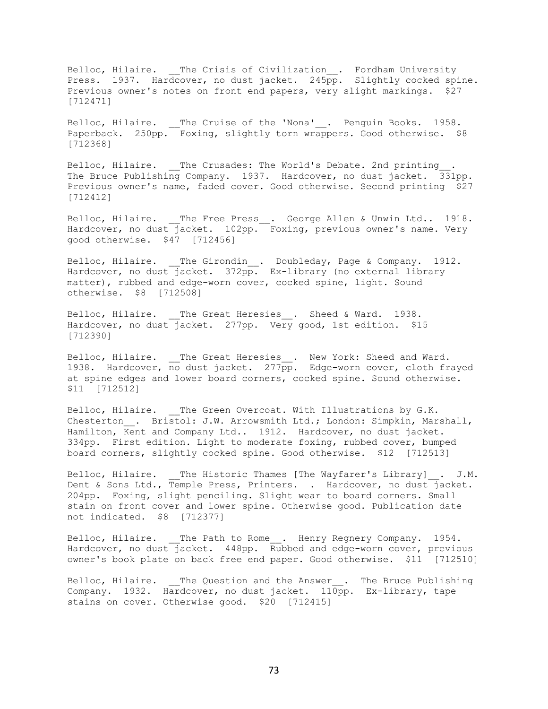Belloc, Hilaire. The Crisis of Civilization . Fordham University Press. 1937. Hardcover, no dust jacket. 245 $p$ p. Slightly cocked spine. Previous owner's notes on front end papers, very slight markings. \$27 [712471]

Belloc, Hilaire. \_\_The Cruise of the 'Nona' . Penguin Books. 1958. Paperback. 250pp. Foxing, slightly torn wrappers. Good otherwise. \$8 [712368]

Belloc, Hilaire. \_\_The Crusades: The World's Debate. 2nd printing The Bruce Publishing Company. 1937. Hardcover, no dust jacket. 331pp. Previous owner's name, faded cover. Good otherwise. Second printing \$27 [712412]

Belloc, Hilaire. The Free Press. George Allen & Unwin Ltd.. 1918. Hardcover, no dust jacket. 102pp. Foxing, previous owner's name. Very good otherwise. \$47 [712456]

Belloc, Hilaire. The Girondin . Doubleday, Page & Company. 1912. Hardcover, no dust jacket. 372pp. Ex-library (no external library matter), rubbed and edge-worn cover, cocked spine, light. Sound otherwise. \$8 [712508]

Belloc, Hilaire. The Great Heresies . Sheed & Ward. 1938. Hardcover, no dust jacket. 277pp. Very good, 1st edition. \$15 [712390]

Belloc, Hilaire. \_\_The Great Heresies\_\_. New York: Sheed and Ward. 1938. Hardcover, no dust jacket. 277 $p$ p. Edge-worn cover, cloth frayed at spine edges and lower board corners, cocked spine. Sound otherwise. \$11 [712512]

Belloc, Hilaire. The Green Overcoat. With Illustrations by G.K. Chesterton . Bristol: J.W. Arrowsmith Ltd.; London: Simpkin, Marshall, Hamilton, Kent and Company Ltd.. 1912. Hardcover, no dust jacket. 334pp. First edition. Light to moderate foxing, rubbed cover, bumped board corners, slightly cocked spine. Good otherwise. \$12 [712513]

Belloc, Hilaire. The Historic Thames [The Wayfarer's Library] . J.M. Dent & Sons Ltd., Temple Press, Printers. . Hardcover, no dust jacket. 204pp. Foxing, slight penciling. Slight wear to board corners. Small stain on front cover and lower spine. Otherwise good. Publication date not indicated. \$8 [712377]

Belloc, Hilaire. The Path to Rome. Henry Regnery Company. 1954. Hardcover, no dust jacket. 448pp. Rubbed and edge-worn cover, previous owner's book plate on back free end paper. Good otherwise. \$11 [712510]

Belloc, Hilaire. The Question and the Answer . The Bruce Publishing Company. 1932. Hardcover, no dust jacket. 110pp. Ex-library, tape stains on cover. Otherwise good. \$20 [712415]

73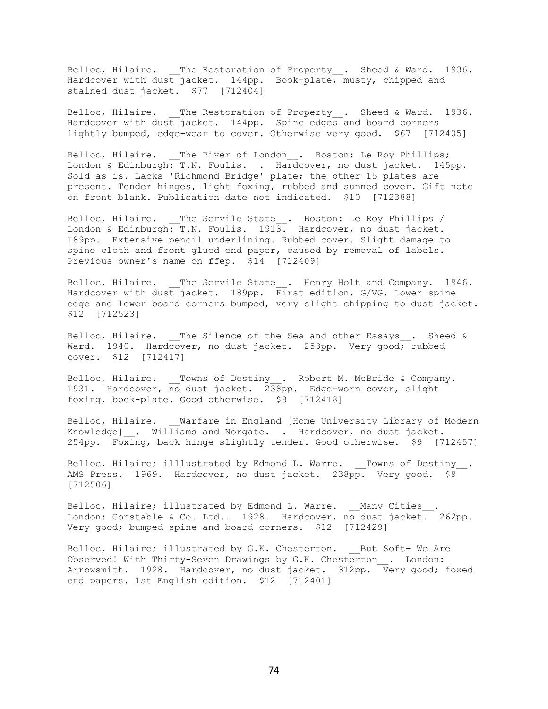Belloc, Hilaire. The Restoration of Property . Sheed & Ward. 1936. Hardcover with dust jacket. 144pp. Book-plate, musty, chipped and stained dust jacket. \$77 [712404]

Belloc, Hilaire. The Restoration of Property . Sheed & Ward. 1936. Hardcover with dust jacket. 144pp. Spine edges and board corners lightly bumped, edge-wear to cover. Otherwise very good. \$67 [712405]

Belloc, Hilaire. \_\_The River of London\_\_. Boston: Le Roy Phillips; London & Edinburgh: T.N. Foulis. . Hardcover, no dust jacket. 145pp. Sold as is. Lacks 'Richmond Bridge' plate; the other 15 plates are present. Tender hinges, light foxing, rubbed and sunned cover. Gift note on front blank. Publication date not indicated. \$10 [712388]

Belloc, Hilaire. The Servile State . Boston: Le Roy Phillips / London & Edinburgh: T.N. Foulis. 1913. Hardcover, no dust jacket. 189pp. Extensive pencil underlining. Rubbed cover. Slight damage to spine cloth and front glued end paper, caused by removal of labels. Previous owner's name on ffep. \$14 [712409]

Belloc, Hilaire. The Servile State . Henry Holt and Company. 1946. Hardcover with dust jacket. 189pp. First edition. G/VG. Lower spine edge and lower board corners bumped, very slight chipping to dust jacket. \$12 [712523]

Belloc, Hilaire. The Silence of the Sea and other Essays . Sheed & Ward. 1940. Hardcover, no dust jacket. 253pp. Very good; rubbed cover. \$12 [712417]

Belloc, Hilaire. \_\_Towns of Destiny\_\_. Robert M. McBride & Company. 1931. Hardcover, no dust jacket. 238pp. Edge-worn cover, slight foxing, book-plate. Good otherwise. \$8 [712418]

Belloc, Hilaire. Warfare in England [Home University Library of Modern Knowledge] . Williams and Norgate. . Hardcover, no dust jacket. 254pp. Foxing, back hinge slightly tender. Good otherwise. \$9 [712457]

Belloc, Hilaire; illlustrated by Edmond L. Warre. Towns of Destiny . AMS Press. 1969. Hardcover, no dust jacket. 238pp. Very good. \$9 [712506]

Belloc, Hilaire; illustrated by Edmond L. Warre. Many Cities . London: Constable & Co. Ltd.. 1928. Hardcover, no dust jacket. 262pp. Very good; bumped spine and board corners. \$12 [712429]

Belloc, Hilaire; illustrated by G.K. Chesterton. \_\_ But Soft- We Are Observed! With Thirty-Seven Drawings by G.K. Chesterton . London: Arrowsmith. 1928. Hardcover, no dust jacket. 312pp. Very good; foxed end papers. 1st English edition. \$12 [712401]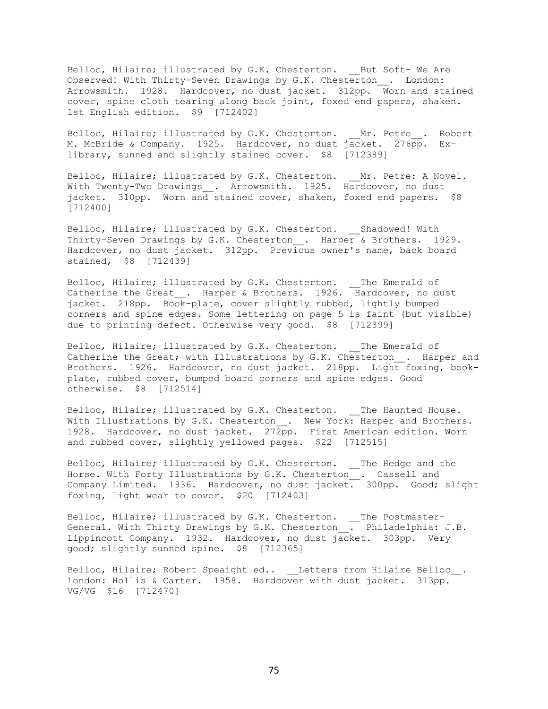Belloc, Hilaire; illustrated by G.K. Chesterton. But Soft- We Are Observed! With Thirty-Seven Drawings by G.K. Chesterton . London: Arrowsmith. 1928. Hardcover, no dust jacket. 312pp. Worn and stained cover, spine cloth tearing along back joint, foxed end papers, shaken. 1st English edition. \$9 [712402]

Belloc, Hilaire; illustrated by G.K. Chesterton. Mr. Petre . Robert M. McBride & Company. 1925. Hardcover, no dust jacket. 276pp. Exlibrary, sunned and slightly stained cover. \$8 [712389]

Belloc, Hilaire; illustrated by G.K. Chesterton. Mr. Petre: A Novel. With Twenty-Two Drawings . Arrowsmith. 1925. Hardcover, no dust jacket. 310pp. Worn and stained cover, shaken, foxed end papers. \$8 [712400]

Belloc, Hilaire; illustrated by G.K. Chesterton. \_\_Shadowed! With Thirty-Seven Drawings by G.K. Chesterton\_\_. Harper & Brothers. 1929. Hardcover, no dust jacket. 312pp. Previous owner's name, back board stained, \$8 [712439]

Belloc, Hilaire; illustrated by G.K. Chesterton. \_\_The Emerald of Catherine the Great\_\_. Harper & Brothers. 1926. Hardcover, no dust jacket. 218pp. Book-plate, cover slightly rubbed, lightly bumped corners and spine edges. Some lettering on page 5 is faint (but visible) due to printing defect. Otherwise very good. \$8 [712399]

Belloc, Hilaire; illustrated by G.K. Chesterton. The Emerald of Catherine the Great; with Illustrations by G.K. Chesterton . Harper and Brothers. 1926. Hardcover, no dust jacket. 218pp. Light foxing, bookplate, rubbed cover, bumped board corners and spine edges. Good otherwise. \$8 [712514]

Belloc, Hilaire; illustrated by G.K. Chesterton. The Haunted House. With Illustrations by G.K. Chesterton\_\_. New York: Harper and Brothers. 1928. Hardcover, no dust jacket. 272pp. First American edition. Worn and rubbed cover, slightly yellowed pages. \$22 [712515]

Belloc, Hilaire; illustrated by G.K. Chesterton. \_\_The Hedge and the Horse. With Forty Illustrations by G.K. Chesterton . Cassell and Company Limited. 1936. Hardcover, no dust jacket. 300pp. Good; slight foxing, light wear to cover. \$20 [712403]

Belloc, Hilaire; illustrated by G.K. Chesterton. \_\_The Postmaster-General. With Thirty Drawings by G.K. Chesterton . Philadelphia: J.B. Lippincott Company. 1932. Hardcover, no dust jacket. 303pp. Very good; slightly sunned spine. \$8 [712365]

Belloc, Hilaire; Robert Speaight ed.. \_\_Letters from Hilaire Belloc\_\_. London: Hollis & Carter. 1958. Hardcover with dust jacket. 313pp. VG/VG \$16 [712470]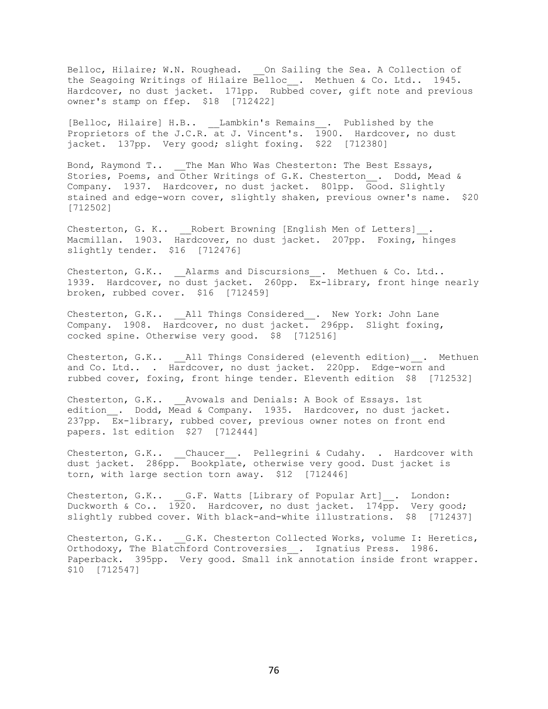Belloc, Hilaire; W.N. Roughead. \_\_ On Sailing the Sea. A Collection of the Seagoing Writings of Hilaire Belloc\_\_. Methuen & Co. Ltd.. 1945. Hardcover, no dust jacket. 171pp. Rubbed cover, gift note and previous owner's stamp on ffep. \$18 [712422]

[Belloc, Hilaire] H.B.. Lambkin's Remains . Published by the Proprietors of the J.C.R. at J. Vincent's.  $\overline{1900}$ . Hardcover, no dust jacket. 137pp. Very good; slight foxing. \$22 [712380]

Bond, Raymond T.. \_\_The Man Who Was Chesterton: The Best Essays, Stories, Poems, and Other Writings of G.K. Chesterton\_\_. Dodd, Mead & Company. 1937. Hardcover, no dust jacket. 801pp. Good. Slightly stained and edge-worn cover, slightly shaken, previous owner's name. \$20 [712502]

Chesterton, G. K.. \_\_Robert Browning [English Men of Letters]\_\_. Macmillan. 1903. Hardcover, no dust jacket. 207pp. Foxing, hinges slightly tender. \$16 [712476]

Chesterton, G.K.. Alarms and Discursions . Methuen & Co. Ltd.. 1939. Hardcover, no dust jacket. 260pp. Ex-library, front hinge nearly broken, rubbed cover. \$16 [712459]

Chesterton, G.K.. \_\_\_ All Things Considered . New York: John Lane Company. 1908. Hardcover, no dust jacket. 296pp. Slight foxing, cocked spine. Otherwise very good. \$8 [712516]

Chesterton, G.K.. \_\_\_ All Things Considered (eleventh edition) . Methuen and Co. Ltd.. . Hardcover, no dust jacket. 220pp. Edge-worn and rubbed cover, foxing, front hinge tender. Eleventh edition \$8 [712532]

Chesterton, G.K.. Avowals and Denials: A Book of Essays. 1st edition. Dodd, Mead & Company. 1935. Hardcover, no dust jacket. 237pp. Ex-library, rubbed cover, previous owner notes on front end papers. 1st edition \$27 [712444]

Chesterton, G.K.. \_\_Chaucer\_\_. Pellegrini & Cudahy. . Hardcover with dust jacket. 286pp. Bookplate, otherwise very good. Dust jacket is torn, with large section torn away. \$12 [712446]

Chesterton, G.K.. \_\_G.F. Watts [Library of Popular Art]\_\_. London: Duckworth & Co.. 1920. Hardcover, no dust jacket. 174pp. Very good; slightly rubbed cover. With black-and-white illustrations. \$8 [712437]

Chesterton, G.K.. G.K. Chesterton Collected Works, volume I: Heretics, Orthodoxy, The Blatchford Controversies . Ignatius Press. 1986. Paperback. 395pp. Very good. Small ink annotation inside front wrapper. \$10 [712547]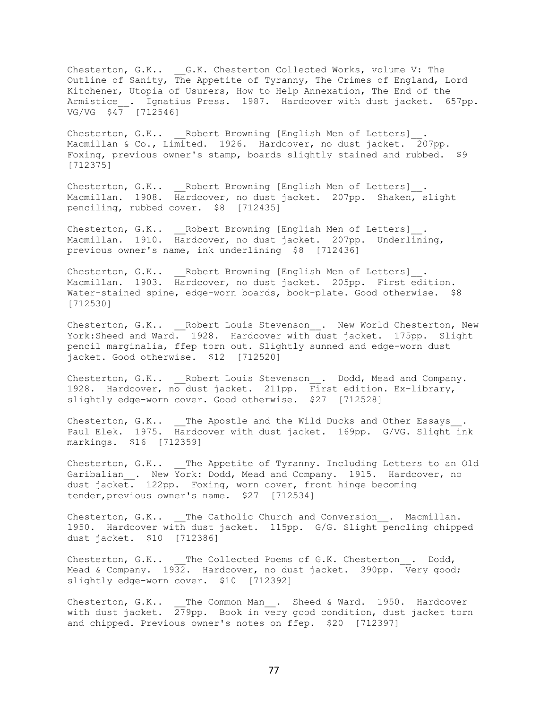Chesterton, G.K.. \_\_G.K. Chesterton Collected Works, volume V: The Outline of Sanity, The Appetite of Tyranny, The Crimes of England, Lord Kitchener, Utopia of Usurers, How to Help Annexation, The End of the Armistice . Ignatius Press. 1987. Hardcover with dust jacket. 657pp. VG/VG \$47 [712546]

Chesterton, G.K.. Robert Browning [English Men of Letters] Macmillan & Co., Limited. 1926. Hardcover, no dust jacket. 207pp. Foxing, previous owner's stamp, boards slightly stained and rubbed. \$9 [712375]

Chesterton, G.K.. Robert Browning [English Men of Letters]. Macmillan. 1908. Hardcover, no dust jacket. 207pp. Shaken, slight penciling, rubbed cover. \$8 [712435]

Chesterton, G.K.. Robert Browning [English Men of Letters]. Macmillan. 1910. Hardcover, no dust jacket. 207pp. Underlining, previous owner's name, ink underlining \$8 [712436]

Chesterton, G.K.. Robert Browning [English Men of Letters]. Macmillan. 1903. Hardcover, no dust jacket. 205pp. First edition. Water-stained spine, edge-worn boards, book-plate. Good otherwise. \$8 [712530]

Chesterton, G.K.. \_\_\_Robert Louis Stevenson\_\_. New World Chesterton, New York:Sheed and Ward. 1928. Hardcover with dust jacket. 175pp. Slight pencil marginalia, ffep torn out. Slightly sunned and edge-worn dust jacket. Good otherwise. \$12 [712520]

Chesterton, G.K.. \_\_Robert Louis Stevenson\_\_. Dodd, Mead and Company. 1928. Hardcover, no dust jacket. 211pp. First edition. Ex-library, slightly edge-worn cover. Good otherwise. \$27 [712528]

Chesterton, G.K.. \_\_The Apostle and the Wild Ducks and Other Essays Paul Elek. 1975. Hardcover with dust jacket. 169pp. G/VG. Slight ink markings. \$16 [712359]

Chesterton, G.K.. The Appetite of Tyranny. Including Letters to an Old Garibalian . New York: Dodd, Mead and Company. 1915. Hardcover, no dust jacket. 122pp. Foxing, worn cover, front hinge becoming tender,previous owner's name. \$27 [712534]

Chesterton, G.K.. The Catholic Church and Conversion . Macmillan. 1950. Hardcover with dust jacket. 115pp. G/G. Slight pencling chipped dust jacket. \$10 [712386]

Chesterton, G.K.. \_\_The Collected Poems of G.K. Chesterton . Dodd, Mead & Company. 1932. Hardcover, no dust jacket. 390pp. Very good; slightly edge-worn cover. \$10 [712392]

Chesterton, G.K.. The Common Man . Sheed & Ward. 1950. Hardcover with dust jacket. 279pp. Book in very good condition, dust jacket torn and chipped. Previous owner's notes on ffep. \$20 [712397]

77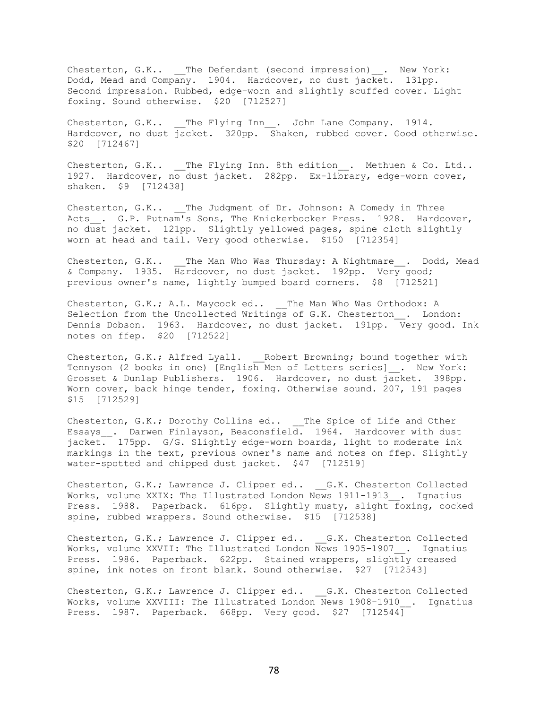Chesterton, G.K.. \_\_The Defendant (second impression) \_\_. New York: Dodd, Mead and Company. 1904. Hardcover, no dust jacket. 131pp. Second impression. Rubbed, edge-worn and slightly scuffed cover. Light foxing. Sound otherwise. \$20 [712527]

Chesterton, G.K.. The Flying Inn . John Lane Company. 1914. Hardcover, no dust jacket. 320pp. Shaken, rubbed cover. Good otherwise. \$20 [712467]

Chesterton, G.K.. \_\_The Flying Inn. 8th edition\_\_. Methuen & Co. Ltd.. 1927. Hardcover, no dust jacket. 282pp. Ex-library, edge-worn cover, shaken. \$9 [712438]

Chesterton, G.K.. The Judgment of Dr. Johnson: A Comedy in Three Acts . G.P. Putnam's Sons, The Knickerbocker Press. 1928. Hardcover, no dust jacket. 121pp. Slightly yellowed pages, spine cloth slightly worn at head and tail. Very good otherwise. \$150 [712354]

Chesterton, G.K.. The Man Who Was Thursday: A Nightmare . Dodd, Mead & Company. 1935. Hardcover, no dust jacket. 192pp. Very good; previous owner's name, lightly bumped board corners. \$8 [712521]

Chesterton, G.K.; A.L. Maycock ed.. \_\_The Man Who Was Orthodox: A Selection from the Uncollected Writings of G.K. Chesterton . London: Dennis Dobson. 1963. Hardcover, no dust jacket. 191pp. Very good. Ink notes on ffep. \$20 [712522]

Chesterton, G.K.; Alfred Lyall. \_\_\_ Robert Browning; bound together with Tennyson (2 books in one) [English Men of Letters series]\_\_. New York: Grosset & Dunlap Publishers. 1906. Hardcover, no dust jacket. 398pp. Worn cover, back hinge tender, foxing. Otherwise sound. 207, 191 pages \$15 [712529]

Chesterton, G.K.; Dorothy Collins ed.. \_\_The Spice of Life and Other Essays . Darwen Finlayson, Beaconsfield. 1964. Hardcover with dust jacket. 175pp. G/G. Slightly edge-worn boards, light to moderate ink markings in the text, previous owner's name and notes on ffep. Slightly water-spotted and chipped dust jacket. \$47 [712519]

Chesterton, G.K.; Lawrence J. Clipper ed.. G.K. Chesterton Collected Works, volume XXIX: The Illustrated London News 1911-1913 . Ignatius Press. 1988. Paperback. 616pp. Slightly musty, slight foxing, cocked spine, rubbed wrappers. Sound otherwise. \$15 [712538]

Chesterton, G.K.; Lawrence J. Clipper ed.. G.K. Chesterton Collected Works, volume XXVII: The Illustrated London News 1905-1907 . Ignatius Press. 1986. Paperback. 622pp. Stained wrappers, slightly creased spine, ink notes on front blank. Sound otherwise. \$27 [712543]

Chesterton, G.K.; Lawrence J. Clipper ed.. G.K. Chesterton Collected Works, volume XXVIII: The Illustrated London News 1908-1910\_\_. Ignatius Press. 1987. Paperback. 668pp. Very good. \$27 [712544]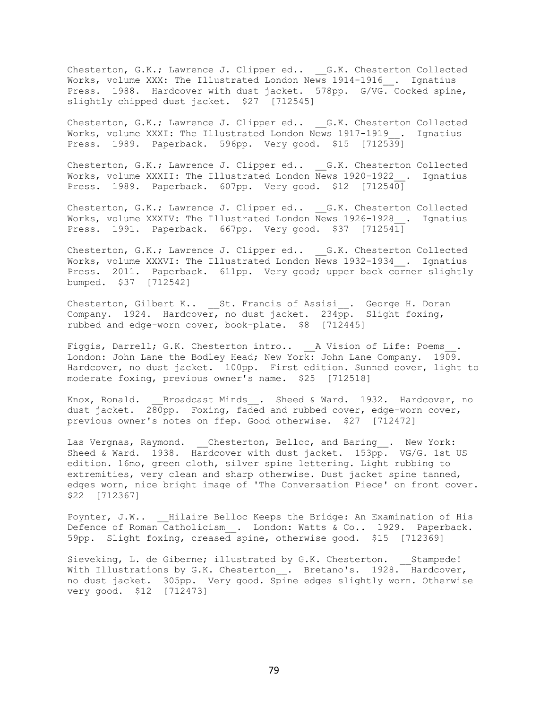Chesterton, G.K.; Lawrence J. Clipper ed.. \_\_G.K. Chesterton Collected Works, volume XXX: The Illustrated London News 1914-1916\_\_. Ignatius Press. 1988. Hardcover with dust jacket. 578pp. G/VG. Cocked spine, slightly chipped dust jacket. \$27 [712545]

Chesterton, G.K.; Lawrence J. Clipper ed.. G.K. Chesterton Collected Works, volume XXXI: The Illustrated London News 1917-1919 . Ignatius Press. 1989. Paperback. 596pp. Very good. \$15 [712539]

Chesterton, G.K.; Lawrence J. Clipper ed.. \_\_G.K. Chesterton Collected Works, volume XXXII: The Illustrated London News 1920-1922 . Ignatius Press. 1989. Paperback. 607pp. Very good. \$12 [712540]

Chesterton, G.K.; Lawrence J. Clipper ed.. G.K. Chesterton Collected Works, volume XXXIV: The Illustrated London News 1926-1928 . Ignatius Press. 1991. Paperback. 667pp. Very good. \$37 [712541]

Chesterton, G.K.; Lawrence J. Clipper ed.. \_\_G.K. Chesterton Collected Works, volume XXXVI: The Illustrated London News 1932-1934 . Ignatius Press. 2011. Paperback. 611pp. Very good; upper back corner slightly bumped. \$37 [712542]

Chesterton, Gilbert K.. St. Francis of Assisi . George H. Doran Company. 1924. Hardcover, no dust jacket. 234pp. Slight foxing, rubbed and edge-worn cover, book-plate. \$8 [712445]

Figgis, Darrell; G.K. Chesterton intro.. \_\_\_\_\_\_ A Vision of Life: Poems London: John Lane the Bodley Head; New York: John Lane Company. 1909. Hardcover, no dust jacket. 100pp. First edition. Sunned cover, light to moderate foxing, previous owner's name. \$25 [712518]

Knox, Ronald. Broadcast Minds . Sheed & Ward. 1932. Hardcover, no dust jacket. 280pp. Foxing, faded and rubbed cover, edge-worn cover, previous owner's notes on ffep. Good otherwise. \$27 [712472]

Las Vergnas, Raymond. \_\_Chesterton, Belloc, and Baring\_\_. New York: Sheed & Ward. 1938. Hardcover with dust jacket. 153pp. VG/G. 1st US edition. 16mo, green cloth, silver spine lettering. Light rubbing to extremities, very clean and sharp otherwise. Dust jacket spine tanned, edges worn, nice bright image of 'The Conversation Piece' on front cover. \$22 [712367]

Poynter, J.W.. \_\_\_Hilaire Belloc Keeps the Bridge: An Examination of His Defence of Roman Catholicism . London: Watts & Co.. 1929. Paperback. 59pp. Slight foxing, creased spine, otherwise good. \$15 [712369]

Sieveking, L. de Giberne; illustrated by G.K. Chesterton. Stampede! With Illustrations by G.K. Chesterton . Bretano's. 1928. Hardcover, no dust jacket. 305pp. Very good. Spine edges slightly worn. Otherwise very good. \$12 [712473]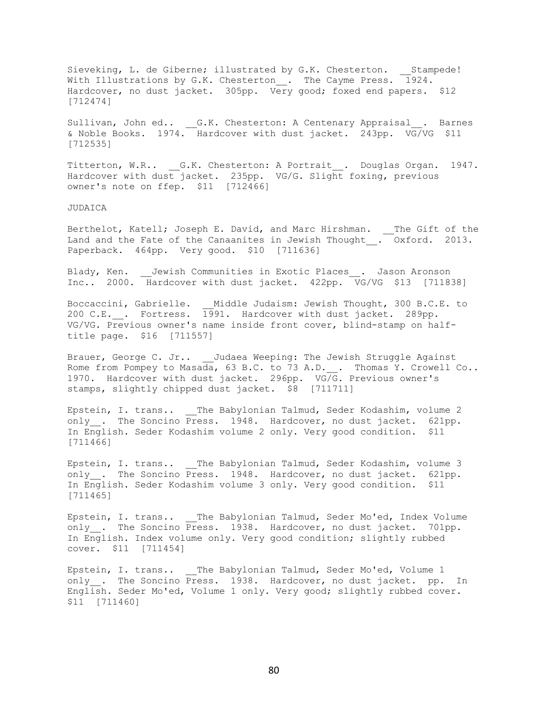Sieveking, L. de Giberne; illustrated by G.K. Chesterton. \_\_Stampede! With Illustrations by G.K. Chesterton\_\_. The Cayme Press. 1924. Hardcover, no dust jacket. 305pp. Very good; foxed end papers. \$12 [712474]

Sullivan, John ed.. G.K. Chesterton: A Centenary Appraisal . Barnes & Noble Books. 1974. Hardcover with dust jacket. 243pp. VG/VG \$11 [712535]

Titterton, W.R.. \_\_G.K. Chesterton: A Portrait\_\_. Douglas Organ. 1947. Hardcover with dust jacket. 235pp. VG/G. Slight foxing, previous owner's note on ffep. \$11 [712466]

JUDAICA

Berthelot, Katell; Joseph E. David, and Marc Hirshman. \_\_The Gift of the Land and the Fate of the Canaanites in Jewish Thought\_. Oxford. 2013. Paperback. 464pp. Very good. \$10 [711636]

Blady, Ken. \_\_Jewish Communities in Exotic Places\_\_. Jason Aronson Inc.. 2000. Hardcover with dust jacket. 422pp. VG/VG \$13 [711838]

Boccaccini, Gabrielle. Middle Judaism: Jewish Thought, 300 B.C.E. to 200 C.E. . Fortress. 1991. Hardcover with dust jacket. 289pp. VG/VG. Previous owner's name inside front cover, blind-stamp on halftitle page. \$16 [711557]

Brauer, George C. Jr.. Judaea Weeping: The Jewish Struggle Against Rome from Pompey to Masada, 63 B.C. to 73 A.D. . Thomas Y. Crowell Co.. 1970. Hardcover with dust jacket. 296pp. VG/G. Previous owner's stamps, slightly chipped dust jacket. \$8 [711711]

Epstein, I. trans.. \_\_The Babylonian Talmud, Seder Kodashim, volume 2 only . The Soncino Press. 1948. Hardcover, no dust jacket. 621pp. In English. Seder Kodashim volume 2 only. Very good condition. \$11 [711466]

Epstein, I. trans.. The Babylonian Talmud, Seder Kodashim, volume 3 only. The Soncino Press. 1948. Hardcover, no dust jacket. 621pp. In English. Seder Kodashim volume 3 only. Very good condition. \$11 [711465]

Epstein, I. trans.. The Babylonian Talmud, Seder Mo'ed, Index Volume only . The Soncino Press. 1938. Hardcover, no dust jacket. 701pp. In English. Index volume only. Very good condition; slightly rubbed cover. \$11 [711454]

Epstein, I. trans.. The Babylonian Talmud, Seder Mo'ed, Volume 1 only . The Soncino Press. 1938. Hardcover, no dust jacket. pp. In English. Seder Mo'ed, Volume 1 only. Very good; slightly rubbed cover. \$11 [711460]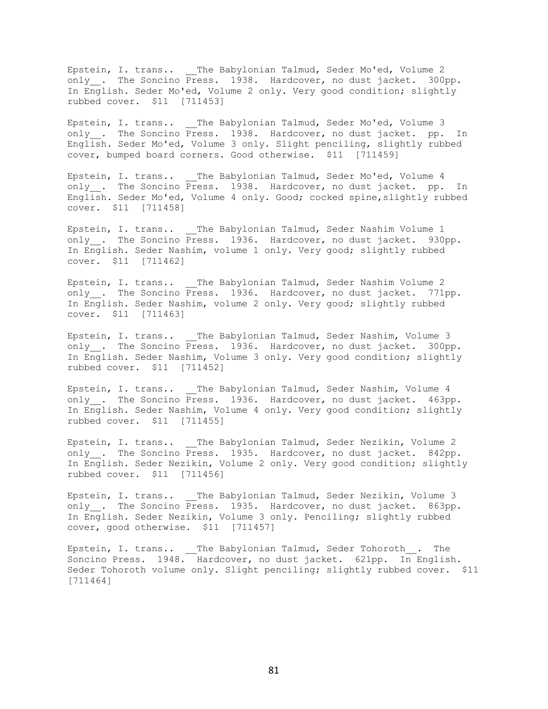Epstein, I. trans.. \_\_The Babylonian Talmud, Seder Mo'ed, Volume 2 only\_\_. The Soncino Press. 1938. Hardcover, no dust jacket. 300pp. In English. Seder Mo'ed, Volume 2 only. Very good condition; slightly rubbed cover. \$11 [711453]

Epstein, I. trans.. \_\_The Babylonian Talmud, Seder Mo'ed, Volume 3 only . The Soncino Press. 1938. Hardcover, no dust jacket. pp. In English. Seder Mo'ed, Volume 3 only. Slight penciling, slightly rubbed cover, bumped board corners. Good otherwise. \$11 [711459]

Epstein, I. trans.. The Babylonian Talmud, Seder Mo'ed, Volume 4 only . The Soncino Press. 1938. Hardcover, no dust jacket. pp. In English. Seder Mo'ed, Volume 4 only. Good; cocked spine,slightly rubbed cover. \$11 [711458]

Epstein, I. trans.. \_\_The Babylonian Talmud, Seder Nashim Volume 1 only . The Soncino Press. 1936. Hardcover, no dust jacket. 930pp. In English. Seder Nashim, volume 1 only. Very good; slightly rubbed cover. \$11 [711462]

Epstein, I. trans.. The Babylonian Talmud, Seder Nashim Volume 2 only . The Soncino Press. 1936. Hardcover, no dust jacket. 771pp. In English. Seder Nashim, volume 2 only. Very good; slightly rubbed cover. \$11 [711463]

Epstein, I. trans.. The Babylonian Talmud, Seder Nashim, Volume 3 only . The Soncino Press. 1936. Hardcover, no dust jacket. 300pp. In English. Seder Nashim, Volume 3 only. Very good condition; slightly rubbed cover. \$11 [711452]

Epstein, I. trans.. The Babylonian Talmud, Seder Nashim, Volume 4 only . The Soncino Press. 1936. Hardcover, no dust jacket. 463pp. In English. Seder Nashim, Volume 4 only. Very good condition; slightly rubbed cover. \$11 [711455]

Epstein, I. trans.. The Babylonian Talmud, Seder Nezikin, Volume 2 only . The Soncino Press. 1935. Hardcover, no dust jacket. 842pp. In English. Seder Nezikin, Volume 2 only. Very good condition; slightly rubbed cover. \$11 [711456]

Epstein, I. trans.. \_\_The Babylonian Talmud, Seder Nezikin, Volume 3 only<sub>\_\_</sub>. The Soncino Press. 1935. Hardcover, no dust jacket. 863pp. In English. Seder Nezikin, Volume 3 only. Penciling; slightly rubbed cover, good otherwise. \$11 [711457]

Epstein, I. trans.. \_\_The Babylonian Talmud, Seder Tohoroth . The Soncino Press. 1948. Hardcover, no dust jacket. 621pp. In English. Seder Tohoroth volume only. Slight penciling; slightly rubbed cover. \$11 [711464]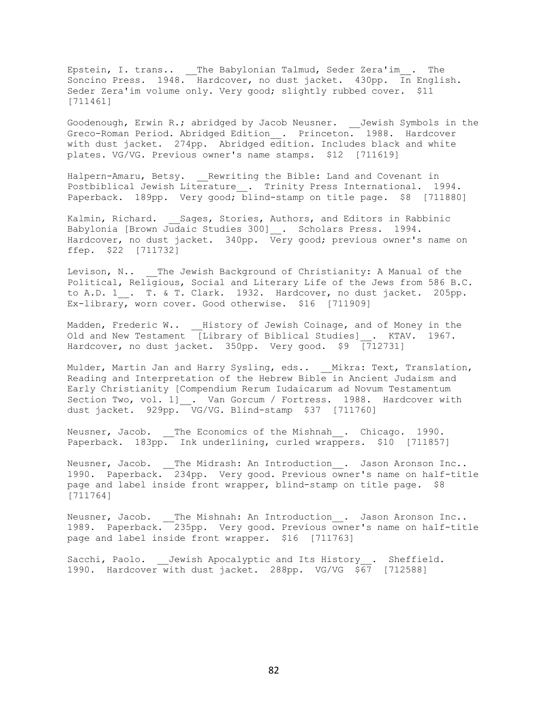Epstein, I. trans.. \_\_The Babylonian Talmud, Seder Zera'im\_\_. The Soncino Press. 1948. Hardcover, no dust jacket. 430pp. In English. Seder Zera'im volume only. Very good; slightly rubbed cover. \$11 [711461]

Goodenough, Erwin R.; abridged by Jacob Neusner. \_\_Jewish Symbols in the Greco-Roman Period. Abridged Edition\_\_. Princeton. 1988. Hardcover with dust jacket. 274pp. Abridged edition. Includes black and white plates. VG/VG. Previous owner's name stamps. \$12 [711619]

Halpern-Amaru, Betsy. Rewriting the Bible: Land and Covenant in Postbiblical Jewish Literature . Trinity Press International. 1994. Paperback. 189pp. Very good; blind-stamp on title page. \$8 [711880]

Kalmin, Richard. \_\_Sages, Stories, Authors, and Editors in Rabbinic Babylonia [Brown Judaic Studies 300]\_\_. Scholars Press. 1994. Hardcover, no dust jacket. 340pp. Very good; previous owner's name on ffep. \$22 [711732]

Levison, N.. \_\_The Jewish Background of Christianity: A Manual of the Political, Religious, Social and Literary Life of the Jews from 586 B.C. to A.D. 1<sub>\_\_</sub>. T. & T. Clark. 1932. Hardcover, no dust jacket. 205pp. Ex-library, worn cover. Good otherwise. \$16 [711909]

Madden, Frederic W.. \_\_History of Jewish Coinage, and of Money in the Old and New Testament [Library of Biblical Studies]\_\_. KTAV. 1967. Hardcover, no dust jacket. 350pp. Very good. \$9 [712731]

Mulder, Martin Jan and Harry Sysling, eds.. \_\_Mikra: Text, Translation, Reading and Interpretation of the Hebrew Bible in Ancient Judaism and Early Christianity [Compendium Rerum Iudaicarum ad Novum Testamentum Section Two, vol. 1] . Van Gorcum / Fortress. 1988. Hardcover with dust jacket. 929pp. VG/VG. Blind-stamp \$37 [711760]

Neusner, Jacob. The Economics of the Mishnah . Chicago. 1990. Paperback. 183pp. Ink underlining, curled wrappers. \$10 [711857]

Neusner, Jacob. The Midrash: An Introduction . Jason Aronson Inc.. 1990. Paperback. 234pp. Very good. Previous owner's name on half-title page and label inside front wrapper, blind-stamp on title page. \$8 [711764]

Neusner, Jacob. \_\_The Mishnah: An Introduction\_\_. Jason Aronson Inc.. 1989. Paperback. 235pp. Very good. Previous owner's name on half-title page and label inside front wrapper. \$16 [711763]

Sacchi, Paolo. Jewish Apocalyptic and Its History . Sheffield. 1990. Hardcover with dust jacket. 288pp. VG/VG \$67 [712588]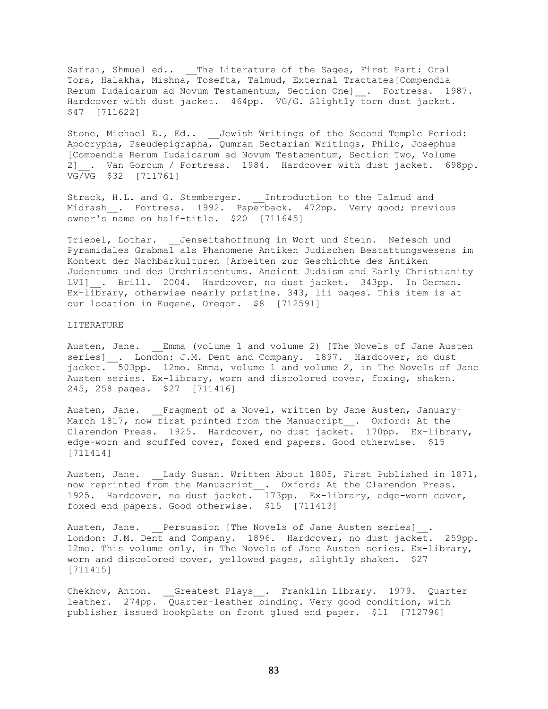Safrai, Shmuel ed.. \_\_The Literature of the Sages, First Part: Oral Tora, Halakha, Mishna, Tosefta, Talmud, External Tractates[Compendia Rerum Iudaicarum ad Novum Testamentum, Section One]\_\_. Fortress. 1987. Hardcover with dust jacket. 464pp. VG/G. Slightly torn dust jacket. \$47 [711622]

Stone, Michael E., Ed.. Jewish Writings of the Second Temple Period: Apocrypha, Pseudepigrapha, Qumran Sectarian Writings, Philo, Josephus [Compendia Rerum Iudaicarum ad Novum Testamentum, Section Two, Volume 2]\_\_. Van Gorcum / Fortress. 1984. Hardcover with dust jacket. 698pp. VG/VG \$32 [711761]

Strack, H.L. and G. Stemberger. Introduction to the Talmud and Midrash . Fortress. 1992. Paperback. 472pp. Very good; previous owner's name on half-title. \$20 [711645]

Triebel, Lothar. \_\_Jenseitshoffnung in Wort und Stein. Nefesch und Pyramidales Grabmal als Phanomene Antiken Judischen Bestattungswesens im Kontext der Nachbarkulturen [Arbeiten zur Geschichte des Antiken Judentums und des Urchristentums. Ancient Judaism and Early Christianity LVI] . Brill. 2004. Hardcover, no dust jacket. 343pp. In German. Ex-library, otherwise nearly pristine. 343, lii pages. This item is at our location in Eugene, Oregon. \$8 [712591]

## LITERATURE

Austen, Jane. Emma (volume 1 and volume 2) [The Novels of Jane Austen series] . London: J.M. Dent and Company. 1897. Hardcover, no dust jacket. 503pp. 12mo. Emma, volume 1 and volume 2, in The Novels of Jane Austen series. Ex-library, worn and discolored cover, foxing, shaken. 245, 258 pages. \$27 [711416]

Austen, Jane. \_\_Fragment of a Novel, written by Jane Austen, January-March 1817, now first printed from the Manuscript\_\_. Oxford: At the Clarendon Press. 1925. Hardcover, no dust jacket. 170pp. Ex-library, edge-worn and scuffed cover, foxed end papers. Good otherwise. \$15 [711414]

Austen, Jane. Lady Susan. Written About 1805, First Published in 1871, now reprinted from the Manuscript . Oxford: At the Clarendon Press. 1925. Hardcover, no dust jacket. 173pp. Ex-library, edge-worn cover, foxed end papers. Good otherwise. \$15 [711413]

Austen, Jane. Persuasion [The Novels of Jane Austen series] . London: J.M. Dent and Company. 1896. Hardcover, no dust jacket. 259pp. 12mo. This volume only, in The Novels of Jane Austen series. Ex-library, worn and discolored cover, yellowed pages, slightly shaken. \$27 [711415]

Chekhov, Anton. \_\_Greatest Plays\_\_. Franklin Library. 1979. Quarter leather. 274pp. Quarter-leather binding. Very good condition, with publisher issued bookplate on front glued end paper. \$11 [712796]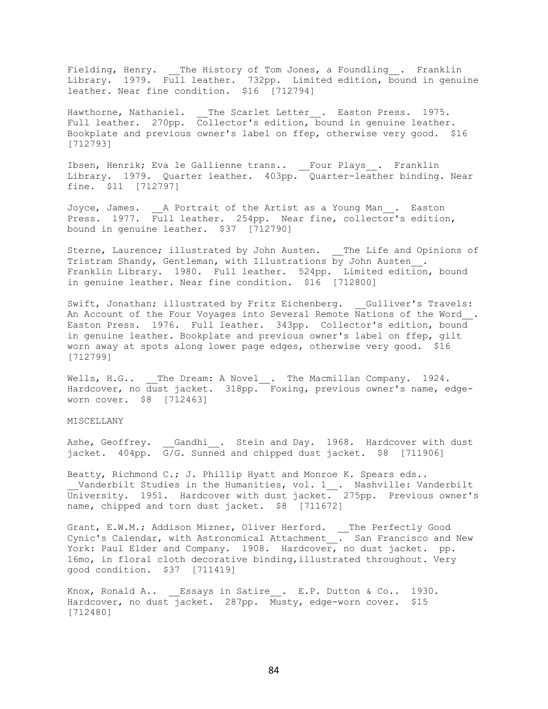Fielding, Henry. The History of Tom Jones, a Foundling . Franklin Library. 1979. Full leather. 732pp. Limited edition, bound in genuine leather. Near fine condition. \$16 [712794]

Hawthorne, Nathaniel. \_\_The Scarlet Letter\_\_. Easton Press. 1975. Full leather. 270pp. Collector's edition, bound in genuine leather. Bookplate and previous owner's label on ffep, otherwise very good. \$16 [712793]

Ibsen, Henrik; Eva le Gallienne trans.. \_\_Four Plays\_\_. Franklin Library. 1979. Quarter leather. 403pp. Quarter-leather binding. Near fine. \$11 [712797]

Joyce, James. A Portrait of the Artist as a Young Man. Easton Press. 1977. Full leather. 254pp. Near fine, collector's edition, bound in genuine leather. \$37 [712790]

Sterne, Laurence; illustrated by John Austen. \_\_The Life and Opinions of Tristram Shandy, Gentleman, with Illustrations by John Austen. Franklin Library. 1980. Full leather. 524pp. Limited edition, bound in genuine leather. Near fine condition. \$16 [712800]

Swift, Jonathan; illustrated by Fritz Eichenberg. Gulliver's Travels: An Account of the Four Voyages into Several Remote Nations of the Word\_\_. Easton Press. 1976. Full leather. 343pp. Collector's edition, bound in genuine leather. Bookplate and previous owner's label on ffep, gilt worn away at spots along lower page edges, otherwise very good. \$16 [712799]

Wells, H.G.. \_\_The Dream: A Novel\_\_. The Macmillan Company. 1924. Hardcover, no dust jacket. 318pp. Foxing, previous owner's name, edgeworn cover. \$8 [712463]

## MISCELLANY

Ashe, Geoffrey. \_\_Gandhi\_\_. Stein and Day. 1968. Hardcover with dust jacket. 404pp.  $G/G$ . Sunned and chipped dust jacket. \$8 [711906]

Beatty, Richmond C.; J. Phillip Hyatt and Monroe K. Spears eds..  $\_$  Vanderbilt Studies in the Humanities, vol. 1 $\_$ . Nashville: Vanderbilt University. 1951. Hardcover with dust jacket. 275pp. Previous owner's name, chipped and torn dust jacket. \$8 [711672]

Grant, E.W.M.; Addison Mizner, Oliver Herford. \_\_ The Perfectly Good Cynic's Calendar, with Astronomical Attachment\_\_. San Francisco and New York: Paul Elder and Company. 1908. Hardcover, no dust jacket. pp. 16mo, in floral cloth decorative binding,illustrated throughout. Very good condition. \$37 [711419]

Knox, Ronald A.. Essays in Satire . E.P. Dutton & Co.. 1930. Hardcover, no dust jacket. 287pp. Musty, edge-worn cover. \$15 [712480]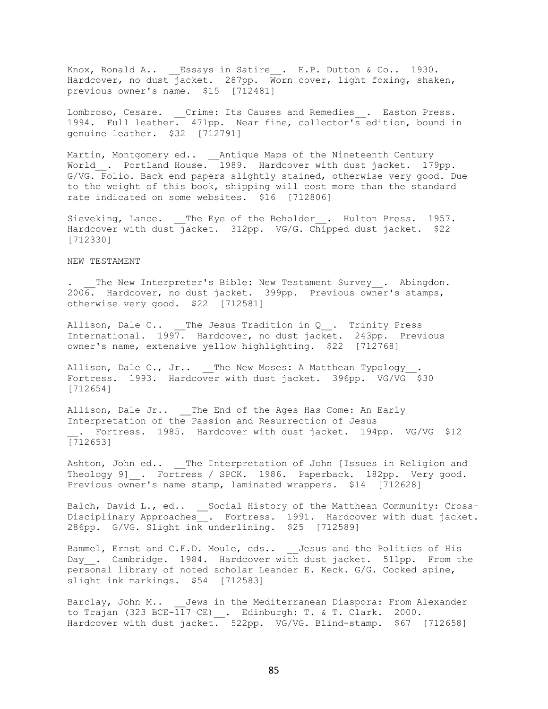Knox, Ronald A.. \_\_Essays in Satire\_\_. E.P. Dutton & Co.. 1930. Hardcover, no dust jacket. 287pp. Worn cover, light foxing, shaken, previous owner's name. \$15 [712481]

Lombroso, Cesare. Crime: Its Causes and Remedies . Easton Press. 1994. Full leather. 471pp. Near fine, collector's edition, bound in genuine leather. \$32 [712791]

Martin, Montgomery ed.. \_\_Antique Maps of the Nineteenth Century World\_\_. Portland House. 1989. Hardcover with dust jacket. 179pp. G/VG. Folio. Back end papers slightly stained, otherwise very good. Due to the weight of this book, shipping will cost more than the standard rate indicated on some websites. \$16 [712806]

Sieveking, Lance. The Eye of the Beholder . Hulton Press. 1957. Hardcover with dust jacket. 312pp. VG/G. Chipped dust jacket. \$22 [712330]

## NEW TESTAMENT

The New Interpreter's Bible: New Testament Survey . Abingdon. 2006. Hardcover, no dust jacket. 399pp. Previous owner's stamps, otherwise very good. \$22 [712581]

Allison, Dale C.. The Jesus Tradition in Q . Trinity Press International. 1997. Hardcover, no dust jacket. 243pp. Previous owner's name, extensive yellow highlighting. \$22 [712768]

Allison, Dale C., Jr.. \_\_The New Moses: A Matthean Typology\_ Fortress. 1993. Hardcover with dust jacket. 396pp. VG/VG \$30 [712654]

Allison, Dale Jr.. \_\_The End of the Ages Has Come: An Early Interpretation of the Passion and Resurrection of Jesus . Fortress. 1985. Hardcover with dust jacket. 194pp. VG/VG \$12 [712653]

Ashton, John ed.. \_\_The Interpretation of John [Issues in Religion and Theology 9] . Fortress / SPCK. 1986. Paperback. 182pp. Very good. Previous owner's name stamp, laminated wrappers. \$14 [712628]

Balch, David L., ed.. \_\_Social History of the Matthean Community: Cross-Disciplinary Approaches. Fortress. 1991. Hardcover with dust jacket. 286pp. G/VG. Slight ink underlining. \$25 [712589]

Bammel, Ernst and C.F.D. Moule, eds.. Jesus and the Politics of His Day . Cambridge. 1984. Hardcover with dust jacket. 511pp. From the personal library of noted scholar Leander E. Keck. G/G. Cocked spine, slight ink markings. \$54 [712583]

Barclay, John M.. Jews in the Mediterranean Diaspora: From Alexander to Trajan (323 BCE-117 CE)\_\_. Edinburgh: T. & T. Clark. 2000. Hardcover with dust jacket. 522pp. VG/VG. Blind-stamp. \$67 [712658]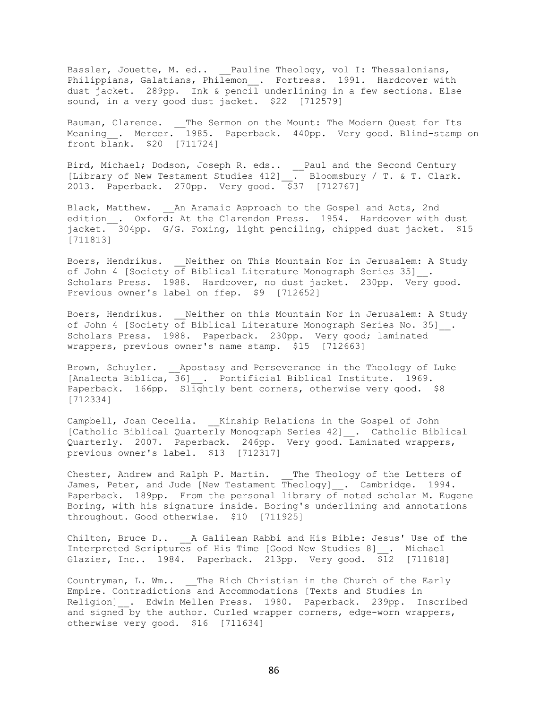Bassler, Jouette, M. ed.. Pauline Theology, vol I: Thessalonians, Philippians, Galatians, Philemon\_\_. Fortress. 1991. Hardcover with dust jacket. 289pp. Ink & pencil underlining in a few sections. Else sound, in a very good dust jacket. \$22 [712579]

Bauman, Clarence. \_\_The Sermon on the Mount: The Modern Quest for Its Meaning\_\_. Mercer. 1985. Paperback. 440pp. Very good. Blind-stamp on front blank. \$20 [711724]

Bird, Michael; Dodson, Joseph R. eds.. \_\_ Paul and the Second Century [Library of New Testament Studies 412] . Bloomsbury / T. & T. Clark. 2013. Paperback. 270pp. Very good. \$37 [712767]

Black, Matthew. An Aramaic Approach to the Gospel and Acts, 2nd edition . Oxford: At the Clarendon Press. 1954. Hardcover with dust jacket. 304pp. G/G. Foxing, light penciling, chipped dust jacket. \$15 [711813]

Boers, Hendrikus. \_\_ Neither on This Mountain Nor in Jerusalem: A Study of John 4 [Society of Biblical Literature Monograph Series 35]\_\_. Scholars Press. 1988. Hardcover, no dust jacket. 230pp. Very good. Previous owner's label on ffep. \$9 [712652]

Boers, Hendrikus. Weither on this Mountain Nor in Jerusalem: A Study of John 4 [Society of Biblical Literature Monograph Series No. 35]  $\blacksquare$ Scholars Press. 1988. Paperback. 230pp. Very good; laminated wrappers, previous owner's name stamp. \$15 [712663]

Brown, Schuyler. \_\_\_Apostasy and Perseverance in the Theology of Luke [Analecta Biblica, 36] \_. Pontificial Biblical Institute. 1969. Paperback. 166pp. Slightly bent corners, otherwise very good. \$8 [712334]

Campbell, Joan Cecelia. Kinship Relations in the Gospel of John [Catholic Biblical Quarterly Monograph Series 42]\_\_. Catholic Biblical Quarterly. 2007. Paperback. 246pp. Very good. Laminated wrappers, previous owner's label. \$13 [712317]

Chester, Andrew and Ralph P. Martin. \_\_ The Theology of the Letters of James, Peter, and Jude [New Testament Theology] . Cambridge. 1994. Paperback. 189pp. From the personal library of noted scholar M. Eugene Boring, with his signature inside. Boring's underlining and annotations throughout. Good otherwise. \$10 [711925]

Chilton, Bruce D.. A Galilean Rabbi and His Bible: Jesus' Use of the Interpreted Scriptures of His Time [Good New Studies 8]\_\_. Michael Glazier, Inc.. 1984. Paperback. 213pp. Very good. \$12 [711818]

Countryman, L. Wm.. \_\_The Rich Christian in the Church of the Early Empire. Contradictions and Accommodations [Texts and Studies in Religion] . Edwin Mellen Press. 1980. Paperback. 239pp. Inscribed and signed by the author. Curled wrapper corners, edge-worn wrappers, otherwise very good. \$16 [711634]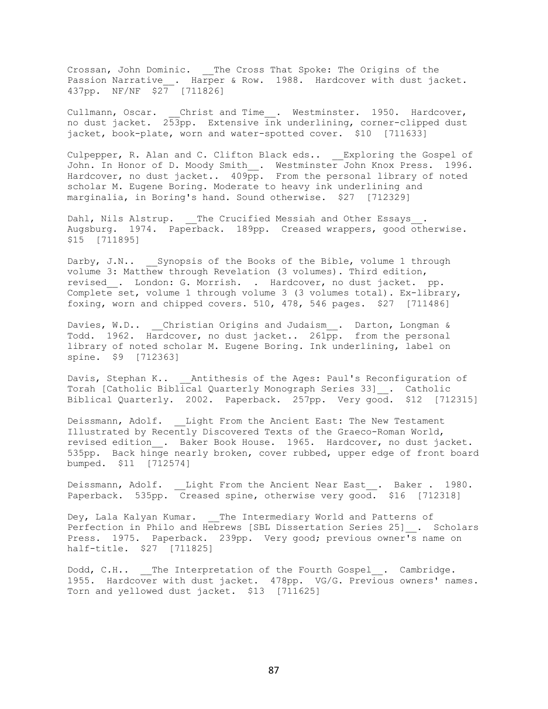Crossan, John Dominic. \_\_The Cross That Spoke: The Origins of the Passion Narrative\_\_. Harper & Row. 1988. Hardcover with dust jacket. 437pp. NF/NF \$27 [711826]

Cullmann, Oscar. Christ and Time. Westminster. 1950. Hardcover, no dust jacket. 253pp. Extensive ink underlining, corner-clipped dust jacket, book-plate, worn and water-spotted cover. \$10 [711633]

Culpepper, R. Alan and C. Clifton Black eds.. \_\_ Exploring the Gospel of John. In Honor of D. Moody Smith\_\_. Westminster John Knox Press. 1996. Hardcover, no dust jacket.. 409pp. From the personal library of noted scholar M. Eugene Boring. Moderate to heavy ink underlining and marginalia, in Boring's hand. Sound otherwise. \$27 [712329]

Dahl, Nils Alstrup. The Crucified Messiah and Other Essays. Augsburg. 1974. Paperback. 189pp. Creased wrappers, good otherwise. \$15 [711895]

Darby, J.N.. Synopsis of the Books of the Bible, volume 1 through volume 3: Matthew through Revelation (3 volumes). Third edition, revised . London: G. Morrish. . Hardcover, no dust jacket. pp. Complete set, volume 1 through volume 3 (3 volumes total). Ex-library, foxing, worn and chipped covers. 510, 478, 546 pages. \$27 [711486]

Davies, W.D.. Christian Origins and Judaism . Darton, Longman & Todd. 1962. Hardcover, no dust jacket.. 261pp. from the personal library of noted scholar M. Eugene Boring. Ink underlining, label on spine. \$9 [712363]

Davis, Stephan K.. \_\_Antithesis of the Ages: Paul's Reconfiguration of Torah [Catholic Biblical Quarterly Monograph Series 33]\_\_. Catholic Biblical Quarterly. 2002. Paperback. 257pp. Very good. \$12 [712315]

Deissmann, Adolf. Light From the Ancient East: The New Testament Illustrated by Recently Discovered Texts of the Graeco-Roman World, revised edition . Baker Book House. 1965. Hardcover, no dust jacket. 535pp. Back hinge nearly broken, cover rubbed, upper edge of front board bumped. \$11 [712574]

Deissmann, Adolf. Light From the Ancient Near East. Baker . 1980. Paperback. 535pp. Creased spine, otherwise very good. \$16 [712318]

Dey, Lala Kalyan Kumar. \_\_ The Intermediary World and Patterns of Perfection in Philo and Hebrews [SBL Dissertation Series 25] . Scholars Press. 1975. Paperback. 239pp. Very good; previous owner's name on half-title. \$27 [711825]

Dodd, C.H.. The Interpretation of the Fourth Gospel . Cambridge. 1955. Hardcover with dust jacket. 478pp. VG/G. Previous owners' names. Torn and yellowed dust jacket. \$13 [711625]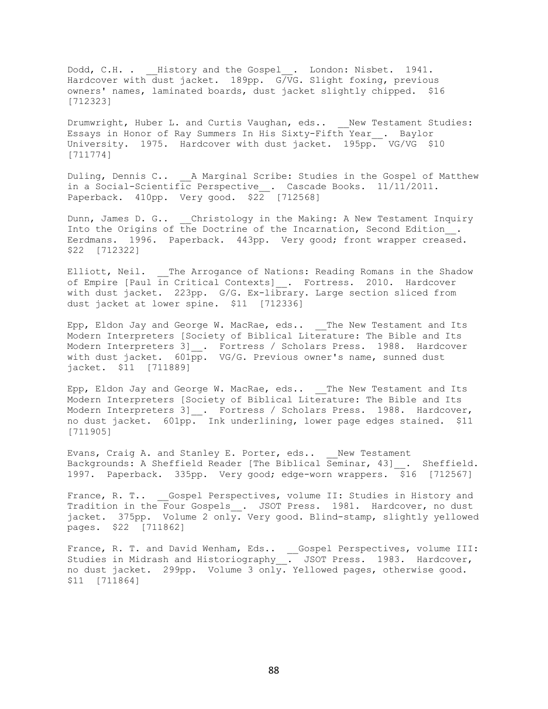Dodd, C.H. . \_\_History and the Gospel\_\_. London: Nisbet. 1941. Hardcover with dust jacket. 189pp. G/VG. Slight foxing, previous owners' names, laminated boards, dust jacket slightly chipped. \$16 [712323]

Drumwright, Huber L. and Curtis Vaughan, eds.. New Testament Studies: Essays in Honor of Ray Summers In His Sixty-Fifth Year\_\_. Baylor University. 1975. Hardcover with dust jacket. 195pp. VG/VG \$10 [711774]

Duling, Dennis C.. A Marginal Scribe: Studies in the Gospel of Matthew in a Social-Scientific Perspective\_. Cascade Books. 11/11/2011. Paperback. 410pp. Very good. \$22 [712568]

Dunn, James D. G.. Christology in the Making: A New Testament Inquiry Into the Origins of the Doctrine of the Incarnation, Second Edition\_\_. Eerdmans. 1996. Paperback. 443pp. Very good; front wrapper creased. \$22 [712322]

Elliott, Neil. The Arrogance of Nations: Reading Romans in the Shadow of Empire [Paul in Critical Contexts] . Fortress. 2010. Hardcover with dust jacket. 223pp. G/G. Ex-library. Large section sliced from dust jacket at lower spine. \$11 [712336]

Epp, Eldon Jay and George W. MacRae, eds.. The New Testament and Its Modern Interpreters [Society of Biblical Literature: The Bible and Its Modern Interpreters 3] . Fortress / Scholars Press. 1988. Hardcover with dust jacket. 601pp. VG/G. Previous owner's name, sunned dust jacket. \$11 [711889]

Epp, Eldon Jay and George W. MacRae, eds.. The New Testament and Its Modern Interpreters [Society of Biblical Literature: The Bible and Its Modern Interpreters 3] . Fortress / Scholars Press. 1988. Hardcover, no dust jacket. 601pp. Ink underlining, lower page edges stained. \$11 [711905]

Evans, Craig A. and Stanley E. Porter, eds.. Wew Testament Backgrounds: A Sheffield Reader [The Biblical Seminar, 43] . Sheffield. 1997. Paperback. 335pp. Very good; edge-worn wrappers. \$16 [712567]

France, R. T.. \_\_Gospel Perspectives, volume II: Studies in History and Tradition in the Four Gospels\_. JSOT Press. 1981. Hardcover, no dust jacket. 375pp. Volume 2 only. Very good. Blind-stamp, slightly yellowed pages. \$22 [711862]

France, R. T. and David Wenham, Eds.. \_\_Gospel Perspectives, volume III: Studies in Midrash and Historiography ... JSOT Press. 1983. Hardcover, no dust jacket. 299pp. Volume 3 only. Yellowed pages, otherwise good. \$11 [711864]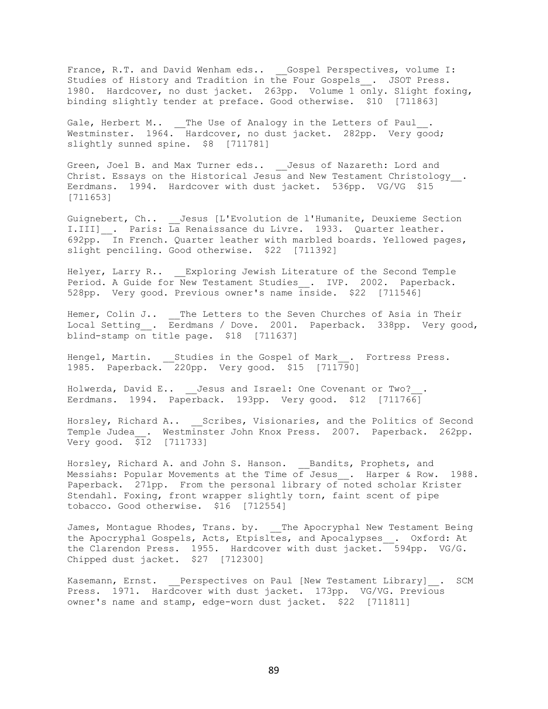France, R.T. and David Wenham eds.. \_\_Gospel Perspectives, volume I: Studies of History and Tradition in the Four Gospels\_. JSOT Press. 1980. Hardcover, no dust jacket. 263pp. Volume 1 only. Slight foxing, binding slightly tender at preface. Good otherwise. \$10 [711863]

Gale, Herbert M.. The Use of Analogy in the Letters of Paul. Westminster. 1964. Hardcover, no dust jacket. 282pp. Very good; slightly sunned spine. \$8 [711781]

Green, Joel B. and Max Turner eds.. \_\_Jesus of Nazareth: Lord and Christ. Essays on the Historical Jesus and New Testament Christology\_\_. Eerdmans. 1994. Hardcover with dust jacket. 536pp. VG/VG \$15 [711653]

Guignebert, Ch.. Jesus [L'Evolution de l'Humanite, Deuxieme Section I.III] . Paris: La Renaissance du Livre. 1933. Quarter leather. 692pp. In French. Quarter leather with marbled boards. Yellowed pages, slight penciling. Good otherwise. \$22 [711392]

Helyer, Larry R.. Exploring Jewish Literature of the Second Temple Period. A Guide for New Testament Studies . IVP. 2002. Paperback. 528pp. Very good. Previous owner's name inside. \$22 [711546]

Hemer, Colin J.. \_\_The Letters to the Seven Churches of Asia in Their Local Setting . Eerdmans / Dove. 2001. Paperback. 338pp. Very good, blind-stamp on title page. \$18 [711637]

Hengel, Martin. \_\_Studies in the Gospel of Mark\_\_. Fortress Press. 1985. Paperback. 220pp. Very good. \$15 [711790]

Holwerda, David E.. Jesus and Israel: One Covenant or Two? Eerdmans. 1994. Paperback. 193pp. Very good. \$12 [711766]

Horsley, Richard A.. \_\_Scribes, Visionaries, and the Politics of Second Temple Judea . Westminster John Knox Press. 2007. Paperback. 262pp. Very good. \$12 [711733]

Horsley, Richard A. and John S. Hanson. \_\_Bandits, Prophets, and Messiahs: Popular Movements at the Time of Jesus . Harper & Row. 1988. Paperback. 271pp. From the personal library of noted scholar Krister Stendahl. Foxing, front wrapper slightly torn, faint scent of pipe tobacco. Good otherwise. \$16 [712554]

James, Montague Rhodes, Trans. by. The Apocryphal New Testament Being the Apocryphal Gospels, Acts, Etpisltes, and Apocalypses\_\_. Oxford: At the Clarendon Press. 1955. Hardcover with dust jacket. 594pp. VG/G. Chipped dust jacket. \$27 [712300]

Kasemann, Ernst. Perspectives on Paul [New Testament Library] \_\_. SCM Press. 1971. Hardcover with dust jacket. 173pp. VG/VG. Previous owner's name and stamp, edge-worn dust jacket. \$22 [711811]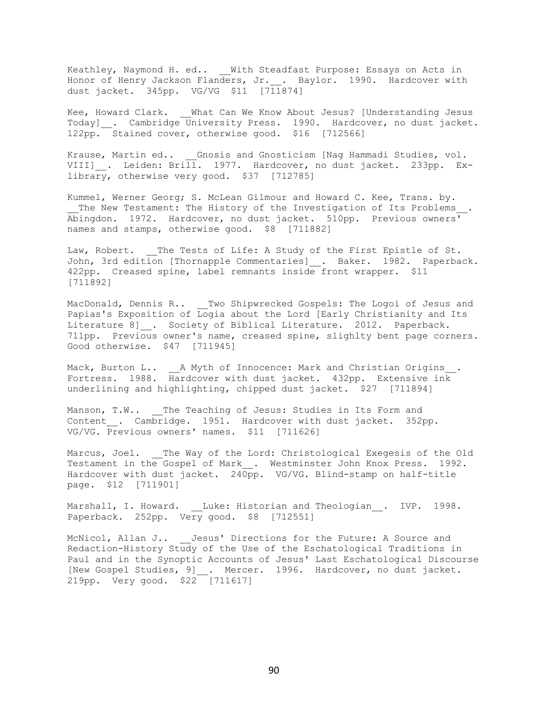Keathley, Naymond H. ed.. \_\_ With Steadfast Purpose: Essays on Acts in Honor of Henry Jackson Flanders, Jr.\_\_. Baylor. 1990. Hardcover with dust jacket. 345pp. VG/VG \$11 [711874]

Kee, Howard Clark. What Can We Know About Jesus? [Understanding Jesus Today] . Cambridge University Press. 1990. Hardcover, no dust jacket. 122pp. Stained cover, otherwise good. \$16 [712566]

Krause, Martin ed.. Gnosis and Gnosticism [Nag Hammadi Studies, vol. VIII] . Leiden: Brill. 1977. Hardcover, no dust jacket. 233pp. Exlibrary, otherwise very good. \$37 [712785]

Kummel, Werner Georg; S. McLean Gilmour and Howard C. Kee, Trans. by. The New Testament: The History of the Investigation of Its Problems Abingdon. 1972. Hardcover, no dust jacket. 510pp. Previous owners' names and stamps, otherwise good. \$8 [711882]

Law, Robert. The Tests of Life: A Study of the First Epistle of St. John, 3rd edition [Thornapple Commentaries] . Baker. 1982. Paperback. 422pp. Creased spine, label remnants inside front wrapper. \$11 [711892]

MacDonald, Dennis R.. Two Shipwrecked Gospels: The Logoi of Jesus and Papias's Exposition of Logia about the Lord [Early Christianity and Its Literature 8] . Society of Biblical Literature. 2012. Paperback. 711pp. Previous owner's name, creased spine, slighlty bent page corners. Good otherwise. \$47 [711945]

Mack, Burton L.. \_\_A Myth of Innocence: Mark and Christian Origins\_\_. Fortress. 1988. Hardcover with dust jacket. 432pp. Extensive ink underlining and highlighting, chipped dust jacket. \$27 [711894]

Manson, T.W.. \_\_\_The Teaching of Jesus: Studies in Its Form and Content . Cambridge. 1951. Hardcover with dust jacket. 352pp. VG/VG. Previous owners' names. \$11 [711626]

Marcus, Joel. \_ The Way of the Lord: Christological Exegesis of the Old Testament in the Gospel of Mark . Westminster John Knox Press. 1992. Hardcover with dust jacket. 240pp. VG/VG. Blind-stamp on half-title page. \$12 [711901]

Marshall, I. Howard. Luke: Historian and Theologian . IVP. 1998. Paperback. 252pp. Very good. \$8 [712551]

McNicol, Allan J.. Jesus' Directions for the Future: A Source and Redaction-History Study of the Use of the Eschatological Traditions in Paul and in the Synoptic Accounts of Jesus' Last Eschatological Discourse [New Gospel Studies, 9] . Mercer. 1996. Hardcover, no dust jacket. 219pp. Very good. \$22 [711617]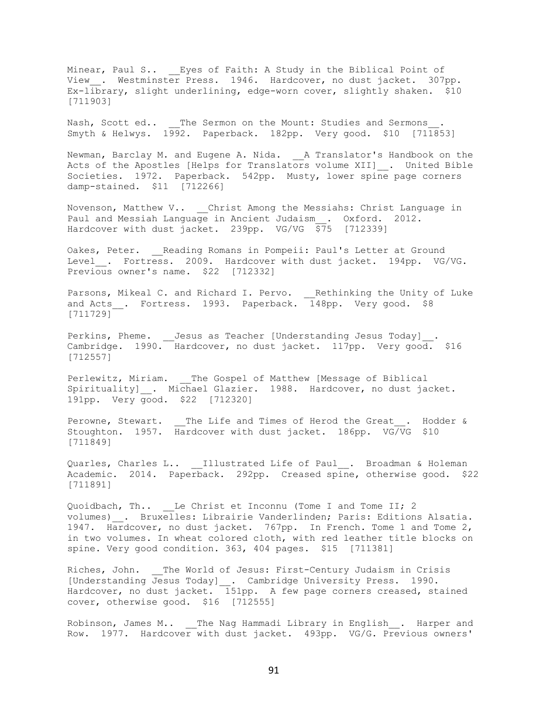Minear, Paul S.. \_\_Eyes of Faith: A Study in the Biblical Point of View\_. Westminster Press. 1946. Hardcover, no dust jacket. 307pp. Ex-library, slight underlining, edge-worn cover, slightly shaken. \$10 [711903]

Nash, Scott ed.. The Sermon on the Mount: Studies and Sermons Smyth & Helwys. 1992. Paperback. 182pp. Very good. \$10 [711853]

Newman, Barclay M. and Eugene A. Nida. \_\_A Translator's Handbook on the Acts of the Apostles [Helps for Translators volume XII]\_. United Bible Societies. 1972. Paperback. 542pp. Musty, lower spine page corners damp-stained. \$11 [712266]

Novenson, Matthew V.. Christ Among the Messiahs: Christ Language in Paul and Messiah Language in Ancient Judaism . Oxford. 2012. Hardcover with dust jacket. 239pp. VG/VG \$75 [712339]

Oakes, Peter. \_\_ Reading Romans in Pompeii: Paul's Letter at Ground Level . Fortress. 2009. Hardcover with dust jacket. 194pp. VG/VG. Previous owner's name. \$22 [712332]

Parsons, Mikeal C. and Richard I. Pervo. \_\_ Rethinking the Unity of Luke and Acts . Fortress. 1993. Paperback. 148pp. Very good. \$8 [711729]

Perkins, Pheme. \_\_ Jesus as Teacher [Understanding Jesus Today]\_\_. Cambridge. 1990. Hardcover, no dust jacket. 117pp. Very good. \$16 [712557]

Perlewitz, Miriam. \_\_The Gospel of Matthew [Message of Biblical Spirituality] . Michael Glazier. 1988. Hardcover, no dust jacket. 191pp. Very good. \$22 [712320]

Perowne, Stewart. \_\_The Life and Times of Herod the Great\_\_. Hodder & Stoughton. 1957. Hardcover with dust jacket. 186pp. VG/VG \$10 [711849]

Quarles, Charles L.. \_\_Illustrated Life of Paul\_\_. Broadman & Holeman Academic. 2014. Paperback. 292pp. Creased spine, otherwise good. \$22 [711891]

Quoidbach, Th.. Le Christ et Inconnu (Tome I and Tome II; 2 volumes) . Bruxelles: Librairie Vanderlinden; Paris: Editions Alsatia. 1947. Hardcover, no dust jacket. 767pp. In French. Tome 1 and Tome 2, in two volumes. In wheat colored cloth, with red leather title blocks on spine. Very good condition. 363, 404 pages. \$15 [711381]

Riches, John. The World of Jesus: First-Century Judaism in Crisis [Understanding Jesus Today] \_. Cambridge University Press. 1990. Hardcover, no dust jacket.  $\overline{151}$ pp. A few page corners creased, stained cover, otherwise good. \$16 [712555]

Robinson, James M.. \_\_The Nag Hammadi Library in English . Harper and Row. 1977. Hardcover with dust jacket. 493pp. VG/G. Previous owners'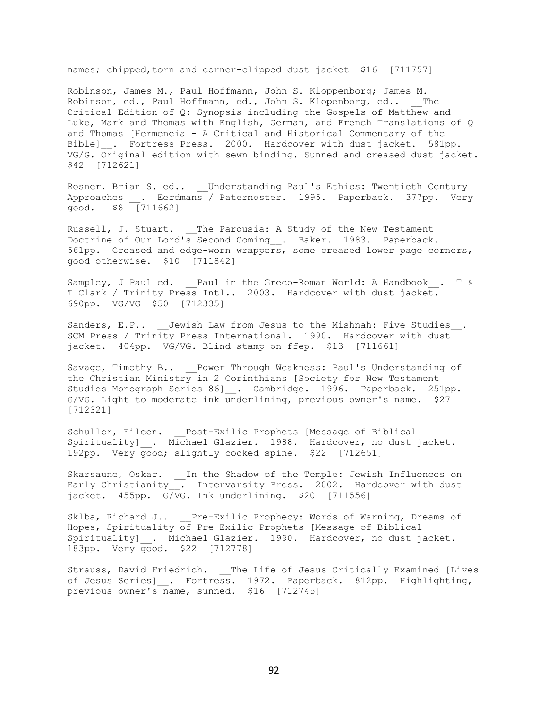names; chipped, torn and corner-clipped dust jacket \$16 [711757]

Robinson, James M., Paul Hoffmann, John S. Kloppenborg; James M. Robinson, ed., Paul Hoffmann, ed., John S. Klopenborg, ed.. The Critical Edition of Q: Synopsis including the Gospels of Matthew and Luke, Mark and Thomas with English, German, and French Translations of Q and Thomas [Hermeneia - A Critical and Historical Commentary of the Bible] . Fortress Press. 2000. Hardcover with dust jacket. 581pp. VG/G. Original edition with sewn binding. Sunned and creased dust jacket. \$42 [712621]

Rosner, Brian S. ed.. \_\_Understanding Paul's Ethics: Twentieth Century Approaches . Eerdmans / Paternoster. 1995. Paperback. 377pp. Very good. \$8 [711662]

Russell, J. Stuart. \_\_The Parousia: A Study of the New Testament Doctrine of Our Lord's Second Coming\_\_. Baker. 1983. Paperback. 561pp. Creased and edge-worn wrappers, some creased lower page corners, good otherwise. \$10 [711842]

Sampley, J Paul ed. 2011 in the Greco-Roman World: A Handbook . T & T Clark / Trinity Press Intl.. 2003. Hardcover with dust jacket. 690pp. VG/VG \$50 [712335]

Sanders, E.P.. Jewish Law from Jesus to the Mishnah: Five Studies . SCM Press / Trinity Press International. 1990. Hardcover with dust jacket. 404pp. VG/VG. Blind-stamp on ffep. \$13 [711661]

Savage, Timothy B.. \_\_ Power Through Weakness: Paul's Understanding of the Christian Ministry in 2 Corinthians [Society for New Testament Studies Monograph Series 86] . Cambridge. 1996. Paperback. 251pp. G/VG. Light to moderate ink underlining, previous owner's name. \$27 [712321]

Schuller, Eileen. Post-Exilic Prophets [Message of Biblical Spirituality] \_. Michael Glazier. 1988. Hardcover, no dust jacket. 192pp. Very good; slightly cocked spine. \$22 [712651]

Skarsaune, Oskar. \_\_In the Shadow of the Temple: Jewish Influences on Early Christianity\_\_. Intervarsity Press. 2002. Hardcover with dust jacket. 455pp. G/VG. Ink underlining. \$20 [711556]

Sklba, Richard J.. Pre-Exilic Prophecy: Words of Warning, Dreams of Hopes, Spirituality of Pre-Exilic Prophets [Message of Biblical Spirituality] . Michael Glazier. 1990. Hardcover, no dust jacket. 183pp. Very good. \$22 [712778]

Strauss, David Friedrich. \_\_The Life of Jesus Critically Examined [Lives of Jesus Series] \_. Fortress. 1972. Paperback. 812pp. Highlighting, previous owner's name, sunned. \$16 [712745]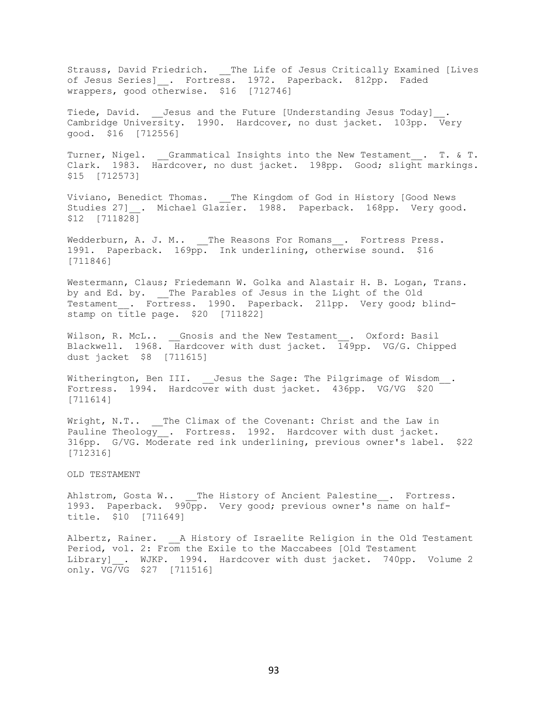Strauss, David Friedrich. \_\_The Life of Jesus Critically Examined [Lives of Jesus Series]\_. Fortress. 1972. Paperback. 812pp. Faded wrappers, good otherwise. \$16 [712746]

Tiede, David. Jesus and the Future [Understanding Jesus Today] Cambridge University. 1990. Hardcover, no dust jacket. 103pp. Very good. \$16 [712556]

Turner, Nigel. Grammatical Insights into the New Testament . T. & T. Clark. 1983. Hardcover, no dust jacket. 198pp. Good; slight markings. \$15 [712573]

Viviano, Benedict Thomas. \_\_ The Kingdom of God in History [Good News Studies 27] . Michael Glazier. 1988. Paperback. 168pp. Very good. \$12 [711828]

Wedderburn, A. J. M.. \_\_The Reasons For Romans\_\_. Fortress Press. 1991. Paperback. 169pp. Ink underlining, otherwise sound. \$16 [711846]

Westermann, Claus; Friedemann W. Golka and Alastair H. B. Logan, Trans. by and Ed. by. \_\_The Parables of Jesus in the Light of the Old Testament . Fortress. 1990. Paperback. 211pp. Very good; blindstamp on title page. \$20 [711822]

Wilson, R. McL.. \_\_Gnosis and the New Testament\_\_. Oxford: Basil Blackwell. 1968. Hardcover with dust jacket. 149pp. VG/G. Chipped dust jacket \$8 [711615]

Witherington, Ben III. \_\_ Jesus the Sage: The Pilgrimage of Wisdom\_\_. Fortress. 1994. Hardcover with dust jacket. 436pp. VG/VG \$20 [711614]

Wright, N.T.. The Climax of the Covenant: Christ and the Law in Pauline Theology . Fortress. 1992. Hardcover with dust jacket. 316pp. G/VG. Moderate red ink underlining, previous owner's label. \$22 [712316]

OLD TESTAMENT

Ahlstrom, Gosta W.. \_\_The History of Ancient Palestine . Fortress. 1993. Paperback. 990pp. Very good; previous owner's name on halftitle. \$10 [711649]

Albertz, Rainer. <br>
<u>A History of Israelite Religion in the Old Testament</u> Period, vol. 2: From the Exile to the Maccabees [Old Testament Library] . WJKP. 1994. Hardcover with dust jacket. 740pp. Volume 2 only. VG/VG \$27 [711516]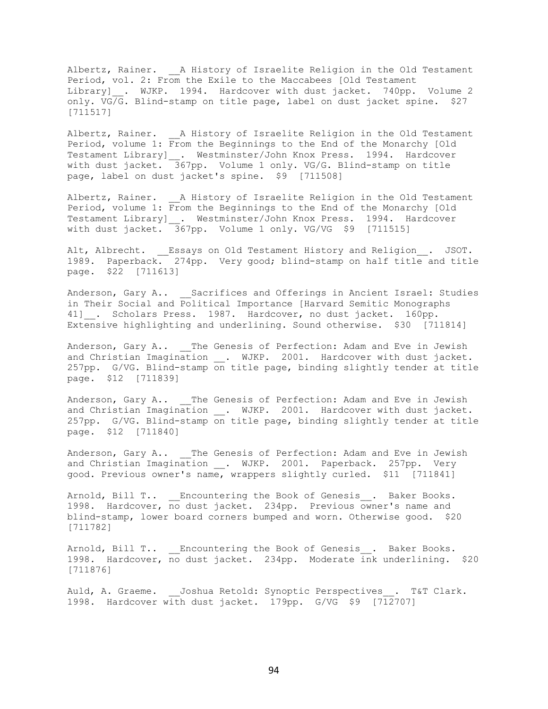Albertz, Rainer. <br>A History of Israelite Religion in the Old Testament Period, vol. 2: From the Exile to the Maccabees [Old Testament Library] . WJKP. 1994. Hardcover with dust jacket. 740pp. Volume 2 only. VG/G. Blind-stamp on title page, label on dust jacket spine. \$27 [711517]

Albertz, Rainer. <br>
<u>A History of Israelite Religion in the Old Testament</u> Period, volume 1: From the Beginnings to the End of the Monarchy [Old Testament Library]\_\_. Westminster/John Knox Press. 1994. Hardcover with dust jacket. 367pp. Volume 1 only. VG/G. Blind-stamp on title page, label on dust jacket's spine. \$9 [711508]

Albertz, Rainer. <br>
<u>A History of Israelite Religion in the Old Testament</u> Period, volume 1: From the Beginnings to the End of the Monarchy [Old Testament Library] \_. Westminster/John Knox Press. 1994. Hardcover with dust jacket. 367pp. Volume 1 only. VG/VG \$9 [711515]

Alt, Albrecht. \_\_Essays on Old Testament History and Religion\_\_. JSOT. 1989. Paperback. 274pp. Very good; blind-stamp on half title and title page. \$22 [711613]

Anderson, Gary A.. Sacrifices and Offerings in Ancient Israel: Studies in Their Social and Political Importance [Harvard Semitic Monographs 41] . Scholars Press. 1987. Hardcover, no dust jacket. 160pp. Extensive highlighting and underlining. Sound otherwise. \$30 [711814]

Anderson, Gary A.. \_\_The Genesis of Perfection: Adam and Eve in Jewish and Christian Imagination . WJKP. 2001. Hardcover with dust jacket. 257pp. G/VG. Blind-stamp on title page, binding slightly tender at title page. \$12 [711839]

Anderson, Gary A.. \_\_The Genesis of Perfection: Adam and Eve in Jewish and Christian Imagination . WJKP. 2001. Hardcover with dust jacket. 257pp. G/VG. Blind-stamp on title page, binding slightly tender at title page. \$12 [711840]

Anderson, Gary A.. \_\_ The Genesis of Perfection: Adam and Eve in Jewish and Christian Imagination . WJKP. 2001. Paperback. 257pp. Very good. Previous owner's name, wrappers slightly curled. \$11 [711841]

Arnold, Bill T.. \_\_Encountering the Book of Genesis\_\_. Baker Books. 1998. Hardcover, no dust jacket. 234pp. Previous owner's name and blind-stamp, lower board corners bumped and worn. Otherwise good. \$20 [711782]

Arnold, Bill T.. Encountering the Book of Genesis . Baker Books. 1998. Hardcover, no dust jacket. 234pp. Moderate ink underlining. \$20 [711876]

Auld, A. Graeme. Joshua Retold: Synoptic Perspectives . T&T Clark. 1998. Hardcover with dust jacket. 179pp. G/VG \$9 [712707]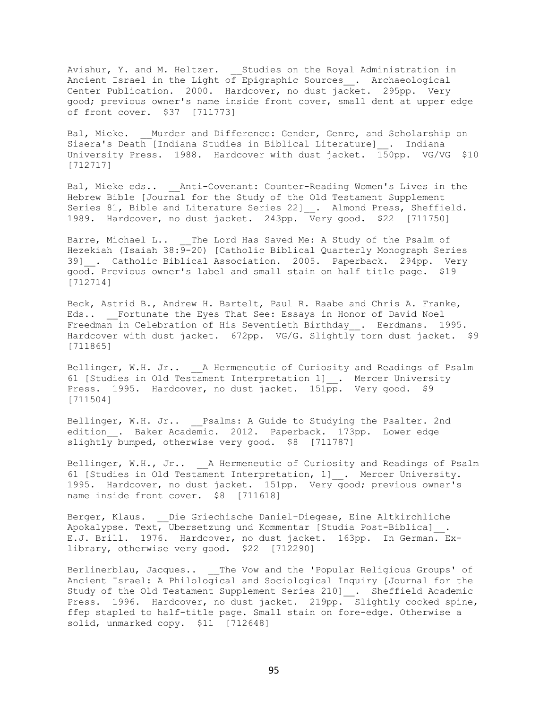Avishur, Y. and M. Heltzer. Studies on the Royal Administration in Ancient Israel in the Light of Epigraphic Sources\_\_. Archaeological Center Publication. 2000. Hardcover, no dust jacket. 295pp. Very good; previous owner's name inside front cover, small dent at upper edge of front cover. \$37 [711773]

Bal, Mieke. Murder and Difference: Gender, Genre, and Scholarship on Sisera's Death [Indiana Studies in Biblical Literature]\_\_. Indiana University Press. 1988. Hardcover with dust jacket. 150pp. VG/VG \$10 [712717]

Bal, Mieke eds.. Anti-Covenant: Counter-Reading Women's Lives in the Hebrew Bible [Journal for the Study of the Old Testament Supplement Series 81, Bible and Literature Series 22] . Almond Press, Sheffield. 1989. Hardcover, no dust jacket. 243pp. Very good. \$22 [711750]

Barre, Michael L.. \_\_The Lord Has Saved Me: A Study of the Psalm of Hezekiah (Isaiah 38: $\overline{9-}20$ ) [Catholic Biblical Quarterly Monograph Series 39] . Catholic Biblical Association. 2005. Paperback. 294pp. Very good. Previous owner's label and small stain on half title page. \$19 [712714]

Beck, Astrid B., Andrew H. Bartelt, Paul R. Raabe and Chris A. Franke, Eds.. Fortunate the Eyes That See: Essays in Honor of David Noel Freedman in Celebration of His Seventieth Birthday . Eerdmans. 1995. Hardcover with dust jacket. 672pp. VG/G. Slightly torn dust jacket. \$9 [711865]

Bellinger, W.H. Jr.. \_\_ A Hermeneutic of Curiosity and Readings of Psalm 61 [Studies in Old Testament Interpretation 1]\_\_. Mercer University Press. 1995. Hardcover, no dust jacket.  $151\overline{pp}$ . Very good. \$9 [711504]

Bellinger, W.H. Jr.. \_\_Psalms: A Guide to Studying the Psalter. 2nd edition . Baker Academic. 2012. Paperback. 173pp. Lower edge slightly bumped, otherwise very good. \$8 [711787]

Bellinger, W.H., Jr.. A Hermeneutic of Curiosity and Readings of Psalm 61 [Studies in Old Testament Interpretation, 1] . Mercer University. 1995. Hardcover, no dust jacket. 151pp. Very good; previous owner's name inside front cover. \$8 [711618]

Berger, Klaus. Die Griechische Daniel-Diegese, Eine Altkirchliche Apokalypse. Text, Ubersetzung und Kommentar [Studia Post-Biblica]\_\_. E.J. Brill. 1976. Hardcover, no dust jacket. 163pp. In German. Exlibrary, otherwise very good. \$22 [712290]

Berlinerblau, Jacques.. \_\_The Vow and the 'Popular Religious Groups' of Ancient Israel: A Philological and Sociological Inquiry [Journal for the Study of the Old Testament Supplement Series 210] . Sheffield Academic Press. 1996. Hardcover, no dust jacket. 219pp. Slightly cocked spine, ffep stapled to half-title page. Small stain on fore-edge. Otherwise a solid, unmarked copy. \$11 [712648]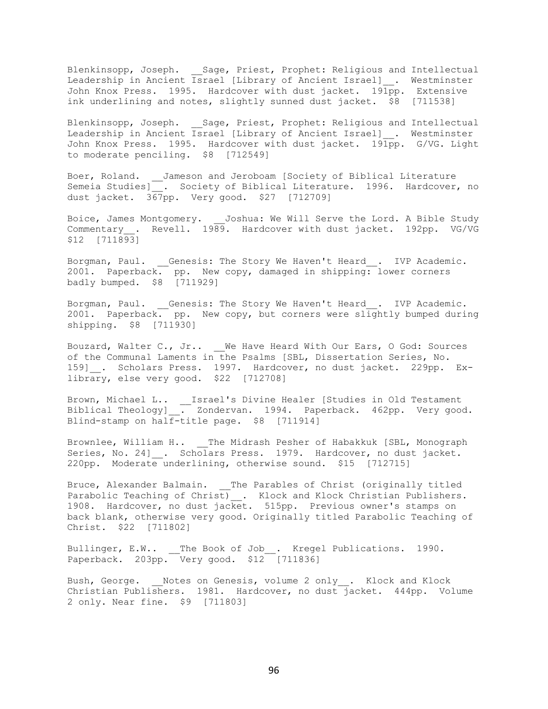Blenkinsopp, Joseph. \_\_Sage, Priest, Prophet: Religious and Intellectual Leadership in Ancient Israel [Library of Ancient Israel]\_\_. Westminster John Knox Press. 1995. Hardcover with dust jacket. 191pp. Extensive ink underlining and notes, slightly sunned dust jacket. \$8 [711538]

Blenkinsopp, Joseph. Sage, Priest, Prophet: Religious and Intellectual Leadership in Ancient Israel [Library of Ancient Israel] . Westminster John Knox Press. 1995. Hardcover with dust jacket. 191pp. G/VG. Light to moderate penciling. \$8 [712549]

Boer, Roland. \_\_Jameson and Jeroboam [Society of Biblical Literature Semeia Studies] . Society of Biblical Literature. 1996. Hardcover, no dust jacket. 367pp. Very good. \$27 [712709]

Boice, James Montgomery. Joshua: We Will Serve the Lord. A Bible Study Commentary\_\_. Revell. 1989. Hardcover with dust jacket. 192pp. VG/VG \$12 [711893]

Borgman, Paul. Genesis: The Story We Haven't Heard . IVP Academic. 2001. Paperback. pp. New copy, damaged in shipping: lower corners badly bumped. \$8 [711929]

Borgman, Paul. Genesis: The Story We Haven't Heard . IVP Academic. 2001. Paperback. pp. New copy, but corners were slightly bumped during shipping. \$8 [711930]

Bouzard, Walter C., Jr.. We Have Heard With Our Ears, O God: Sources of the Communal Laments in the Psalms [SBL, Dissertation Series, No. 159]\_\_. Scholars Press. 1997. Hardcover, no dust jacket. 229pp. Exlibrary, else very good. \$22 [712708]

Brown, Michael L.. \_\_Israel's Divine Healer [Studies in Old Testament Biblical Theology]\_\_. Zondervan. 1994. Paperback. 462pp. Very good. Blind-stamp on half-title page. \$8 [711914]

Brownlee, William H.. \_\_The Midrash Pesher of Habakkuk [SBL, Monograph Series, No. 24] . Scholars Press. 1979. Hardcover, no dust jacket. 220pp. Moderate underlining, otherwise sound. \$15 [712715]

Bruce, Alexander Balmain. \_\_The Parables of Christ (originally titled Parabolic Teaching of Christ) . Klock and Klock Christian Publishers. 1908. Hardcover, no dust jacket. 515pp. Previous owner's stamps on back blank, otherwise very good. Originally titled Parabolic Teaching of Christ. \$22 [711802]

Bullinger, E.W.. The Book of Job . Kregel Publications. 1990. Paperback. 203pp. Very good. \$12 [711836]

Bush, George. Motes on Genesis, volume 2 only\_\_. Klock and Klock Christian Publishers. 1981. Hardcover, no dust jacket. 444pp. Volume 2 only. Near fine. \$9 [711803]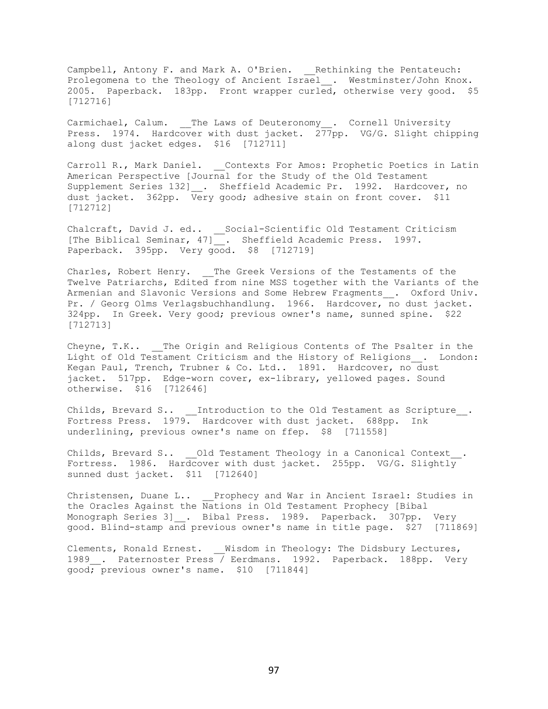Campbell, Antony F. and Mark A. O'Brien. \_\_Rethinking the Pentateuch: Prolegomena to the Theology of Ancient Israel\_\_. Westminster/John Knox. 2005. Paperback. 183pp. Front wrapper curled, otherwise very good. \$5 [712716]

Carmichael, Calum. The Laws of Deuteronomy\_\_. Cornell University Press. 1974. Hardcover with dust jacket. 277pp. VG/G. Slight chipping along dust jacket edges. \$16 [712711]

Carroll R., Mark Daniel. \_\_Contexts For Amos: Prophetic Poetics in Latin American Perspective [Journal for the Study of the Old Testament Supplement Series 132] . Sheffield Academic Pr. 1992. Hardcover, no dust jacket. 362pp. Very good; adhesive stain on front cover. \$11 [712712]

Chalcraft, David J. ed.. \_\_Social-Scientific Old Testament Criticism [The Biblical Seminar, 47]\_\_. Sheffield Academic Press. 1997. Paperback. 395pp. Very good. \$8 [712719]

Charles, Robert Henry. The Greek Versions of the Testaments of the Twelve Patriarchs, Edited from nine MSS together with the Variants of the Armenian and Slavonic Versions and Some Hebrew Fragments\_\_. Oxford Univ. Pr. / Georg Olms Verlagsbuchhandlung. 1966. Hardcover, no dust jacket. 324pp. In Greek. Very good; previous owner's name, sunned spine. \$22 [712713]

Cheyne, T.K.. The Origin and Religious Contents of The Psalter in the Light of Old Testament Criticism and the History of Religions . London: Kegan Paul, Trench, Trubner & Co. Ltd.. 1891. Hardcover, no dust jacket. 517pp. Edge-worn cover, ex-library, yellowed pages. Sound otherwise. \$16 [712646]

Childs, Brevard S..  $\quad \_$ Introduction to the Old Testament as Scripture $\_\,.$ Fortress Press. 1979. Hardcover with dust jacket. 688pp. Ink underlining, previous owner's name on ffep. \$8 [711558]

Childs, Brevard S.. \_\_ Old Testament Theology in a Canonical Context . Fortress. 1986. Hardcover with dust jacket. 255pp. VG/G. Slightly sunned dust jacket. \$11 [712640]

Christensen, Duane L.. \_\_Prophecy and War in Ancient Israel: Studies in the Oracles Against the Nations in Old Testament Prophecy [Bibal Monograph Series 3] . Bibal Press. 1989. Paperback. 307pp. Very good. Blind-stamp and previous owner's name in title page. \$27 [711869]

Clements, Ronald Ernest. Wisdom in Theology: The Didsbury Lectures, 1989 . Paternoster Press / Eerdmans. 1992. Paperback. 188pp. Very good; previous owner's name. \$10 [711844]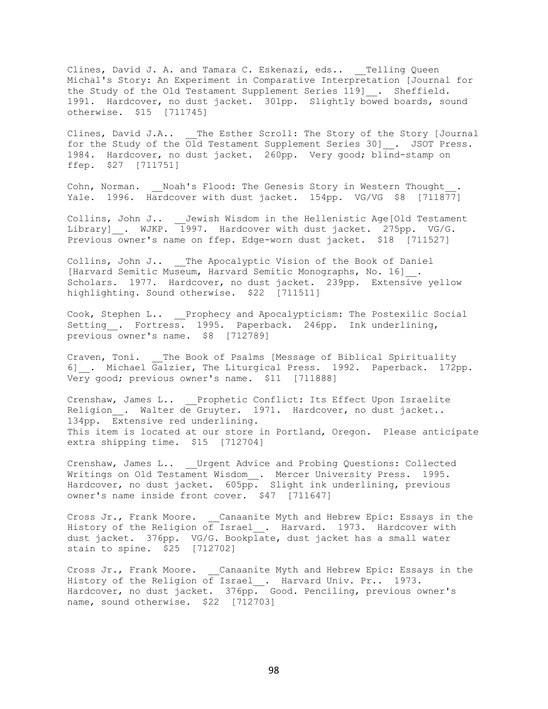Clines, David J. A. and Tamara C. Eskenazi, eds.. \_\_Telling Queen Michal's Story: An Experiment in Comparative Interpretation [Journal for the Study of the Old Testament Supplement Series 119] \_\_. Sheffield. 1991. Hardcover, no dust jacket. 301pp. Slightly bowed boards, sound otherwise. \$15 [711745]

Clines, David J.A.. \_\_The Esther Scroll: The Story of the Story [Journal for the Study of the Old Testament Supplement Series 30]\_. JSOT Press. 1984. Hardcover, no dust jacket. 260pp. Very good; blind-stamp on ffep. \$27 [711751]

Cohn, Norman. \_\_ Noah's Flood: The Genesis Story in Western Thought Yale. 1996. Hardcover with dust jacket. 154pp. VG/VG \$8 [711877]

Collins, John J.. Jewish Wisdom in the Hellenistic Age[Old Testament Library] . WJKP. 1997. Hardcover with dust jacket. 275pp. VG/G. Previous owner's name on ffep. Edge-worn dust jacket. \$18 [711527]

Collins, John J.. \_\_The Apocalyptic Vision of the Book of Daniel [Harvard Semitic Museum, Harvard Semitic Monographs, No. 16] . Scholars. 1977. Hardcover, no dust jacket. 239pp. Extensive yellow highlighting. Sound otherwise. \$22 [711511]

Cook, Stephen L.. Prophecy and Apocalypticism: The Postexilic Social Setting . Fortress. 1995. Paperback. 246pp. Ink underlining, previous owner's name. \$8 [712789]

Craven, Toni. The Book of Psalms [Message of Biblical Spirituality 6] . Michael Galzier, The Liturgical Press. 1992. Paperback. 172pp. Very good; previous owner's name. \$11 [711888]

Crenshaw, James L.. \_\_Prophetic Conflict: Its Effect Upon Israelite Religion . Walter de Gruyter. 1971. Hardcover, no dust jacket.. 134pp. Extensive red underlining. This item is located at our store in Portland, Oregon. Please anticipate extra shipping time. \$15 [712704]

Crenshaw, James L.. Urgent Advice and Probing Questions: Collected Writings on Old Testament Wisdom\_\_. Mercer University Press. 1995. Hardcover, no dust jacket.  $605p\overline{p}$ . Slight ink underlining, previous owner's name inside front cover. \$47 [711647]

Cross Jr., Frank Moore. Canaanite Myth and Hebrew Epic: Essays in the History of the Religion of Israel . Harvard. 1973. Hardcover with dust jacket. 376pp. VG/G. Bookplate, dust jacket has a small water stain to spine. \$25 [712702]

Cross Jr., Frank Moore. Canaanite Myth and Hebrew Epic: Essays in the History of the Religion of Israel\_\_. Harvard Univ. Pr.. 1973. Hardcover, no dust jacket. 376pp. Good. Penciling, previous owner's name, sound otherwise. \$22 [712703]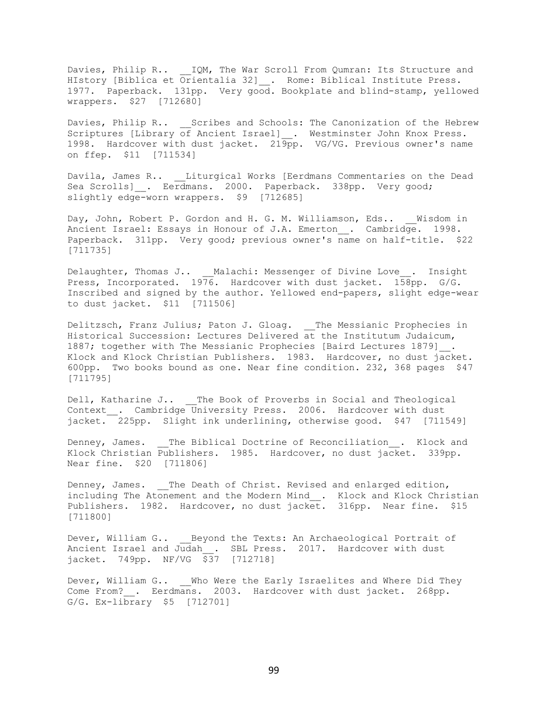Davies, Philip R.. \_\_IQM, The War Scroll From Qumran: Its Structure and HIstory [Biblica et  $\overline{O}$ rientalia 32]<sub>\_\_</sub>. Rome: Biblical Institute Press. 1977. Paperback. 131pp. Very good. Bookplate and blind-stamp, yellowed wrappers. \$27 [712680]

Davies, Philip R.. Scribes and Schools: The Canonization of the Hebrew Scriptures [Library of Ancient Israel] . Westminster John Knox Press. 1998. Hardcover with dust jacket. 219pp. VG/VG. Previous owner's name on ffep. \$11 [711534]

Davila, James R.. Liturgical Works [Eerdmans Commentaries on the Dead Sea Scrolls] . Eerdmans. 2000. Paperback. 338pp. Very good; slightly edge-worn wrappers. \$9 [712685]

Day, John, Robert P. Gordon and H. G. M. Williamson, Eds.. \_\_ Wisdom in Ancient Israel: Essays in Honour of J.A. Emerton\_\_. Cambridge. 1998. Paperback. 311pp. Very good; previous owner's name on half-title. \$22 [711735]

Delaughter, Thomas J.. Malachi: Messenger of Divine Love . Insight Press, Incorporated. 1976. Hardcover with dust jacket. 158pp. G/G. Inscribed and signed by the author. Yellowed end-papers, slight edge-wear to dust jacket. \$11 [711506]

Delitzsch, Franz Julius; Paton J. Gloag. \_\_The Messianic Prophecies in Historical Succession: Lectures Delivered at the Institutum Judaicum, 1887; together with The Messianic Prophecies [Baird Lectures 1879] . Klock and Klock Christian Publishers. 1983. Hardcover, no dust jacket. 600pp. Two books bound as one. Near fine condition. 232, 368 pages \$47 [711795]

Dell, Katharine J.. \_\_The Book of Proverbs in Social and Theological Context . Cambridge University Press. 2006. Hardcover with dust jacket.<sup>225</sup>pp. Slight ink underlining, otherwise good. \$47 [711549]

Denney, James. The Biblical Doctrine of Reconciliation . Klock and Klock Christian Publishers. 1985. Hardcover, no dust jacket. 339pp. Near fine. \$20 [711806]

Denney, James. \_\_The Death of Christ. Revised and enlarged edition, including The Atonement and the Modern Mind . Klock and Klock Christian Publishers. 1982. Hardcover, no dust jacket. 316pp. Near fine. \$15 [711800]

Dever, William G.. Beyond the Texts: An Archaeological Portrait of Ancient Israel and Judah . SBL Press. 2017. Hardcover with dust jacket. 749pp. NF/VG \$37 [712718]

Dever, William G.. Who Were the Early Israelites and Where Did They Come From? . Eerdmans. 2003. Hardcover with dust jacket. 268pp. G/G. Ex-library \$5 [712701]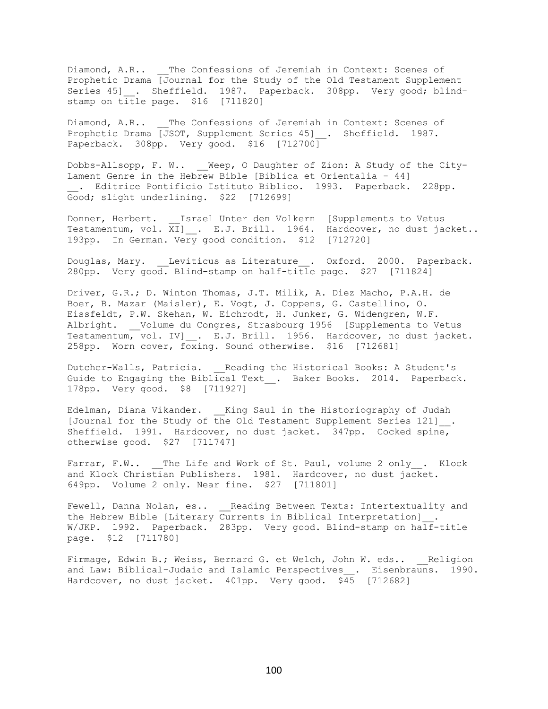Diamond, A.R.. \_\_The Confessions of Jeremiah in Context: Scenes of Prophetic Drama [Journal for the Study of the Old Testament Supplement Series 45] . Sheffield. 1987. Paperback. 308pp. Very good; blindstamp on title page. \$16 [711820]

Diamond, A.R.. The Confessions of Jeremiah in Context: Scenes of Prophetic Drama [JSOT, Supplement Series 45]\_\_. Sheffield. 1987. Paperback. 308pp. Very good. \$16 [712700]

Dobbs-Allsopp, F. W.. \_\_Weep, O Daughter of Zion: A Study of the City-Lament Genre in the Hebrew Bible [Biblica et Orientalia - 44] \_\_. Editrice Pontificio Istituto Biblico. 1993. Paperback. 228pp. Good; slight underlining. \$22 [712699]

Donner, Herbert. Israel Unter den Volkern [Supplements to Vetus Testamentum, vol. XI]\_\_. E.J. Brill. 1964. Hardcover, no dust jacket.. 193pp. In German. Very good condition. \$12 [712720]

Douglas, Mary. Leviticus as Literature . Oxford. 2000. Paperback. 280pp. Very good. Blind-stamp on half-title page. \$27 [711824]

Driver, G.R.; D. Winton Thomas, J.T. Milik, A. Diez Macho, P.A.H. de Boer, B. Mazar (Maisler), E. Vogt, J. Coppens, G. Castellino, O. Eissfeldt, P.W. Skehan, W. Eichrodt, H. Junker, G. Widengren, W.F. Albright. \_\_Volume du Congres, Strasbourg 1956 [Supplements to Vetus Testamentum, vol. IV] . E.J. Brill. 1956. Hardcover, no dust jacket. 258pp. Worn cover, foxing. Sound otherwise. \$16 [712681]

Dutcher-Walls, Patricia. \_\_Reading the Historical Books: A Student's Guide to Engaging the Biblical Text\_. Baker Books. 2014. Paperback. 178pp. Very good. \$8 [711927]

Edelman, Diana Vikander. \_\_King Saul in the Historiography of Judah [Journal for the Study of the Old Testament Supplement Series 121]\_\_. Sheffield. 1991. Hardcover, no dust jacket. 347pp. Cocked spine, otherwise good. \$27 [711747]

Farrar, F.W.. \_\_The Life and Work of St. Paul, volume 2 only . Klock and Klock Christian Publishers. 1981. Hardcover, no dust jacket. 649pp. Volume 2 only. Near fine. \$27 [711801]

Fewell, Danna Nolan, es.. \_\_Reading Between Texts: Intertextuality and the Hebrew Bible [Literary Currents in Biblical Interpretation]\_\_. W/JKP. 1992. Paperback. 283pp. Very good. Blind-stamp on half-title page. \$12 [711780]

Firmage, Edwin B.; Weiss, Bernard G. et Welch, John W. eds.. Religion and Law: Biblical-Judaic and Islamic Perspectives . Eisenbrauns. 1990. Hardcover, no dust jacket.  $401pp$ . Very good.  $$45$  [712682]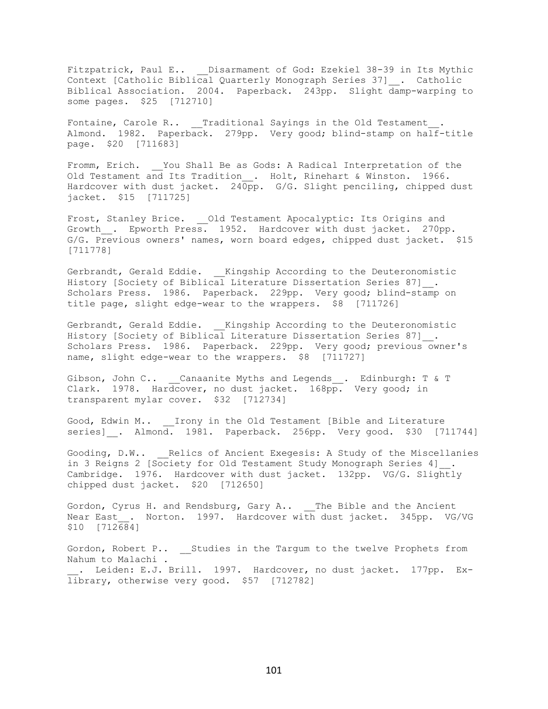Fitzpatrick, Paul E.. \_\_ Disarmament of God: Ezekiel 38-39 in Its Mythic Context [Catholic Biblical Quarterly Monograph Series 37]\_\_. Catholic Biblical Association. 2004. Paperback. 243pp. Slight damp-warping to some pages. \$25 [712710]

Fontaine, Carole R.. Traditional Sayings in the Old Testament Almond. 1982. Paperback. 279pp. Very good; blind-stamp on half-title page. \$20 [711683]

Fromm, Erich. \_\_You Shall Be as Gods: A Radical Interpretation of the Old Testament and Its Tradition . Holt, Rinehart & Winston. 1966. Hardcover with dust jacket. 240pp. G/G. Slight penciling, chipped dust jacket. \$15 [711725]

Frost, Stanley Brice. \_\_Old Testament Apocalyptic: Its Origins and Growth . Epworth Press. 1952. Hardcover with dust jacket. 270pp. G/G. Previous owners' names, worn board edges, chipped dust jacket. \$15 [711778]

Gerbrandt, Gerald Eddie. Kingship According to the Deuteronomistic History [Society of Biblical Literature Dissertation Series 87] . Scholars Press. 1986. Paperback. 229pp. Very good; blind-stamp on title page, slight edge-wear to the wrappers. \$8 [711726]

Gerbrandt, Gerald Eddie. Kingship According to the Deuteronomistic History [Society of Biblical Literature Dissertation Series 87]\_\_. Scholars Press. 1986. Paperback. 229pp. Very good; previous owner's name, slight edge-wear to the wrappers. \$8 [711727]

Gibson, John C.. \_\_Canaanite Myths and Legends\_\_. Edinburgh: T & T Clark. 1978. Hardcover, no dust jacket. 168pp. Very good; in transparent mylar cover. \$32 [712734]

Good, Edwin M.. Irony in the Old Testament [Bible and Literature series] . Almond. 1981. Paperback. 256pp. Very good. \$30 [711744]

Gooding, D.W.. Relics of Ancient Exegesis: A Study of the Miscellanies in 3 Reigns 2 [Society for Old Testament Study Monograph Series 4] . Cambridge. 1976. Hardcover with dust jacket. 132pp. VG/G. Slightly chipped dust jacket. \$20 [712650]

Gordon, Cyrus H. and Rendsburg, Gary A.. The Bible and the Ancient Near East . Norton. 1997. Hardcover with dust jacket. 345pp. VG/VG \$10 [712684]

Gordon, Robert P.. \_\_ Studies in the Targum to the twelve Prophets from Nahum to Malachi . . Leiden: E.J. Brill. 1997. Hardcover, no dust jacket. 177pp. Exlibrary, otherwise very good. \$57 [712782]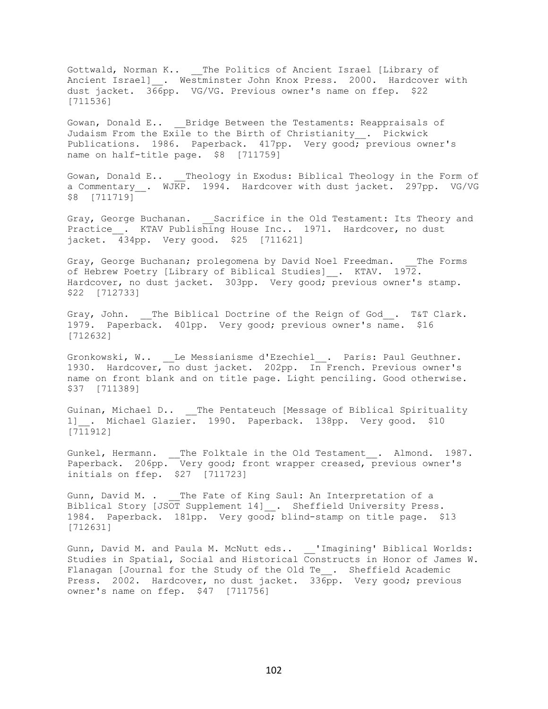Gottwald, Norman K.. \_\_The Politics of Ancient Israel [Library of Ancient Israel] . Westminster John Knox Press. 2000. Hardcover with dust jacket. 366pp. VG/VG. Previous owner's name on ffep. \$22 [711536]

Gowan, Donald E.. Bridge Between the Testaments: Reappraisals of Judaism From the Exile to the Birth of Christianity\_\_. Pickwick Publications. 1986. Paperback. 417pp. Very good; previous owner's name on half-title page. \$8 [711759]

Gowan, Donald E.. Theology in Exodus: Biblical Theology in the Form of a Commentary . WJKP. 1994. Hardcover with dust jacket. 297pp. VG/VG \$8 [711719]

Gray, George Buchanan. Sacrifice in the Old Testament: Its Theory and Practice . KTAV Publishing House Inc.. 1971. Hardcover, no dust jacket. 434pp. Very good. \$25 [711621]

Gray, George Buchanan; prolegomena by David Noel Freedman. The Forms of Hebrew Poetry [Library of Biblical Studies] . KTAV. 1972. Hardcover, no dust jacket. 303pp. Very good; previous owner's stamp. \$22 [712733]

Gray, John. The Biblical Doctrine of the Reign of God. T&T Clark. 1979. Paperback. 401pp. Very good; previous owner's name. \$16 [712632]

Gronkowski, W.. \_\_Le Messianisme d'Ezechiel\_\_. Paris: Paul Geuthner. 1930. Hardcover, no dust jacket. 202pp. In French. Previous owner's name on front blank and on title page. Light penciling. Good otherwise. \$37 [711389]

Guinan, Michael D.. The Pentateuch [Message of Biblical Spirituality 1] . Michael Glazier. 1990. Paperback. 138pp. Very good. \$10 [711912]

Gunkel, Hermann. \_\_The Folktale in the Old Testament\_\_. Almond. 1987. Paperback. 206pp. Very good; front wrapper creased, previous owner's initials on ffep. \$27 [711723]

Gunn, David M. . The Fate of King Saul: An Interpretation of a Biblical Story [JSOT Supplement 14]\_\_. Sheffield University Press. 1984. Paperback. 181pp. Very good; blind-stamp on title page. \$13 [712631]

Gunn, David M. and Paula M. McNutt eds.. 'Imagining' Biblical Worlds: Studies in Spatial, Social and Historical Constructs in Honor of James W. Flanagan [Journal for the Study of the Old Te . Sheffield Academic Press. 2002. Hardcover, no dust jacket. 336pp. Very good; previous owner's name on ffep. \$47 [711756]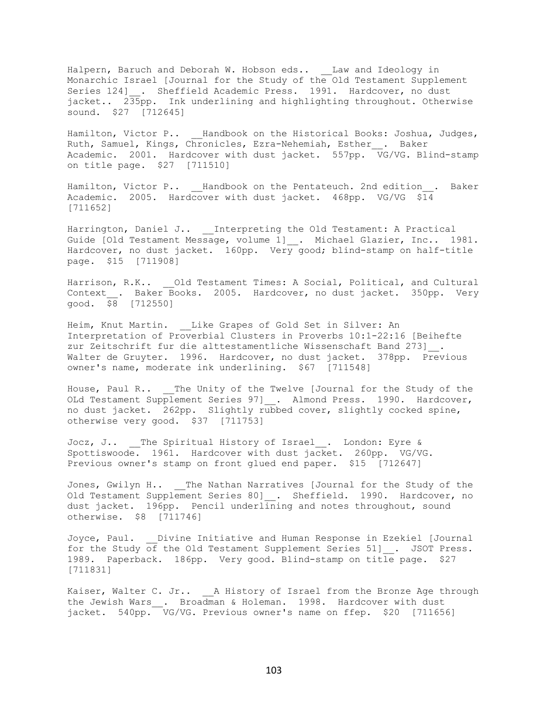Halpern, Baruch and Deborah W. Hobson eds.. \_\_Law and Ideology in Monarchic Israel [Journal for the Study of the Old Testament Supplement Series 124] . Sheffield Academic Press. 1991. Hardcover, no dust jacket.. 235pp. Ink underlining and highlighting throughout. Otherwise sound. \$27 [712645]

Hamilton, Victor P.. Handbook on the Historical Books: Joshua, Judges, Ruth, Samuel, Kings, Chronicles, Ezra-Nehemiah, Esther\_\_. Baker Academic. 2001. Hardcover with dust jacket. 557pp. VG/VG. Blind-stamp on title page. \$27 [711510]

Hamilton, Victor P.. Handbook on the Pentateuch. 2nd edition . Baker Academic. 2005. Hardcover with dust jacket. 468pp. VG/VG \$14 [711652]

Harrington, Daniel J.. \_\_Interpreting the Old Testament: A Practical Guide [Old Testament Message, volume 1]\_\_. Michael Glazier, Inc.. 1981. Hardcover, no dust jacket. 160pp. Very good; blind-stamp on half-title page. \$15 [711908]

Harrison, R.K.. Old Testament Times: A Social, Political, and Cultural Context . Baker Books. 2005. Hardcover, no dust jacket. 350pp. Very good. \$8 [712550]

Heim, Knut Martin. Like Grapes of Gold Set in Silver: An Interpretation of Proverbial Clusters in Proverbs 10:1-22:16 [Beihefte zur Zeitschrift fur die alttestamentliche Wissenschaft Band 273]\_\_. Walter de Gruyter. 1996. Hardcover, no dust jacket. 378pp. Previous owner's name, moderate ink underlining. \$67 [711548]

House, Paul R.. \_\_The Unity of the Twelve [Journal for the Study of the OLd Testament Supplement Series 97] . Almond Press. 1990. Hardcover, no dust jacket. 262pp. Slightly rubbed cover, slightly cocked spine, otherwise very good. \$37 [711753]

Jocz, J.. \_\_The Spiritual History of Israel\_\_. London: Eyre & Spottiswoode. 1961. Hardcover with dust jacket. 260pp. VG/VG. Previous owner's stamp on front glued end paper. \$15 [712647]

Jones, Gwilyn H.. \_\_The Nathan Narratives [Journal for the Study of the Old Testament Supplement Series 80] . Sheffield. 1990. Hardcover, no dust jacket. 196pp. Pencil underlining and notes throughout, sound otherwise. \$8 [711746]

Joyce, Paul. Divine Initiative and Human Response in Ezekiel [Journal for the Study of the Old Testament Supplement Series 51] . JSOT Press. 1989. Paperback. 186pp. Very good. Blind-stamp on title page. \$27 [711831]

Kaiser, Walter C. Jr.. A History of Israel from the Bronze Age through the Jewish Wars . Broadman & Holeman. 1998. Hardcover with dust jacket. 540pp. VG/VG. Previous owner's name on ffep. \$20 [711656]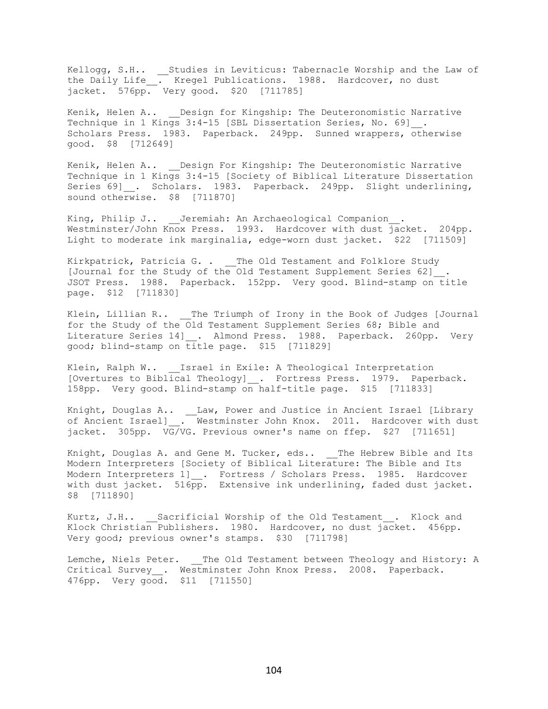Kellogg, S.H.. \_\_Studies in Leviticus: Tabernacle Worship and the Law of the Daily Life\_\_. Kregel Publications. 1988. Hardcover, no dust jacket. 576pp. Very good. \$20 [711785]

Kenik, Helen A.. Design for Kingship: The Deuteronomistic Narrative Technique in 1 Kings 3:4-15 [SBL Dissertation Series, No. 69] . Scholars Press. 1983. Paperback. 249pp. Sunned wrappers, otherwise good. \$8 [712649]

Kenik, Helen A.. \_\_ Design For Kingship: The Deuteronomistic Narrative Technique in 1 Kings 3:4-15 [Society of Biblical Literature Dissertation Series 69] . Scholars. 1983. Paperback. 249pp. Slight underlining, sound otherwise. \$8 [711870]

King, Philip J.. Jeremiah: An Archaeological Companion . Westminster/John Knox Press. 1993. Hardcover with dust jacket. 204pp. Light to moderate ink marginalia, edge-worn dust jacket. \$22 [711509]

Kirkpatrick, Patricia G. . \_\_ The Old Testament and Folklore Study [Journal for the Study of the Old Testament Supplement Series 62] . JSOT Press. 1988. Paperback. 152pp. Very good. Blind-stamp on title page. \$12 [711830]

Klein, Lillian R.. \_\_The Triumph of Irony in the Book of Judges [Journal for the Study of the Old Testament Supplement Series 68; Bible and Literature Series 14] . Almond Press. 1988. Paperback. 260pp. Very good; blind-stamp on title page. \$15 [711829]

Klein, Ralph W.. \_\_\_ Israel in Exile: A Theological Interpretation [Overtures to Biblical Theology]\_\_. Fortress Press. 1979. Paperback. 158pp. Very good. Blind-stamp on half-title page. \$15 [711833]

Knight, Douglas A.. \_\_Law, Power and Justice in Ancient Israel [Library of Ancient Israel]\_\_. Westminster John Knox. 2011. Hardcover with dust jacket. 305pp. VG/VG. Previous owner's name on ffep. \$27 [711651]

Knight, Douglas A. and Gene M. Tucker, eds.. The Hebrew Bible and Its Modern Interpreters [Society of Biblical Literature: The Bible and Its Modern Interpreters 1] . Fortress / Scholars Press. 1985. Hardcover with dust jacket. 516pp. Extensive ink underlining, faded dust jacket. \$8 [711890]

Kurtz, J.H.. Sacrificial Worship of the Old Testament . Klock and Klock Christian Publishers. 1980. Hardcover, no dust jacket. 456pp. Very good; previous owner's stamps. \$30 [711798]

Lemche, Niels Peter. The Old Testament between Theology and History: A Critical Survey\_\_. Westminster John Knox Press. 2008. Paperback. 476pp. Very good. \$11 [711550]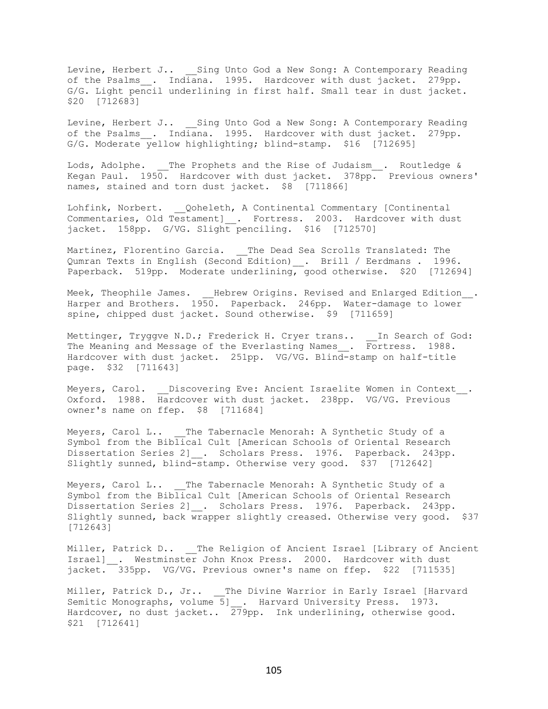Levine, Herbert J.. Sing Unto God a New Song: A Contemporary Reading of the Psalms\_. Indiana. 1995. Hardcover with dust jacket. 279pp. G/G. Light pencil underlining in first half. Small tear in dust jacket. \$20 [712683]

Levine, Herbert J.. Sing Unto God a New Song: A Contemporary Reading of the Psalms . Indiana. 1995. Hardcover with dust jacket. 279pp. G/G. Moderate yellow highlighting; blind-stamp. \$16 [712695]

Lods, Adolphe. \_\_The Prophets and the Rise of Judaism\_\_. Routledge & Kegan Paul. 1950. Hardcover with dust jacket. 378pp. Previous owners' names, stained and torn dust jacket. \$8 [711866]

Lohfink, Norbert. Qoheleth, A Continental Commentary [Continental Commentaries, Old Testament] . Fortress. 2003. Hardcover with dust jacket. 158pp. G/VG. Slight penciling. \$16 [712570]

Martinez, Florentino Garcia. \_\_The Dead Sea Scrolls Translated: The Qumran Texts in English (Second Edition) . Brill / Eerdmans . 1996. Paperback. 519pp. Moderate underlining, good otherwise. \$20 [712694]

Meek, Theophile James. \_\_Hebrew Origins. Revised and Enlarged Edition\_\_. Harper and Brothers. 1950. Paperback. 246pp. Water-damage to lower spine, chipped dust jacket. Sound otherwise. \$9 [711659]

Mettinger, Tryggve N.D.; Frederick H. Cryer trans.. \_\_In Search of God: The Meaning and Message of the Everlasting Names\_\_. Fortress. 1988. Hardcover with dust jacket. 251pp. VG/VG. Blind-stamp on half-title page. \$32 [711643]

Meyers, Carol. Discovering Eve: Ancient Israelite Women in Context. Oxford. 1988. Hardcover with dust jacket. 238pp. VG/VG. Previous owner's name on ffep. \$8 [711684]

Meyers, Carol L.. The Tabernacle Menorah: A Synthetic Study of a Symbol from the Biblical Cult [American Schools of Oriental Research Dissertation Series 2]\_\_. Scholars Press. 1976. Paperback. 243pp. Slightly sunned, blind-stamp. Otherwise very good. \$37 [712642]

Meyers, Carol L.. The Tabernacle Menorah: A Synthetic Study of a Symbol from the Biblical Cult [American Schools of Oriental Research Dissertation Series 2] . Scholars Press. 1976. Paperback. 243pp. Slightly sunned, back wrapper slightly creased. Otherwise very good. \$37 [712643]

Miller, Patrick D.. The Religion of Ancient Israel [Library of Ancient Israel] . Westminster John Knox Press. 2000. Hardcover with dust jacket. 335pp. VG/VG. Previous owner's name on ffep. \$22 [711535]

Miller, Patrick D., Jr.. \_\_ The Divine Warrior in Early Israel [Harvard Semitic Monographs, volume 5] . Harvard University Press. 1973. Hardcover, no dust jacket..  $279$ pp. Ink underlining, otherwise good. \$21 [712641]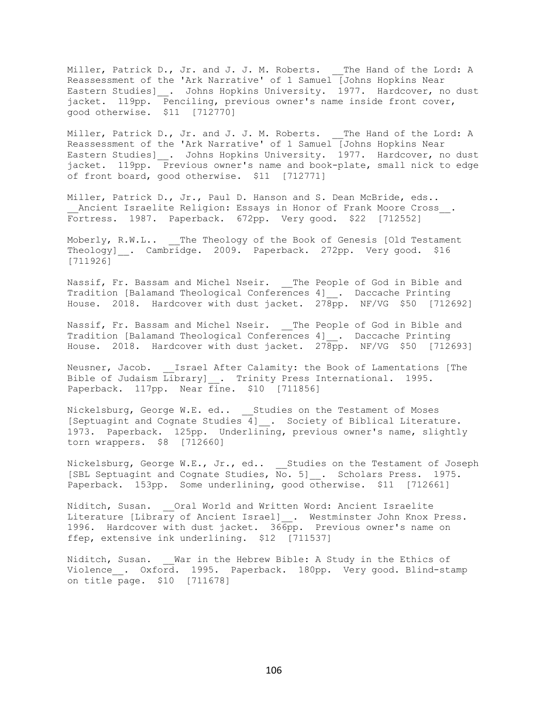Miller, Patrick D., Jr. and J. J. M. Roberts. \_\_The Hand of the Lord: A Reassessment of the 'Ark Narrative' of 1 Samuel [Johns Hopkins Near Eastern Studies] \_\_. Johns Hopkins University. 1977. Hardcover, no dust jacket. 119pp. Penciling, previous owner's name inside front cover, good otherwise. \$11 [712770]

Miller, Patrick D., Jr. and J. J. M. Roberts. The Hand of the Lord: A Reassessment of the 'Ark Narrative' of 1 Samuel [Johns Hopkins Near Eastern Studies] . Johns Hopkins University. 1977. Hardcover, no dust jacket. 119pp. Previous owner's name and book-plate, small nick to edge of front board, good otherwise. \$11 [712771]

Miller, Patrick D., Jr., Paul D. Hanson and S. Dean McBride, eds.. Ancient Israelite Religion: Essays in Honor of Frank Moore Cross . Fortress. 1987. Paperback. 672pp. Very good. \$22 [712552]

Moberly, R.W.L.. \_\_The Theology of the Book of Genesis [Old Testament Theology] . Cambridge. 2009. Paperback. 272pp. Very good. \$16 [711926]

Nassif, Fr. Bassam and Michel Nseir. \_\_ The People of God in Bible and Tradition [Balamand Theological Conferences 4]\_\_. Daccache Printing House. 2018. Hardcover with dust jacket. 278pp. NF/VG \$50 [712692]

Nassif, Fr. Bassam and Michel Nseir. \_\_The People of God in Bible and Tradition [Balamand Theological Conferences 4]\_\_. Daccache Printing House. 2018. Hardcover with dust jacket. 278pp. NF/VG \$50 [712693]

Neusner, Jacob. Israel After Calamity: the Book of Lamentations [The Bible of Judaism Library]\_\_. Trinity Press International. 1995. Paperback. 117pp. Near fine. \$10 [711856]

Nickelsburg, George W.E. ed.. \_\_Studies on the Testament of Moses [Septuagint and Cognate Studies 4]\_\_. Society of Biblical Literature. 1973. Paperback. 125pp. Underlining, previous owner's name, slightly torn wrappers. \$8 [712660]

Nickelsburg, George W.E., Jr., ed.. Studies on the Testament of Joseph [SBL Septuagint and Cognate Studies,  $\overline{No}$ . 5]. Scholars Press. 1975. Paperback. 153pp. Some underlining, good otherwise. \$11 [712661]

Niditch, Susan. Qral World and Written Word: Ancient Israelite Literature [Library of Ancient Israel] . Westminster John Knox Press. 1996. Hardcover with dust jacket. 366pp. Previous owner's name on ffep, extensive ink underlining. \$12 [711537]

Niditch, Susan. War in the Hebrew Bible: A Study in the Ethics of Violence . Oxford. 1995. Paperback. 180pp. Very good. Blind-stamp on title page. \$10 [711678]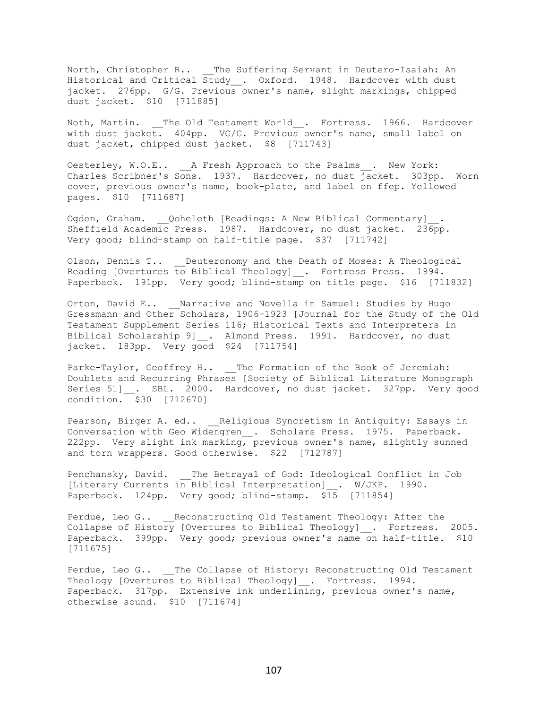North, Christopher R.. \_\_The Suffering Servant in Deutero-Isaiah: An Historical and Critical Study\_\_. Oxford. 1948. Hardcover with dust jacket. 276pp. G/G. Previous owner's name, slight markings, chipped dust jacket. \$10 [711885]

Noth, Martin. \_\_The Old Testament World\_\_. Fortress. 1966. Hardcover with dust jacket. 404pp. VG/G. Previous owner's name, small label on dust jacket, chipped dust jacket. \$8 [711743]

Oesterley, W.O.E.. \_\_A Fresh Approach to the Psalms\_\_. New York: Charles Scribner's Sons. 1937. Hardcover, no dust jacket. 303pp. Worn cover, previous owner's name, book-plate, and label on ffep. Yellowed pages. \$10 [711687]

Ogden, Graham. Qoheleth [Readings: A New Biblical Commentary] . Sheffield Academic Press. 1987. Hardcover, no dust jacket. 236pp. Very good; blind-stamp on half-title page. \$37 [711742]

Olson, Dennis T.. Deuteronomy and the Death of Moses: A Theological Reading [Overtures to Biblical Theology]  $\ldots$  Fortress Press. 1994. Paperback. 191pp. Very good; blind-stamp on title page. \$16 [711832]

Orton, David E.. Marrative and Novella in Samuel: Studies by Hugo Gressmann and Other Scholars, 1906-1923 [Journal for the Study of the Old Testament Supplement Series 116; Historical Texts and Interpreters in Biblical Scholarship 9]\_\_. Almond Press. 1991. Hardcover, no dust jacket. 183pp. Very good \$24 [711754]

Parke-Taylor, Geoffrey H.. \_\_The Formation of the Book of Jeremiah: Doublets and Recurring Phrases [Society of Biblical Literature Monograph Series 51] . SBL. 2000. Hardcover, no dust jacket. 327pp. Very good condition. \$30 [712670]

Pearson, Birger A. ed.. \_\_\_ Religious Syncretism in Antiquity: Essays in Conversation with Geo Widengren . Scholars Press. 1975. Paperback. 222pp. Very slight ink marking, previous owner's name, slightly sunned and torn wrappers. Good otherwise. \$22 [712787]

Penchansky, David. \_\_The Betrayal of God: Ideological Conflict in Job [Literary Currents in Biblical Interpretation]\_\_. W/JKP. 1990. Paperback. 124pp. Very good; blind-stamp. \$15 [711854]

Perdue, Leo G.. Reconstructing Old Testament Theology: After the Collapse of History [Overtures to Biblical Theology] . Fortress. 2005. Paperback. 399pp. Very good; previous owner's name on half-title. \$10 [711675]

Perdue, Leo G.. \_\_The Collapse of History: Reconstructing Old Testament Theology [Overtures to Biblical Theology]\_\_. Fortress. 1994. Paperback. 317pp. Extensive ink underlining, previous owner's name, otherwise sound. \$10 [711674]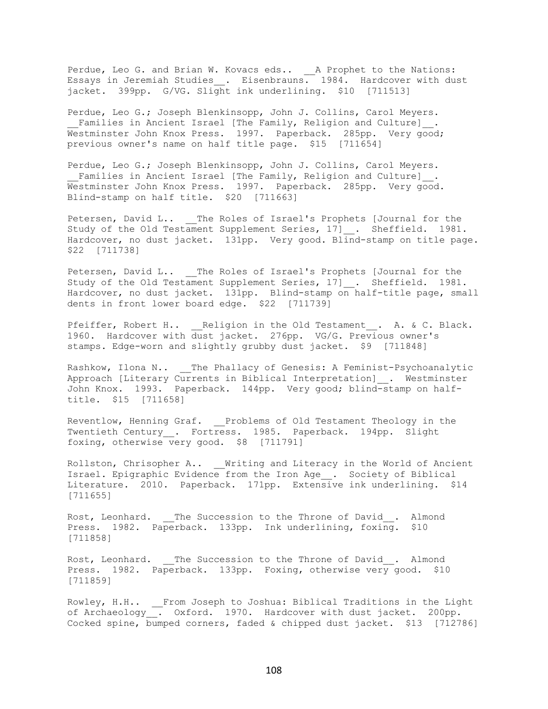Perdue, Leo G. and Brian W. Kovacs eds.. \_\_ A Prophet to the Nations: Essays in Jeremiah Studies\_\_. Eisenbrauns. 1984. Hardcover with dust jacket. 399pp. G/VG. Slight ink underlining. \$10 [711513]

Perdue, Leo G.; Joseph Blenkinsopp, John J. Collins, Carol Meyers. Families in Ancient Israel [The Family, Religion and Culture] . Westminster John Knox Press. 1997. Paperback. 285pp. Very good; previous owner's name on half title page. \$15 [711654]

Perdue, Leo G.; Joseph Blenkinsopp, John J. Collins, Carol Meyers. Families in Ancient Israel [The Family, Religion and Culture] . Westminster John Knox Press. 1997. Paperback. 285pp. Very good. Blind-stamp on half title. \$20 [711663]

Petersen, David L.. \_\_The Roles of Israel's Prophets [Journal for the Study of the Old Testament Supplement Series, 17] . Sheffield. 1981. Hardcover, no dust jacket. 131pp. Very good. Blind-stamp on title page. \$22 [711738]

Petersen, David L.. \_\_The Roles of Israel's Prophets [Journal for the Study of the Old Testament Supplement Series, 17] . Sheffield. 1981. Hardcover, no dust jacket. 131pp. Blind-stamp on half-title page, small dents in front lower board edge. \$22 [711739]

Pfeiffer, Robert H.. \_\_Religion in the Old Testament\_\_. A. & C. Black. 1960. Hardcover with dust jacket. 276pp. VG/G. Previous owner's stamps. Edge-worn and slightly grubby dust jacket. \$9 [711848]

Rashkow, Ilona N.. \_\_The Phallacy of Genesis: A Feminist-Psychoanalytic Approach [Literary Currents in Biblical Interpretation]\_\_. Westminster John Knox. 1993. Paperback. 144pp. Very good; blind-stamp on halftitle. \$15 [711658]

Reventlow, Henning Graf. \_\_Problems of Old Testament Theology in the Twentieth Century . Fortress. 1985. Paperback. 194pp. Slight foxing, otherwise very good. \$8 [711791]

Rollston, Chrisopher A.. Writing and Literacy in the World of Ancient Israel. Epigraphic Evidence from the Iron Age\_\_. Society of Biblical Literature. 2010. Paperback. 171pp. Extensive ink underlining. \$14 [711655]

Rost, Leonhard. \_\_The Succession to the Throne of David . Almond Press. 1982. Paperback. 133pp. Ink underlining, foxing. \$10 [711858]

Rost, Leonhard. \_\_The Succession to the Throne of David . Almond Press. 1982. Paperback. 133pp. Foxing, otherwise very good. \$10 [711859]

Rowley, H.H.. \_\_From Joseph to Joshua: Biblical Traditions in the Light of Archaeology\_\_. Oxford. 1970. Hardcover with dust jacket. 200pp. Cocked spine, bumped corners, faded & chipped dust jacket. \$13 [712786]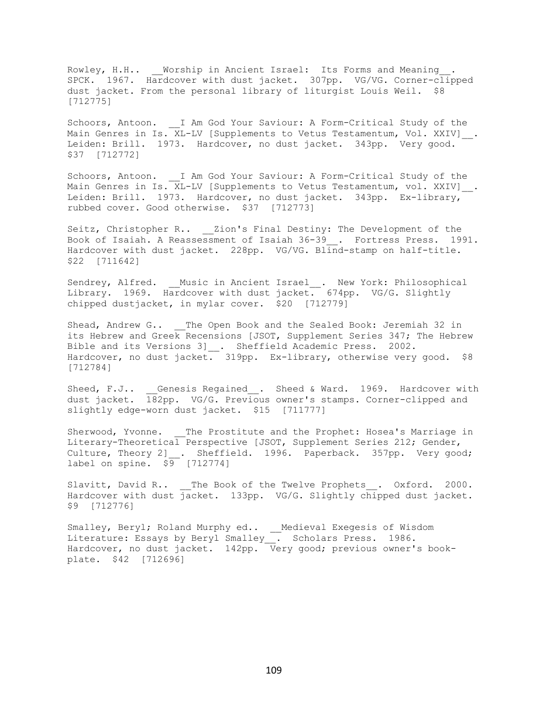Rowley, H.H.. Worship in Ancient Israel: Its Forms and Meaning . SPCK. 1967. Hardcover with dust jacket. 307pp. VG/VG. Corner-clipped dust jacket. From the personal library of liturgist Louis Weil. \$8 [712775]

Schoors, Antoon. I Am God Your Saviour: A Form-Critical Study of the Main Genres in Is.  $XL-LV$  [Supplements to Vetus Testamentum, Vol. XXIV]. Leiden: Brill. 1973. Hardcover, no dust jacket. 343pp. Very good. \$37 [712772]

Schoors, Antoon. I Am God Your Saviour: A Form-Critical Study of the Main Genres in Is. XL-LV [Supplements to Vetus Testamentum, vol. XXIV]. Leiden: Brill. 1973. Hardcover, no dust jacket. 343pp. Ex-library, rubbed cover. Good otherwise. \$37 [712773]

Seitz, Christopher R.. \_\_Zion's Final Destiny: The Development of the Book of Isaiah. A Reassessment of Isaiah 36-39\_\_. Fortress Press. 1991. Hardcover with dust jacket. 228pp. VG/VG. Blind-stamp on half-title. \$22 [711642]

Sendrey, Alfred. \_\_Music in Ancient Israel\_\_. New York: Philosophical Library. 1969. Hardcover with dust jacket. 674pp. VG/G. Slightly chipped dustjacket, in mylar cover. \$20 [712779]

Shead, Andrew G.. \_\_The Open Book and the Sealed Book: Jeremiah 32 in its Hebrew and Greek Recensions [JSOT, Supplement Series 347; The Hebrew Bible and its Versions 3]\_\_. Sheffield Academic Press. 2002. Hardcover, no dust jacket. 319pp. Ex-library, otherwise very good. \$8 [712784]

Sheed, F.J.. Genesis Regained . Sheed & Ward. 1969. Hardcover with dust jacket. 182pp. VG/G. Previous owner's stamps. Corner-clipped and slightly edge-worn dust jacket. \$15 [711777]

Sherwood, Yvonne. The Prostitute and the Prophet: Hosea's Marriage in Literary-Theoretical Perspective [JSOT, Supplement Series 212; Gender, Culture, Theory 2] . Sheffield. 1996. Paperback. 357pp. Very good; label on spine.  $$9$  [712774]

Slavitt, David R.. \_\_The Book of the Twelve Prophets . Oxford. 2000. Hardcover with dust jacket. 133pp. VG/G. Slightly chipped dust jacket. \$9 [712776]

Smalley, Beryl; Roland Murphy ed.. Medieval Exegesis of Wisdom Literature: Essays by Beryl Smalley\_\_. Scholars Press. 1986. Hardcover, no dust jacket. 142pp. Very good; previous owner's bookplate. \$42 [712696]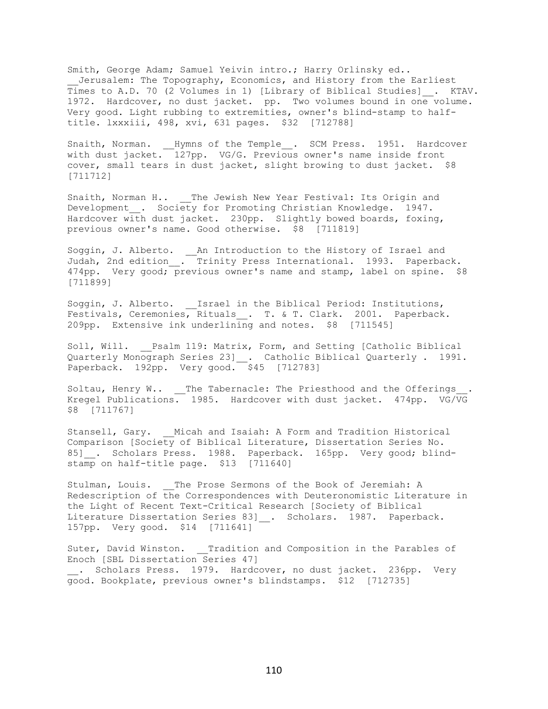Smith, George Adam; Samuel Yeivin intro.; Harry Orlinsky ed.. Jerusalem: The Topography, Economics, and History from the Earliest Times to A.D. 70 (2 Volumes in 1) [Library of Biblical Studies]\_\_. KTAV. 1972. Hardcover, no dust jacket. pp. Two volumes bound in one volume. Very good. Light rubbing to extremities, owner's blind-stamp to halftitle. lxxxiii, 498, xvi, 631 pages. \$32 [712788]

Snaith, Norman. \_\_Hymns of the Temple\_\_. SCM Press. 1951. Hardcover with dust jacket. 127pp. VG/G. Previous owner's name inside front cover, small tears in dust jacket, slight browing to dust jacket. \$8 [711712]

Snaith, Norman H.. \_\_ The Jewish New Year Festival: Its Origin and Development . Society for Promoting Christian Knowledge. 1947. Hardcover with dust jacket. 230pp. Slightly bowed boards, foxing, previous owner's name. Good otherwise. \$8 [711819]

Soggin, J. Alberto. \_\_ An Introduction to the History of Israel and Judah, 2nd edition\_\_. Trinity Press International. 1993. Paperback. 474pp. Very good; previous owner's name and stamp, label on spine. \$8 [711899]

Soggin, J. Alberto. \_\_Israel in the Biblical Period: Institutions, Festivals, Ceremonies, Rituals . T. & T. Clark. 2001. Paperback. 209pp. Extensive ink underlining and notes.  $$8$  [711545]

Soll, Will. Psalm 119: Matrix, Form, and Setting [Catholic Biblical Quarterly Monograph Series 23]\_\_. Catholic Biblical Quarterly . 1991. Paperback. 192pp. Very good. \$45 [712783]

Soltau, Henry W.. The Tabernacle: The Priesthood and the Offerings Kregel Publications. 1985. Hardcover with dust jacket. 474pp. VG/VG \$8 [711767]

Stansell, Gary. Micah and Isaiah: A Form and Tradition Historical Comparison [Society of Biblical Literature, Dissertation Series No. 85]\_\_. Scholars Press. 1988. Paperback. 165pp. Very good; blindstamp on half-title page. \$13 [711640]

Stulman, Louis. The Prose Sermons of the Book of Jeremiah: A Redescription of the Correspondences with Deuteronomistic Literature in the Light of Recent Text-Critical Research [Society of Biblical Literature Dissertation Series 83] . Scholars. 1987. Paperback. 157pp. Very good. \$14 [711641]

Suter, David Winston. Tradition and Composition in the Parables of Enoch [SBL Dissertation Series 47] . Scholars Press. 1979. Hardcover, no dust jacket. 236pp. Very good. Bookplate, previous owner's blindstamps. \$12 [712735]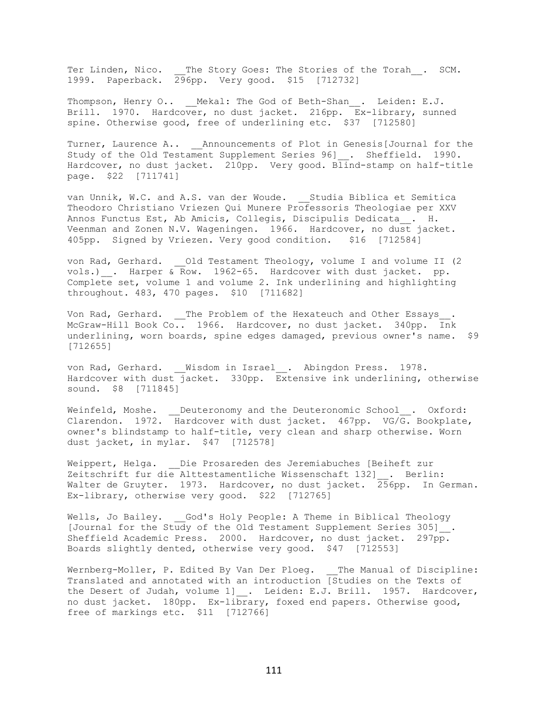Ter Linden, Nico. \_\_The Story Goes: The Stories of the Torah\_\_. SCM. 1999. Paperback. 296pp. Very good. \$15 [712732]

Thompson, Henry O.. Mekal: The God of Beth-Shan . Leiden: E.J. Brill. 1970. Hardcover, no dust jacket. 216pp. Ex-library, sunned spine. Otherwise good, free of underlining etc. \$37 [712580]

Turner, Laurence A.. Announcements of Plot in Genesis[Journal for the Study of the Old Testament Supplement Series 96] . Sheffield. 1990. Hardcover, no dust jacket. 210pp. Very good. Blind-stamp on half-title page. \$22 [711741]

van Unnik, W.C. and A.S. van der Woude. Studia Biblica et Semitica Theodoro Christiano Vriezen Qui Munere Professoris Theologiae per XXV Annos Functus Est, Ab Amicis, Collegis, Discipulis Dedicata\_\_. H. Veenman and Zonen N.V. Wageningen. 1966. Hardcover, no dust jacket. 405pp. Signed by Vriezen. Very good condition. \$16 [712584]

von Rad, Gerhard. \_\_\_Old Testament Theology, volume I and volume II (2) vols.)  $\ldots$  Harper & Row. 1962-65. Hardcover with dust jacket. pp. Complete set, volume 1 and volume 2. Ink underlining and highlighting throughout. 483, 470 pages. \$10 [711682]

Von Rad, Gerhard. \_\_The Problem of the Hexateuch and Other Essays . McGraw-Hill Book Co.. 1966. Hardcover, no dust jacket. 340pp. Ink underlining, worn boards, spine edges damaged, previous owner's name. \$9 [712655]

von Rad, Gerhard. Wisdom in Israel . Abingdon Press. 1978. Hardcover with dust jacket. 330pp. Extensive ink underlining, otherwise sound. \$8 [711845]

Weinfeld, Moshe. \_\_Deuteronomy and the Deuteronomic School\_\_. Oxford: Clarendon. 1972. Hardcover with dust jacket. 467pp. VG/G. Bookplate, owner's blindstamp to half-title, very clean and sharp otherwise. Worn dust jacket, in mylar. \$47 [712578]

Weippert, Helga. Die Prosareden des Jeremiabuches [Beiheft zur Zeitschrift fur die Alttestamentliche Wissenschaft 132]\_\_. Berlin: Walter de Gruyter. 1973. Hardcover, no dust jacket. 256pp. In German. Ex-library, otherwise very good. \$22 [712765]

Wells, Jo Bailey. God's Holy People: A Theme in Biblical Theology [Journal for the Study of the Old Testament Supplement Series 305]\_\_. Sheffield Academic Press. 2000. Hardcover, no dust jacket. 297pp. Boards slightly dented, otherwise very good. \$47 [712553]

Wernberg-Moller, P. Edited By Van Der Ploeg. \_\_The Manual of Discipline: Translated and annotated with an introduction [Studies on the Texts of the Desert of Judah, volume 1] . Leiden: E.J. Brill. 1957. Hardcover, no dust jacket. 180pp. Ex-library, foxed end papers. Otherwise good, free of markings etc. \$11 [712766]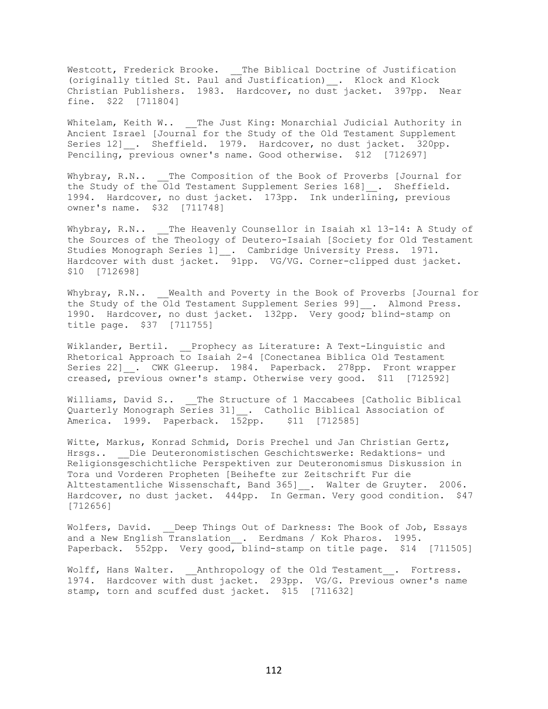Westcott, Frederick Brooke. \_\_The Biblical Doctrine of Justification (originally titled St. Paul and Justification)\_\_. Klock and Klock Christian Publishers. 1983. Hardcover, no dust jacket. 397pp. Near fine. \$22 [711804]

Whitelam, Keith W.. \_\_ The Just King: Monarchial Judicial Authority in Ancient Israel [Journal for the Study of the Old Testament Supplement Series 12] \_. Sheffield. 1979. Hardcover, no dust jacket. 320pp. Penciling, previous owner's name. Good otherwise. \$12 [712697]

Whybray, R.N.. The Composition of the Book of Proverbs [Journal for the Study of the Old Testament Supplement Series 168] . Sheffield. 1994. Hardcover, no dust jacket. 173pp. Ink underlining, previous owner's name. \$32 [711748]

Whybray, R.N.. The Heavenly Counsellor in Isaiah xl 13-14: A Study of the Sources of the Theology of Deutero-Isaiah [Society for Old Testament Studies Monograph Series 1]\_\_. Cambridge University Press. 1971. Hardcover with dust jacket. 91pp. VG/VG. Corner-clipped dust jacket. \$10 [712698]

Whybray, R.N.. Wealth and Poverty in the Book of Proverbs [Journal for the Study of the Old Testament Supplement Series 99] . Almond Press. 1990. Hardcover, no dust jacket. 132pp. Very good; blind-stamp on title page. \$37 [711755]

Wiklander, Bertil. Prophecy as Literature: A Text-Linguistic and Rhetorical Approach to Isaiah 2-4 [Conectanea Biblica Old Testament Series 22] . CWK Gleerup. 1984. Paperback. 278pp. Front wrapper creased, previous owner's stamp. Otherwise very good. \$11 [712592]

Williams, David S.. The Structure of 1 Maccabees [Catholic Biblical Quarterly Monograph Series 31]\_\_. Catholic Biblical Association of America. 1999. Paperback. 152pp. \$11 [712585]

Witte, Markus, Konrad Schmid, Doris Prechel und Jan Christian Gertz, Hrsgs.. Die Deuteronomistischen Geschichtswerke: Redaktions- und Religionsgeschichtliche Perspektiven zur Deuteronomismus Diskussion in Tora und Vorderen Propheten [Beihefte zur Zeitschrift Fur die Alttestamentliche Wissenschaft, Band 365] . Walter de Gruyter. 2006. Hardcover, no dust jacket. 444pp. In German. Very good condition. \$47 [712656]

Wolfers, David. Deep Things Out of Darkness: The Book of Job, Essays and a New English Translation . Eerdmans / Kok Pharos. 1995. Paperback. 552pp. Very good, blind-stamp on title page. \$14 [711505]

Wolff, Hans Walter. Anthropology of the Old Testament . Fortress. 1974. Hardcover with dust jacket. 293pp. VG/G. Previous owner's name stamp, torn and scuffed dust jacket. \$15 [711632]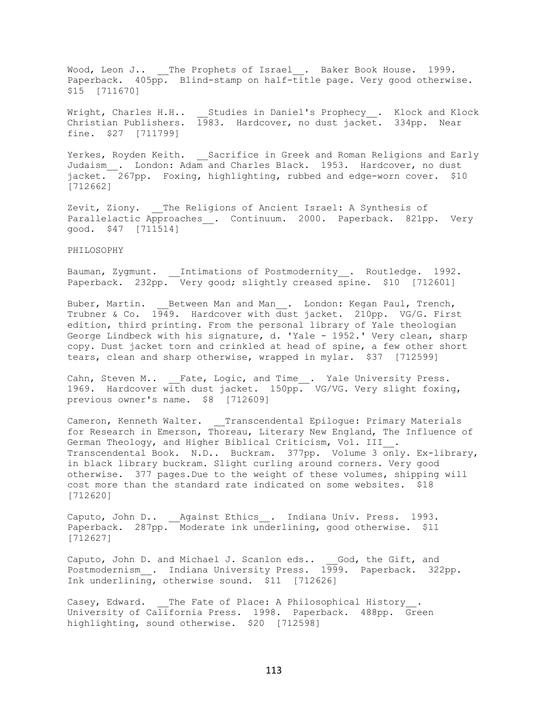Wood, Leon J.. The Prophets of Israel . Baker Book House. 1999. Paperback. 405pp. Blind-stamp on half-title page. Very good otherwise. \$15 [711670]

Wright, Charles H.H.. \_\_Studies in Daniel's Prophecy\_\_. Klock and Klock Christian Publishers. 1983. Hardcover, no dust jacket. 334pp. Near fine. \$27 [711799]

Yerkes, Royden Keith. \_\_Sacrifice in Greek and Roman Religions and Early Judaism\_\_. London: Adam and Charles Black. 1953. Hardcover, no dust jacket. 267pp. Foxing, highlighting, rubbed and edge-worn cover. \$10 [712662]

Zevit, Ziony. \_\_The Religions of Ancient Israel: A Synthesis of Parallelactic Approaches . Continuum. 2000. Paperback. 821pp. Very good. \$47 [711514]

## PHILOSOPHY

Bauman, Zygmunt. \_\_Intimations of Postmodernity\_\_. Routledge. 1992. Paperback. 232pp. Very good; slightly creased spine. \$10 [712601]

Buber, Martin. \_\_\_ Between Man and Man\_\_. London: Kegan Paul, Trench, Trubner & Co. 1949. Hardcover with dust jacket. 210pp. VG/G. First edition, third printing. From the personal library of Yale theologian George Lindbeck with his signature, d. 'Yale - 1952.' Very clean, sharp copy. Dust jacket torn and crinkled at head of spine, a few other short tears, clean and sharp otherwise, wrapped in mylar. \$37 [712599]

Cahn, Steven M.. \_\_Fate, Logic, and Time\_\_. Yale University Press. 1969. Hardcover with dust jacket. 150pp. VG/VG. Very slight foxing, previous owner's name. \$8 [712609]

Cameron, Kenneth Walter. Transcendental Epilogue: Primary Materials for Research in Emerson, Thoreau, Literary New England, The Influence of German Theology, and Higher Biblical Criticism, Vol. III . Transcendental Book. N.D.. Buckram. 377pp. Volume 3 only. Ex-library, in black library buckram. Slight curling around corners. Very good otherwise. 377 pages.Due to the weight of these volumes, shipping will cost more than the standard rate indicated on some websites. \$18 [712620]

Caputo, John D.. \_\_\_Against Ethics . Indiana Univ. Press. 1993. Paperback. 287pp. Moderate ink underlining, good otherwise. \$11 [712627]

Caputo, John D. and Michael J. Scanlon eds.. God, the Gift, and Postmodernism . Indiana University Press. 1999. Paperback. 322pp. Ink underlining, otherwise sound. \$11 [712626]

Casey, Edward. \_\_The Fate of Place: A Philosophical History . University of California Press. 1998. Paperback. 488pp. Green highlighting, sound otherwise. \$20 [712598]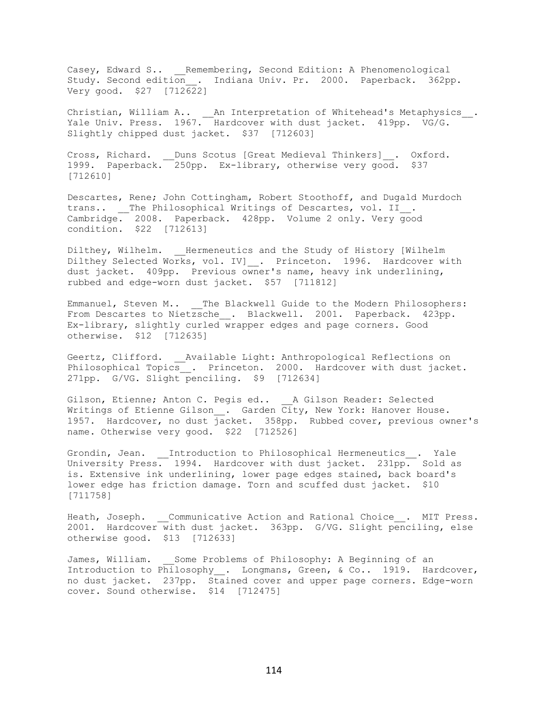Casey, Edward S.. Remembering, Second Edition: A Phenomenological Study. Second edition . Indiana Univ. Pr. 2000. Paperback. 362pp. Very good. \$27 [712622]

Christian, William A..  $\_\,$  An Interpretation of Whitehead's Metaphysics $\_\,$ . Yale Univ. Press. 1967. Hardcover with dust jacket. 419pp. VG/G. Slightly chipped dust jacket. \$37 [712603]

Cross, Richard. \_\_Duns Scotus [Great Medieval Thinkers]\_\_. Oxford. 1999. Paperback. 250pp. Ex-library, otherwise very good. \$37 [712610]

Descartes, Rene; John Cottingham, Robert Stoothoff, and Dugald Murdoch trans.. \_\_The Philosophical Writings of Descartes, vol. II . Cambridge. 2008. Paperback. 428pp. Volume 2 only. Very good condition. \$22 [712613]

Dilthey, Wilhelm. Hermeneutics and the Study of History [Wilhelm Dilthey Selected Works, vol. IV] . Princeton. 1996. Hardcover with dust jacket. 409pp. Previous owner's name, heavy ink underlining, rubbed and edge-worn dust jacket. \$57 [711812]

Emmanuel, Steven M.. \_\_The Blackwell Guide to the Modern Philosophers: From Descartes to Nietzsche . Blackwell. 2001. Paperback. 423pp. Ex-library, slightly curled wrapper edges and page corners. Good otherwise. \$12 [712635]

Geertz, Clifford. Available Light: Anthropological Reflections on Philosophical Topics\_. Princeton. 2000. Hardcover with dust jacket. 271pp. G/VG. Slight penciling. \$9 [712634]

Gilson, Etienne; Anton C. Pegis ed.. A Gilson Reader: Selected Writings of Etienne Gilson . Garden  $\overline{{\rm City}}$ , New York: Hanover House. 1957. Hardcover, no dust jacket. 358pp. Rubbed cover, previous owner's name. Otherwise very good. \$22 [712526]

Grondin, Jean. \_\_Introduction to Philosophical Hermeneutics\_\_. Yale University Press. 1994. Hardcover with dust jacket. 231pp. Sold as is. Extensive ink underlining, lower page edges stained, back board's lower edge has friction damage. Torn and scuffed dust jacket. \$10 [711758]

Heath, Joseph. Communicative Action and Rational Choice . MIT Press. 2001. Hardcover with dust jacket. 363pp. G/VG. Slight penciling, else otherwise good. \$13 [712633]

James, William. Some Problems of Philosophy: A Beginning of an Introduction to Philosophy . Longmans, Green, & Co.. 1919. Hardcover, no dust jacket. 237pp. Stained cover and upper page corners. Edge-worn cover. Sound otherwise. \$14 [712475]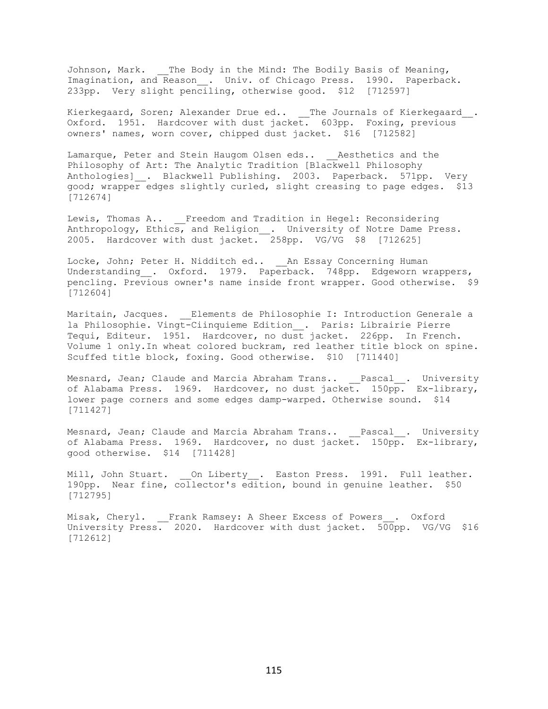Johnson, Mark. The Body in the Mind: The Bodily Basis of Meaning, Imagination, and Reason\_\_. Univ. of Chicago Press. 1990. Paperback. 233pp. Very slight penciling, otherwise good. \$12 [712597]

Kierkegaard, Soren; Alexander Drue ed.. The Journals of Kierkegaard. Oxford. 1951. Hardcover with dust jacket. 603pp. Foxing, previous owners' names, worn cover, chipped dust jacket. \$16 [712582]

Lamarque, Peter and Stein Haugom Olsen eds.. \_\_ Aesthetics and the Philosophy of Art: The Analytic Tradition [Blackwell Philosophy Anthologies] . Blackwell Publishing. 2003. Paperback. 571pp. Very good; wrapper edges slightly curled, slight creasing to page edges. \$13 [712674]

Lewis, Thomas A.. Freedom and Tradition in Hegel: Reconsidering Anthropology, Ethics, and Religion . University of Notre Dame Press. 2005. Hardcover with dust jacket. 258pp. VG/VG \$8 [712625]

Locke, John; Peter H. Nidditch ed.. An Essay Concerning Human Understanding . Oxford. 1979. Paperback. 748pp. Edgeworn wrappers, pencling. Previous owner's name inside front wrapper. Good otherwise. \$9 [712604]

Maritain, Jacques. Elements de Philosophie I: Introduction Generale a la Philosophie. Vingt-Ciinquieme Edition . Paris: Librairie Pierre Tequi, Editeur. 1951. Hardcover, no dust jacket. 226pp. In French. Volume 1 only.In wheat colored buckram, red leather title block on spine. Scuffed title block, foxing. Good otherwise. \$10 [711440]

Mesnard, Jean; Claude and Marcia Abraham Trans.. \_\_Pascal\_\_. University of Alabama Press. 1969. Hardcover, no dust jacket. 150pp. Ex-library, lower page corners and some edges damp-warped. Otherwise sound. \$14 [711427]

Mesnard, Jean; Claude and Marcia Abraham Trans.. \_\_Pascal\_\_. University of Alabama Press. 1969. Hardcover, no dust jacket. 150pp. Ex-library, good otherwise. \$14 [711428]

Mill, John Stuart. On Liberty . Easton Press. 1991. Full leather. 190pp. Near fine, collector's edition, bound in genuine leather. \$50 [712795]

Misak, Cheryl. Frank Ramsey: A Sheer Excess of Powers . Oxford University Press. 2020. Hardcover with dust jacket. 500pp. VG/VG \$16 [712612]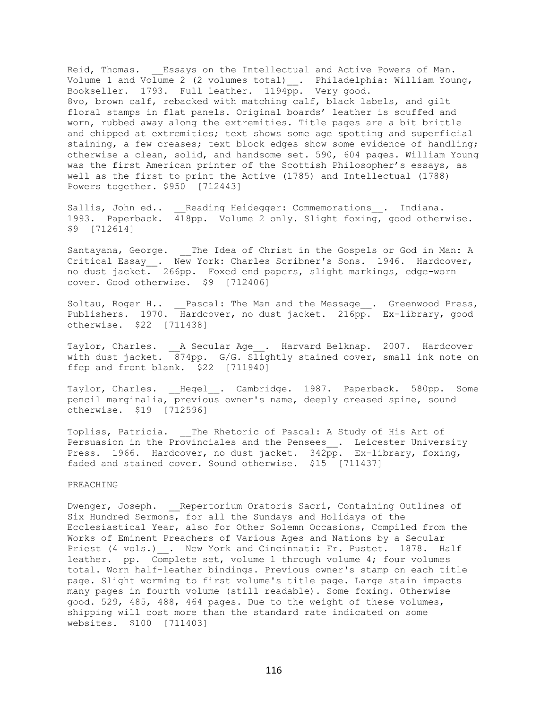Reid, Thomas. Essays on the Intellectual and Active Powers of Man. Volume 1 and Volume 2 (2 volumes total) \_\_. Philadelphia: William Young, Bookseller. 1793. Full leather. 1194pp. Very good. 8vo, brown calf, rebacked with matching calf, black labels, and gilt floral stamps in flat panels. Original boards' leather is scuffed and worn, rubbed away along the extremities. Title pages are a bit brittle and chipped at extremities; text shows some age spotting and superficial staining, a few creases; text block edges show some evidence of handling; otherwise a clean, solid, and handsome set. 590, 604 pages. William Young was the first American printer of the Scottish Philosopher's essays, as well as the first to print the Active (1785) and Intellectual (1788) Powers together. \$950 [712443]

Sallis, John ed.. Reading Heidegger: Commemorations\_\_. Indiana. 1993. Paperback. 418pp. Volume 2 only. Slight foxing, good otherwise. \$9 [712614]

Santayana, George. \_\_The Idea of Christ in the Gospels or God in Man: A Critical Essay \_. New York: Charles Scribner's Sons. 1946. Hardcover, no dust jacket. 266pp. Foxed end papers, slight markings, edge-worn cover. Good otherwise. \$9 [712406]

Soltau, Roger H.. Pascal: The Man and the Message . Greenwood Press, Publishers. 1970. Hardcover, no dust jacket. 216pp. Ex-library, good otherwise. \$22 [711438]

Taylor, Charles. \_\_A Secular Age\_\_. Harvard Belknap. 2007. Hardcover with dust jacket. 874pp. G/G. Slightly stained cover, small ink note on ffep and front blank. \$22 [711940]

Taylor, Charles. Hegel . Cambridge. 1987. Paperback. 580pp. Some pencil marginalia, previous owner's name, deeply creased spine, sound otherwise. \$19 [712596]

Topliss, Patricia. \_\_ The Rhetoric of Pascal: A Study of His Art of Persuasion in the Provinciales and the Pensees\_. Leicester University Press. 1966. Hardcover, no dust jacket. 342pp. Ex-library, foxing, faded and stained cover. Sound otherwise. \$15 [711437]

# PREACHING

Dwenger, Joseph. Repertorium Oratoris Sacri, Containing Outlines of Six Hundred Sermons, for all the Sundays and Holidays of the Ecclesiastical Year, also for Other Solemn Occasions, Compiled from the Works of Eminent Preachers of Various Ages and Nations by a Secular Priest (4 vols.) . New York and Cincinnati: Fr. Pustet. 1878. Half leather. pp. Complete set, volume 1 through volume 4; four volumes total. Worn half-leather bindings. Previous owner's stamp on each title page. Slight worming to first volume's title page. Large stain impacts many pages in fourth volume (still readable). Some foxing. Otherwise good. 529, 485, 488, 464 pages. Due to the weight of these volumes, shipping will cost more than the standard rate indicated on some websites. \$100 [711403]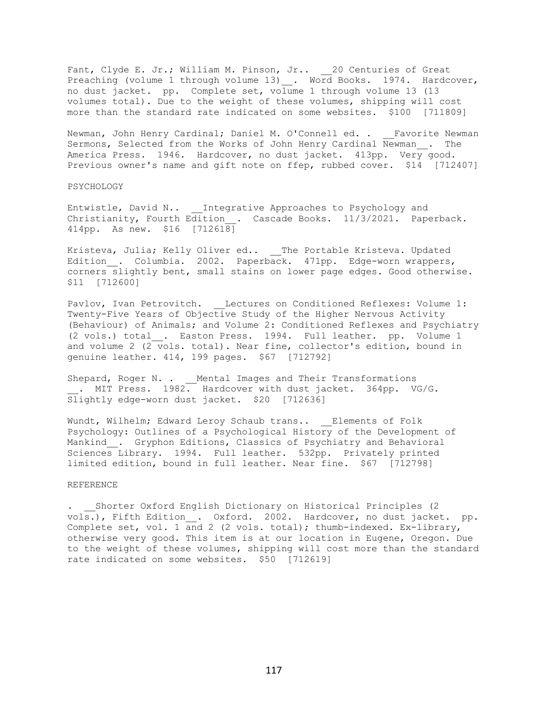Fant, Clyde E. Jr.; William M. Pinson, Jr.. 20 Centuries of Great Preaching (volume 1 through volume 13)\_. Word Books. 1974. Hardcover, no dust jacket. pp. Complete set, volume 1 through volume 13 (13 volumes total). Due to the weight of these volumes, shipping will cost more than the standard rate indicated on some websites. \$100 [711809]

Newman, John Henry Cardinal; Daniel M. O'Connell ed. . \_\_Favorite Newman Sermons, Selected from the Works of John Henry Cardinal Newman\_\_. The America Press. 1946. Hardcover, no dust jacket. 413pp. Very good. Previous owner's name and gift note on ffep, rubbed cover. \$14 [712407]

#### PSYCHOLOGY

Entwistle, David N.. \_\_ Integrative Approaches to Psychology and Christianity, Fourth Edition . Cascade Books. 11/3/2021. Paperback. 414pp. As new. \$16 [712618]

Kristeva, Julia; Kelly Oliver ed.. \_\_The Portable Kristeva. Updated Edition . Columbia. 2002. Paperback. 471pp. Edge-worn wrappers, corners slightly bent, small stains on lower page edges. Good otherwise. \$11 [712600]

Pavlov, Ivan Petrovitch. Lectures on Conditioned Reflexes: Volume 1: Twenty-Five Years of Objective Study of the Higher Nervous Activity (Behaviour) of Animals; and Volume 2: Conditioned Reflexes and Psychiatry (2 vols.) total\_\_. Easton Press. 1994. Full leather. pp. Volume 1 and volume 2  $(2 \overline{v}$ ols. total). Near fine, collector's edition, bound in genuine leather. 414, 199 pages. \$67 [712792]

Shepard, Roger N. . \_\_Mental Images and Their Transformations . MIT Press. 1982. Hardcover with dust jacket. 364pp. VG/G. Slightly edge-worn dust jacket. \$20 [712636]

Wundt, Wilhelm; Edward Leroy Schaub trans.. \_\_ Elements of Folk Psychology: Outlines of a Psychological History of the Development of Mankind . Gryphon Editions, Classics of Psychiatry and Behavioral Sciences Library. 1994. Full leather. 532pp. Privately printed limited edition, bound in full leather. Near fine. \$67 [712798]

## REFERENCE

. Shorter Oxford English Dictionary on Historical Principles (2) vols.), Fifth Edition . Oxford. 2002. Hardcover, no dust jacket. pp. Complete set, vol. 1 and 2 (2 vols. total); thumb-indexed. Ex-library, otherwise very good. This item is at our location in Eugene, Oregon. Due to the weight of these volumes, shipping will cost more than the standard rate indicated on some websites. \$50 [712619]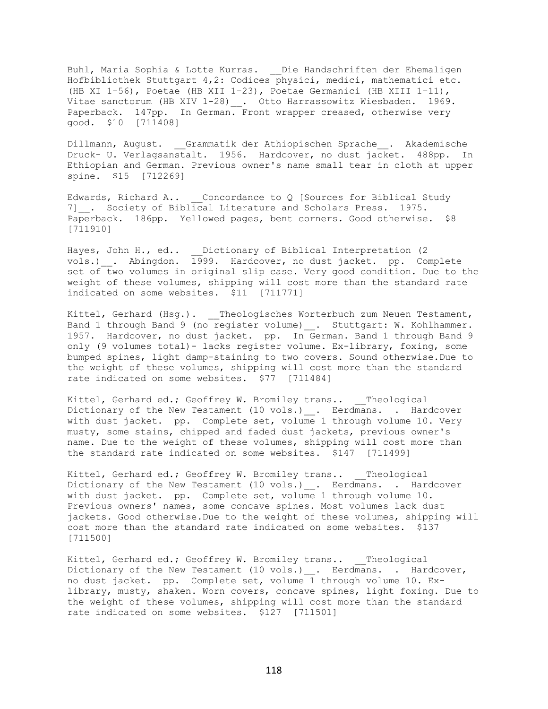Buhl, Maria Sophia & Lotte Kurras. \_\_Die Handschriften der Ehemaligen Hofbibliothek Stuttgart 4,2: Codices physici, medici, mathematici etc. (HB XI 1-56), Poetae (HB XII 1-23), Poetae Germanici (HB XIII 1-11), Vitae sanctorum (HB XIV 1-28) \_\_. Otto Harrassowitz Wiesbaden. 1969. Paperback. 147pp. In German. Front wrapper creased, otherwise very good. \$10 [711408]

Dillmann, August. Grammatik der Athiopischen Sprache . Akademische Druck- U. Verlagsanstalt. 1956. Hardcover, no dust jacket. 488pp. In Ethiopian and German. Previous owner's name small tear in cloth at upper spine. \$15 [712269]

Edwards, Richard A.. Concordance to Q [Sources for Biblical Study 7] . Society of Biblical Literature and Scholars Press. 1975. Paperback. 186pp. Yellowed pages, bent corners. Good otherwise. \$8 [711910]

Hayes, John H., ed.. \_\_Dictionary of Biblical Interpretation (2 vols.)\_\_. Abingdon. 1999. Hardcover, no dust jacket. pp. Complete set of two volumes in original slip case. Very good condition. Due to the weight of these volumes, shipping will cost more than the standard rate indicated on some websites. \$11 [711771]

Kittel, Gerhard (Hsg.). \_\_Theologisches Worterbuch zum Neuen Testament, Band 1 through Band 9 (no register volume) . Stuttgart: W. Kohlhammer. 1957. Hardcover, no dust jacket. pp. In German. Band 1 through Band 9 only (9 volumes total)- lacks register volume. Ex-library, foxing, some bumped spines, light damp-staining to two covers. Sound otherwise.Due to the weight of these volumes, shipping will cost more than the standard rate indicated on some websites. \$77 [711484]

Kittel, Gerhard ed.; Geoffrey W. Bromiley trans.. Theological Dictionary of the New Testament (10 vols.) . Eerdmans. . Hardcover with dust jacket. pp. Complete set, volume 1 through volume 10. Very musty, some stains, chipped and faded dust jackets, previous owner's name. Due to the weight of these volumes, shipping will cost more than the standard rate indicated on some websites. \$147 [711499]

Kittel, Gerhard ed.; Geoffrey W. Bromiley trans.. Theological Dictionary of the New Testament (10 vols.) . Eerdmans. . Hardcover with dust jacket. pp. Complete set, volume 1 through volume 10. Previous owners' names, some concave spines. Most volumes lack dust jackets. Good otherwise.Due to the weight of these volumes, shipping will cost more than the standard rate indicated on some websites. \$137 [711500]

Kittel, Gerhard ed.; Geoffrey W. Bromiley trans.. Theological Dictionary of the New Testament (10 vols.) . Eerdmans. . Hardcover, no dust jacket. pp. Complete set, volume 1 through volume 10. Exlibrary, musty, shaken. Worn covers, concave spines, light foxing. Due to the weight of these volumes, shipping will cost more than the standard rate indicated on some websites. \$127 [711501]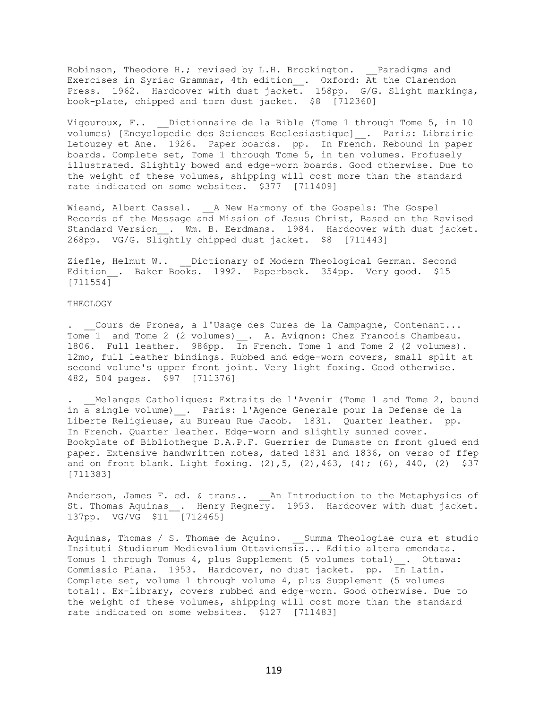Robinson, Theodore H.; revised by L.H. Brockington. Paradigms and Exercises in Syriac Grammar, 4th edition\_\_. Oxford: At the Clarendon Press. 1962. Hardcover with dust jacket. 158pp. G/G. Slight markings, book-plate, chipped and torn dust jacket. \$8 [712360]

Vigouroux, F.. Dictionnaire de la Bible (Tome 1 through Tome 5, in 10 volumes) [Encyclopedie des Sciences Ecclesiastique]\_\_. Paris: Librairie Letouzey et Ane. 1926. Paper boards. pp. In French. Rebound in paper boards. Complete set, Tome 1 through Tome 5, in ten volumes. Profusely illustrated. Slightly bowed and edge-worn boards. Good otherwise. Due to the weight of these volumes, shipping will cost more than the standard rate indicated on some websites. \$377 [711409]

Wieand, Albert Cassel. A New Harmony of the Gospels: The Gospel Records of the Message and Mission of Jesus Christ, Based on the Revised Standard Version . Wm. B. Eerdmans. 1984. Hardcover with dust jacket. 268pp. VG/G. Slightly chipped dust jacket. \$8 [711443]

Ziefle, Helmut W.. Dictionary of Modern Theological German. Second Edition\_. Baker Books. 1992. Paperback. 354pp. Very good. \$15 [711554]

# THEOLOGY

. Cours de Prones, a l'Usage des Cures de la Campagne, Contenant... Tome 1 and Tome 2 (2 volumes) \_\_. A. Avignon: Chez Francois Chambeau. 1806. Full leather. 986pp. In French. Tome 1 and Tome 2 (2 volumes). 12mo, full leather bindings. Rubbed and edge-worn covers, small split at second volume's upper front joint. Very light foxing. Good otherwise. 482, 504 pages. \$97 [711376]

Melanges Catholiques: Extraits de l'Avenir (Tome 1 and Tome 2, bound in a single volume) . Paris: l'Agence Generale pour la Defense de la Liberte Religieuse, au Bureau Rue Jacob. 1831. Quarter leather. pp. In French. Quarter leather. Edge-worn and slightly sunned cover. Bookplate of Bibliotheque D.A.P.F. Guerrier de Dumaste on front glued end paper. Extensive handwritten notes, dated 1831 and 1836, on verso of ffep and on front blank. Light foxing.  $(2)$ ,  $5$ ,  $(2)$ ,  $463$ ,  $(4)$ ;  $(6)$ ,  $440$ ,  $(2)$  \$37 [711383]

Anderson, James F. ed. & trans.. \_\_An Introduction to the Metaphysics of St. Thomas Aquinas\_\_. Henry Regnery. 1953. Hardcover with dust jacket. 137pp. VG/VG \$11 [712465]

Aquinas, Thomas / S. Thomae de Aquino. \_\_Summa Theologiae cura et studio Insituti Studiorum Medievalium Ottaviensis... Editio altera emendata. Tomus 1 through Tomus 4, plus Supplement (5 volumes total)\_\_. Ottawa: Commissio Piana. 1953. Hardcover, no dust jacket. pp. In Latin. Complete set, volume 1 through volume 4, plus Supplement (5 volumes total). Ex-library, covers rubbed and edge-worn. Good otherwise. Due to the weight of these volumes, shipping will cost more than the standard rate indicated on some websites. \$127 [711483]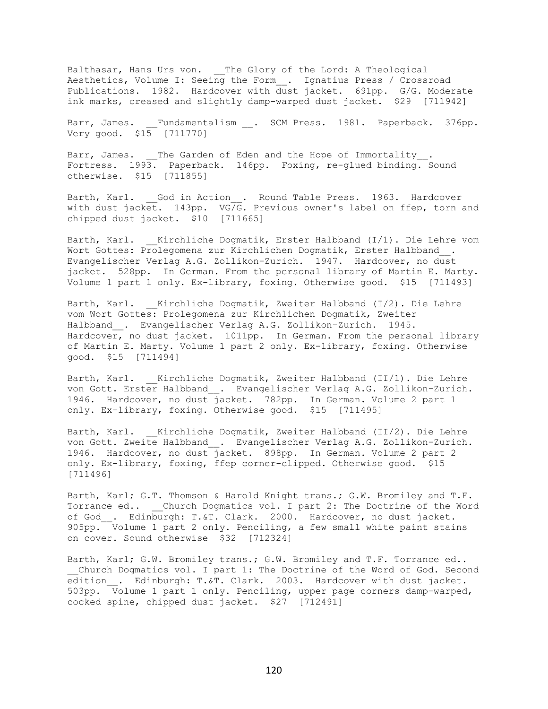Balthasar, Hans Urs von. \_\_The Glory of the Lord: A Theological Aesthetics, Volume I: Seeing the Form\_\_. Ignatius Press / Crossroad Publications. 1982. Hardcover with dust jacket. 691pp. G/G. Moderate ink marks, creased and slightly damp-warped dust jacket. \$29 [711942]

Barr, James. Fundamentalism . SCM Press. 1981. Paperback. 376pp. Very good. \$15 [711770]

Barr, James. \_\_The Garden of Eden and the Hope of Immortality\_\_. Fortress. 1993. Paperback. 146pp. Foxing, re-glued binding. Sound otherwise. \$15 [711855]

Barth, Karl. God in Action . Round Table Press. 1963. Hardcover with dust jacket. 143pp. VG/G. Previous owner's label on ffep, torn and chipped dust jacket. \$10 [711665]

Barth, Karl. \_\_Kirchliche Dogmatik, Erster Halbband (I/1). Die Lehre vom Wort Gottes: Prolegomena zur Kirchlichen Dogmatik, Erster Halbband. Evangelischer Verlag A.G. Zollikon-Zurich. 1947. Hardcover, no dust jacket. 528pp. In German. From the personal library of Martin E. Marty. Volume 1 part 1 only. Ex-library, foxing. Otherwise good. \$15 [711493]

Barth, Karl. \_\_ Kirchliche Dogmatik, Zweiter Halbband (I/2). Die Lehre vom Wort Gottes: Prolegomena zur Kirchlichen Dogmatik, Zweiter Halbband\_\_. Evangelischer Verlag A.G. Zollikon-Zurich. 1945. Hardcover, no dust jacket. 1011pp. In German. From the personal library of Martin E. Marty. Volume 1 part 2 only. Ex-library, foxing. Otherwise good. \$15 [711494]

Barth, Karl. \_\_Kirchliche Dogmatik, Zweiter Halbband (II/1). Die Lehre von Gott. Erster Halbband\_\_. Evangelischer Verlag A.G. Zollikon-Zurich. 1946. Hardcover, no dust jacket. 782pp. In German. Volume 2 part 1 only. Ex-library, foxing. Otherwise good. \$15 [711495]

Barth, Karl. \_\_ Kirchliche Dogmatik, Zweiter Halbband (II/2). Die Lehre von Gott. Zweite Halbband\_\_. Evangelischer Verlag A.G. Zollikon-Zurich. 1946. Hardcover, no dust jacket. 898pp. In German. Volume 2 part 2 only. Ex-library, foxing, ffep corner-clipped. Otherwise good. \$15 [711496]

Barth, Karl; G.T. Thomson & Harold Knight trans.; G.W. Bromiley and T.F. Torrance ed.. Church Dogmatics vol. I part 2: The Doctrine of the Word of God . Edinburgh: T.&T. Clark. 2000. Hardcover, no dust jacket. 905pp. Volume 1 part 2 only. Penciling, a few small white paint stains on cover. Sound otherwise \$32 [712324]

Barth, Karl; G.W. Bromiley trans.; G.W. Bromiley and T.F. Torrance ed.. \_\_Church Dogmatics vol. I part 1: The Doctrine of the Word of God. Second edition . Edinburgh: T.&T. Clark. 2003. Hardcover with dust jacket. 503pp. Volume 1 part 1 only. Penciling, upper page corners damp-warped, cocked spine, chipped dust jacket. \$27 [712491]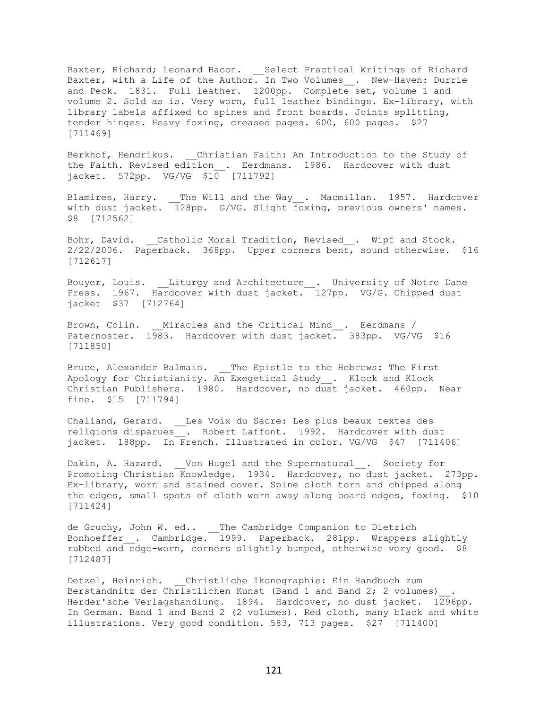Baxter, Richard; Leonard Bacon. \_\_ Select Practical Writings of Richard Baxter, with a Life of the Author. In Two Volumes\_\_. New-Haven: Durrie and Peck. 1831. Full leather. 1200pp. Complete set, volume 1 and volume 2. Sold as is. Very worn, full leather bindings. Ex-library, with library labels affixed to spines and front boards. Joints splitting, tender hinges. Heavy foxing, creased pages. 600, 600 pages. \$27 [711469]

Berkhof, Hendrikus. Christian Faith: An Introduction to the Study of the Faith. Revised edition\_\_. Eerdmans. 1986. Hardcover with dust jacket. 572pp. VG/VG \$10 [711792]

Blamires, Harry. \_\_The Will and the Way\_\_. Macmillan. 1957. Hardcover with dust jacket. 128pp. G/VG. Slight foxing, previous owners' names. \$8 [712562]

Bohr, David. \_\_Catholic Moral Tradition, Revised\_\_. Wipf and Stock. 2/22/2006. Paperback. 368pp. Upper corners bent, sound otherwise. \$16 [712617]

Bouyer, Louis. \_\_Liturgy and Architecture\_\_. University of Notre Dame Press. 1967. Hardcover with dust jacket. 127pp. VG/G. Chipped dust jacket \$37 [712764]

Brown, Colin. \_\_Miracles and the Critical Mind . Eerdmans / Paternoster. 1983. Hardcover with dust jacket. 383pp. VG/VG \$16 [711850]

Bruce, Alexander Balmain. \_\_The Epistle to the Hebrews: The First Apology for Christianity. An Exegetical Study\_\_. Klock and Klock Christian Publishers. 1980. Hardcover, no dust jacket. 460pp. Near fine. \$15 [711794]

Chaliand, Gerard. \_\_Les Voix du Sacre: Les plus beaux textes des religions disparues . Robert Laffont. 1992. Hardcover with dust jacket. 188pp. In French. Illustrated in color. VG/VG \$47 [711406]

Dakin, A. Hazard. Von Hugel and the Supernatural . Society for Promoting Christian Knowledge. 1934. Hardcover, no dust jacket. 273pp. Ex-library, worn and stained cover. Spine cloth torn and chipped along the edges, small spots of cloth worn away along board edges, foxing. \$10 [711424]

de Gruchy, John W. ed.. The Cambridge Companion to Dietrich Bonhoeffer . Cambridge. 1999. Paperback. 281pp. Wrappers slightly rubbed and edge-worn, corners slightly bumped, otherwise very good. \$8 [712487]

Detzel, Heinrich. Christliche Ikonographie: Ein Handbuch zum Berstandnitz der Christlichen Kunst (Band 1 and Band 2; 2 volumes)\_\_. Herder'sche Verlagshandlung. 1894. Hardcover, no dust jacket. 1296pp. In German. Band 1 and Band 2 (2 volumes). Red cloth, many black and white illustrations. Very good condition. 583, 713 pages. \$27 [711400]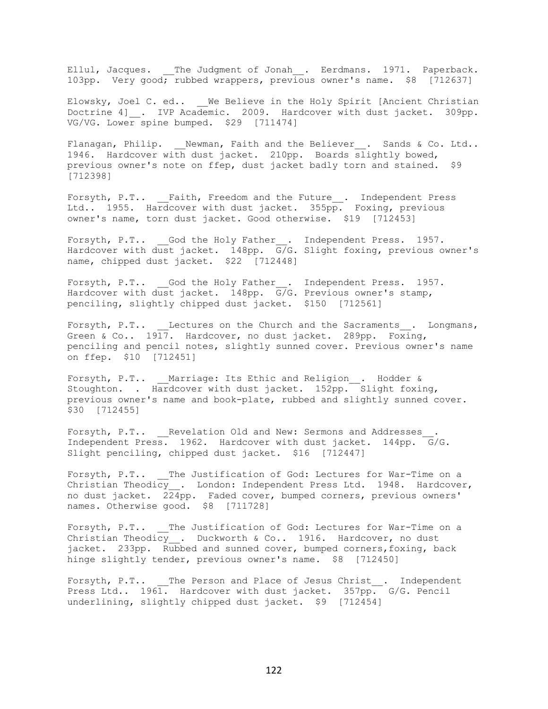Ellul, Jacques. The Judgment of Jonah . Eerdmans. 1971. Paperback. 103pp. Very good; rubbed wrappers, previous owner's name. \$8 [712637]

Elowsky, Joel C. ed.. We Believe in the Holy Spirit [Ancient Christian Doctrine 4] . IVP Academic. 2009. Hardcover with dust jacket. 309pp. VG/VG. Lower spine bumped. \$29 [711474]

Flanagan, Philip. Mewman, Faith and the Believer . Sands & Co. Ltd.. 1946. Hardcover with dust jacket. 210pp. Boards slightly bowed, previous owner's note on ffep, dust jacket badly torn and stained. \$9 [712398]

Forsyth, P.T.. \_\_Faith, Freedom and the Future\_\_. Independent Press Ltd.. 1955. Hardcover with dust jacket. 355pp. Foxing, previous owner's name, torn dust jacket. Good otherwise. \$19 [712453]

Forsyth, P.T.. \_\_God the Holy Father\_\_. Independent Press. 1957. Hardcover with dust jacket. 148pp. G/G. Slight foxing, previous owner's name, chipped dust jacket. \$22 [712448]

Forsyth, P.T.. God the Holy Father . Independent Press. 1957. Hardcover with dust jacket. 148pp.  $\overline{G/G}$ . Previous owner's stamp, penciling, slightly chipped dust jacket. \$150 [712561]

Forsyth, P.T.. Lectures on the Church and the Sacraments . Longmans, Green & Co..  $19\overline{17}$ . Hardcover, no dust jacket. 289pp. Foxing, penciling and pencil notes, slightly sunned cover. Previous owner's name on ffep. \$10 [712451]

Forsyth, P.T.. \_\_Marriage: Its Ethic and Religion\_\_. Hodder & Stoughton. . Hardcover with dust jacket. 152pp. Slight foxing, previous owner's name and book-plate, rubbed and slightly sunned cover. \$30 [712455]

Forsyth, P.T.. Revelation Old and New: Sermons and Addresses . Independent Press. 1962. Hardcover with dust jacket. 144pp. G/G. Slight penciling, chipped dust jacket. \$16 [712447]

Forsyth, P.T.. The Justification of God: Lectures for War-Time on a Christian Theodicy . London: Independent Press Ltd. 1948. Hardcover, no dust jacket. 224pp. Faded cover, bumped corners, previous owners' names. Otherwise good. \$8 [711728]

Forsyth, P.T.. The Justification of God: Lectures for War-Time on a Christian Theodicy . Duckworth & Co.. 1916. Hardcover, no dust jacket. 233pp. Rubbed and sunned cover, bumped corners, foxing, back hinge slightly tender, previous owner's name. \$8 [712450]

Forsyth, P.T.. The Person and Place of Jesus Christ . Independent Press Ltd.. 1961. Hardcover with dust jacket. 357pp. G/G. Pencil underlining, slightly chipped dust jacket. \$9 [712454]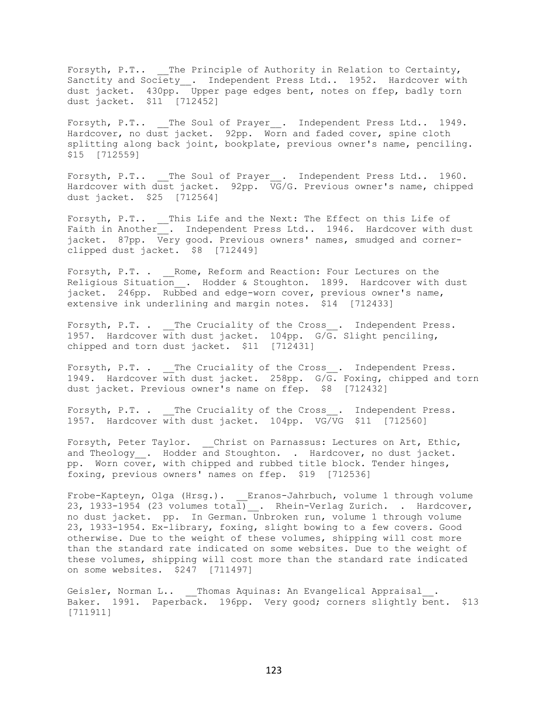Forsyth, P.T.. The Principle of Authority in Relation to Certainty, Sanctity and Society\_. Independent Press Ltd.. 1952. Hardcover with dust jacket. 430pp. Upper page edges bent, notes on ffep, badly torn dust jacket. \$11 [712452]

Forsyth, P.T.. The Soul of Prayer . Independent Press Ltd.. 1949. Hardcover, no dust jacket. 92pp. Worn and faded cover, spine cloth splitting along back joint, bookplate, previous owner's name, penciling. \$15 [712559]

Forsyth, P.T.. The Soul of Prayer . Independent Press Ltd.. 1960. Hardcover with dust jacket. 92pp. VG/G. Previous owner's name, chipped dust jacket. \$25 [712564]

Forsyth, P.T.. This Life and the Next: The Effect on this Life of Faith in Another\_\_. Independent Press Ltd.. 1946. Hardcover with dust jacket. 87pp. Very good. Previous owners' names, smudged and cornerclipped dust jacket. \$8 [712449]

Forsyth, P.T. . Rome, Reform and Reaction: Four Lectures on the Religious Situation . Hodder & Stoughton. 1899. Hardcover with dust jacket. 246pp. Rubbed and edge-worn cover, previous owner's name, extensive ink underlining and margin notes. \$14 [712433]

Forsyth, P.T. . The Cruciality of the Cross . Independent Press. 1957. Hardcover with dust jacket. 104pp. G/G. Slight penciling, chipped and torn dust jacket. \$11 [712431]

Forsyth, P.T. . \_\_The Cruciality of the Cross\_\_. Independent Press. 1949. Hardcover with dust jacket. 258pp. G/G. Foxing, chipped and torn dust jacket. Previous owner's name on ffep. \$8 [712432]

Forsyth, P.T. . The Cruciality of the Cross . Independent Press. 1957. Hardcover with dust jacket. 104pp. VG/VG \$11 [712560]

Forsyth, Peter Taylor. \_ Christ on Parnassus: Lectures on Art, Ethic, and Theology . Hodder and Stoughton. . Hardcover, no dust jacket. pp. Worn cover, with chipped and rubbed title block. Tender hinges, foxing, previous owners' names on ffep. \$19 [712536]

Frobe-Kapteyn, Olga (Hrsg.). Eranos-Jahrbuch, volume 1 through volume 23, 1933-1954 (23 volumes total)\_\_. Rhein-Verlag Zurich. . Hardcover, no dust jacket. pp. In German. Unbroken run, volume 1 through volume 23, 1933-1954. Ex-library, foxing, slight bowing to a few covers. Good otherwise. Due to the weight of these volumes, shipping will cost more than the standard rate indicated on some websites. Due to the weight of these volumes, shipping will cost more than the standard rate indicated on some websites. \$247 [711497]

Geisler, Norman L.. \_\_\_ Thomas Aquinas: An Evangelical Appraisal . Baker. 1991. Paperback. 196pp. Very good; corners slightly bent. \$13 [711911]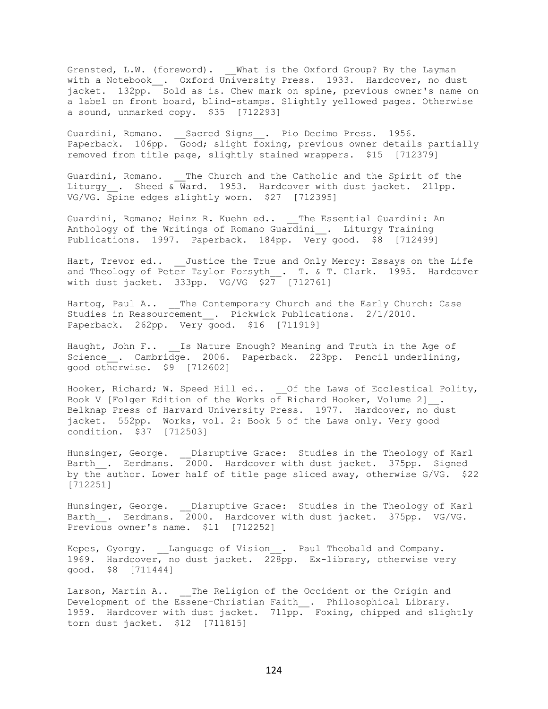Grensted, L.W. (foreword). What is the Oxford Group? By the Layman with a Notebook\_\_. Oxford University Press. 1933. Hardcover, no dust jacket. 132pp. Sold as is. Chew mark on spine, previous owner's name on a label on front board, blind-stamps. Slightly yellowed pages. Otherwise a sound, unmarked copy. \$35 [712293]

Guardini, Romano. Sacred Signs . Pio Decimo Press. 1956. Paperback. 106pp. Good; slight foxing, previous owner details partially removed from title page, slightly stained wrappers. \$15 [712379]

Guardini, Romano. The Church and the Catholic and the Spirit of the Liturgy . Sheed & Ward. 1953. Hardcover with dust jacket. 211pp. VG/VG. Spine edges slightly worn. \$27 [712395]

Guardini, Romano; Heinz R. Kuehn ed.. The Essential Guardini: An Anthology of the Writings of Romano Guardini\_\_. Liturgy Training Publications. 1997. Paperback. 184pp. Very good. \$8 [712499]

Hart, Trevor ed.. Justice the True and Only Mercy: Essays on the Life and Theology of Peter Taylor Forsyth\_. T. & T. Clark. 1995. Hardcover with dust jacket. 333pp. VG/VG \$27 [712761]

Hartog, Paul A.. The Contemporary Church and the Early Church: Case Studies in Ressourcement . Pickwick Publications. 2/1/2010. Paperback. 262pp. Very good. \$16 [711919]

Haught, John F.. Is Nature Enough? Meaning and Truth in the Age of Science . Cambridge. 2006. Paperback. 223pp. Pencil underlining, good otherwise. \$9 [712602]

Hooker, Richard; W. Speed Hill ed.. \_\_Of the Laws of Ecclestical Polity, Book V [Folger Edition of the Works of Richard Hooker, Volume 2]\_\_. Belknap Press of Harvard University Press. 1977. Hardcover, no dust jacket. 552pp. Works, vol. 2: Book 5 of the Laws only. Very good condition. \$37 [712503]

Hunsinger, George. \_\_Disruptive Grace: Studies in the Theology of Karl Barth\_\_. Eerdmans. 2000. Hardcover with dust jacket. 375pp. Signed by the author. Lower half of title page sliced away, otherwise G/VG. \$22 [712251]

Hunsinger, George. \_\_Disruptive Grace: Studies in the Theology of Karl Barth . Eerdmans. 2000. Hardcover with dust jacket. 375pp. VG/VG. Previous owner's name. \$11 [712252]

Kepes, Gyorgy. Language of Vision . Paul Theobald and Company. 1969. Hardcover, no dust jacket. 228pp. Ex-library, otherwise very good. \$8 [711444]

Larson, Martin A.. \_\_ The Religion of the Occident or the Origin and Development of the Essene-Christian Faith . Philosophical Library. 1959. Hardcover with dust jacket. 711pp. Foxing, chipped and slightly torn dust jacket. \$12 [711815]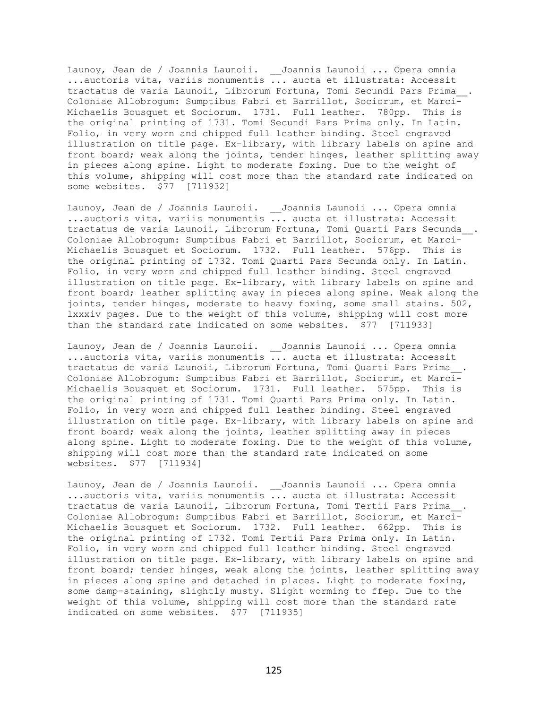Launoy, Jean de / Joannis Launoii. \_\_Joannis Launoii ... Opera omnia ...auctoris vita, variis monumentis ... aucta et illustrata: Accessit tractatus de varia Launoii, Librorum Fortuna, Tomi Secundi Pars Prima\_\_. Coloniae Allobrogum: Sumptibus Fabri et Barrillot, Sociorum, et Marci-Michaelis Bousquet et Sociorum. 1731. Full leather. 780pp. This is the original printing of 1731. Tomi Secundi Pars Prima only. In Latin. Folio, in very worn and chipped full leather binding. Steel engraved illustration on title page. Ex-library, with library labels on spine and front board; weak along the joints, tender hinges, leather splitting away in pieces along spine. Light to moderate foxing. Due to the weight of this volume, shipping will cost more than the standard rate indicated on some websites. \$77 [711932]

Launoy, Jean de / Joannis Launoii. \_\_Joannis Launoii ... Opera omnia ...auctoris vita, variis monumentis ... aucta et illustrata: Accessit tractatus de varia Launoii, Librorum Fortuna, Tomi Quarti Pars Secunda\_\_. Coloniae Allobrogum: Sumptibus Fabri et Barrillot, Sociorum, et Marci-Michaelis Bousquet et Sociorum. 1732. Full leather. 576pp. This is the original printing of 1732. Tomi Quarti Pars Secunda only. In Latin. Folio, in very worn and chipped full leather binding. Steel engraved illustration on title page. Ex-library, with library labels on spine and front board; leather splitting away in pieces along spine. Weak along the joints, tender hinges, moderate to heavy foxing, some small stains. 502, lxxxiv pages. Due to the weight of this volume, shipping will cost more than the standard rate indicated on some websites. \$77 [711933]

Launoy, Jean de / Joannis Launoii. \_\_Joannis Launoii ... Opera omnia ...auctoris vita, variis monumentis ... aucta et illustrata: Accessit tractatus de varia Launoii, Librorum Fortuna, Tomi Quarti Pars Prima\_\_. Coloniae Allobrogum: Sumptibus Fabri et Barrillot, Sociorum, et Marci-Michaelis Bousquet et Sociorum. 1731. Full leather. 575pp. This is the original printing of 1731. Tomi Quarti Pars Prima only. In Latin. Folio, in very worn and chipped full leather binding. Steel engraved illustration on title page. Ex-library, with library labels on spine and front board; weak along the joints, leather splitting away in pieces along spine. Light to moderate foxing. Due to the weight of this volume, shipping will cost more than the standard rate indicated on some websites. \$77 [711934]

Launoy, Jean de / Joannis Launoii. \_\_Joannis Launoii ... Opera omnia ...auctoris vita, variis monumentis ... aucta et illustrata: Accessit tractatus de varia Launoii, Librorum Fortuna, Tomi Tertii Pars Prima\_\_. Coloniae Allobrogum: Sumptibus Fabri et Barrillot, Sociorum, et Marci-Michaelis Bousquet et Sociorum. 1732. Full leather. 662pp. This is the original printing of 1732. Tomi Tertii Pars Prima only. In Latin. Folio, in very worn and chipped full leather binding. Steel engraved illustration on title page. Ex-library, with library labels on spine and front board; tender hinges, weak along the joints, leather splitting away in pieces along spine and detached in places. Light to moderate foxing, some damp-staining, slightly musty. Slight worming to ffep. Due to the weight of this volume, shipping will cost more than the standard rate indicated on some websites. \$77 [711935]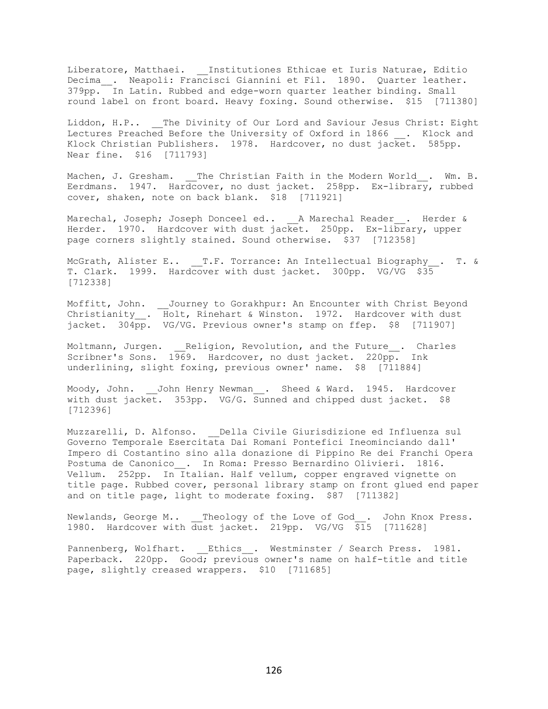Liberatore, Matthaei. \_\_Institutiones Ethicae et Iuris Naturae, Editio Decima\_. Neapoli: Francisci Giannini et Fil. 1890. Quarter leather. 379pp. In Latin. Rubbed and edge-worn quarter leather binding. Small round label on front board. Heavy foxing. Sound otherwise. \$15 [711380]

Liddon, H.P.. \_\_ The Divinity of Our Lord and Saviour Jesus Christ: Eight Lectures Preached Before the University of Oxford in 1866 . Klock and Klock Christian Publishers. 1978. Hardcover, no dust jacket. 585pp. Near fine. \$16 [711793]

Machen, J. Gresham. The Christian Faith in the Modern World. Wm. B. Eerdmans. 1947. Hardcover, no dust jacket. 258pp. Ex-library, rubbed cover, shaken, note on back blank. \$18 [711921]

Marechal, Joseph; Joseph Donceel ed.. A Marechal Reader . Herder & Herder. 1970. Hardcover with dust jacket. 250pp. Ex-library, upper page corners slightly stained. Sound otherwise. \$37 [712358]

McGrath, Alister E.. T.F. Torrance: An Intellectual Biography\_\_. T. & T. Clark. 1999. Hardcover with dust jacket. 300pp. VG/VG \$35 [712338]

Moffitt, John. \_\_Journey to Gorakhpur: An Encounter with Christ Beyond Christianity\_. Holt, Rinehart & Winston. 1972. Hardcover with dust jacket. 304pp. VG/VG. Previous owner's stamp on ffep. \$8 [711907]

Moltmann, Jurgen. Religion, Revolution, and the Future . Charles Scribner's Sons. 1969. Hardcover, no dust jacket. 220pp. Ink underlining, slight foxing, previous owner' name. \$8 [711884]

Moody, John. John Henry Newman . Sheed & Ward. 1945. Hardcover with dust jacket. 353pp. VG/G. Sunned and chipped dust jacket. \$8 [712396]

Muzzarelli, D. Alfonso. Della Civile Giurisdizione ed Influenza sul Governo Temporale Esercitata Dai Romani Pontefici Ineominciando dall' Impero di Costantino sino alla donazione di Pippino Re dei Franchi Opera Postuma de Canonico\_\_. In Roma: Presso Bernardino Olivieri. 1816. Vellum. 252pp. In Italian. Half vellum, copper engraved vignette on title page. Rubbed cover, personal library stamp on front glued end paper and on title page, light to moderate foxing. \$87 [711382]

Newlands, George M.. \_\_ Theology of the Love of God . John Knox Press. 1980. Hardcover with dust jacket. 219pp. VG/VG \$15 [711628]

Pannenberg, Wolfhart. Ethics . Westminster / Search Press. 1981. Paperback. 220pp. Good; previous owner's name on half-title and title page, slightly creased wrappers. \$10 [711685]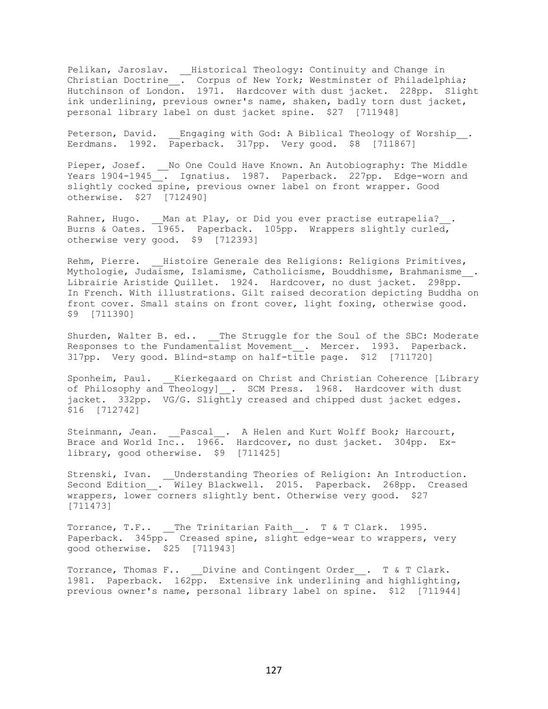Pelikan, Jaroslav. \_\_Historical Theology: Continuity and Change in Christian Doctrine\_\_. Corpus of New York; Westminster of Philadelphia; Hutchinson of London. 1971. Hardcover with dust jacket. 228pp. Slight ink underlining, previous owner's name, shaken, badly torn dust jacket, personal library label on dust jacket spine. \$27 [711948]

Peterson, David. Engaging with God: A Biblical Theology of Worship. Eerdmans. 1992. Paperback. 317pp. Very good. \$8 [711867]

Pieper, Josef. \_\_No One Could Have Known. An Autobiography: The Middle Years 1904-1945\_\_. Ignatius. 1987. Paperback. 227pp. Edge-worn and slightly cocked spine, previous owner label on front wrapper. Good otherwise. \$27 [712490]

Rahner, Hugo. Man at Play, or Did you ever practise eutrapelia? . Burns & Oates. 1965. Paperback. 105pp. Wrappers slightly curled, otherwise very good. \$9 [712393]

Rehm, Pierre. Histoire Generale des Religions: Religions Primitives, Mythologie, Judaisme, Islamisme, Catholicisme, Bouddhisme, Brahmanisme. Librairie Aristide Quillet. 1924. Hardcover, no dust jacket. 298pp. In French. With illustrations. Gilt raised decoration depicting Buddha on front cover. Small stains on front cover, light foxing, otherwise good. \$9 [711390]

Shurden, Walter B. ed.. The Struggle for the Soul of the SBC: Moderate Responses to the Fundamentalist Movement . Mercer. 1993. Paperback. 317pp. Very good. Blind-stamp on half-title page. \$12 [711720]

Sponheim, Paul. \_\_ Kierkegaard on Christ and Christian Coherence [Library of Philosophy and Theology] . SCM Press. 1968. Hardcover with dust jacket. 332pp. VG/G. Slightly creased and chipped dust jacket edges. \$16 [712742]

Steinmann, Jean. \_\_Pascal\_\_. A Helen and Kurt Wolff Book; Harcourt, Brace and World Inc.. 1966. Hardcover, no dust jacket. 304pp. Exlibrary, good otherwise. \$9 [711425]

Strenski, Ivan. \_\_Understanding Theories of Religion: An Introduction. Second Edition\_\_. Wiley Blackwell. 2015. Paperback. 268pp. Creased wrappers, lower corners slightly bent. Otherwise very good. \$27 [711473]

Torrance, T.F.. The Trinitarian Faith . T & T Clark. 1995. Paperback. 345pp. Creased spine, slight edge-wear to wrappers, very good otherwise. \$25 [711943]

Torrance, Thomas F.. Divine and Contingent Order . T & T Clark. 1981. Paperback. 162pp. Extensive ink underlining and highlighting, previous owner's name, personal library label on spine. \$12 [711944]